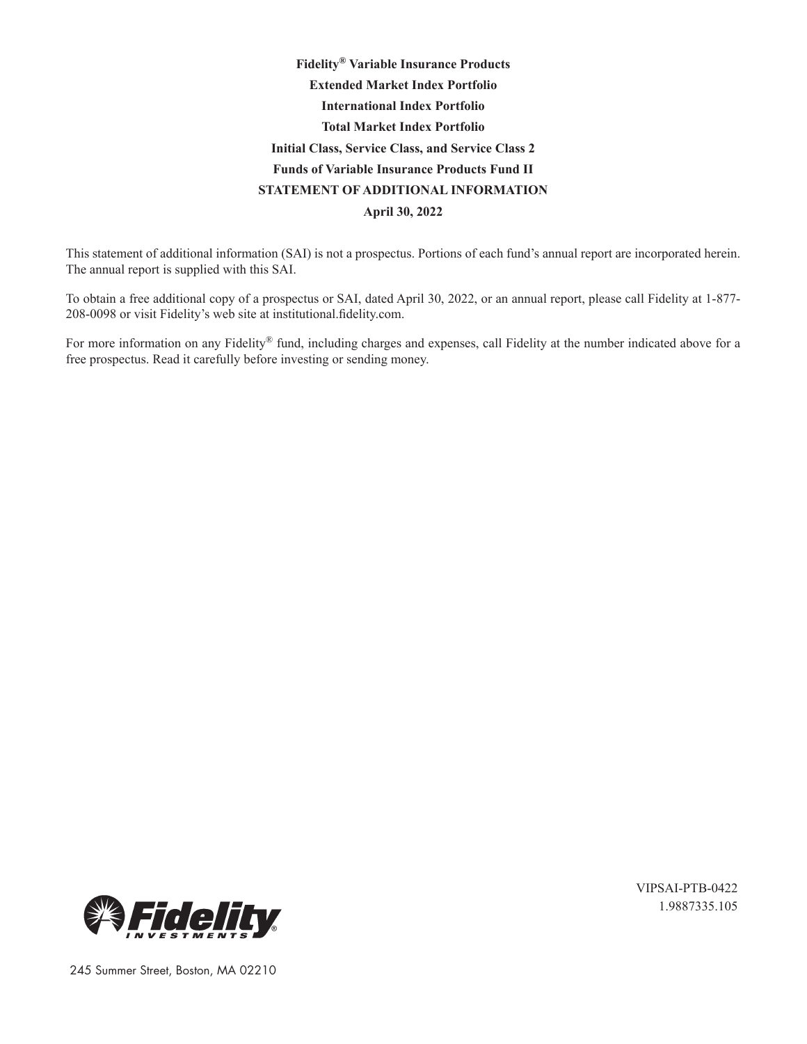# **Fidelity® Variable Insurance Products Extended Market Index Portfolio International Index Portfolio Total Market Index Portfolio Initial Class, Service Class, and Service Class 2 Funds of Variable Insurance Products Fund II STATEMENT OF ADDITIONAL INFORMATION April 30, 2022**

This statement of additional information (SAI) is not a prospectus. Portions of each fund's annual report are incorporated herein. The annual report is supplied with this SAI.

To obtain a free additional copy of a prospectus or SAI, dated April 30, 2022, or an annual report, please call Fidelity at 1-877- 208-0098 or visit Fidelity's web site at institutional.fidelity.com.

For more information on any Fidelity® fund, including charges and expenses, call Fidelity at the number indicated above for a free prospectus. Read it carefully before investing or sending money.



VIPSAI-PTB-0422 1.9887335.105

245 Summer Street, Boston, MA 02210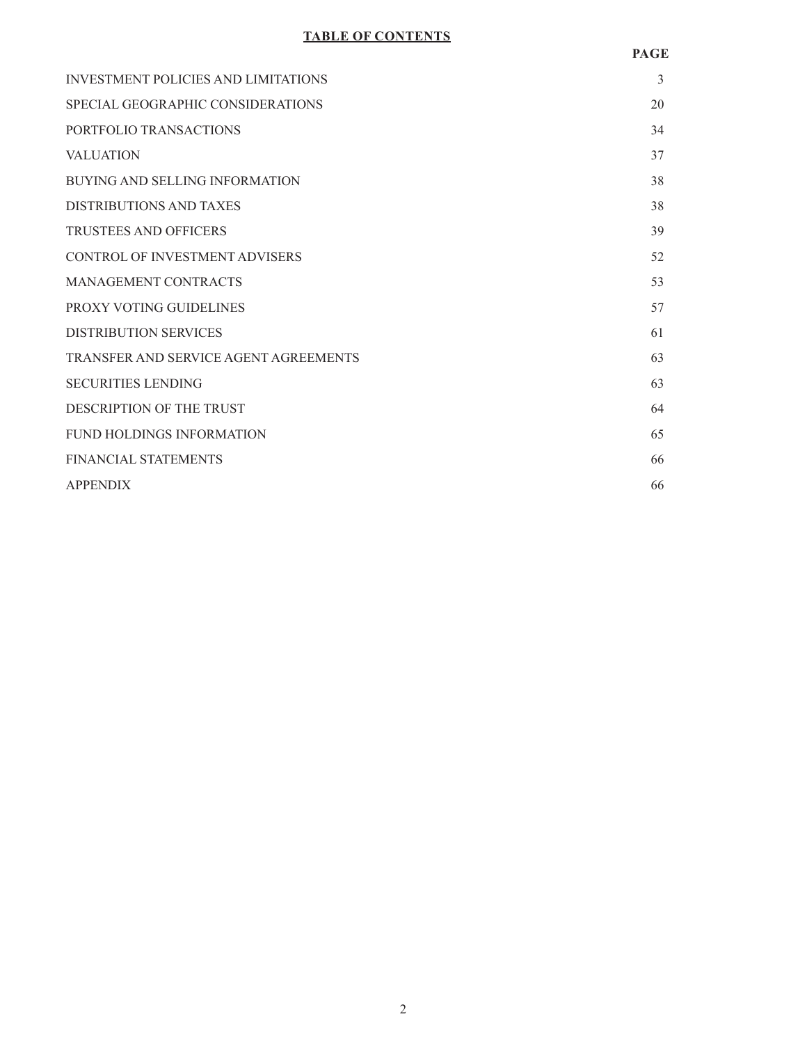# **TABLE OF CONTENTS**

| <b>INVESTMENT POLICIES AND LIMITATIONS</b> | 3  |
|--------------------------------------------|----|
| SPECIAL GEOGRAPHIC CONSIDERATIONS          | 20 |
| PORTFOLIO TRANSACTIONS                     | 34 |
| <b>VALUATION</b>                           | 37 |
| BUYING AND SELLING INFORMATION             | 38 |
| DISTRIBUTIONS AND TAXES                    | 38 |
| <b>TRUSTEES AND OFFICERS</b>               | 39 |
| <b>CONTROL OF INVESTMENT ADVISERS</b>      | 52 |
| MANAGEMENT CONTRACTS                       | 53 |
| PROXY VOTING GUIDELINES                    | 57 |
| <b>DISTRIBUTION SERVICES</b>               | 61 |
| TRANSFER AND SERVICE AGENT AGREEMENTS      | 63 |
| <b>SECURITIES LENDING</b>                  | 63 |
| DESCRIPTION OF THE TRUST                   | 64 |
| FUND HOLDINGS INFORMATION                  | 65 |
| <b>FINANCIAL STATEMENTS</b>                | 66 |
| <b>APPENDIX</b>                            | 66 |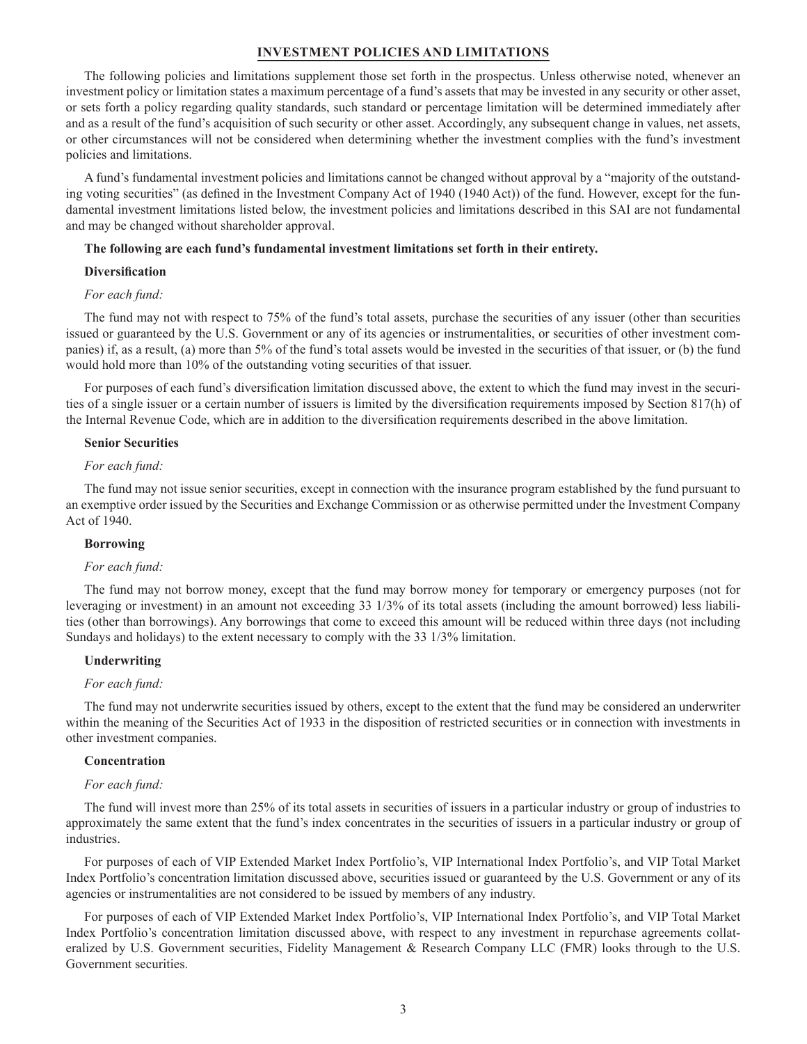#### **INVESTMENT POLICIES AND LIMITATIONS**

The following policies and limitations supplement those set forth in the prospectus. Unless otherwise noted, whenever an investment policy or limitation states a maximum percentage of a fund's assets that may be invested in any security or other asset, or sets forth a policy regarding quality standards, such standard or percentage limitation will be determined immediately after and as a result of the fund's acquisition of such security or other asset. Accordingly, any subsequent change in values, net assets, or other circumstances will not be considered when determining whether the investment complies with the fund's investment policies and limitations.

A fund's fundamental investment policies and limitations cannot be changed without approval by a "majority of the outstanding voting securities" (as defined in the Investment Company Act of 1940 (1940 Act)) of the fund. However, except for the fundamental investment limitations listed below, the investment policies and limitations described in this SAI are not fundamental and may be changed without shareholder approval.

#### **The following are each fund's fundamental investment limitations set forth in their entirety.**

### **Diversification**

### *For each fund:*

The fund may not with respect to 75% of the fund's total assets, purchase the securities of any issuer (other than securities issued or guaranteed by the U.S. Government or any of its agencies or instrumentalities, or securities of other investment companies) if, as a result, (a) more than 5% of the fund's total assets would be invested in the securities of that issuer, or (b) the fund would hold more than 10% of the outstanding voting securities of that issuer.

For purposes of each fund's diversification limitation discussed above, the extent to which the fund may invest in the securities of a single issuer or a certain number of issuers is limited by the diversification requirements imposed by Section 817(h) of the Internal Revenue Code, which are in addition to the diversification requirements described in the above limitation.

#### **Senior Securities**

#### *For each fund:*

The fund may not issue senior securities, except in connection with the insurance program established by the fund pursuant to an exemptive order issued by the Securities and Exchange Commission or as otherwise permitted under the Investment Company Act of 1940.

### **Borrowing**

#### *For each fund:*

The fund may not borrow money, except that the fund may borrow money for temporary or emergency purposes (not for leveraging or investment) in an amount not exceeding 33 1/3% of its total assets (including the amount borrowed) less liabilities (other than borrowings). Any borrowings that come to exceed this amount will be reduced within three days (not including Sundays and holidays) to the extent necessary to comply with the 33 1/3% limitation.

#### **Underwriting**

#### *For each fund:*

The fund may not underwrite securities issued by others, except to the extent that the fund may be considered an underwriter within the meaning of the Securities Act of 1933 in the disposition of restricted securities or in connection with investments in other investment companies.

#### **Concentration**

#### *For each fund:*

The fund will invest more than 25% of its total assets in securities of issuers in a particular industry or group of industries to approximately the same extent that the fund's index concentrates in the securities of issuers in a particular industry or group of industries.

For purposes of each of VIP Extended Market Index Portfolio's, VIP International Index Portfolio's, and VIP Total Market Index Portfolio's concentration limitation discussed above, securities issued or guaranteed by the U.S. Government or any of its agencies or instrumentalities are not considered to be issued by members of any industry.

For purposes of each of VIP Extended Market Index Portfolio's, VIP International Index Portfolio's, and VIP Total Market Index Portfolio's concentration limitation discussed above, with respect to any investment in repurchase agreements collateralized by U.S. Government securities, Fidelity Management & Research Company LLC (FMR) looks through to the U.S. Government securities.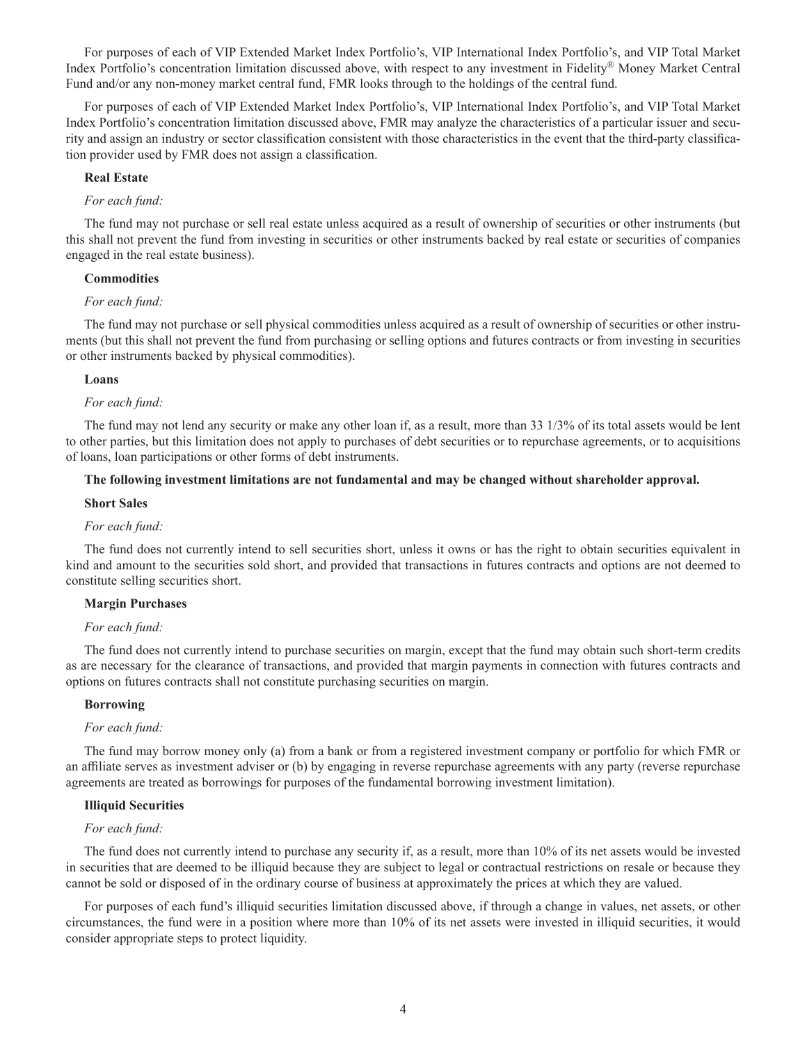For purposes of each of VIP Extended Market Index Portfolio's, VIP International Index Portfolio's, and VIP Total Market Index Portfolio's concentration limitation discussed above, with respect to any investment in Fidelity® Money Market Central Fund and/or any non-money market central fund, FMR looks through to the holdings of the central fund.

For purposes of each of VIP Extended Market Index Portfolio's, VIP International Index Portfolio's, and VIP Total Market Index Portfolio's concentration limitation discussed above, FMR may analyze the characteristics of a particular issuer and security and assign an industry or sector classification consistent with those characteristics in the event that the third-party classification provider used by FMR does not assign a classification.

#### **Real Estate**

#### *For each fund:*

The fund may not purchase or sell real estate unless acquired as a result of ownership of securities or other instruments (but this shall not prevent the fund from investing in securities or other instruments backed by real estate or securities of companies engaged in the real estate business).

#### **Commodities**

#### *For each fund:*

The fund may not purchase or sell physical commodities unless acquired as a result of ownership of securities or other instruments (but this shall not prevent the fund from purchasing or selling options and futures contracts or from investing in securities or other instruments backed by physical commodities).

#### **Loans**

#### *For each fund:*

The fund may not lend any security or make any other loan if, as a result, more than 33 1/3% of its total assets would be lent to other parties, but this limitation does not apply to purchases of debt securities or to repurchase agreements, or to acquisitions of loans, loan participations or other forms of debt instruments.

### **The following investment limitations are not fundamental and may be changed without shareholder approval.**

#### **Short Sales**

#### *For each fund:*

The fund does not currently intend to sell securities short, unless it owns or has the right to obtain securities equivalent in kind and amount to the securities sold short, and provided that transactions in futures contracts and options are not deemed to constitute selling securities short.

#### **Margin Purchases**

#### *For each fund:*

The fund does not currently intend to purchase securities on margin, except that the fund may obtain such short-term credits as are necessary for the clearance of transactions, and provided that margin payments in connection with futures contracts and options on futures contracts shall not constitute purchasing securities on margin.

### **Borrowing**

#### *For each fund:*

The fund may borrow money only (a) from a bank or from a registered investment company or portfolio for which FMR or an affiliate serves as investment adviser or (b) by engaging in reverse repurchase agreements with any party (reverse repurchase agreements are treated as borrowings for purposes of the fundamental borrowing investment limitation).

#### **Illiquid Securities**

#### *For each fund:*

The fund does not currently intend to purchase any security if, as a result, more than 10% of its net assets would be invested in securities that are deemed to be illiquid because they are subject to legal or contractual restrictions on resale or because they cannot be sold or disposed of in the ordinary course of business at approximately the prices at which they are valued.

For purposes of each fund's illiquid securities limitation discussed above, if through a change in values, net assets, or other circumstances, the fund were in a position where more than 10% of its net assets were invested in illiquid securities, it would consider appropriate steps to protect liquidity.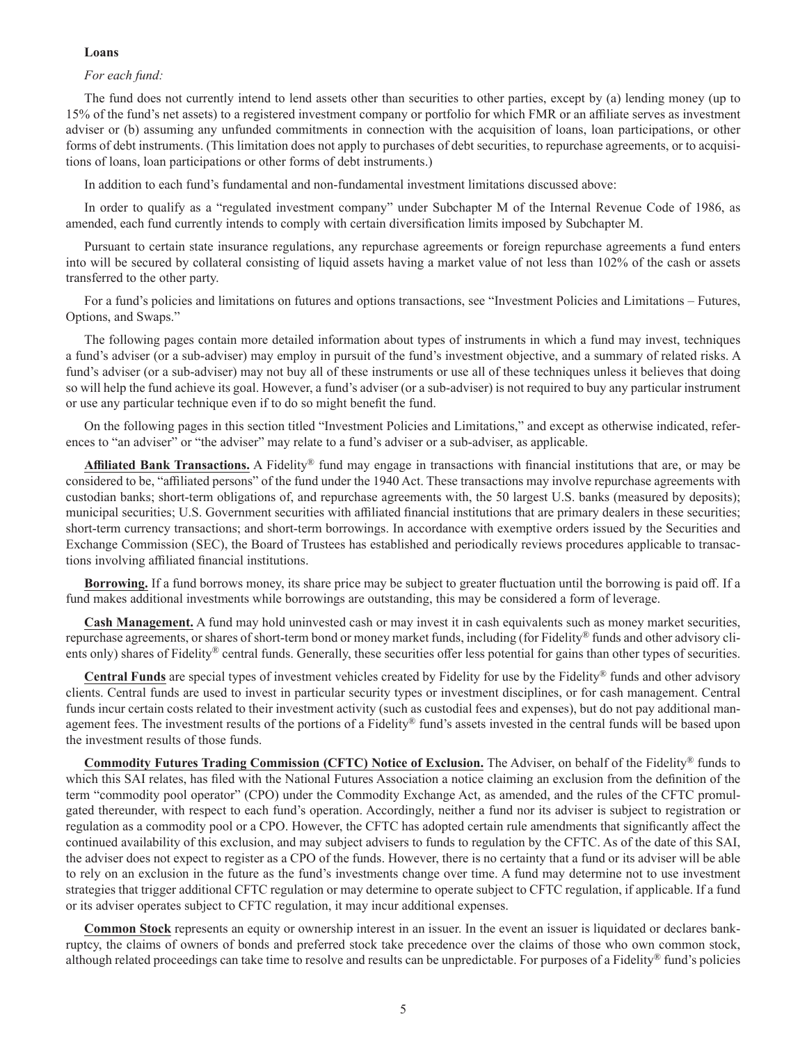#### **Loans**

#### *For each fund:*

The fund does not currently intend to lend assets other than securities to other parties, except by (a) lending money (up to 15% of the fund's net assets) to a registered investment company or portfolio for which FMR or an affiliate serves as investment adviser or (b) assuming any unfunded commitments in connection with the acquisition of loans, loan participations, or other forms of debt instruments. (This limitation does not apply to purchases of debt securities, to repurchase agreements, or to acquisitions of loans, loan participations or other forms of debt instruments.)

In addition to each fund's fundamental and non-fundamental investment limitations discussed above:

In order to qualify as a "regulated investment company" under Subchapter M of the Internal Revenue Code of 1986, as amended, each fund currently intends to comply with certain diversification limits imposed by Subchapter M.

Pursuant to certain state insurance regulations, any repurchase agreements or foreign repurchase agreements a fund enters into will be secured by collateral consisting of liquid assets having a market value of not less than 102% of the cash or assets transferred to the other party.

For a fund's policies and limitations on futures and options transactions, see "Investment Policies and Limitations – Futures, Options, and Swaps."

The following pages contain more detailed information about types of instruments in which a fund may invest, techniques a fund's adviser (or a sub-adviser) may employ in pursuit of the fund's investment objective, and a summary of related risks. A fund's adviser (or a sub-adviser) may not buy all of these instruments or use all of these techniques unless it believes that doing so will help the fund achieve its goal. However, a fund's adviser (or a sub-adviser) is not required to buy any particular instrument or use any particular technique even if to do so might benefit the fund.

On the following pages in this section titled "Investment Policies and Limitations," and except as otherwise indicated, references to "an adviser" or "the adviser" may relate to a fund's adviser or a sub-adviser, as applicable.

**Affiliated Bank Transactions.** A Fidelity® fund may engage in transactions with financial institutions that are, or may be considered to be, "affiliated persons" of the fund under the 1940 Act. These transactions may involve repurchase agreements with custodian banks; short-term obligations of, and repurchase agreements with, the 50 largest U.S. banks (measured by deposits); municipal securities; U.S. Government securities with affiliated financial institutions that are primary dealers in these securities; short-term currency transactions; and short-term borrowings. In accordance with exemptive orders issued by the Securities and Exchange Commission (SEC), the Board of Trustees has established and periodically reviews procedures applicable to transactions involving affiliated financial institutions.

**Borrowing.** If a fund borrows money, its share price may be subject to greater fluctuation until the borrowing is paid off. If a fund makes additional investments while borrowings are outstanding, this may be considered a form of leverage.

**Cash Management.** A fund may hold uninvested cash or may invest it in cash equivalents such as money market securities, repurchase agreements, or shares of short-term bond or money market funds, including (for Fidelity® funds and other advisory clients only) shares of Fidelity<sup>®</sup> central funds. Generally, these securities offer less potential for gains than other types of securities.

**Central Funds** are special types of investment vehicles created by Fidelity for use by the Fidelity® funds and other advisory clients. Central funds are used to invest in particular security types or investment disciplines, or for cash management. Central funds incur certain costs related to their investment activity (such as custodial fees and expenses), but do not pay additional management fees. The investment results of the portions of a Fidelity® fund's assets invested in the central funds will be based upon the investment results of those funds.

**Commodity Futures Trading Commission (CFTC) Notice of Exclusion.** The Adviser, on behalf of the Fidelity® funds to which this SAI relates, has filed with the National Futures Association a notice claiming an exclusion from the definition of the term "commodity pool operator" (CPO) under the Commodity Exchange Act, as amended, and the rules of the CFTC promulgated thereunder, with respect to each fund's operation. Accordingly, neither a fund nor its adviser is subject to registration or regulation as a commodity pool or a CPO. However, the CFTC has adopted certain rule amendments that significantly affect the continued availability of this exclusion, and may subject advisers to funds to regulation by the CFTC. As of the date of this SAI, the adviser does not expect to register as a CPO of the funds. However, there is no certainty that a fund or its adviser will be able to rely on an exclusion in the future as the fund's investments change over time. A fund may determine not to use investment strategies that trigger additional CFTC regulation or may determine to operate subject to CFTC regulation, if applicable. If a fund or its adviser operates subject to CFTC regulation, it may incur additional expenses.

**Common Stock** represents an equity or ownership interest in an issuer. In the event an issuer is liquidated or declares bankruptcy, the claims of owners of bonds and preferred stock take precedence over the claims of those who own common stock, although related proceedings can take time to resolve and results can be unpredictable. For purposes of a Fidelity® fund's policies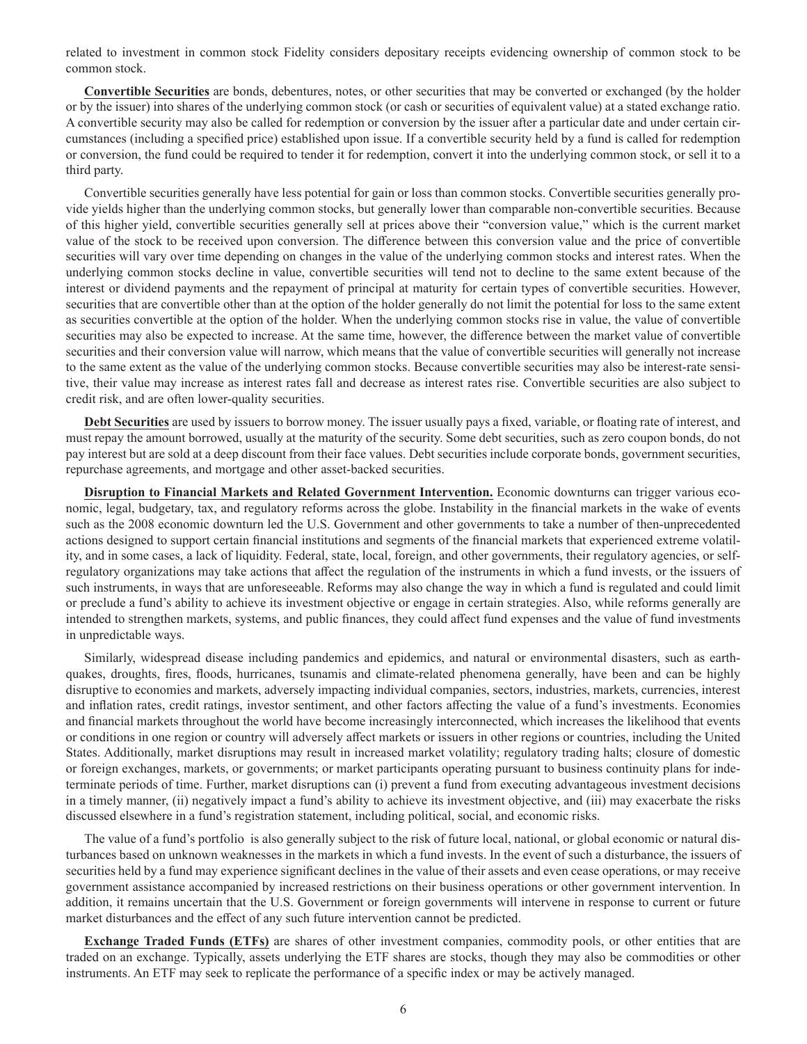related to investment in common stock Fidelity considers depositary receipts evidencing ownership of common stock to be common stock.

**Convertible Securities** are bonds, debentures, notes, or other securities that may be converted or exchanged (by the holder or by the issuer) into shares of the underlying common stock (or cash or securities of equivalent value) at a stated exchange ratio. A convertible security may also be called for redemption or conversion by the issuer after a particular date and under certain circumstances (including a specified price) established upon issue. If a convertible security held by a fund is called for redemption or conversion, the fund could be required to tender it for redemption, convert it into the underlying common stock, or sell it to a third party.

Convertible securities generally have less potential for gain or loss than common stocks. Convertible securities generally provide yields higher than the underlying common stocks, but generally lower than comparable non-convertible securities. Because of this higher yield, convertible securities generally sell at prices above their "conversion value," which is the current market value of the stock to be received upon conversion. The difference between this conversion value and the price of convertible securities will vary over time depending on changes in the value of the underlying common stocks and interest rates. When the underlying common stocks decline in value, convertible securities will tend not to decline to the same extent because of the interest or dividend payments and the repayment of principal at maturity for certain types of convertible securities. However, securities that are convertible other than at the option of the holder generally do not limit the potential for loss to the same extent as securities convertible at the option of the holder. When the underlying common stocks rise in value, the value of convertible securities may also be expected to increase. At the same time, however, the difference between the market value of convertible securities and their conversion value will narrow, which means that the value of convertible securities will generally not increase to the same extent as the value of the underlying common stocks. Because convertible securities may also be interest-rate sensitive, their value may increase as interest rates fall and decrease as interest rates rise. Convertible securities are also subject to credit risk, and are often lower-quality securities.

**Debt Securities** are used by issuers to borrow money. The issuer usually pays a fixed, variable, or floating rate of interest, and must repay the amount borrowed, usually at the maturity of the security. Some debt securities, such as zero coupon bonds, do not pay interest but are sold at a deep discount from their face values. Debt securities include corporate bonds, government securities, repurchase agreements, and mortgage and other asset-backed securities.

**Disruption to Financial Markets and Related Government Intervention.** Economic downturns can trigger various economic, legal, budgetary, tax, and regulatory reforms across the globe. Instability in the financial markets in the wake of events such as the 2008 economic downturn led the U.S. Government and other governments to take a number of then-unprecedented actions designed to support certain financial institutions and segments of the financial markets that experienced extreme volatility, and in some cases, a lack of liquidity. Federal, state, local, foreign, and other governments, their regulatory agencies, or selfregulatory organizations may take actions that affect the regulation of the instruments in which a fund invests, or the issuers of such instruments, in ways that are unforeseeable. Reforms may also change the way in which a fund is regulated and could limit or preclude a fund's ability to achieve its investment objective or engage in certain strategies. Also, while reforms generally are intended to strengthen markets, systems, and public finances, they could affect fund expenses and the value of fund investments in unpredictable ways.

Similarly, widespread disease including pandemics and epidemics, and natural or environmental disasters, such as earthquakes, droughts, fires, floods, hurricanes, tsunamis and climate-related phenomena generally, have been and can be highly disruptive to economies and markets, adversely impacting individual companies, sectors, industries, markets, currencies, interest and inflation rates, credit ratings, investor sentiment, and other factors affecting the value of a fund's investments. Economies and financial markets throughout the world have become increasingly interconnected, which increases the likelihood that events or conditions in one region or country will adversely affect markets or issuers in other regions or countries, including the United States. Additionally, market disruptions may result in increased market volatility; regulatory trading halts; closure of domestic or foreign exchanges, markets, or governments; or market participants operating pursuant to business continuity plans for indeterminate periods of time. Further, market disruptions can (i) prevent a fund from executing advantageous investment decisions in a timely manner, (ii) negatively impact a fund's ability to achieve its investment objective, and (iii) may exacerbate the risks discussed elsewhere in a fund's registration statement, including political, social, and economic risks.

The value of a fund's portfolio is also generally subject to the risk of future local, national, or global economic or natural disturbances based on unknown weaknesses in the markets in which a fund invests. In the event of such a disturbance, the issuers of securities held by a fund may experience significant declines in the value of their assets and even cease operations, or may receive government assistance accompanied by increased restrictions on their business operations or other government intervention. In addition, it remains uncertain that the U.S. Government or foreign governments will intervene in response to current or future market disturbances and the effect of any such future intervention cannot be predicted.

**Exchange Traded Funds (ETFs)** are shares of other investment companies, commodity pools, or other entities that are traded on an exchange. Typically, assets underlying the ETF shares are stocks, though they may also be commodities or other instruments. An ETF may seek to replicate the performance of a specific index or may be actively managed.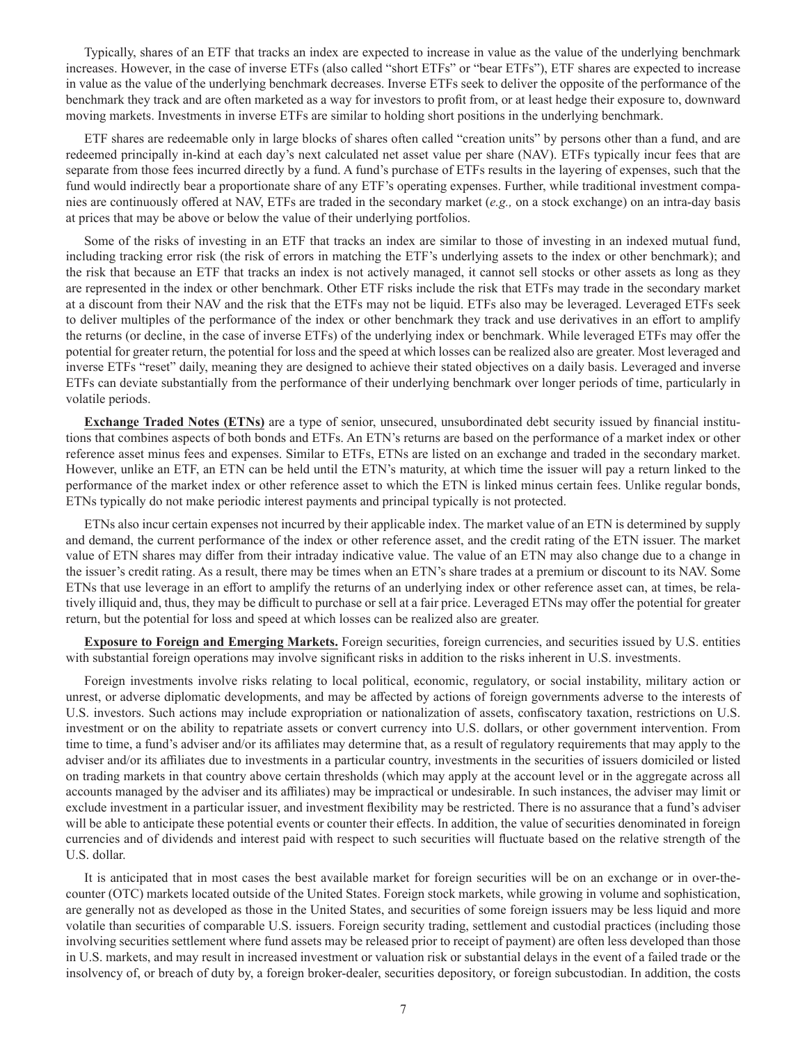Typically, shares of an ETF that tracks an index are expected to increase in value as the value of the underlying benchmark increases. However, in the case of inverse ETFs (also called "short ETFs" or "bear ETFs"), ETF shares are expected to increase in value as the value of the underlying benchmark decreases. Inverse ETFs seek to deliver the opposite of the performance of the benchmark they track and are often marketed as a way for investors to profit from, or at least hedge their exposure to, downward moving markets. Investments in inverse ETFs are similar to holding short positions in the underlying benchmark.

ETF shares are redeemable only in large blocks of shares often called "creation units" by persons other than a fund, and are redeemed principally in-kind at each day's next calculated net asset value per share (NAV). ETFs typically incur fees that are separate from those fees incurred directly by a fund. A fund's purchase of ETFs results in the layering of expenses, such that the fund would indirectly bear a proportionate share of any ETF's operating expenses. Further, while traditional investment companies are continuously offered at NAV, ETFs are traded in the secondary market (*e.g.,* on a stock exchange) on an intra-day basis at prices that may be above or below the value of their underlying portfolios.

Some of the risks of investing in an ETF that tracks an index are similar to those of investing in an indexed mutual fund, including tracking error risk (the risk of errors in matching the ETF's underlying assets to the index or other benchmark); and the risk that because an ETF that tracks an index is not actively managed, it cannot sell stocks or other assets as long as they are represented in the index or other benchmark. Other ETF risks include the risk that ETFs may trade in the secondary market at a discount from their NAV and the risk that the ETFs may not be liquid. ETFs also may be leveraged. Leveraged ETFs seek to deliver multiples of the performance of the index or other benchmark they track and use derivatives in an effort to amplify the returns (or decline, in the case of inverse ETFs) of the underlying index or benchmark. While leveraged ETFs may offer the potential for greater return, the potential for loss and the speed at which losses can be realized also are greater. Most leveraged and inverse ETFs "reset" daily, meaning they are designed to achieve their stated objectives on a daily basis. Leveraged and inverse ETFs can deviate substantially from the performance of their underlying benchmark over longer periods of time, particularly in volatile periods.

**Exchange Traded Notes (ETNs)** are a type of senior, unsecured, unsubordinated debt security issued by financial institutions that combines aspects of both bonds and ETFs. An ETN's returns are based on the performance of a market index or other reference asset minus fees and expenses. Similar to ETFs, ETNs are listed on an exchange and traded in the secondary market. However, unlike an ETF, an ETN can be held until the ETN's maturity, at which time the issuer will pay a return linked to the performance of the market index or other reference asset to which the ETN is linked minus certain fees. Unlike regular bonds, ETNs typically do not make periodic interest payments and principal typically is not protected.

ETNs also incur certain expenses not incurred by their applicable index. The market value of an ETN is determined by supply and demand, the current performance of the index or other reference asset, and the credit rating of the ETN issuer. The market value of ETN shares may differ from their intraday indicative value. The value of an ETN may also change due to a change in the issuer's credit rating. As a result, there may be times when an ETN's share trades at a premium or discount to its NAV. Some ETNs that use leverage in an effort to amplify the returns of an underlying index or other reference asset can, at times, be relatively illiquid and, thus, they may be difficult to purchase or sell at a fair price. Leveraged ETNs may offer the potential for greater return, but the potential for loss and speed at which losses can be realized also are greater.

**Exposure to Foreign and Emerging Markets.** Foreign securities, foreign currencies, and securities issued by U.S. entities with substantial foreign operations may involve significant risks in addition to the risks inherent in U.S. investments.

Foreign investments involve risks relating to local political, economic, regulatory, or social instability, military action or unrest, or adverse diplomatic developments, and may be affected by actions of foreign governments adverse to the interests of U.S. investors. Such actions may include expropriation or nationalization of assets, confiscatory taxation, restrictions on U.S. investment or on the ability to repatriate assets or convert currency into U.S. dollars, or other government intervention. From time to time, a fund's adviser and/or its affiliates may determine that, as a result of regulatory requirements that may apply to the adviser and/or its affiliates due to investments in a particular country, investments in the securities of issuers domiciled or listed on trading markets in that country above certain thresholds (which may apply at the account level or in the aggregate across all accounts managed by the adviser and its affiliates) may be impractical or undesirable. In such instances, the adviser may limit or exclude investment in a particular issuer, and investment flexibility may be restricted. There is no assurance that a fund's adviser will be able to anticipate these potential events or counter their effects. In addition, the value of securities denominated in foreign currencies and of dividends and interest paid with respect to such securities will fluctuate based on the relative strength of the U.S. dollar.

It is anticipated that in most cases the best available market for foreign securities will be on an exchange or in over-thecounter (OTC) markets located outside of the United States. Foreign stock markets, while growing in volume and sophistication, are generally not as developed as those in the United States, and securities of some foreign issuers may be less liquid and more volatile than securities of comparable U.S. issuers. Foreign security trading, settlement and custodial practices (including those involving securities settlement where fund assets may be released prior to receipt of payment) are often less developed than those in U.S. markets, and may result in increased investment or valuation risk or substantial delays in the event of a failed trade or the insolvency of, or breach of duty by, a foreign broker-dealer, securities depository, or foreign subcustodian. In addition, the costs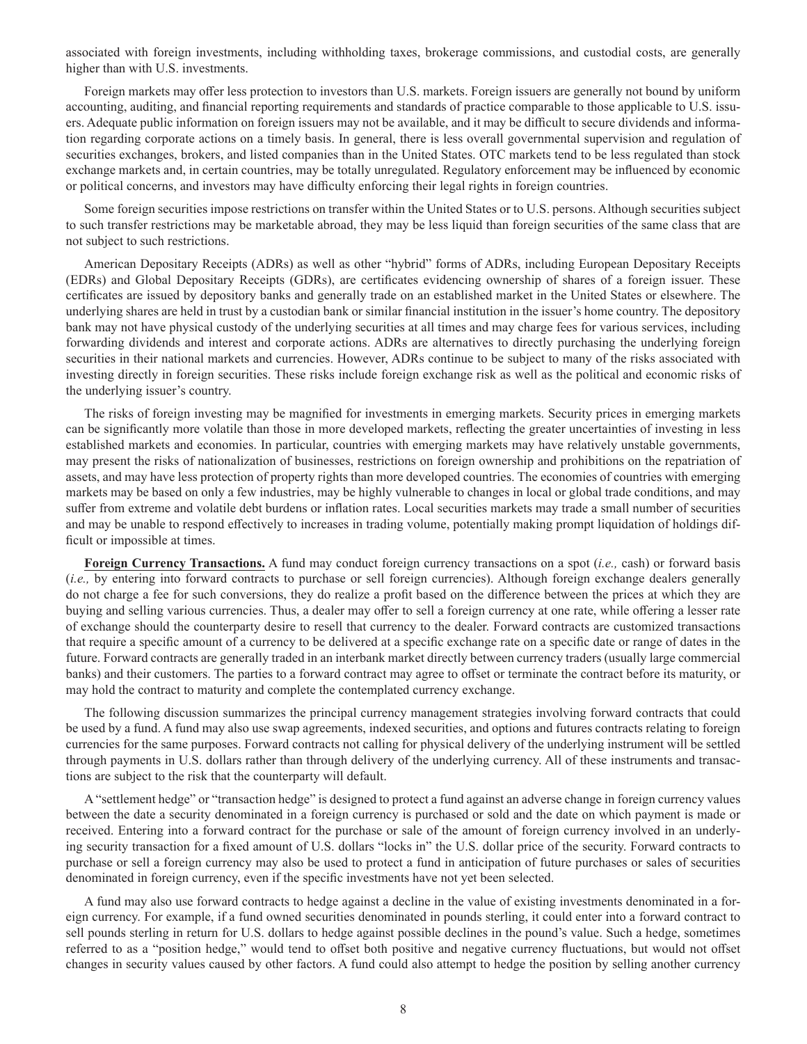associated with foreign investments, including withholding taxes, brokerage commissions, and custodial costs, are generally higher than with U.S. investments.

Foreign markets may offer less protection to investors than U.S. markets. Foreign issuers are generally not bound by uniform accounting, auditing, and financial reporting requirements and standards of practice comparable to those applicable to U.S. issuers. Adequate public information on foreign issuers may not be available, and it may be difficult to secure dividends and information regarding corporate actions on a timely basis. In general, there is less overall governmental supervision and regulation of securities exchanges, brokers, and listed companies than in the United States. OTC markets tend to be less regulated than stock exchange markets and, in certain countries, may be totally unregulated. Regulatory enforcement may be influenced by economic or political concerns, and investors may have difficulty enforcing their legal rights in foreign countries.

Some foreign securities impose restrictions on transfer within the United States or to U.S. persons. Although securities subject to such transfer restrictions may be marketable abroad, they may be less liquid than foreign securities of the same class that are not subject to such restrictions.

American Depositary Receipts (ADRs) as well as other "hybrid" forms of ADRs, including European Depositary Receipts (EDRs) and Global Depositary Receipts (GDRs), are certificates evidencing ownership of shares of a foreign issuer. These certificates are issued by depository banks and generally trade on an established market in the United States or elsewhere. The underlying shares are held in trust by a custodian bank or similar financial institution in the issuer's home country. The depository bank may not have physical custody of the underlying securities at all times and may charge fees for various services, including forwarding dividends and interest and corporate actions. ADRs are alternatives to directly purchasing the underlying foreign securities in their national markets and currencies. However, ADRs continue to be subject to many of the risks associated with investing directly in foreign securities. These risks include foreign exchange risk as well as the political and economic risks of the underlying issuer's country.

The risks of foreign investing may be magnified for investments in emerging markets. Security prices in emerging markets can be significantly more volatile than those in more developed markets, reflecting the greater uncertainties of investing in less established markets and economies. In particular, countries with emerging markets may have relatively unstable governments, may present the risks of nationalization of businesses, restrictions on foreign ownership and prohibitions on the repatriation of assets, and may have less protection of property rights than more developed countries. The economies of countries with emerging markets may be based on only a few industries, may be highly vulnerable to changes in local or global trade conditions, and may suffer from extreme and volatile debt burdens or inflation rates. Local securities markets may trade a small number of securities and may be unable to respond effectively to increases in trading volume, potentially making prompt liquidation of holdings difficult or impossible at times.

**Foreign Currency Transactions.** A fund may conduct foreign currency transactions on a spot (*i.e.,* cash) or forward basis (*i.e.,* by entering into forward contracts to purchase or sell foreign currencies). Although foreign exchange dealers generally do not charge a fee for such conversions, they do realize a profit based on the difference between the prices at which they are buying and selling various currencies. Thus, a dealer may offer to sell a foreign currency at one rate, while offering a lesser rate of exchange should the counterparty desire to resell that currency to the dealer. Forward contracts are customized transactions that require a specific amount of a currency to be delivered at a specific exchange rate on a specific date or range of dates in the future. Forward contracts are generally traded in an interbank market directly between currency traders (usually large commercial banks) and their customers. The parties to a forward contract may agree to offset or terminate the contract before its maturity, or may hold the contract to maturity and complete the contemplated currency exchange.

The following discussion summarizes the principal currency management strategies involving forward contracts that could be used by a fund. A fund may also use swap agreements, indexed securities, and options and futures contracts relating to foreign currencies for the same purposes. Forward contracts not calling for physical delivery of the underlying instrument will be settled through payments in U.S. dollars rather than through delivery of the underlying currency. All of these instruments and transactions are subject to the risk that the counterparty will default.

A "settlement hedge" or "transaction hedge" is designed to protect a fund against an adverse change in foreign currency values between the date a security denominated in a foreign currency is purchased or sold and the date on which payment is made or received. Entering into a forward contract for the purchase or sale of the amount of foreign currency involved in an underlying security transaction for a fixed amount of U.S. dollars "locks in" the U.S. dollar price of the security. Forward contracts to purchase or sell a foreign currency may also be used to protect a fund in anticipation of future purchases or sales of securities denominated in foreign currency, even if the specific investments have not yet been selected.

A fund may also use forward contracts to hedge against a decline in the value of existing investments denominated in a foreign currency. For example, if a fund owned securities denominated in pounds sterling, it could enter into a forward contract to sell pounds sterling in return for U.S. dollars to hedge against possible declines in the pound's value. Such a hedge, sometimes referred to as a "position hedge," would tend to offset both positive and negative currency fluctuations, but would not offset changes in security values caused by other factors. A fund could also attempt to hedge the position by selling another currency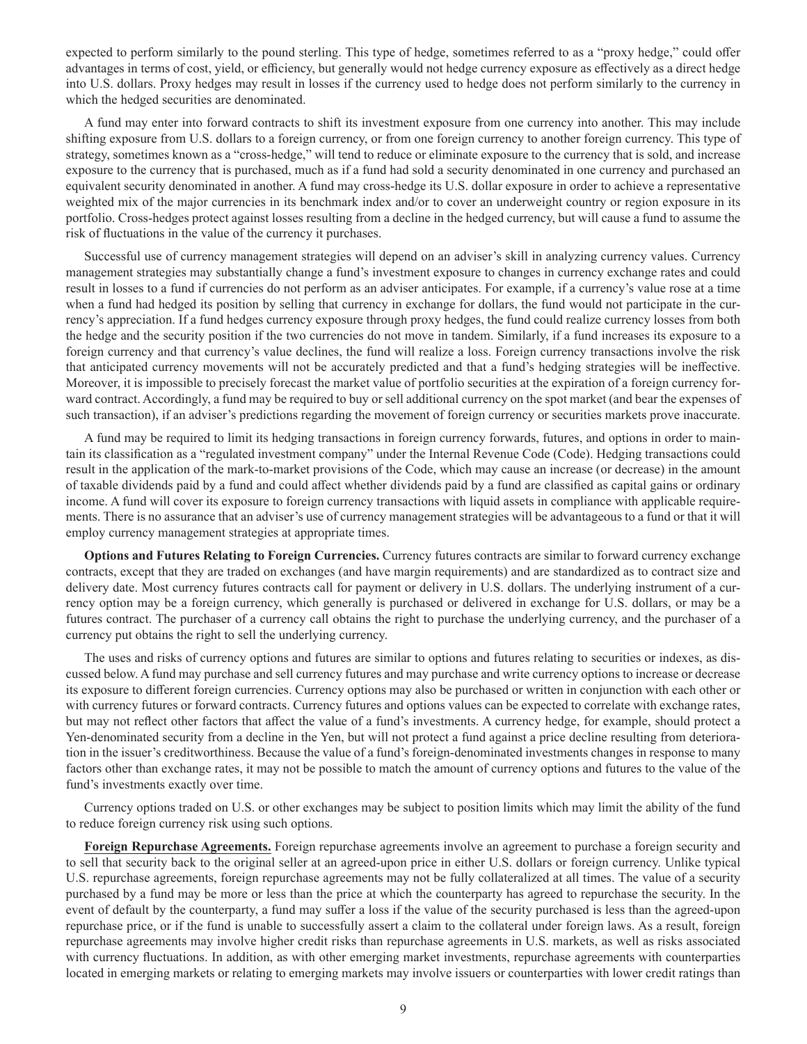expected to perform similarly to the pound sterling. This type of hedge, sometimes referred to as a "proxy hedge," could offer advantages in terms of cost, yield, or efficiency, but generally would not hedge currency exposure as effectively as a direct hedge into U.S. dollars. Proxy hedges may result in losses if the currency used to hedge does not perform similarly to the currency in which the hedged securities are denominated.

A fund may enter into forward contracts to shift its investment exposure from one currency into another. This may include shifting exposure from U.S. dollars to a foreign currency, or from one foreign currency to another foreign currency. This type of strategy, sometimes known as a "cross-hedge," will tend to reduce or eliminate exposure to the currency that is sold, and increase exposure to the currency that is purchased, much as if a fund had sold a security denominated in one currency and purchased an equivalent security denominated in another. A fund may cross-hedge its U.S. dollar exposure in order to achieve a representative weighted mix of the major currencies in its benchmark index and/or to cover an underweight country or region exposure in its portfolio. Cross-hedges protect against losses resulting from a decline in the hedged currency, but will cause a fund to assume the risk of fluctuations in the value of the currency it purchases.

Successful use of currency management strategies will depend on an adviser's skill in analyzing currency values. Currency management strategies may substantially change a fund's investment exposure to changes in currency exchange rates and could result in losses to a fund if currencies do not perform as an adviser anticipates. For example, if a currency's value rose at a time when a fund had hedged its position by selling that currency in exchange for dollars, the fund would not participate in the currency's appreciation. If a fund hedges currency exposure through proxy hedges, the fund could realize currency losses from both the hedge and the security position if the two currencies do not move in tandem. Similarly, if a fund increases its exposure to a foreign currency and that currency's value declines, the fund will realize a loss. Foreign currency transactions involve the risk that anticipated currency movements will not be accurately predicted and that a fund's hedging strategies will be ineffective. Moreover, it is impossible to precisely forecast the market value of portfolio securities at the expiration of a foreign currency forward contract. Accordingly, a fund may be required to buy or sell additional currency on the spot market (and bear the expenses of such transaction), if an adviser's predictions regarding the movement of foreign currency or securities markets prove inaccurate.

A fund may be required to limit its hedging transactions in foreign currency forwards, futures, and options in order to maintain its classification as a "regulated investment company" under the Internal Revenue Code (Code). Hedging transactions could result in the application of the mark-to-market provisions of the Code, which may cause an increase (or decrease) in the amount of taxable dividends paid by a fund and could affect whether dividends paid by a fund are classified as capital gains or ordinary income. A fund will cover its exposure to foreign currency transactions with liquid assets in compliance with applicable requirements. There is no assurance that an adviser's use of currency management strategies will be advantageous to a fund or that it will employ currency management strategies at appropriate times.

**Options and Futures Relating to Foreign Currencies.** Currency futures contracts are similar to forward currency exchange contracts, except that they are traded on exchanges (and have margin requirements) and are standardized as to contract size and delivery date. Most currency futures contracts call for payment or delivery in U.S. dollars. The underlying instrument of a currency option may be a foreign currency, which generally is purchased or delivered in exchange for U.S. dollars, or may be a futures contract. The purchaser of a currency call obtains the right to purchase the underlying currency, and the purchaser of a currency put obtains the right to sell the underlying currency.

The uses and risks of currency options and futures are similar to options and futures relating to securities or indexes, as discussed below. A fund may purchase and sell currency futures and may purchase and write currency options to increase or decrease its exposure to different foreign currencies. Currency options may also be purchased or written in conjunction with each other or with currency futures or forward contracts. Currency futures and options values can be expected to correlate with exchange rates, but may not reflect other factors that affect the value of a fund's investments. A currency hedge, for example, should protect a Yen-denominated security from a decline in the Yen, but will not protect a fund against a price decline resulting from deterioration in the issuer's creditworthiness. Because the value of a fund's foreign-denominated investments changes in response to many factors other than exchange rates, it may not be possible to match the amount of currency options and futures to the value of the fund's investments exactly over time.

Currency options traded on U.S. or other exchanges may be subject to position limits which may limit the ability of the fund to reduce foreign currency risk using such options.

**Foreign Repurchase Agreements.** Foreign repurchase agreements involve an agreement to purchase a foreign security and to sell that security back to the original seller at an agreed-upon price in either U.S. dollars or foreign currency. Unlike typical U.S. repurchase agreements, foreign repurchase agreements may not be fully collateralized at all times. The value of a security purchased by a fund may be more or less than the price at which the counterparty has agreed to repurchase the security. In the event of default by the counterparty, a fund may suffer a loss if the value of the security purchased is less than the agreed-upon repurchase price, or if the fund is unable to successfully assert a claim to the collateral under foreign laws. As a result, foreign repurchase agreements may involve higher credit risks than repurchase agreements in U.S. markets, as well as risks associated with currency fluctuations. In addition, as with other emerging market investments, repurchase agreements with counterparties located in emerging markets or relating to emerging markets may involve issuers or counterparties with lower credit ratings than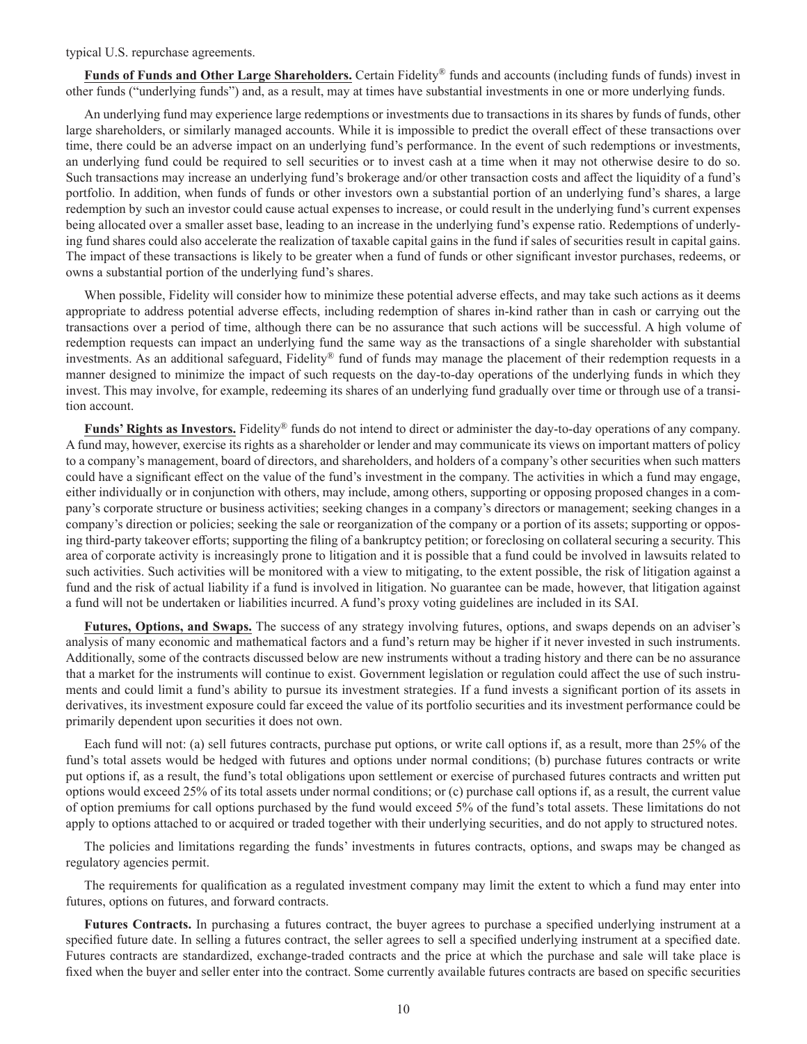typical U.S. repurchase agreements.

**Funds of Funds and Other Large Shareholders.** Certain Fidelity® funds and accounts (including funds of funds) invest in other funds ("underlying funds") and, as a result, may at times have substantial investments in one or more underlying funds.

An underlying fund may experience large redemptions or investments due to transactions in its shares by funds of funds, other large shareholders, or similarly managed accounts. While it is impossible to predict the overall effect of these transactions over time, there could be an adverse impact on an underlying fund's performance. In the event of such redemptions or investments, an underlying fund could be required to sell securities or to invest cash at a time when it may not otherwise desire to do so. Such transactions may increase an underlying fund's brokerage and/or other transaction costs and affect the liquidity of a fund's portfolio. In addition, when funds of funds or other investors own a substantial portion of an underlying fund's shares, a large redemption by such an investor could cause actual expenses to increase, or could result in the underlying fund's current expenses being allocated over a smaller asset base, leading to an increase in the underlying fund's expense ratio. Redemptions of underlying fund shares could also accelerate the realization of taxable capital gains in the fund if sales of securities result in capital gains. The impact of these transactions is likely to be greater when a fund of funds or other significant investor purchases, redeems, or owns a substantial portion of the underlying fund's shares.

When possible, Fidelity will consider how to minimize these potential adverse effects, and may take such actions as it deems appropriate to address potential adverse effects, including redemption of shares in-kind rather than in cash or carrying out the transactions over a period of time, although there can be no assurance that such actions will be successful. A high volume of redemption requests can impact an underlying fund the same way as the transactions of a single shareholder with substantial investments. As an additional safeguard, Fidelity® fund of funds may manage the placement of their redemption requests in a manner designed to minimize the impact of such requests on the day-to-day operations of the underlying funds in which they invest. This may involve, for example, redeeming its shares of an underlying fund gradually over time or through use of a transition account.

**Funds' Rights as Investors.** Fidelity® funds do not intend to direct or administer the day-to-day operations of any company. A fund may, however, exercise its rights as a shareholder or lender and may communicate its views on important matters of policy to a company's management, board of directors, and shareholders, and holders of a company's other securities when such matters could have a significant effect on the value of the fund's investment in the company. The activities in which a fund may engage, either individually or in conjunction with others, may include, among others, supporting or opposing proposed changes in a company's corporate structure or business activities; seeking changes in a company's directors or management; seeking changes in a company's direction or policies; seeking the sale or reorganization of the company or a portion of its assets; supporting or opposing third-party takeover efforts; supporting the filing of a bankruptcy petition; or foreclosing on collateral securing a security. This area of corporate activity is increasingly prone to litigation and it is possible that a fund could be involved in lawsuits related to such activities. Such activities will be monitored with a view to mitigating, to the extent possible, the risk of litigation against a fund and the risk of actual liability if a fund is involved in litigation. No guarantee can be made, however, that litigation against a fund will not be undertaken or liabilities incurred. A fund's proxy voting guidelines are included in its SAI.

**Futures, Options, and Swaps.** The success of any strategy involving futures, options, and swaps depends on an adviser's analysis of many economic and mathematical factors and a fund's return may be higher if it never invested in such instruments. Additionally, some of the contracts discussed below are new instruments without a trading history and there can be no assurance that a market for the instruments will continue to exist. Government legislation or regulation could affect the use of such instruments and could limit a fund's ability to pursue its investment strategies. If a fund invests a significant portion of its assets in derivatives, its investment exposure could far exceed the value of its portfolio securities and its investment performance could be primarily dependent upon securities it does not own.

Each fund will not: (a) sell futures contracts, purchase put options, or write call options if, as a result, more than 25% of the fund's total assets would be hedged with futures and options under normal conditions; (b) purchase futures contracts or write put options if, as a result, the fund's total obligations upon settlement or exercise of purchased futures contracts and written put options would exceed 25% of its total assets under normal conditions; or (c) purchase call options if, as a result, the current value of option premiums for call options purchased by the fund would exceed 5% of the fund's total assets. These limitations do not apply to options attached to or acquired or traded together with their underlying securities, and do not apply to structured notes.

The policies and limitations regarding the funds' investments in futures contracts, options, and swaps may be changed as regulatory agencies permit.

The requirements for qualification as a regulated investment company may limit the extent to which a fund may enter into futures, options on futures, and forward contracts.

**Futures Contracts.** In purchasing a futures contract, the buyer agrees to purchase a specified underlying instrument at a specified future date. In selling a futures contract, the seller agrees to sell a specified underlying instrument at a specified date. Futures contracts are standardized, exchange-traded contracts and the price at which the purchase and sale will take place is fixed when the buyer and seller enter into the contract. Some currently available futures contracts are based on specific securities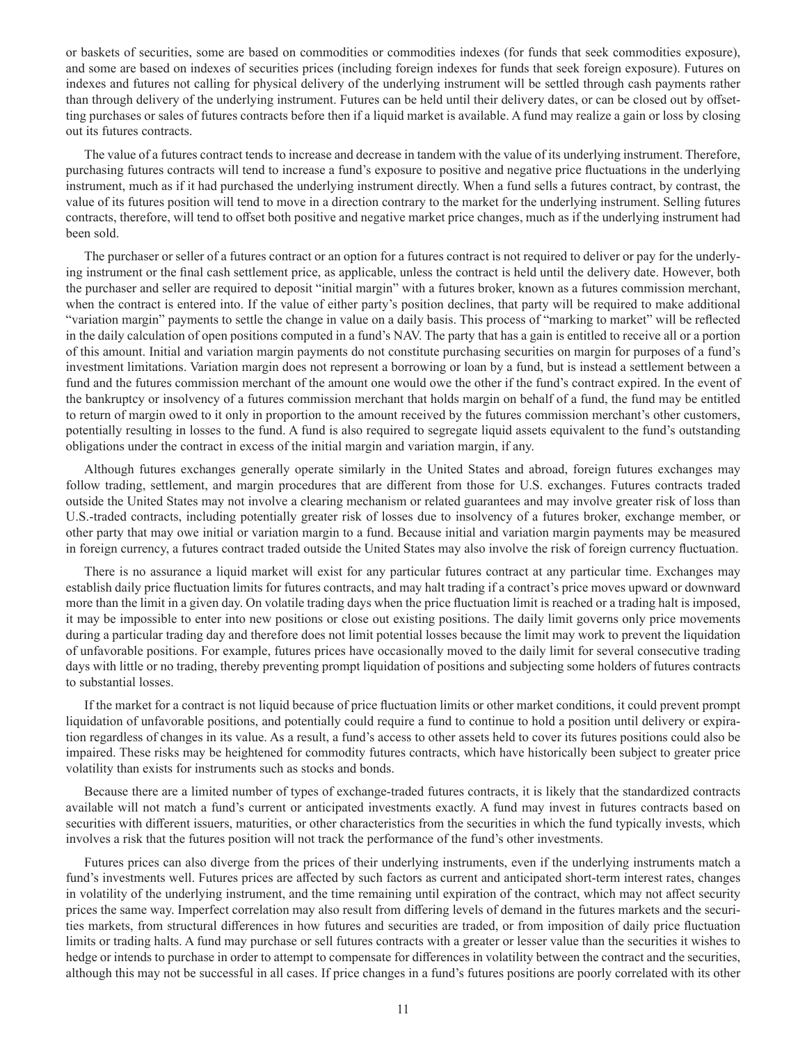or baskets of securities, some are based on commodities or commodities indexes (for funds that seek commodities exposure), and some are based on indexes of securities prices (including foreign indexes for funds that seek foreign exposure). Futures on indexes and futures not calling for physical delivery of the underlying instrument will be settled through cash payments rather than through delivery of the underlying instrument. Futures can be held until their delivery dates, or can be closed out by offsetting purchases or sales of futures contracts before then if a liquid market is available. A fund may realize a gain or loss by closing out its futures contracts.

The value of a futures contract tends to increase and decrease in tandem with the value of its underlying instrument. Therefore, purchasing futures contracts will tend to increase a fund's exposure to positive and negative price fluctuations in the underlying instrument, much as if it had purchased the underlying instrument directly. When a fund sells a futures contract, by contrast, the value of its futures position will tend to move in a direction contrary to the market for the underlying instrument. Selling futures contracts, therefore, will tend to offset both positive and negative market price changes, much as if the underlying instrument had been sold.

The purchaser or seller of a futures contract or an option for a futures contract is not required to deliver or pay for the underlying instrument or the final cash settlement price, as applicable, unless the contract is held until the delivery date. However, both the purchaser and seller are required to deposit "initial margin" with a futures broker, known as a futures commission merchant, when the contract is entered into. If the value of either party's position declines, that party will be required to make additional "variation margin" payments to settle the change in value on a daily basis. This process of "marking to market" will be reflected in the daily calculation of open positions computed in a fund's NAV. The party that has a gain is entitled to receive all or a portion of this amount. Initial and variation margin payments do not constitute purchasing securities on margin for purposes of a fund's investment limitations. Variation margin does not represent a borrowing or loan by a fund, but is instead a settlement between a fund and the futures commission merchant of the amount one would owe the other if the fund's contract expired. In the event of the bankruptcy or insolvency of a futures commission merchant that holds margin on behalf of a fund, the fund may be entitled to return of margin owed to it only in proportion to the amount received by the futures commission merchant's other customers, potentially resulting in losses to the fund. A fund is also required to segregate liquid assets equivalent to the fund's outstanding obligations under the contract in excess of the initial margin and variation margin, if any.

Although futures exchanges generally operate similarly in the United States and abroad, foreign futures exchanges may follow trading, settlement, and margin procedures that are different from those for U.S. exchanges. Futures contracts traded outside the United States may not involve a clearing mechanism or related guarantees and may involve greater risk of loss than U.S.-traded contracts, including potentially greater risk of losses due to insolvency of a futures broker, exchange member, or other party that may owe initial or variation margin to a fund. Because initial and variation margin payments may be measured in foreign currency, a futures contract traded outside the United States may also involve the risk of foreign currency fluctuation.

There is no assurance a liquid market will exist for any particular futures contract at any particular time. Exchanges may establish daily price fluctuation limits for futures contracts, and may halt trading if a contract's price moves upward or downward more than the limit in a given day. On volatile trading days when the price fluctuation limit is reached or a trading halt is imposed, it may be impossible to enter into new positions or close out existing positions. The daily limit governs only price movements during a particular trading day and therefore does not limit potential losses because the limit may work to prevent the liquidation of unfavorable positions. For example, futures prices have occasionally moved to the daily limit for several consecutive trading days with little or no trading, thereby preventing prompt liquidation of positions and subjecting some holders of futures contracts to substantial losses.

If the market for a contract is not liquid because of price fluctuation limits or other market conditions, it could prevent prompt liquidation of unfavorable positions, and potentially could require a fund to continue to hold a position until delivery or expiration regardless of changes in its value. As a result, a fund's access to other assets held to cover its futures positions could also be impaired. These risks may be heightened for commodity futures contracts, which have historically been subject to greater price volatility than exists for instruments such as stocks and bonds.

Because there are a limited number of types of exchange-traded futures contracts, it is likely that the standardized contracts available will not match a fund's current or anticipated investments exactly. A fund may invest in futures contracts based on securities with different issuers, maturities, or other characteristics from the securities in which the fund typically invests, which involves a risk that the futures position will not track the performance of the fund's other investments.

Futures prices can also diverge from the prices of their underlying instruments, even if the underlying instruments match a fund's investments well. Futures prices are affected by such factors as current and anticipated short-term interest rates, changes in volatility of the underlying instrument, and the time remaining until expiration of the contract, which may not affect security prices the same way. Imperfect correlation may also result from differing levels of demand in the futures markets and the securities markets, from structural differences in how futures and securities are traded, or from imposition of daily price fluctuation limits or trading halts. A fund may purchase or sell futures contracts with a greater or lesser value than the securities it wishes to hedge or intends to purchase in order to attempt to compensate for differences in volatility between the contract and the securities, although this may not be successful in all cases. If price changes in a fund's futures positions are poorly correlated with its other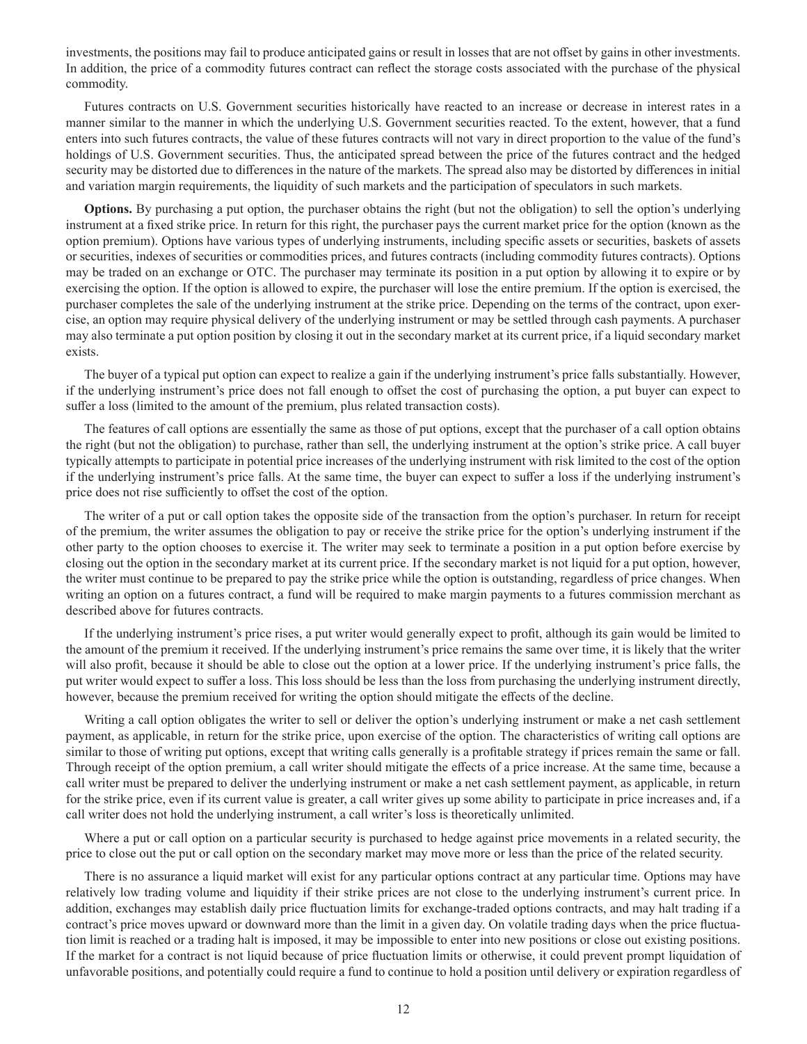investments, the positions may fail to produce anticipated gains or result in losses that are not offset by gains in other investments. In addition, the price of a commodity futures contract can reflect the storage costs associated with the purchase of the physical commodity.

Futures contracts on U.S. Government securities historically have reacted to an increase or decrease in interest rates in a manner similar to the manner in which the underlying U.S. Government securities reacted. To the extent, however, that a fund enters into such futures contracts, the value of these futures contracts will not vary in direct proportion to the value of the fund's holdings of U.S. Government securities. Thus, the anticipated spread between the price of the futures contract and the hedged security may be distorted due to differences in the nature of the markets. The spread also may be distorted by differences in initial and variation margin requirements, the liquidity of such markets and the participation of speculators in such markets.

**Options.** By purchasing a put option, the purchaser obtains the right (but not the obligation) to sell the option's underlying instrument at a fixed strike price. In return for this right, the purchaser pays the current market price for the option (known as the option premium). Options have various types of underlying instruments, including specific assets or securities, baskets of assets or securities, indexes of securities or commodities prices, and futures contracts (including commodity futures contracts). Options may be traded on an exchange or OTC. The purchaser may terminate its position in a put option by allowing it to expire or by exercising the option. If the option is allowed to expire, the purchaser will lose the entire premium. If the option is exercised, the purchaser completes the sale of the underlying instrument at the strike price. Depending on the terms of the contract, upon exercise, an option may require physical delivery of the underlying instrument or may be settled through cash payments. A purchaser may also terminate a put option position by closing it out in the secondary market at its current price, if a liquid secondary market exists.

The buyer of a typical put option can expect to realize a gain if the underlying instrument's price falls substantially. However, if the underlying instrument's price does not fall enough to offset the cost of purchasing the option, a put buyer can expect to suffer a loss (limited to the amount of the premium, plus related transaction costs).

The features of call options are essentially the same as those of put options, except that the purchaser of a call option obtains the right (but not the obligation) to purchase, rather than sell, the underlying instrument at the option's strike price. A call buyer typically attempts to participate in potential price increases of the underlying instrument with risk limited to the cost of the option if the underlying instrument's price falls. At the same time, the buyer can expect to suffer a loss if the underlying instrument's price does not rise sufficiently to offset the cost of the option.

The writer of a put or call option takes the opposite side of the transaction from the option's purchaser. In return for receipt of the premium, the writer assumes the obligation to pay or receive the strike price for the option's underlying instrument if the other party to the option chooses to exercise it. The writer may seek to terminate a position in a put option before exercise by closing out the option in the secondary market at its current price. If the secondary market is not liquid for a put option, however, the writer must continue to be prepared to pay the strike price while the option is outstanding, regardless of price changes. When writing an option on a futures contract, a fund will be required to make margin payments to a futures commission merchant as described above for futures contracts.

If the underlying instrument's price rises, a put writer would generally expect to profit, although its gain would be limited to the amount of the premium it received. If the underlying instrument's price remains the same over time, it is likely that the writer will also profit, because it should be able to close out the option at a lower price. If the underlying instrument's price falls, the put writer would expect to suffer a loss. This loss should be less than the loss from purchasing the underlying instrument directly, however, because the premium received for writing the option should mitigate the effects of the decline.

Writing a call option obligates the writer to sell or deliver the option's underlying instrument or make a net cash settlement payment, as applicable, in return for the strike price, upon exercise of the option. The characteristics of writing call options are similar to those of writing put options, except that writing calls generally is a profitable strategy if prices remain the same or fall. Through receipt of the option premium, a call writer should mitigate the effects of a price increase. At the same time, because a call writer must be prepared to deliver the underlying instrument or make a net cash settlement payment, as applicable, in return for the strike price, even if its current value is greater, a call writer gives up some ability to participate in price increases and, if a call writer does not hold the underlying instrument, a call writer's loss is theoretically unlimited.

Where a put or call option on a particular security is purchased to hedge against price movements in a related security, the price to close out the put or call option on the secondary market may move more or less than the price of the related security.

There is no assurance a liquid market will exist for any particular options contract at any particular time. Options may have relatively low trading volume and liquidity if their strike prices are not close to the underlying instrument's current price. In addition, exchanges may establish daily price fluctuation limits for exchange-traded options contracts, and may halt trading if a contract's price moves upward or downward more than the limit in a given day. On volatile trading days when the price fluctuation limit is reached or a trading halt is imposed, it may be impossible to enter into new positions or close out existing positions. If the market for a contract is not liquid because of price fluctuation limits or otherwise, it could prevent prompt liquidation of unfavorable positions, and potentially could require a fund to continue to hold a position until delivery or expiration regardless of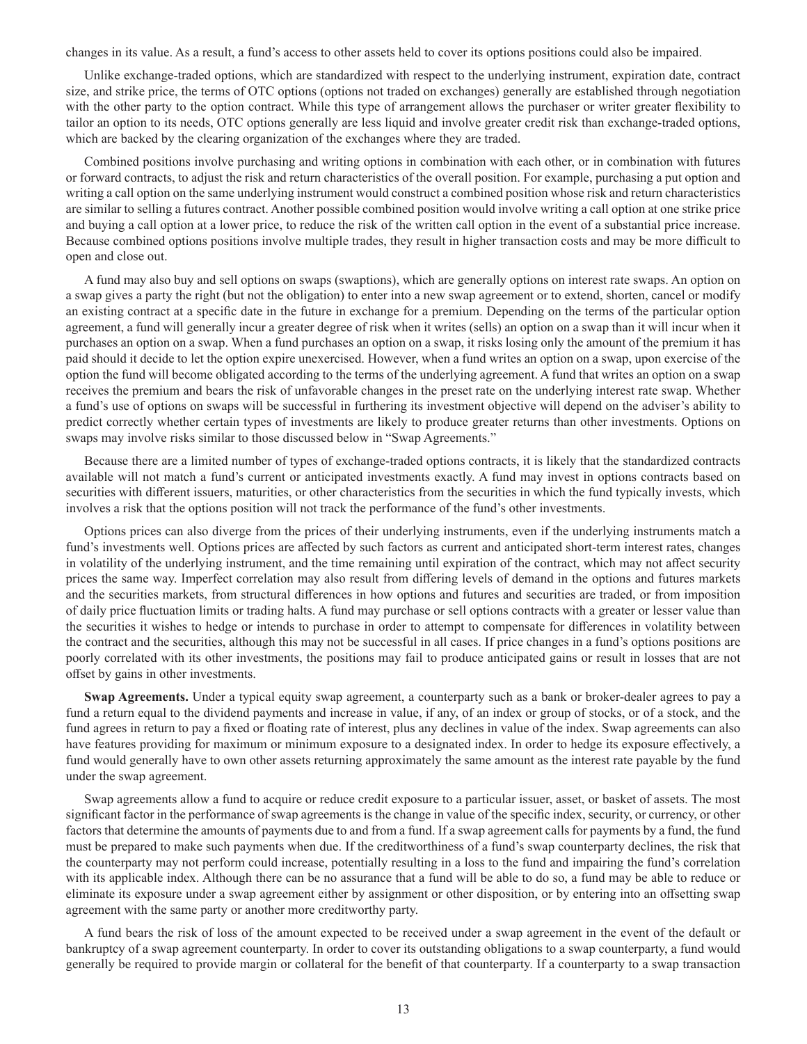changes in its value. As a result, a fund's access to other assets held to cover its options positions could also be impaired.

Unlike exchange-traded options, which are standardized with respect to the underlying instrument, expiration date, contract size, and strike price, the terms of OTC options (options not traded on exchanges) generally are established through negotiation with the other party to the option contract. While this type of arrangement allows the purchaser or writer greater flexibility to tailor an option to its needs, OTC options generally are less liquid and involve greater credit risk than exchange-traded options, which are backed by the clearing organization of the exchanges where they are traded.

Combined positions involve purchasing and writing options in combination with each other, or in combination with futures or forward contracts, to adjust the risk and return characteristics of the overall position. For example, purchasing a put option and writing a call option on the same underlying instrument would construct a combined position whose risk and return characteristics are similar to selling a futures contract. Another possible combined position would involve writing a call option at one strike price and buying a call option at a lower price, to reduce the risk of the written call option in the event of a substantial price increase. Because combined options positions involve multiple trades, they result in higher transaction costs and may be more difficult to open and close out.

A fund may also buy and sell options on swaps (swaptions), which are generally options on interest rate swaps. An option on a swap gives a party the right (but not the obligation) to enter into a new swap agreement or to extend, shorten, cancel or modify an existing contract at a specific date in the future in exchange for a premium. Depending on the terms of the particular option agreement, a fund will generally incur a greater degree of risk when it writes (sells) an option on a swap than it will incur when it purchases an option on a swap. When a fund purchases an option on a swap, it risks losing only the amount of the premium it has paid should it decide to let the option expire unexercised. However, when a fund writes an option on a swap, upon exercise of the option the fund will become obligated according to the terms of the underlying agreement. A fund that writes an option on a swap receives the premium and bears the risk of unfavorable changes in the preset rate on the underlying interest rate swap. Whether a fund's use of options on swaps will be successful in furthering its investment objective will depend on the adviser's ability to predict correctly whether certain types of investments are likely to produce greater returns than other investments. Options on swaps may involve risks similar to those discussed below in "Swap Agreements."

Because there are a limited number of types of exchange-traded options contracts, it is likely that the standardized contracts available will not match a fund's current or anticipated investments exactly. A fund may invest in options contracts based on securities with different issuers, maturities, or other characteristics from the securities in which the fund typically invests, which involves a risk that the options position will not track the performance of the fund's other investments.

Options prices can also diverge from the prices of their underlying instruments, even if the underlying instruments match a fund's investments well. Options prices are affected by such factors as current and anticipated short-term interest rates, changes in volatility of the underlying instrument, and the time remaining until expiration of the contract, which may not affect security prices the same way. Imperfect correlation may also result from differing levels of demand in the options and futures markets and the securities markets, from structural differences in how options and futures and securities are traded, or from imposition of daily price fluctuation limits or trading halts. A fund may purchase or sell options contracts with a greater or lesser value than the securities it wishes to hedge or intends to purchase in order to attempt to compensate for differences in volatility between the contract and the securities, although this may not be successful in all cases. If price changes in a fund's options positions are poorly correlated with its other investments, the positions may fail to produce anticipated gains or result in losses that are not offset by gains in other investments.

**Swap Agreements.** Under a typical equity swap agreement, a counterparty such as a bank or broker-dealer agrees to pay a fund a return equal to the dividend payments and increase in value, if any, of an index or group of stocks, or of a stock, and the fund agrees in return to pay a fixed or floating rate of interest, plus any declines in value of the index. Swap agreements can also have features providing for maximum or minimum exposure to a designated index. In order to hedge its exposure effectively, a fund would generally have to own other assets returning approximately the same amount as the interest rate payable by the fund under the swap agreement.

Swap agreements allow a fund to acquire or reduce credit exposure to a particular issuer, asset, or basket of assets. The most significant factor in the performance of swap agreements is the change in value of the specific index, security, or currency, or other factors that determine the amounts of payments due to and from a fund. If a swap agreement calls for payments by a fund, the fund must be prepared to make such payments when due. If the creditworthiness of a fund's swap counterparty declines, the risk that the counterparty may not perform could increase, potentially resulting in a loss to the fund and impairing the fund's correlation with its applicable index. Although there can be no assurance that a fund will be able to do so, a fund may be able to reduce or eliminate its exposure under a swap agreement either by assignment or other disposition, or by entering into an offsetting swap agreement with the same party or another more creditworthy party.

A fund bears the risk of loss of the amount expected to be received under a swap agreement in the event of the default or bankruptcy of a swap agreement counterparty. In order to cover its outstanding obligations to a swap counterparty, a fund would generally be required to provide margin or collateral for the benefit of that counterparty. If a counterparty to a swap transaction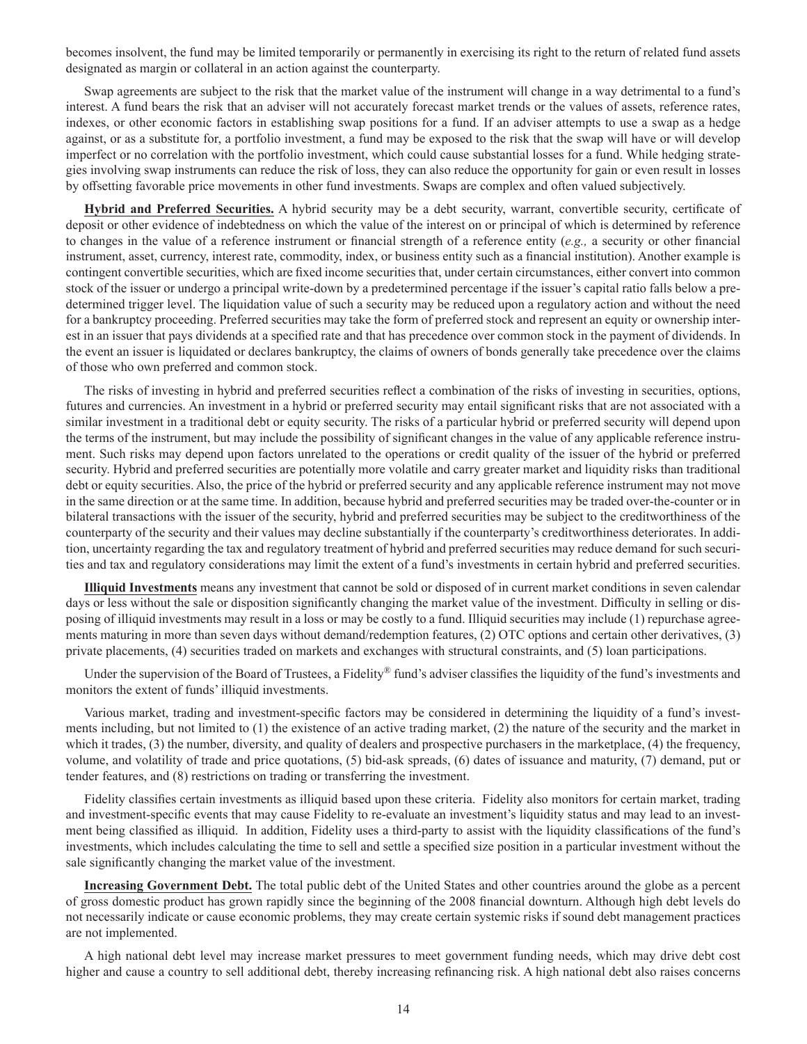becomes insolvent, the fund may be limited temporarily or permanently in exercising its right to the return of related fund assets designated as margin or collateral in an action against the counterparty.

Swap agreements are subject to the risk that the market value of the instrument will change in a way detrimental to a fund's interest. A fund bears the risk that an adviser will not accurately forecast market trends or the values of assets, reference rates, indexes, or other economic factors in establishing swap positions for a fund. If an adviser attempts to use a swap as a hedge against, or as a substitute for, a portfolio investment, a fund may be exposed to the risk that the swap will have or will develop imperfect or no correlation with the portfolio investment, which could cause substantial losses for a fund. While hedging strategies involving swap instruments can reduce the risk of loss, they can also reduce the opportunity for gain or even result in losses by offsetting favorable price movements in other fund investments. Swaps are complex and often valued subjectively.

**Hybrid and Preferred Securities.** A hybrid security may be a debt security, warrant, convertible security, certificate of deposit or other evidence of indebtedness on which the value of the interest on or principal of which is determined by reference to changes in the value of a reference instrument or financial strength of a reference entity (*e.g.,* a security or other financial instrument, asset, currency, interest rate, commodity, index, or business entity such as a financial institution). Another example is contingent convertible securities, which are fixed income securities that, under certain circumstances, either convert into common stock of the issuer or undergo a principal write-down by a predetermined percentage if the issuer's capital ratio falls below a predetermined trigger level. The liquidation value of such a security may be reduced upon a regulatory action and without the need for a bankruptcy proceeding. Preferred securities may take the form of preferred stock and represent an equity or ownership interest in an issuer that pays dividends at a specified rate and that has precedence over common stock in the payment of dividends. In the event an issuer is liquidated or declares bankruptcy, the claims of owners of bonds generally take precedence over the claims of those who own preferred and common stock.

The risks of investing in hybrid and preferred securities reflect a combination of the risks of investing in securities, options, futures and currencies. An investment in a hybrid or preferred security may entail significant risks that are not associated with a similar investment in a traditional debt or equity security. The risks of a particular hybrid or preferred security will depend upon the terms of the instrument, but may include the possibility of significant changes in the value of any applicable reference instrument. Such risks may depend upon factors unrelated to the operations or credit quality of the issuer of the hybrid or preferred security. Hybrid and preferred securities are potentially more volatile and carry greater market and liquidity risks than traditional debt or equity securities. Also, the price of the hybrid or preferred security and any applicable reference instrument may not move in the same direction or at the same time. In addition, because hybrid and preferred securities may be traded over-the-counter or in bilateral transactions with the issuer of the security, hybrid and preferred securities may be subject to the creditworthiness of the counterparty of the security and their values may decline substantially if the counterparty's creditworthiness deteriorates. In addition, uncertainty regarding the tax and regulatory treatment of hybrid and preferred securities may reduce demand for such securities and tax and regulatory considerations may limit the extent of a fund's investments in certain hybrid and preferred securities.

**Illiquid Investments** means any investment that cannot be sold or disposed of in current market conditions in seven calendar days or less without the sale or disposition significantly changing the market value of the investment. Difficulty in selling or disposing of illiquid investments may result in a loss or may be costly to a fund. Illiquid securities may include (1) repurchase agreements maturing in more than seven days without demand/redemption features, (2) OTC options and certain other derivatives, (3) private placements, (4) securities traded on markets and exchanges with structural constraints, and (5) loan participations.

Under the supervision of the Board of Trustees, a Fidelity® fund's adviser classifies the liquidity of the fund's investments and monitors the extent of funds' illiquid investments.

Various market, trading and investment-specific factors may be considered in determining the liquidity of a fund's investments including, but not limited to (1) the existence of an active trading market, (2) the nature of the security and the market in which it trades, (3) the number, diversity, and quality of dealers and prospective purchasers in the marketplace, (4) the frequency, volume, and volatility of trade and price quotations, (5) bid-ask spreads, (6) dates of issuance and maturity, (7) demand, put or tender features, and (8) restrictions on trading or transferring the investment.

Fidelity classifies certain investments as illiquid based upon these criteria. Fidelity also monitors for certain market, trading and investment-specific events that may cause Fidelity to re-evaluate an investment's liquidity status and may lead to an investment being classified as illiquid. In addition, Fidelity uses a third-party to assist with the liquidity classifications of the fund's investments, which includes calculating the time to sell and settle a specified size position in a particular investment without the sale significantly changing the market value of the investment.

**Increasing Government Debt.** The total public debt of the United States and other countries around the globe as a percent of gross domestic product has grown rapidly since the beginning of the 2008 financial downturn. Although high debt levels do not necessarily indicate or cause economic problems, they may create certain systemic risks if sound debt management practices are not implemented.

A high national debt level may increase market pressures to meet government funding needs, which may drive debt cost higher and cause a country to sell additional debt, thereby increasing refinancing risk. A high national debt also raises concerns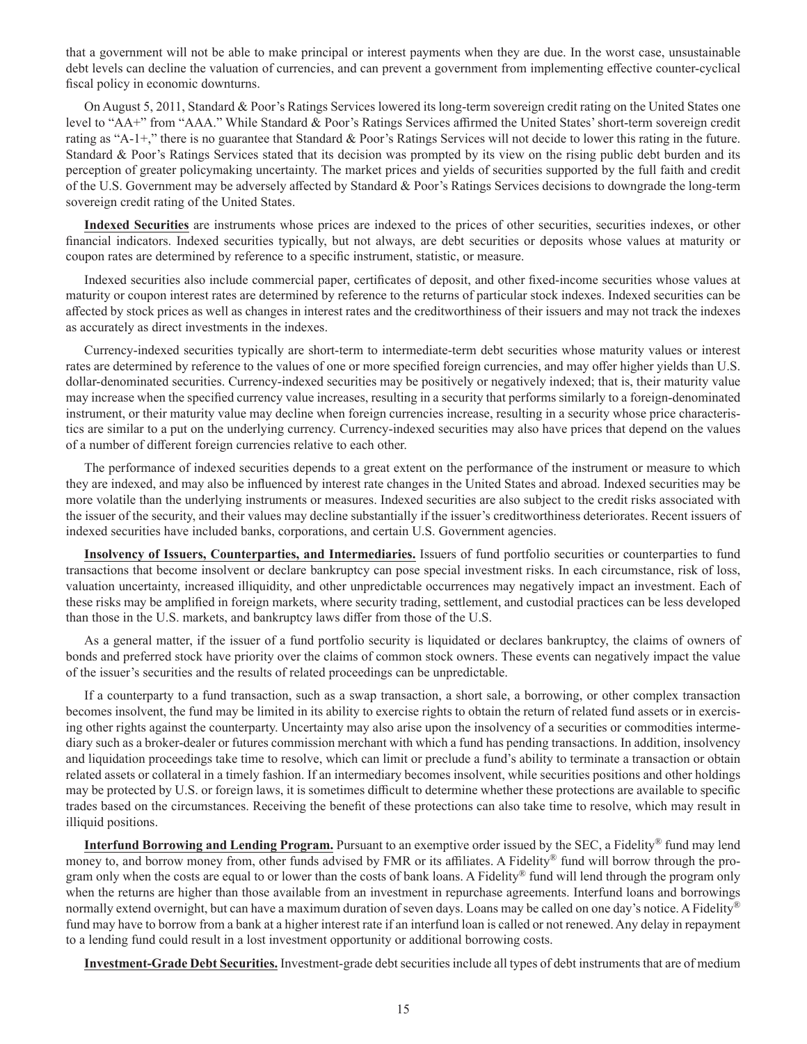that a government will not be able to make principal or interest payments when they are due. In the worst case, unsustainable debt levels can decline the valuation of currencies, and can prevent a government from implementing effective counter-cyclical fiscal policy in economic downturns.

On August 5, 2011, Standard & Poor's Ratings Services lowered its long-term sovereign credit rating on the United States one level to "AA+" from "AAA." While Standard & Poor's Ratings Services affirmed the United States' short-term sovereign credit rating as "A-1+," there is no guarantee that Standard & Poor's Ratings Services will not decide to lower this rating in the future. Standard & Poor's Ratings Services stated that its decision was prompted by its view on the rising public debt burden and its perception of greater policymaking uncertainty. The market prices and yields of securities supported by the full faith and credit of the U.S. Government may be adversely affected by Standard & Poor's Ratings Services decisions to downgrade the long-term sovereign credit rating of the United States.

**Indexed Securities** are instruments whose prices are indexed to the prices of other securities, securities indexes, or other financial indicators. Indexed securities typically, but not always, are debt securities or deposits whose values at maturity or coupon rates are determined by reference to a specific instrument, statistic, or measure.

Indexed securities also include commercial paper, certificates of deposit, and other fixed-income securities whose values at maturity or coupon interest rates are determined by reference to the returns of particular stock indexes. Indexed securities can be affected by stock prices as well as changes in interest rates and the creditworthiness of their issuers and may not track the indexes as accurately as direct investments in the indexes.

Currency-indexed securities typically are short-term to intermediate-term debt securities whose maturity values or interest rates are determined by reference to the values of one or more specified foreign currencies, and may offer higher yields than U.S. dollar-denominated securities. Currency-indexed securities may be positively or negatively indexed; that is, their maturity value may increase when the specified currency value increases, resulting in a security that performs similarly to a foreign-denominated instrument, or their maturity value may decline when foreign currencies increase, resulting in a security whose price characteristics are similar to a put on the underlying currency. Currency-indexed securities may also have prices that depend on the values of a number of different foreign currencies relative to each other.

The performance of indexed securities depends to a great extent on the performance of the instrument or measure to which they are indexed, and may also be influenced by interest rate changes in the United States and abroad. Indexed securities may be more volatile than the underlying instruments or measures. Indexed securities are also subject to the credit risks associated with the issuer of the security, and their values may decline substantially if the issuer's creditworthiness deteriorates. Recent issuers of indexed securities have included banks, corporations, and certain U.S. Government agencies.

**Insolvency of Issuers, Counterparties, and Intermediaries.** Issuers of fund portfolio securities or counterparties to fund transactions that become insolvent or declare bankruptcy can pose special investment risks. In each circumstance, risk of loss, valuation uncertainty, increased illiquidity, and other unpredictable occurrences may negatively impact an investment. Each of these risks may be amplified in foreign markets, where security trading, settlement, and custodial practices can be less developed than those in the U.S. markets, and bankruptcy laws differ from those of the U.S.

As a general matter, if the issuer of a fund portfolio security is liquidated or declares bankruptcy, the claims of owners of bonds and preferred stock have priority over the claims of common stock owners. These events can negatively impact the value of the issuer's securities and the results of related proceedings can be unpredictable.

If a counterparty to a fund transaction, such as a swap transaction, a short sale, a borrowing, or other complex transaction becomes insolvent, the fund may be limited in its ability to exercise rights to obtain the return of related fund assets or in exercising other rights against the counterparty. Uncertainty may also arise upon the insolvency of a securities or commodities intermediary such as a broker-dealer or futures commission merchant with which a fund has pending transactions. In addition, insolvency and liquidation proceedings take time to resolve, which can limit or preclude a fund's ability to terminate a transaction or obtain related assets or collateral in a timely fashion. If an intermediary becomes insolvent, while securities positions and other holdings may be protected by U.S. or foreign laws, it is sometimes difficult to determine whether these protections are available to specific trades based on the circumstances. Receiving the benefit of these protections can also take time to resolve, which may result in illiquid positions.

**Interfund Borrowing and Lending Program.** Pursuant to an exemptive order issued by the SEC, a Fidelity® fund may lend money to, and borrow money from, other funds advised by FMR or its affiliates. A Fidelity® fund will borrow through the program only when the costs are equal to or lower than the costs of bank loans. A Fidelity® fund will lend through the program only when the returns are higher than those available from an investment in repurchase agreements. Interfund loans and borrowings normally extend overnight, but can have a maximum duration of seven days. Loans may be called on one day's notice. A Fidelity<sup>®</sup> fund may have to borrow from a bank at a higher interest rate if an interfund loan is called or not renewed. Any delay in repayment to a lending fund could result in a lost investment opportunity or additional borrowing costs.

**Investment-Grade Debt Securities.** Investment-grade debt securities include all types of debt instruments that are of medium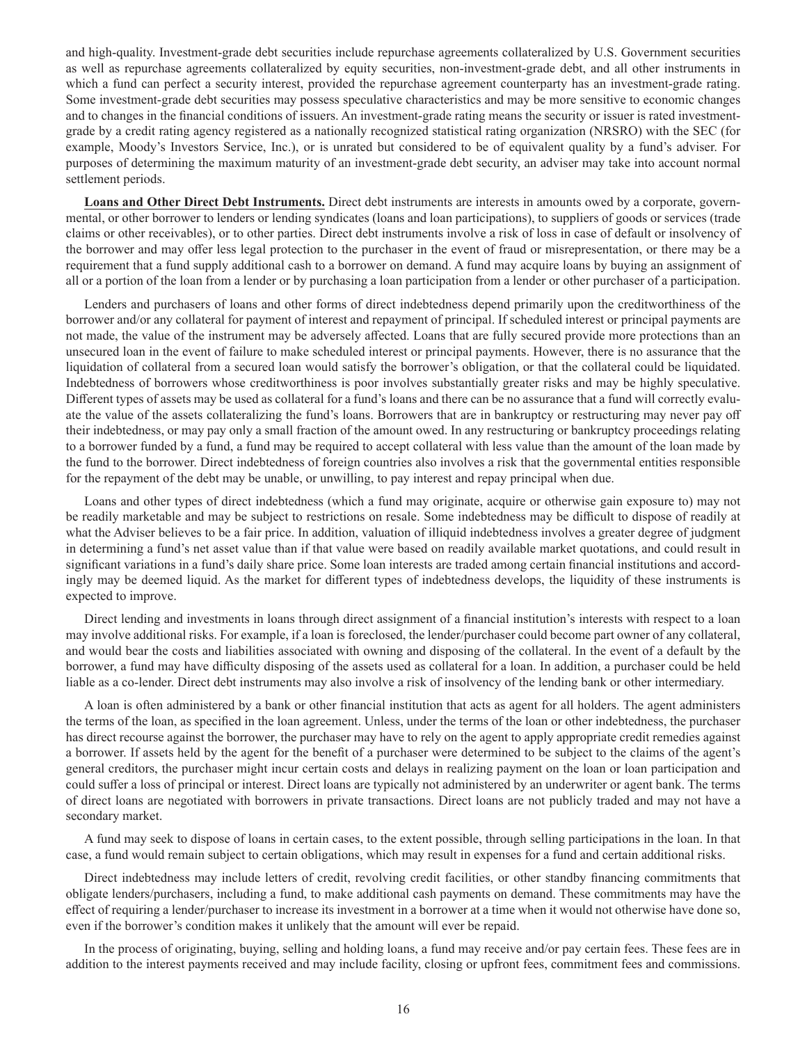and high-quality. Investment-grade debt securities include repurchase agreements collateralized by U.S. Government securities as well as repurchase agreements collateralized by equity securities, non-investment-grade debt, and all other instruments in which a fund can perfect a security interest, provided the repurchase agreement counterparty has an investment-grade rating. Some investment-grade debt securities may possess speculative characteristics and may be more sensitive to economic changes and to changes in the financial conditions of issuers. An investment-grade rating means the security or issuer is rated investmentgrade by a credit rating agency registered as a nationally recognized statistical rating organization (NRSRO) with the SEC (for example, Moody's Investors Service, Inc.), or is unrated but considered to be of equivalent quality by a fund's adviser. For purposes of determining the maximum maturity of an investment-grade debt security, an adviser may take into account normal settlement periods.

**Loans and Other Direct Debt Instruments.** Direct debt instruments are interests in amounts owed by a corporate, governmental, or other borrower to lenders or lending syndicates (loans and loan participations), to suppliers of goods or services (trade claims or other receivables), or to other parties. Direct debt instruments involve a risk of loss in case of default or insolvency of the borrower and may offer less legal protection to the purchaser in the event of fraud or misrepresentation, or there may be a requirement that a fund supply additional cash to a borrower on demand. A fund may acquire loans by buying an assignment of all or a portion of the loan from a lender or by purchasing a loan participation from a lender or other purchaser of a participation.

Lenders and purchasers of loans and other forms of direct indebtedness depend primarily upon the creditworthiness of the borrower and/or any collateral for payment of interest and repayment of principal. If scheduled interest or principal payments are not made, the value of the instrument may be adversely affected. Loans that are fully secured provide more protections than an unsecured loan in the event of failure to make scheduled interest or principal payments. However, there is no assurance that the liquidation of collateral from a secured loan would satisfy the borrower's obligation, or that the collateral could be liquidated. Indebtedness of borrowers whose creditworthiness is poor involves substantially greater risks and may be highly speculative. Different types of assets may be used as collateral for a fund's loans and there can be no assurance that a fund will correctly evaluate the value of the assets collateralizing the fund's loans. Borrowers that are in bankruptcy or restructuring may never pay off their indebtedness, or may pay only a small fraction of the amount owed. In any restructuring or bankruptcy proceedings relating to a borrower funded by a fund, a fund may be required to accept collateral with less value than the amount of the loan made by the fund to the borrower. Direct indebtedness of foreign countries also involves a risk that the governmental entities responsible for the repayment of the debt may be unable, or unwilling, to pay interest and repay principal when due.

Loans and other types of direct indebtedness (which a fund may originate, acquire or otherwise gain exposure to) may not be readily marketable and may be subject to restrictions on resale. Some indebtedness may be difficult to dispose of readily at what the Adviser believes to be a fair price. In addition, valuation of illiquid indebtedness involves a greater degree of judgment in determining a fund's net asset value than if that value were based on readily available market quotations, and could result in significant variations in a fund's daily share price. Some loan interests are traded among certain financial institutions and accordingly may be deemed liquid. As the market for different types of indebtedness develops, the liquidity of these instruments is expected to improve.

Direct lending and investments in loans through direct assignment of a financial institution's interests with respect to a loan may involve additional risks. For example, if a loan is foreclosed, the lender/purchaser could become part owner of any collateral, and would bear the costs and liabilities associated with owning and disposing of the collateral. In the event of a default by the borrower, a fund may have difficulty disposing of the assets used as collateral for a loan. In addition, a purchaser could be held liable as a co-lender. Direct debt instruments may also involve a risk of insolvency of the lending bank or other intermediary.

A loan is often administered by a bank or other financial institution that acts as agent for all holders. The agent administers the terms of the loan, as specified in the loan agreement. Unless, under the terms of the loan or other indebtedness, the purchaser has direct recourse against the borrower, the purchaser may have to rely on the agent to apply appropriate credit remedies against a borrower. If assets held by the agent for the benefit of a purchaser were determined to be subject to the claims of the agent's general creditors, the purchaser might incur certain costs and delays in realizing payment on the loan or loan participation and could suffer a loss of principal or interest. Direct loans are typically not administered by an underwriter or agent bank. The terms of direct loans are negotiated with borrowers in private transactions. Direct loans are not publicly traded and may not have a secondary market.

A fund may seek to dispose of loans in certain cases, to the extent possible, through selling participations in the loan. In that case, a fund would remain subject to certain obligations, which may result in expenses for a fund and certain additional risks.

Direct indebtedness may include letters of credit, revolving credit facilities, or other standby financing commitments that obligate lenders/purchasers, including a fund, to make additional cash payments on demand. These commitments may have the effect of requiring a lender/purchaser to increase its investment in a borrower at a time when it would not otherwise have done so, even if the borrower's condition makes it unlikely that the amount will ever be repaid.

In the process of originating, buying, selling and holding loans, a fund may receive and/or pay certain fees. These fees are in addition to the interest payments received and may include facility, closing or upfront fees, commitment fees and commissions.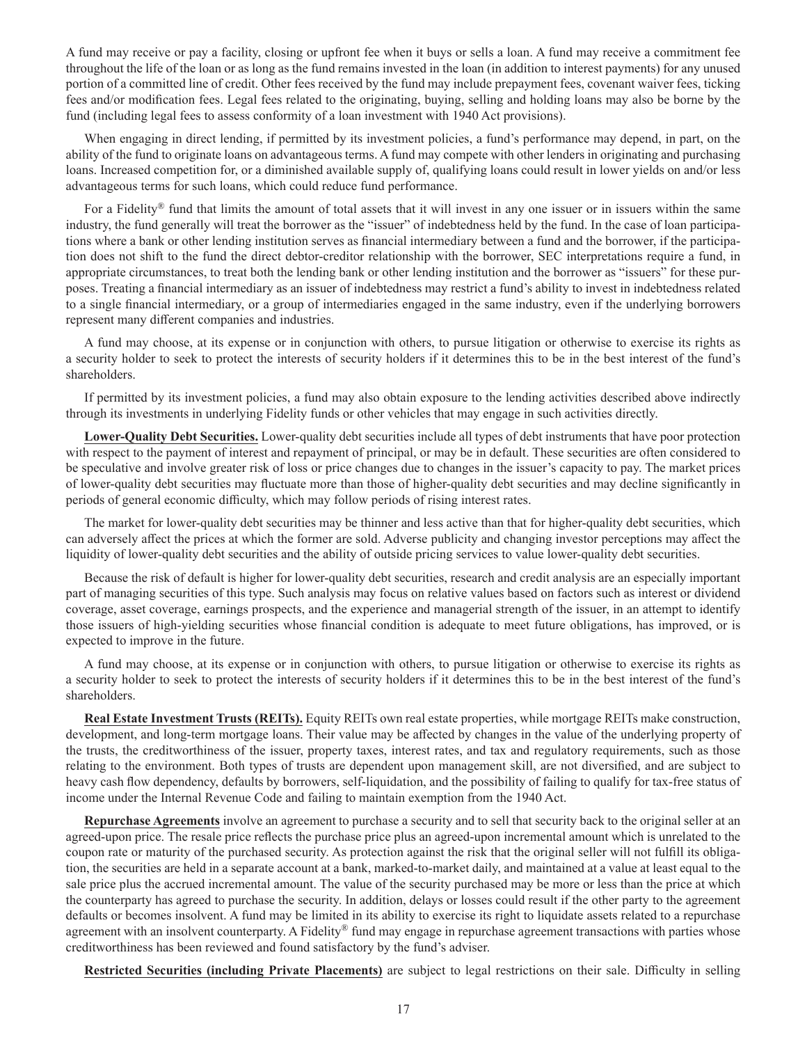A fund may receive or pay a facility, closing or upfront fee when it buys or sells a loan. A fund may receive a commitment fee throughout the life of the loan or as long as the fund remains invested in the loan (in addition to interest payments) for any unused portion of a committed line of credit. Other fees received by the fund may include prepayment fees, covenant waiver fees, ticking fees and/or modification fees. Legal fees related to the originating, buying, selling and holding loans may also be borne by the fund (including legal fees to assess conformity of a loan investment with 1940 Act provisions).

When engaging in direct lending, if permitted by its investment policies, a fund's performance may depend, in part, on the ability of the fund to originate loans on advantageous terms. A fund may compete with other lenders in originating and purchasing loans. Increased competition for, or a diminished available supply of, qualifying loans could result in lower yields on and/or less advantageous terms for such loans, which could reduce fund performance.

For a Fidelity® fund that limits the amount of total assets that it will invest in any one issuer or in issuers within the same industry, the fund generally will treat the borrower as the "issuer" of indebtedness held by the fund. In the case of loan participations where a bank or other lending institution serves as financial intermediary between a fund and the borrower, if the participation does not shift to the fund the direct debtor-creditor relationship with the borrower, SEC interpretations require a fund, in appropriate circumstances, to treat both the lending bank or other lending institution and the borrower as "issuers" for these purposes. Treating a financial intermediary as an issuer of indebtedness may restrict a fund's ability to invest in indebtedness related to a single financial intermediary, or a group of intermediaries engaged in the same industry, even if the underlying borrowers represent many different companies and industries.

A fund may choose, at its expense or in conjunction with others, to pursue litigation or otherwise to exercise its rights as a security holder to seek to protect the interests of security holders if it determines this to be in the best interest of the fund's shareholders.

If permitted by its investment policies, a fund may also obtain exposure to the lending activities described above indirectly through its investments in underlying Fidelity funds or other vehicles that may engage in such activities directly.

**Lower-Quality Debt Securities.** Lower-quality debt securities include all types of debt instruments that have poor protection with respect to the payment of interest and repayment of principal, or may be in default. These securities are often considered to be speculative and involve greater risk of loss or price changes due to changes in the issuer's capacity to pay. The market prices of lower-quality debt securities may fluctuate more than those of higher-quality debt securities and may decline significantly in periods of general economic difficulty, which may follow periods of rising interest rates.

The market for lower-quality debt securities may be thinner and less active than that for higher-quality debt securities, which can adversely affect the prices at which the former are sold. Adverse publicity and changing investor perceptions may affect the liquidity of lower-quality debt securities and the ability of outside pricing services to value lower-quality debt securities.

Because the risk of default is higher for lower-quality debt securities, research and credit analysis are an especially important part of managing securities of this type. Such analysis may focus on relative values based on factors such as interest or dividend coverage, asset coverage, earnings prospects, and the experience and managerial strength of the issuer, in an attempt to identify those issuers of high-yielding securities whose financial condition is adequate to meet future obligations, has improved, or is expected to improve in the future.

A fund may choose, at its expense or in conjunction with others, to pursue litigation or otherwise to exercise its rights as a security holder to seek to protect the interests of security holders if it determines this to be in the best interest of the fund's shareholders.

**Real Estate Investment Trusts (REITs).** Equity REITs own real estate properties, while mortgage REITs make construction, development, and long-term mortgage loans. Their value may be affected by changes in the value of the underlying property of the trusts, the creditworthiness of the issuer, property taxes, interest rates, and tax and regulatory requirements, such as those relating to the environment. Both types of trusts are dependent upon management skill, are not diversified, and are subject to heavy cash flow dependency, defaults by borrowers, self-liquidation, and the possibility of failing to qualify for tax-free status of income under the Internal Revenue Code and failing to maintain exemption from the 1940 Act.

**Repurchase Agreements** involve an agreement to purchase a security and to sell that security back to the original seller at an agreed-upon price. The resale price reflects the purchase price plus an agreed-upon incremental amount which is unrelated to the coupon rate or maturity of the purchased security. As protection against the risk that the original seller will not fulfill its obligation, the securities are held in a separate account at a bank, marked-to-market daily, and maintained at a value at least equal to the sale price plus the accrued incremental amount. The value of the security purchased may be more or less than the price at which the counterparty has agreed to purchase the security. In addition, delays or losses could result if the other party to the agreement defaults or becomes insolvent. A fund may be limited in its ability to exercise its right to liquidate assets related to a repurchase agreement with an insolvent counterparty. A Fidelity® fund may engage in repurchase agreement transactions with parties whose creditworthiness has been reviewed and found satisfactory by the fund's adviser.

**Restricted Securities (including Private Placements)** are subject to legal restrictions on their sale. Difficulty in selling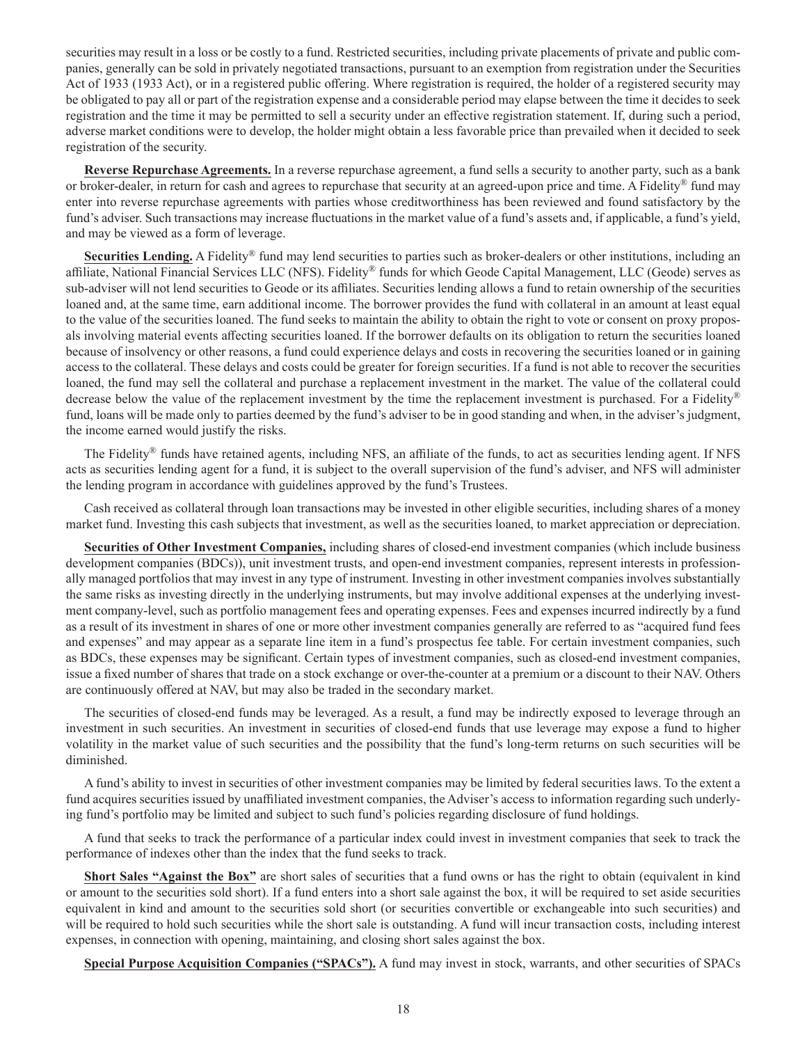securities may result in a loss or be costly to a fund. Restricted securities, including private placements of private and public companies, generally can be sold in privately negotiated transactions, pursuant to an exemption from registration under the Securities Act of 1933 (1933 Act), or in a registered public offering. Where registration is required, the holder of a registered security may be obligated to pay all or part of the registration expense and a considerable period may elapse between the time it decides to seek registration and the time it may be permitted to sell a security under an effective registration statement. If, during such a period, adverse market conditions were to develop, the holder might obtain a less favorable price than prevailed when it decided to seek registration of the security.

**Reverse Repurchase Agreements.** In a reverse repurchase agreement, a fund sells a security to another party, such as a bank or broker-dealer, in return for cash and agrees to repurchase that security at an agreed-upon price and time. A Fidelity<sup>®</sup> fund may enter into reverse repurchase agreements with parties whose creditworthiness has been reviewed and found satisfactory by the fund's adviser. Such transactions may increase fluctuations in the market value of a fund's assets and, if applicable, a fund's yield, and may be viewed as a form of leverage.

**Securities Lending.** A Fidelity® fund may lend securities to parties such as broker-dealers or other institutions, including an affiliate, National Financial Services LLC (NFS). Fidelity® funds for which Geode Capital Management, LLC (Geode) serves as sub-adviser will not lend securities to Geode or its affiliates. Securities lending allows a fund to retain ownership of the securities loaned and, at the same time, earn additional income. The borrower provides the fund with collateral in an amount at least equal to the value of the securities loaned. The fund seeks to maintain the ability to obtain the right to vote or consent on proxy proposals involving material events affecting securities loaned. If the borrower defaults on its obligation to return the securities loaned because of insolvency or other reasons, a fund could experience delays and costs in recovering the securities loaned or in gaining access to the collateral. These delays and costs could be greater for foreign securities. If a fund is not able to recover the securities loaned, the fund may sell the collateral and purchase a replacement investment in the market. The value of the collateral could decrease below the value of the replacement investment by the time the replacement investment is purchased. For a Fidelity® fund, loans will be made only to parties deemed by the fund's adviser to be in good standing and when, in the adviser's judgment, the income earned would justify the risks.

The Fidelity<sup>®</sup> funds have retained agents, including NFS, an affiliate of the funds, to act as securities lending agent. If NFS acts as securities lending agent for a fund, it is subject to the overall supervision of the fund's adviser, and NFS will administer the lending program in accordance with guidelines approved by the fund's Trustees.

Cash received as collateral through loan transactions may be invested in other eligible securities, including shares of a money market fund. Investing this cash subjects that investment, as well as the securities loaned, to market appreciation or depreciation.

**Securities of Other Investment Companies,** including shares of closed-end investment companies (which include business development companies (BDCs)), unit investment trusts, and open-end investment companies, represent interests in professionally managed portfolios that may invest in any type of instrument. Investing in other investment companies involves substantially the same risks as investing directly in the underlying instruments, but may involve additional expenses at the underlying investment company-level, such as portfolio management fees and operating expenses. Fees and expenses incurred indirectly by a fund as a result of its investment in shares of one or more other investment companies generally are referred to as "acquired fund fees and expenses" and may appear as a separate line item in a fund's prospectus fee table. For certain investment companies, such as BDCs, these expenses may be significant. Certain types of investment companies, such as closed-end investment companies, issue a fixed number of shares that trade on a stock exchange or over-the-counter at a premium or a discount to their NAV. Others are continuously offered at NAV, but may also be traded in the secondary market.

The securities of closed-end funds may be leveraged. As a result, a fund may be indirectly exposed to leverage through an investment in such securities. An investment in securities of closed-end funds that use leverage may expose a fund to higher volatility in the market value of such securities and the possibility that the fund's long-term returns on such securities will be diminished.

A fund's ability to invest in securities of other investment companies may be limited by federal securities laws. To the extent a fund acquires securities issued by unaffiliated investment companies, the Adviser's access to information regarding such underlying fund's portfolio may be limited and subject to such fund's policies regarding disclosure of fund holdings.

A fund that seeks to track the performance of a particular index could invest in investment companies that seek to track the performance of indexes other than the index that the fund seeks to track.

**Short Sales "Against the Box"** are short sales of securities that a fund owns or has the right to obtain (equivalent in kind or amount to the securities sold short). If a fund enters into a short sale against the box, it will be required to set aside securities equivalent in kind and amount to the securities sold short (or securities convertible or exchangeable into such securities) and will be required to hold such securities while the short sale is outstanding. A fund will incur transaction costs, including interest expenses, in connection with opening, maintaining, and closing short sales against the box.

**Special Purpose Acquisition Companies ("SPACs").** A fund may invest in stock, warrants, and other securities of SPACs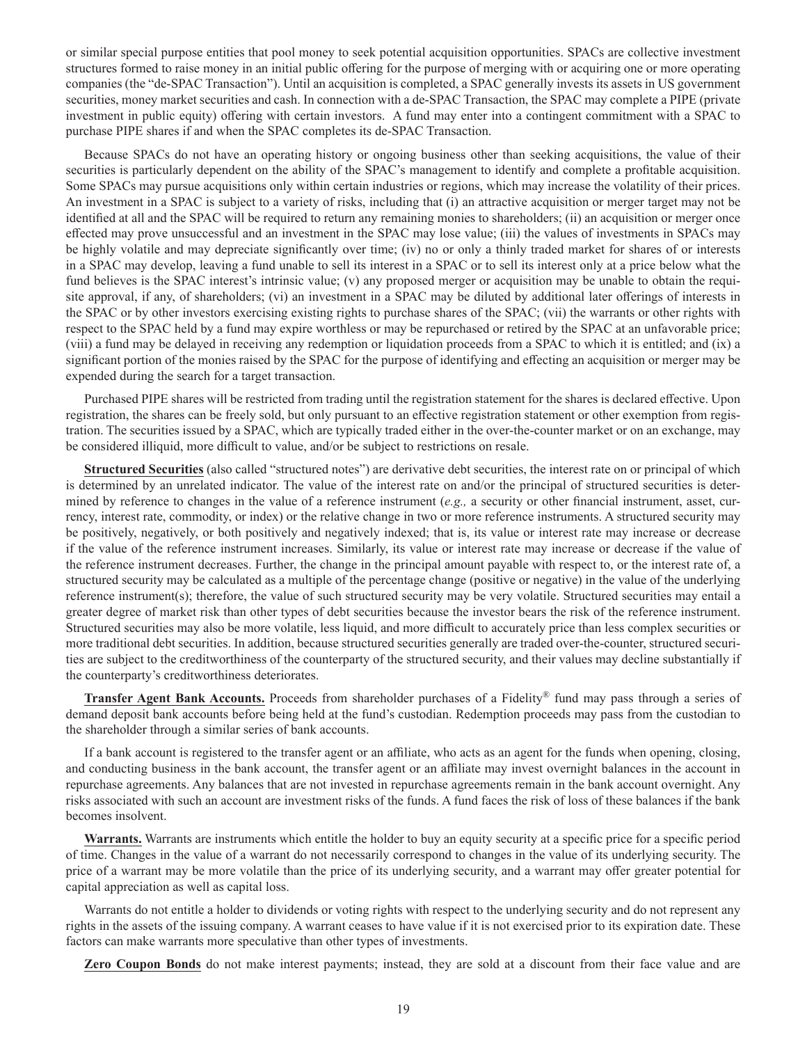or similar special purpose entities that pool money to seek potential acquisition opportunities. SPACs are collective investment structures formed to raise money in an initial public offering for the purpose of merging with or acquiring one or more operating companies (the "de-SPAC Transaction"). Until an acquisition is completed, a SPAC generally invests its assets in US government securities, money market securities and cash. In connection with a de-SPAC Transaction, the SPAC may complete a PIPE (private investment in public equity) offering with certain investors. A fund may enter into a contingent commitment with a SPAC to purchase PIPE shares if and when the SPAC completes its de-SPAC Transaction.

Because SPACs do not have an operating history or ongoing business other than seeking acquisitions, the value of their securities is particularly dependent on the ability of the SPAC's management to identify and complete a profitable acquisition. Some SPACs may pursue acquisitions only within certain industries or regions, which may increase the volatility of their prices. An investment in a SPAC is subject to a variety of risks, including that (i) an attractive acquisition or merger target may not be identified at all and the SPAC will be required to return any remaining monies to shareholders; (ii) an acquisition or merger once effected may prove unsuccessful and an investment in the SPAC may lose value; (iii) the values of investments in SPACs may be highly volatile and may depreciate significantly over time; (iv) no or only a thinly traded market for shares of or interests in a SPAC may develop, leaving a fund unable to sell its interest in a SPAC or to sell its interest only at a price below what the fund believes is the SPAC interest's intrinsic value; (v) any proposed merger or acquisition may be unable to obtain the requisite approval, if any, of shareholders; (vi) an investment in a SPAC may be diluted by additional later offerings of interests in the SPAC or by other investors exercising existing rights to purchase shares of the SPAC; (vii) the warrants or other rights with respect to the SPAC held by a fund may expire worthless or may be repurchased or retired by the SPAC at an unfavorable price; (viii) a fund may be delayed in receiving any redemption or liquidation proceeds from a SPAC to which it is entitled; and (ix) a significant portion of the monies raised by the SPAC for the purpose of identifying and effecting an acquisition or merger may be expended during the search for a target transaction.

Purchased PIPE shares will be restricted from trading until the registration statement for the shares is declared effective. Upon registration, the shares can be freely sold, but only pursuant to an effective registration statement or other exemption from registration. The securities issued by a SPAC, which are typically traded either in the over-the-counter market or on an exchange, may be considered illiquid, more difficult to value, and/or be subject to restrictions on resale.

**Structured Securities** (also called "structured notes") are derivative debt securities, the interest rate on or principal of which is determined by an unrelated indicator. The value of the interest rate on and/or the principal of structured securities is determined by reference to changes in the value of a reference instrument (*e.g.,* a security or other financial instrument, asset, currency, interest rate, commodity, or index) or the relative change in two or more reference instruments. A structured security may be positively, negatively, or both positively and negatively indexed; that is, its value or interest rate may increase or decrease if the value of the reference instrument increases. Similarly, its value or interest rate may increase or decrease if the value of the reference instrument decreases. Further, the change in the principal amount payable with respect to, or the interest rate of, a structured security may be calculated as a multiple of the percentage change (positive or negative) in the value of the underlying reference instrument(s); therefore, the value of such structured security may be very volatile. Structured securities may entail a greater degree of market risk than other types of debt securities because the investor bears the risk of the reference instrument. Structured securities may also be more volatile, less liquid, and more difficult to accurately price than less complex securities or more traditional debt securities. In addition, because structured securities generally are traded over-the-counter, structured securities are subject to the creditworthiness of the counterparty of the structured security, and their values may decline substantially if the counterparty's creditworthiness deteriorates.

**Transfer Agent Bank Accounts.** Proceeds from shareholder purchases of a Fidelity® fund may pass through a series of demand deposit bank accounts before being held at the fund's custodian. Redemption proceeds may pass from the custodian to the shareholder through a similar series of bank accounts.

If a bank account is registered to the transfer agent or an affiliate, who acts as an agent for the funds when opening, closing, and conducting business in the bank account, the transfer agent or an affiliate may invest overnight balances in the account in repurchase agreements. Any balances that are not invested in repurchase agreements remain in the bank account overnight. Any risks associated with such an account are investment risks of the funds. A fund faces the risk of loss of these balances if the bank becomes insolvent.

**Warrants.** Warrants are instruments which entitle the holder to buy an equity security at a specific price for a specific period of time. Changes in the value of a warrant do not necessarily correspond to changes in the value of its underlying security. The price of a warrant may be more volatile than the price of its underlying security, and a warrant may offer greater potential for capital appreciation as well as capital loss.

Warrants do not entitle a holder to dividends or voting rights with respect to the underlying security and do not represent any rights in the assets of the issuing company. A warrant ceases to have value if it is not exercised prior to its expiration date. These factors can make warrants more speculative than other types of investments.

**Zero Coupon Bonds** do not make interest payments; instead, they are sold at a discount from their face value and are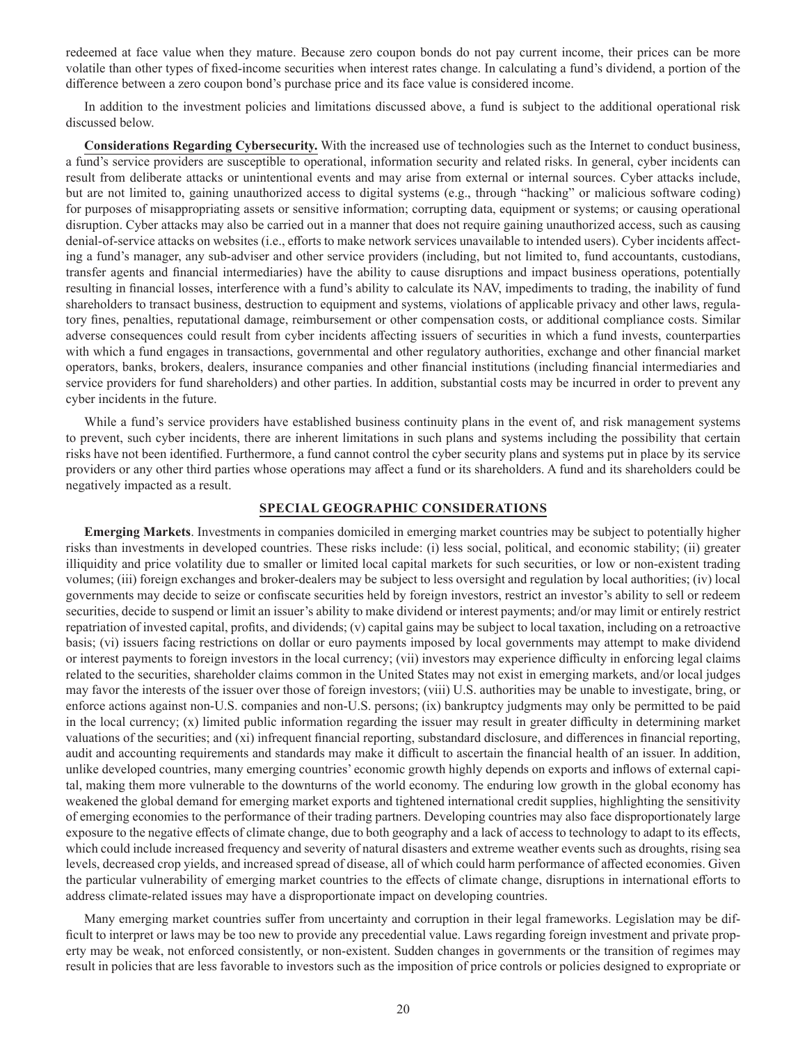redeemed at face value when they mature. Because zero coupon bonds do not pay current income, their prices can be more volatile than other types of fixed-income securities when interest rates change. In calculating a fund's dividend, a portion of the difference between a zero coupon bond's purchase price and its face value is considered income.

In addition to the investment policies and limitations discussed above, a fund is subject to the additional operational risk discussed below.

**Considerations Regarding Cybersecurity.** With the increased use of technologies such as the Internet to conduct business, a fund's service providers are susceptible to operational, information security and related risks. In general, cyber incidents can result from deliberate attacks or unintentional events and may arise from external or internal sources. Cyber attacks include, but are not limited to, gaining unauthorized access to digital systems (e.g., through "hacking" or malicious software coding) for purposes of misappropriating assets or sensitive information; corrupting data, equipment or systems; or causing operational disruption. Cyber attacks may also be carried out in a manner that does not require gaining unauthorized access, such as causing denial-of-service attacks on websites (i.e., efforts to make network services unavailable to intended users). Cyber incidents affecting a fund's manager, any sub-adviser and other service providers (including, but not limited to, fund accountants, custodians, transfer agents and financial intermediaries) have the ability to cause disruptions and impact business operations, potentially resulting in financial losses, interference with a fund's ability to calculate its NAV, impediments to trading, the inability of fund shareholders to transact business, destruction to equipment and systems, violations of applicable privacy and other laws, regulatory fines, penalties, reputational damage, reimbursement or other compensation costs, or additional compliance costs. Similar adverse consequences could result from cyber incidents affecting issuers of securities in which a fund invests, counterparties with which a fund engages in transactions, governmental and other regulatory authorities, exchange and other financial market operators, banks, brokers, dealers, insurance companies and other financial institutions (including financial intermediaries and service providers for fund shareholders) and other parties. In addition, substantial costs may be incurred in order to prevent any cyber incidents in the future.

While a fund's service providers have established business continuity plans in the event of, and risk management systems to prevent, such cyber incidents, there are inherent limitations in such plans and systems including the possibility that certain risks have not been identified. Furthermore, a fund cannot control the cyber security plans and systems put in place by its service providers or any other third parties whose operations may affect a fund or its shareholders. A fund and its shareholders could be negatively impacted as a result.

#### **SPECIAL GEOGRAPHIC CONSIDERATIONS**

**Emerging Markets**. Investments in companies domiciled in emerging market countries may be subject to potentially higher risks than investments in developed countries. These risks include: (i) less social, political, and economic stability; (ii) greater illiquidity and price volatility due to smaller or limited local capital markets for such securities, or low or non-existent trading volumes; (iii) foreign exchanges and broker-dealers may be subject to less oversight and regulation by local authorities; (iv) local governments may decide to seize or confiscate securities held by foreign investors, restrict an investor's ability to sell or redeem securities, decide to suspend or limit an issuer's ability to make dividend or interest payments; and/or may limit or entirely restrict repatriation of invested capital, profits, and dividends; (v) capital gains may be subject to local taxation, including on a retroactive basis; (vi) issuers facing restrictions on dollar or euro payments imposed by local governments may attempt to make dividend or interest payments to foreign investors in the local currency; (vii) investors may experience difficulty in enforcing legal claims related to the securities, shareholder claims common in the United States may not exist in emerging markets, and/or local judges may favor the interests of the issuer over those of foreign investors; (viii) U.S. authorities may be unable to investigate, bring, or enforce actions against non-U.S. companies and non-U.S. persons; (ix) bankruptcy judgments may only be permitted to be paid in the local currency; (x) limited public information regarding the issuer may result in greater difficulty in determining market valuations of the securities; and (xi) infrequent financial reporting, substandard disclosure, and differences in financial reporting, audit and accounting requirements and standards may make it difficult to ascertain the financial health of an issuer. In addition, unlike developed countries, many emerging countries' economic growth highly depends on exports and inflows of external capital, making them more vulnerable to the downturns of the world economy. The enduring low growth in the global economy has weakened the global demand for emerging market exports and tightened international credit supplies, highlighting the sensitivity of emerging economies to the performance of their trading partners. Developing countries may also face disproportionately large exposure to the negative effects of climate change, due to both geography and a lack of access to technology to adapt to its effects, which could include increased frequency and severity of natural disasters and extreme weather events such as droughts, rising sea levels, decreased crop yields, and increased spread of disease, all of which could harm performance of affected economies. Given the particular vulnerability of emerging market countries to the effects of climate change, disruptions in international efforts to address climate-related issues may have a disproportionate impact on developing countries.

Many emerging market countries suffer from uncertainty and corruption in their legal frameworks. Legislation may be difficult to interpret or laws may be too new to provide any precedential value. Laws regarding foreign investment and private property may be weak, not enforced consistently, or non-existent. Sudden changes in governments or the transition of regimes may result in policies that are less favorable to investors such as the imposition of price controls or policies designed to expropriate or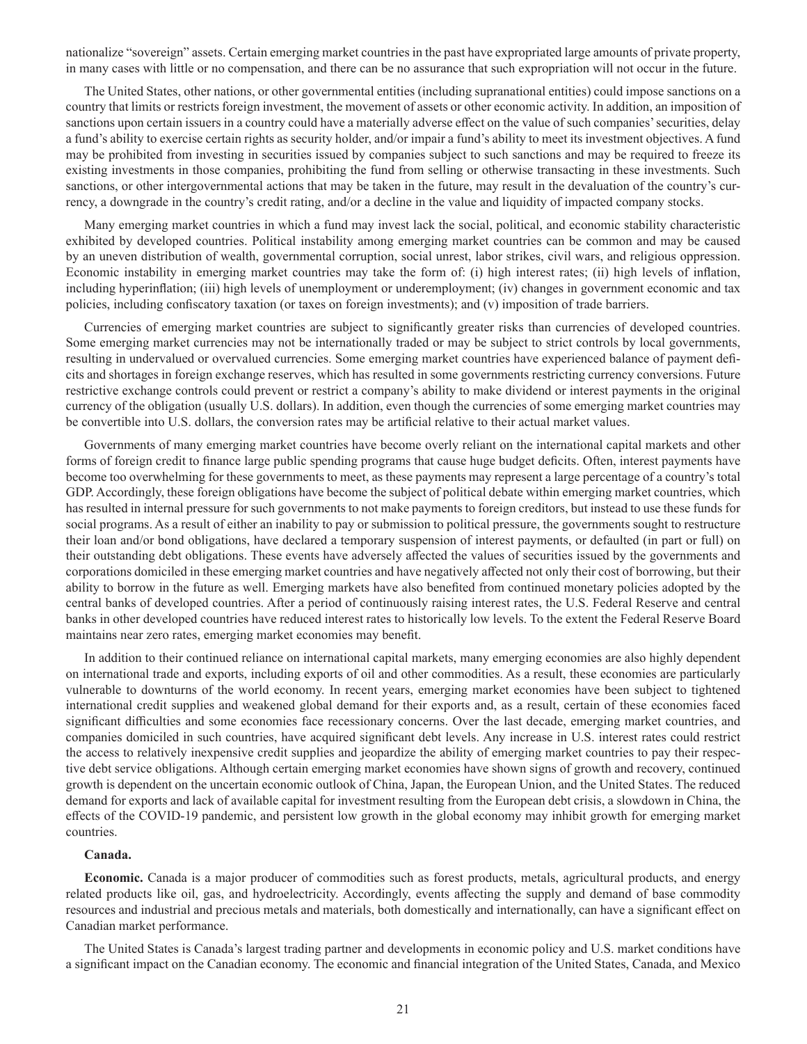nationalize "sovereign" assets. Certain emerging market countries in the past have expropriated large amounts of private property, in many cases with little or no compensation, and there can be no assurance that such expropriation will not occur in the future.

The United States, other nations, or other governmental entities (including supranational entities) could impose sanctions on a country that limits or restricts foreign investment, the movement of assets or other economic activity. In addition, an imposition of sanctions upon certain issuers in a country could have a materially adverse effect on the value of such companies' securities, delay a fund's ability to exercise certain rights as security holder, and/or impair a fund's ability to meet its investment objectives. A fund may be prohibited from investing in securities issued by companies subject to such sanctions and may be required to freeze its existing investments in those companies, prohibiting the fund from selling or otherwise transacting in these investments. Such sanctions, or other intergovernmental actions that may be taken in the future, may result in the devaluation of the country's currency, a downgrade in the country's credit rating, and/or a decline in the value and liquidity of impacted company stocks.

Many emerging market countries in which a fund may invest lack the social, political, and economic stability characteristic exhibited by developed countries. Political instability among emerging market countries can be common and may be caused by an uneven distribution of wealth, governmental corruption, social unrest, labor strikes, civil wars, and religious oppression. Economic instability in emerging market countries may take the form of: (i) high interest rates; (ii) high levels of inflation, including hyperinflation; (iii) high levels of unemployment or underemployment; (iv) changes in government economic and tax policies, including confiscatory taxation (or taxes on foreign investments); and (v) imposition of trade barriers.

Currencies of emerging market countries are subject to significantly greater risks than currencies of developed countries. Some emerging market currencies may not be internationally traded or may be subject to strict controls by local governments, resulting in undervalued or overvalued currencies. Some emerging market countries have experienced balance of payment deficits and shortages in foreign exchange reserves, which has resulted in some governments restricting currency conversions. Future restrictive exchange controls could prevent or restrict a company's ability to make dividend or interest payments in the original currency of the obligation (usually U.S. dollars). In addition, even though the currencies of some emerging market countries may be convertible into U.S. dollars, the conversion rates may be artificial relative to their actual market values.

Governments of many emerging market countries have become overly reliant on the international capital markets and other forms of foreign credit to finance large public spending programs that cause huge budget deficits. Often, interest payments have become too overwhelming for these governments to meet, as these payments may represent a large percentage of a country's total GDP. Accordingly, these foreign obligations have become the subject of political debate within emerging market countries, which has resulted in internal pressure for such governments to not make payments to foreign creditors, but instead to use these funds for social programs. As a result of either an inability to pay or submission to political pressure, the governments sought to restructure their loan and/or bond obligations, have declared a temporary suspension of interest payments, or defaulted (in part or full) on their outstanding debt obligations. These events have adversely affected the values of securities issued by the governments and corporations domiciled in these emerging market countries and have negatively affected not only their cost of borrowing, but their ability to borrow in the future as well. Emerging markets have also benefited from continued monetary policies adopted by the central banks of developed countries. After a period of continuously raising interest rates, the U.S. Federal Reserve and central banks in other developed countries have reduced interest rates to historically low levels. To the extent the Federal Reserve Board maintains near zero rates, emerging market economies may benefit.

In addition to their continued reliance on international capital markets, many emerging economies are also highly dependent on international trade and exports, including exports of oil and other commodities. As a result, these economies are particularly vulnerable to downturns of the world economy. In recent years, emerging market economies have been subject to tightened international credit supplies and weakened global demand for their exports and, as a result, certain of these economies faced significant difficulties and some economies face recessionary concerns. Over the last decade, emerging market countries, and companies domiciled in such countries, have acquired significant debt levels. Any increase in U.S. interest rates could restrict the access to relatively inexpensive credit supplies and jeopardize the ability of emerging market countries to pay their respective debt service obligations. Although certain emerging market economies have shown signs of growth and recovery, continued growth is dependent on the uncertain economic outlook of China, Japan, the European Union, and the United States. The reduced demand for exports and lack of available capital for investment resulting from the European debt crisis, a slowdown in China, the effects of the COVID-19 pandemic, and persistent low growth in the global economy may inhibit growth for emerging market countries.

#### **Canada.**

**Economic.** Canada is a major producer of commodities such as forest products, metals, agricultural products, and energy related products like oil, gas, and hydroelectricity. Accordingly, events affecting the supply and demand of base commodity resources and industrial and precious metals and materials, both domestically and internationally, can have a significant effect on Canadian market performance.

The United States is Canada's largest trading partner and developments in economic policy and U.S. market conditions have a significant impact on the Canadian economy. The economic and financial integration of the United States, Canada, and Mexico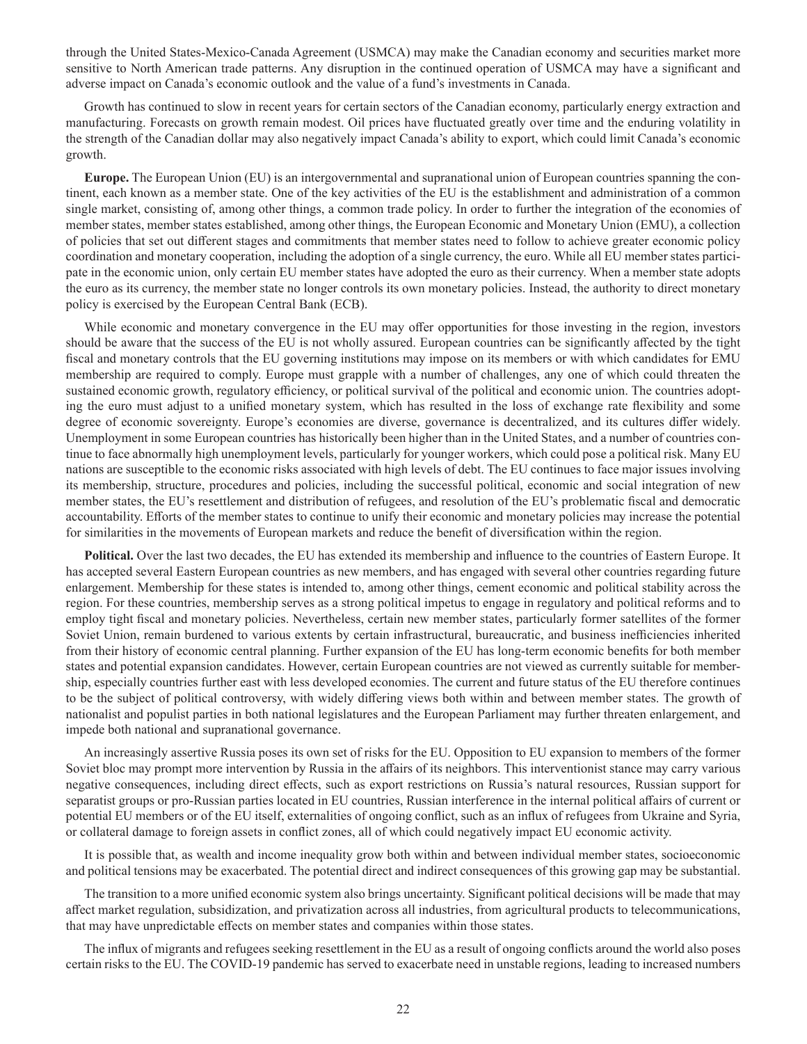through the United States-Mexico-Canada Agreement (USMCA) may make the Canadian economy and securities market more sensitive to North American trade patterns. Any disruption in the continued operation of USMCA may have a significant and adverse impact on Canada's economic outlook and the value of a fund's investments in Canada.

Growth has continued to slow in recent years for certain sectors of the Canadian economy, particularly energy extraction and manufacturing. Forecasts on growth remain modest. Oil prices have fluctuated greatly over time and the enduring volatility in the strength of the Canadian dollar may also negatively impact Canada's ability to export, which could limit Canada's economic growth.

**Europe.** The European Union (EU) is an intergovernmental and supranational union of European countries spanning the continent, each known as a member state. One of the key activities of the EU is the establishment and administration of a common single market, consisting of, among other things, a common trade policy. In order to further the integration of the economies of member states, member states established, among other things, the European Economic and Monetary Union (EMU), a collection of policies that set out different stages and commitments that member states need to follow to achieve greater economic policy coordination and monetary cooperation, including the adoption of a single currency, the euro. While all EU member states participate in the economic union, only certain EU member states have adopted the euro as their currency. When a member state adopts the euro as its currency, the member state no longer controls its own monetary policies. Instead, the authority to direct monetary policy is exercised by the European Central Bank (ECB).

While economic and monetary convergence in the EU may offer opportunities for those investing in the region, investors should be aware that the success of the EU is not wholly assured. European countries can be significantly affected by the tight fiscal and monetary controls that the EU governing institutions may impose on its members or with which candidates for EMU membership are required to comply. Europe must grapple with a number of challenges, any one of which could threaten the sustained economic growth, regulatory efficiency, or political survival of the political and economic union. The countries adopting the euro must adjust to a unified monetary system, which has resulted in the loss of exchange rate flexibility and some degree of economic sovereignty. Europe's economies are diverse, governance is decentralized, and its cultures differ widely. Unemployment in some European countries has historically been higher than in the United States, and a number of countries continue to face abnormally high unemployment levels, particularly for younger workers, which could pose a political risk. Many EU nations are susceptible to the economic risks associated with high levels of debt. The EU continues to face major issues involving its membership, structure, procedures and policies, including the successful political, economic and social integration of new member states, the EU's resettlement and distribution of refugees, and resolution of the EU's problematic fiscal and democratic accountability. Efforts of the member states to continue to unify their economic and monetary policies may increase the potential for similarities in the movements of European markets and reduce the benefit of diversification within the region.

**Political.** Over the last two decades, the EU has extended its membership and influence to the countries of Eastern Europe. It has accepted several Eastern European countries as new members, and has engaged with several other countries regarding future enlargement. Membership for these states is intended to, among other things, cement economic and political stability across the region. For these countries, membership serves as a strong political impetus to engage in regulatory and political reforms and to employ tight fiscal and monetary policies. Nevertheless, certain new member states, particularly former satellites of the former Soviet Union, remain burdened to various extents by certain infrastructural, bureaucratic, and business inefficiencies inherited from their history of economic central planning. Further expansion of the EU has long-term economic benefits for both member states and potential expansion candidates. However, certain European countries are not viewed as currently suitable for membership, especially countries further east with less developed economies. The current and future status of the EU therefore continues to be the subject of political controversy, with widely differing views both within and between member states. The growth of nationalist and populist parties in both national legislatures and the European Parliament may further threaten enlargement, and impede both national and supranational governance.

An increasingly assertive Russia poses its own set of risks for the EU. Opposition to EU expansion to members of the former Soviet bloc may prompt more intervention by Russia in the affairs of its neighbors. This interventionist stance may carry various negative consequences, including direct effects, such as export restrictions on Russia's natural resources, Russian support for separatist groups or pro-Russian parties located in EU countries, Russian interference in the internal political affairs of current or potential EU members or of the EU itself, externalities of ongoing conflict, such as an influx of refugees from Ukraine and Syria, or collateral damage to foreign assets in conflict zones, all of which could negatively impact EU economic activity.

It is possible that, as wealth and income inequality grow both within and between individual member states, socioeconomic and political tensions may be exacerbated. The potential direct and indirect consequences of this growing gap may be substantial.

The transition to a more unified economic system also brings uncertainty. Significant political decisions will be made that may affect market regulation, subsidization, and privatization across all industries, from agricultural products to telecommunications, that may have unpredictable effects on member states and companies within those states.

The influx of migrants and refugees seeking resettlement in the EU as a result of ongoing conflicts around the world also poses certain risks to the EU. The COVID-19 pandemic has served to exacerbate need in unstable regions, leading to increased numbers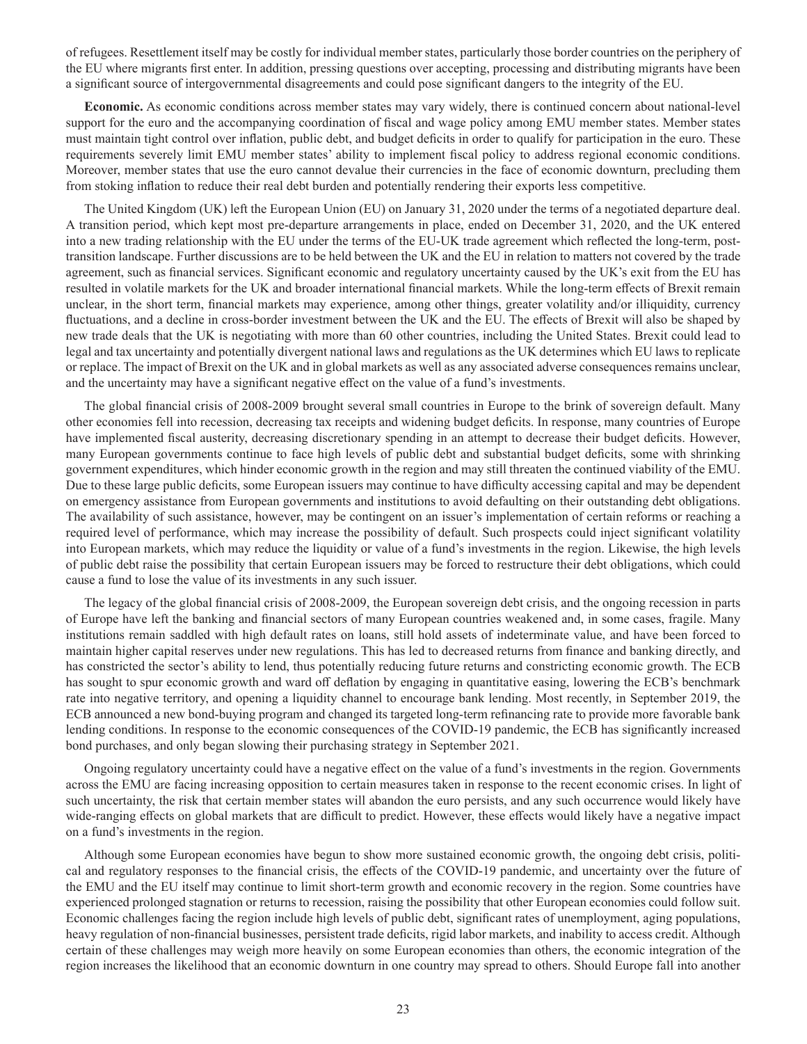of refugees. Resettlement itself may be costly for individual member states, particularly those border countries on the periphery of the EU where migrants first enter. In addition, pressing questions over accepting, processing and distributing migrants have been a significant source of intergovernmental disagreements and could pose significant dangers to the integrity of the EU.

**Economic.** As economic conditions across member states may vary widely, there is continued concern about national-level support for the euro and the accompanying coordination of fiscal and wage policy among EMU member states. Member states must maintain tight control over inflation, public debt, and budget deficits in order to qualify for participation in the euro. These requirements severely limit EMU member states' ability to implement fiscal policy to address regional economic conditions. Moreover, member states that use the euro cannot devalue their currencies in the face of economic downturn, precluding them from stoking inflation to reduce their real debt burden and potentially rendering their exports less competitive.

The United Kingdom (UK) left the European Union (EU) on January 31, 2020 under the terms of a negotiated departure deal. A transition period, which kept most pre-departure arrangements in place, ended on December 31, 2020, and the UK entered into a new trading relationship with the EU under the terms of the EU-UK trade agreement which reflected the long-term, posttransition landscape. Further discussions are to be held between the UK and the EU in relation to matters not covered by the trade agreement, such as financial services. Significant economic and regulatory uncertainty caused by the UK's exit from the EU has resulted in volatile markets for the UK and broader international financial markets. While the long-term effects of Brexit remain unclear, in the short term, financial markets may experience, among other things, greater volatility and/or illiquidity, currency fluctuations, and a decline in cross-border investment between the UK and the EU. The effects of Brexit will also be shaped by new trade deals that the UK is negotiating with more than 60 other countries, including the United States. Brexit could lead to legal and tax uncertainty and potentially divergent national laws and regulations as the UK determines which EU laws to replicate or replace. The impact of Brexit on the UK and in global markets as well as any associated adverse consequences remains unclear, and the uncertainty may have a significant negative effect on the value of a fund's investments.

The global financial crisis of 2008-2009 brought several small countries in Europe to the brink of sovereign default. Many other economies fell into recession, decreasing tax receipts and widening budget deficits. In response, many countries of Europe have implemented fiscal austerity, decreasing discretionary spending in an attempt to decrease their budget deficits. However, many European governments continue to face high levels of public debt and substantial budget deficits, some with shrinking government expenditures, which hinder economic growth in the region and may still threaten the continued viability of the EMU. Due to these large public deficits, some European issuers may continue to have difficulty accessing capital and may be dependent on emergency assistance from European governments and institutions to avoid defaulting on their outstanding debt obligations. The availability of such assistance, however, may be contingent on an issuer's implementation of certain reforms or reaching a required level of performance, which may increase the possibility of default. Such prospects could inject significant volatility into European markets, which may reduce the liquidity or value of a fund's investments in the region. Likewise, the high levels of public debt raise the possibility that certain European issuers may be forced to restructure their debt obligations, which could cause a fund to lose the value of its investments in any such issuer.

The legacy of the global financial crisis of 2008-2009, the European sovereign debt crisis, and the ongoing recession in parts of Europe have left the banking and financial sectors of many European countries weakened and, in some cases, fragile. Many institutions remain saddled with high default rates on loans, still hold assets of indeterminate value, and have been forced to maintain higher capital reserves under new regulations. This has led to decreased returns from finance and banking directly, and has constricted the sector's ability to lend, thus potentially reducing future returns and constricting economic growth. The ECB has sought to spur economic growth and ward off deflation by engaging in quantitative easing, lowering the ECB's benchmark rate into negative territory, and opening a liquidity channel to encourage bank lending. Most recently, in September 2019, the ECB announced a new bond-buying program and changed its targeted long-term refinancing rate to provide more favorable bank lending conditions. In response to the economic consequences of the COVID-19 pandemic, the ECB has significantly increased bond purchases, and only began slowing their purchasing strategy in September 2021.

Ongoing regulatory uncertainty could have a negative effect on the value of a fund's investments in the region. Governments across the EMU are facing increasing opposition to certain measures taken in response to the recent economic crises. In light of such uncertainty, the risk that certain member states will abandon the euro persists, and any such occurrence would likely have wide-ranging effects on global markets that are difficult to predict. However, these effects would likely have a negative impact on a fund's investments in the region.

Although some European economies have begun to show more sustained economic growth, the ongoing debt crisis, political and regulatory responses to the financial crisis, the effects of the COVID-19 pandemic, and uncertainty over the future of the EMU and the EU itself may continue to limit short-term growth and economic recovery in the region. Some countries have experienced prolonged stagnation or returns to recession, raising the possibility that other European economies could follow suit. Economic challenges facing the region include high levels of public debt, significant rates of unemployment, aging populations, heavy regulation of non-financial businesses, persistent trade deficits, rigid labor markets, and inability to access credit. Although certain of these challenges may weigh more heavily on some European economies than others, the economic integration of the region increases the likelihood that an economic downturn in one country may spread to others. Should Europe fall into another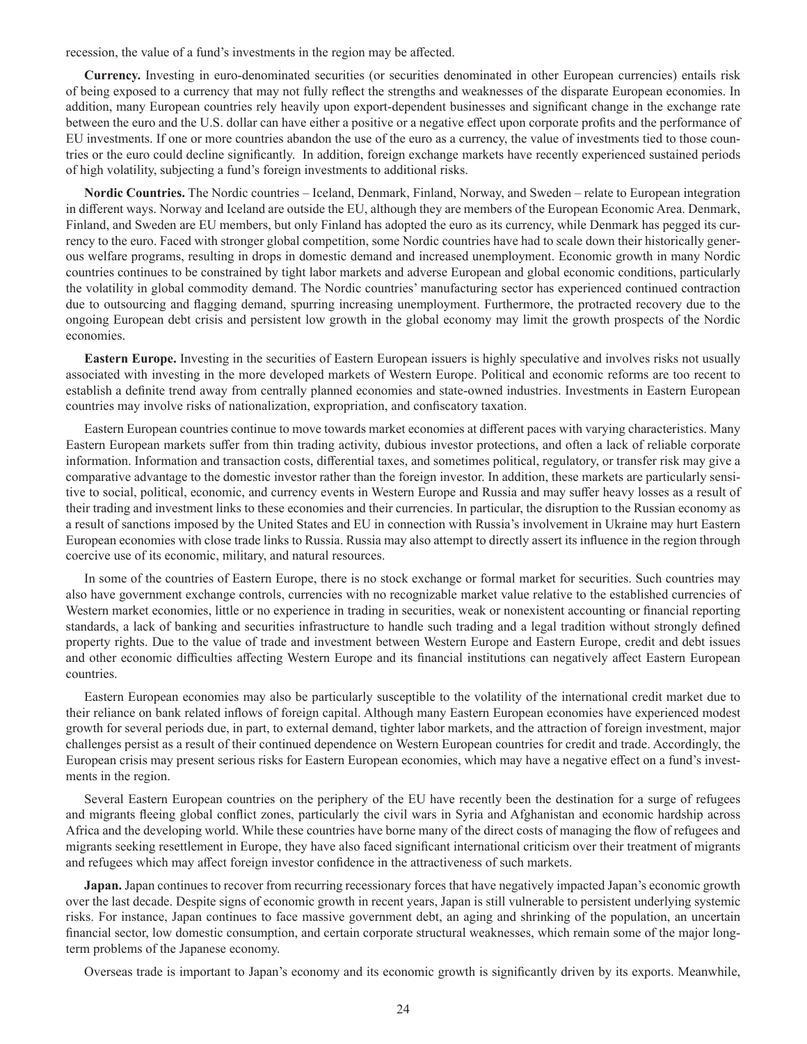recession, the value of a fund's investments in the region may be affected.

**Currency.** Investing in euro-denominated securities (or securities denominated in other European currencies) entails risk of being exposed to a currency that may not fully reflect the strengths and weaknesses of the disparate European economies. In addition, many European countries rely heavily upon export-dependent businesses and significant change in the exchange rate between the euro and the U.S. dollar can have either a positive or a negative effect upon corporate profits and the performance of EU investments. If one or more countries abandon the use of the euro as a currency, the value of investments tied to those countries or the euro could decline significantly. In addition, foreign exchange markets have recently experienced sustained periods of high volatility, subjecting a fund's foreign investments to additional risks.

**Nordic Countries.** The Nordic countries – Iceland, Denmark, Finland, Norway, and Sweden – relate to European integration in different ways. Norway and Iceland are outside the EU, although they are members of the European Economic Area. Denmark, Finland, and Sweden are EU members, but only Finland has adopted the euro as its currency, while Denmark has pegged its currency to the euro. Faced with stronger global competition, some Nordic countries have had to scale down their historically generous welfare programs, resulting in drops in domestic demand and increased unemployment. Economic growth in many Nordic countries continues to be constrained by tight labor markets and adverse European and global economic conditions, particularly the volatility in global commodity demand. The Nordic countries' manufacturing sector has experienced continued contraction due to outsourcing and flagging demand, spurring increasing unemployment. Furthermore, the protracted recovery due to the ongoing European debt crisis and persistent low growth in the global economy may limit the growth prospects of the Nordic economies.

**Eastern Europe.** Investing in the securities of Eastern European issuers is highly speculative and involves risks not usually associated with investing in the more developed markets of Western Europe. Political and economic reforms are too recent to establish a definite trend away from centrally planned economies and state-owned industries. Investments in Eastern European countries may involve risks of nationalization, expropriation, and confiscatory taxation.

Eastern European countries continue to move towards market economies at different paces with varying characteristics. Many Eastern European markets suffer from thin trading activity, dubious investor protections, and often a lack of reliable corporate information. Information and transaction costs, differential taxes, and sometimes political, regulatory, or transfer risk may give a comparative advantage to the domestic investor rather than the foreign investor. In addition, these markets are particularly sensitive to social, political, economic, and currency events in Western Europe and Russia and may suffer heavy losses as a result of their trading and investment links to these economies and their currencies. In particular, the disruption to the Russian economy as a result of sanctions imposed by the United States and EU in connection with Russia's involvement in Ukraine may hurt Eastern European economies with close trade links to Russia. Russia may also attempt to directly assert its influence in the region through coercive use of its economic, military, and natural resources.

In some of the countries of Eastern Europe, there is no stock exchange or formal market for securities. Such countries may also have government exchange controls, currencies with no recognizable market value relative to the established currencies of Western market economies, little or no experience in trading in securities, weak or nonexistent accounting or financial reporting standards, a lack of banking and securities infrastructure to handle such trading and a legal tradition without strongly defined property rights. Due to the value of trade and investment between Western Europe and Eastern Europe, credit and debt issues and other economic difficulties affecting Western Europe and its financial institutions can negatively affect Eastern European countries.

Eastern European economies may also be particularly susceptible to the volatility of the international credit market due to their reliance on bank related inflows of foreign capital. Although many Eastern European economies have experienced modest growth for several periods due, in part, to external demand, tighter labor markets, and the attraction of foreign investment, major challenges persist as a result of their continued dependence on Western European countries for credit and trade. Accordingly, the European crisis may present serious risks for Eastern European economies, which may have a negative effect on a fund's investments in the region.

Several Eastern European countries on the periphery of the EU have recently been the destination for a surge of refugees and migrants fleeing global conflict zones, particularly the civil wars in Syria and Afghanistan and economic hardship across Africa and the developing world. While these countries have borne many of the direct costs of managing the flow of refugees and migrants seeking resettlement in Europe, they have also faced significant international criticism over their treatment of migrants and refugees which may affect foreign investor confidence in the attractiveness of such markets.

**Japan.** Japan continues to recover from recurring recessionary forces that have negatively impacted Japan's economic growth over the last decade. Despite signs of economic growth in recent years, Japan is still vulnerable to persistent underlying systemic risks. For instance, Japan continues to face massive government debt, an aging and shrinking of the population, an uncertain financial sector, low domestic consumption, and certain corporate structural weaknesses, which remain some of the major longterm problems of the Japanese economy.

Overseas trade is important to Japan's economy and its economic growth is significantly driven by its exports. Meanwhile,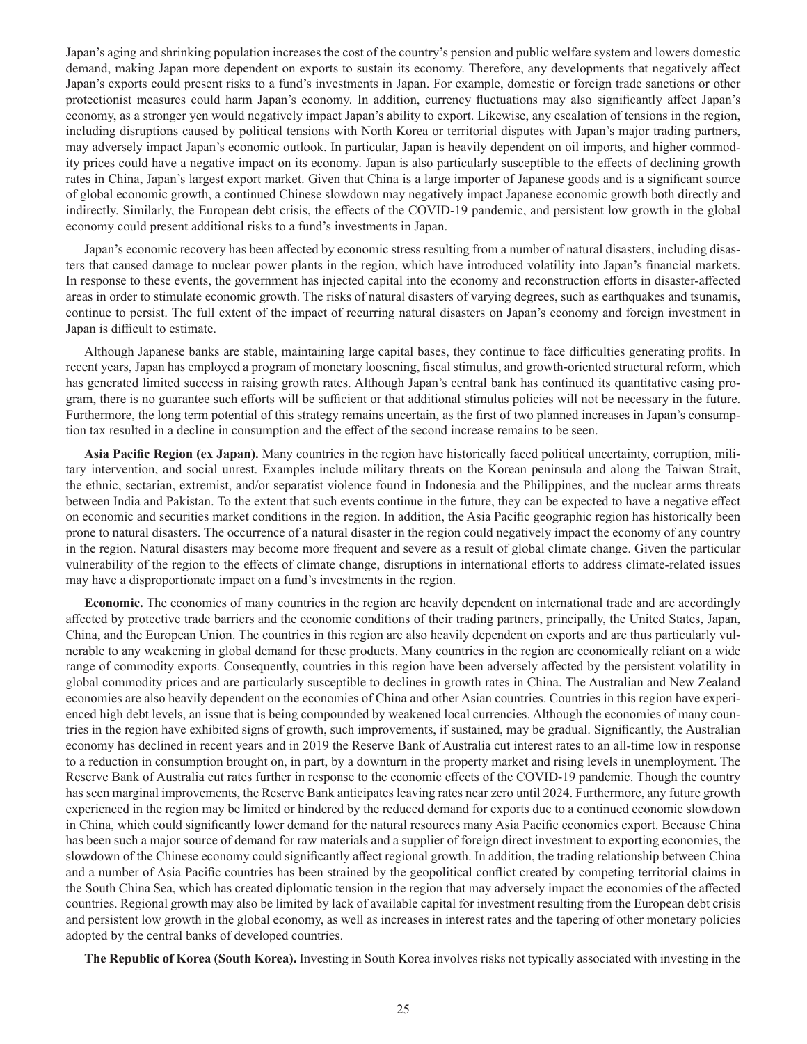Japan's aging and shrinking population increases the cost of the country's pension and public welfare system and lowers domestic demand, making Japan more dependent on exports to sustain its economy. Therefore, any developments that negatively affect Japan's exports could present risks to a fund's investments in Japan. For example, domestic or foreign trade sanctions or other protectionist measures could harm Japan's economy. In addition, currency fluctuations may also significantly affect Japan's economy, as a stronger yen would negatively impact Japan's ability to export. Likewise, any escalation of tensions in the region, including disruptions caused by political tensions with North Korea or territorial disputes with Japan's major trading partners, may adversely impact Japan's economic outlook. In particular, Japan is heavily dependent on oil imports, and higher commodity prices could have a negative impact on its economy. Japan is also particularly susceptible to the effects of declining growth rates in China, Japan's largest export market. Given that China is a large importer of Japanese goods and is a significant source of global economic growth, a continued Chinese slowdown may negatively impact Japanese economic growth both directly and indirectly. Similarly, the European debt crisis, the effects of the COVID-19 pandemic, and persistent low growth in the global economy could present additional risks to a fund's investments in Japan.

Japan's economic recovery has been affected by economic stress resulting from a number of natural disasters, including disasters that caused damage to nuclear power plants in the region, which have introduced volatility into Japan's financial markets. In response to these events, the government has injected capital into the economy and reconstruction efforts in disaster-affected areas in order to stimulate economic growth. The risks of natural disasters of varying degrees, such as earthquakes and tsunamis, continue to persist. The full extent of the impact of recurring natural disasters on Japan's economy and foreign investment in Japan is difficult to estimate.

Although Japanese banks are stable, maintaining large capital bases, they continue to face difficulties generating profits. In recent years, Japan has employed a program of monetary loosening, fiscal stimulus, and growth-oriented structural reform, which has generated limited success in raising growth rates. Although Japan's central bank has continued its quantitative easing program, there is no guarantee such efforts will be sufficient or that additional stimulus policies will not be necessary in the future. Furthermore, the long term potential of this strategy remains uncertain, as the first of two planned increases in Japan's consumption tax resulted in a decline in consumption and the effect of the second increase remains to be seen.

**Asia Pacific Region (ex Japan).** Many countries in the region have historically faced political uncertainty, corruption, military intervention, and social unrest. Examples include military threats on the Korean peninsula and along the Taiwan Strait, the ethnic, sectarian, extremist, and/or separatist violence found in Indonesia and the Philippines, and the nuclear arms threats between India and Pakistan. To the extent that such events continue in the future, they can be expected to have a negative effect on economic and securities market conditions in the region. In addition, the Asia Pacific geographic region has historically been prone to natural disasters. The occurrence of a natural disaster in the region could negatively impact the economy of any country in the region. Natural disasters may become more frequent and severe as a result of global climate change. Given the particular vulnerability of the region to the effects of climate change, disruptions in international efforts to address climate-related issues may have a disproportionate impact on a fund's investments in the region.

**Economic.** The economies of many countries in the region are heavily dependent on international trade and are accordingly affected by protective trade barriers and the economic conditions of their trading partners, principally, the United States, Japan, China, and the European Union. The countries in this region are also heavily dependent on exports and are thus particularly vulnerable to any weakening in global demand for these products. Many countries in the region are economically reliant on a wide range of commodity exports. Consequently, countries in this region have been adversely affected by the persistent volatility in global commodity prices and are particularly susceptible to declines in growth rates in China. The Australian and New Zealand economies are also heavily dependent on the economies of China and other Asian countries. Countries in this region have experienced high debt levels, an issue that is being compounded by weakened local currencies. Although the economies of many countries in the region have exhibited signs of growth, such improvements, if sustained, may be gradual. Significantly, the Australian economy has declined in recent years and in 2019 the Reserve Bank of Australia cut interest rates to an all-time low in response to a reduction in consumption brought on, in part, by a downturn in the property market and rising levels in unemployment. The Reserve Bank of Australia cut rates further in response to the economic effects of the COVID-19 pandemic. Though the country has seen marginal improvements, the Reserve Bank anticipates leaving rates near zero until 2024. Furthermore, any future growth experienced in the region may be limited or hindered by the reduced demand for exports due to a continued economic slowdown in China, which could significantly lower demand for the natural resources many Asia Pacific economies export. Because China has been such a major source of demand for raw materials and a supplier of foreign direct investment to exporting economies, the slowdown of the Chinese economy could significantly affect regional growth. In addition, the trading relationship between China and a number of Asia Pacific countries has been strained by the geopolitical conflict created by competing territorial claims in the South China Sea, which has created diplomatic tension in the region that may adversely impact the economies of the affected countries. Regional growth may also be limited by lack of available capital for investment resulting from the European debt crisis and persistent low growth in the global economy, as well as increases in interest rates and the tapering of other monetary policies adopted by the central banks of developed countries.

**The Republic of Korea (South Korea).** Investing in South Korea involves risks not typically associated with investing in the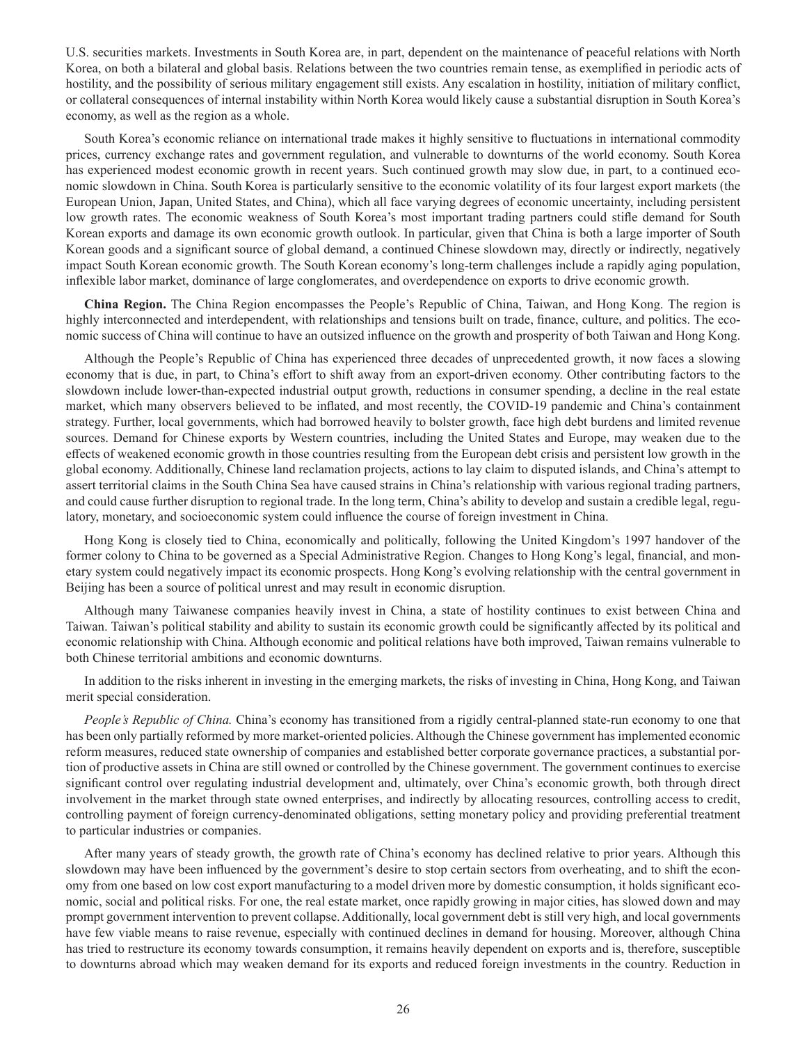U.S. securities markets. Investments in South Korea are, in part, dependent on the maintenance of peaceful relations with North Korea, on both a bilateral and global basis. Relations between the two countries remain tense, as exemplified in periodic acts of hostility, and the possibility of serious military engagement still exists. Any escalation in hostility, initiation of military conflict, or collateral consequences of internal instability within North Korea would likely cause a substantial disruption in South Korea's economy, as well as the region as a whole.

South Korea's economic reliance on international trade makes it highly sensitive to fluctuations in international commodity prices, currency exchange rates and government regulation, and vulnerable to downturns of the world economy. South Korea has experienced modest economic growth in recent years. Such continued growth may slow due, in part, to a continued economic slowdown in China. South Korea is particularly sensitive to the economic volatility of its four largest export markets (the European Union, Japan, United States, and China), which all face varying degrees of economic uncertainty, including persistent low growth rates. The economic weakness of South Korea's most important trading partners could stifle demand for South Korean exports and damage its own economic growth outlook. In particular, given that China is both a large importer of South Korean goods and a significant source of global demand, a continued Chinese slowdown may, directly or indirectly, negatively impact South Korean economic growth. The South Korean economy's long-term challenges include a rapidly aging population, inflexible labor market, dominance of large conglomerates, and overdependence on exports to drive economic growth.

**China Region.** The China Region encompasses the People's Republic of China, Taiwan, and Hong Kong. The region is highly interconnected and interdependent, with relationships and tensions built on trade, finance, culture, and politics. The economic success of China will continue to have an outsized influence on the growth and prosperity of both Taiwan and Hong Kong.

Although the People's Republic of China has experienced three decades of unprecedented growth, it now faces a slowing economy that is due, in part, to China's effort to shift away from an export-driven economy. Other contributing factors to the slowdown include lower-than-expected industrial output growth, reductions in consumer spending, a decline in the real estate market, which many observers believed to be inflated, and most recently, the COVID-19 pandemic and China's containment strategy. Further, local governments, which had borrowed heavily to bolster growth, face high debt burdens and limited revenue sources. Demand for Chinese exports by Western countries, including the United States and Europe, may weaken due to the effects of weakened economic growth in those countries resulting from the European debt crisis and persistent low growth in the global economy. Additionally, Chinese land reclamation projects, actions to lay claim to disputed islands, and China's attempt to assert territorial claims in the South China Sea have caused strains in China's relationship with various regional trading partners, and could cause further disruption to regional trade. In the long term, China's ability to develop and sustain a credible legal, regulatory, monetary, and socioeconomic system could influence the course of foreign investment in China.

Hong Kong is closely tied to China, economically and politically, following the United Kingdom's 1997 handover of the former colony to China to be governed as a Special Administrative Region. Changes to Hong Kong's legal, financial, and monetary system could negatively impact its economic prospects. Hong Kong's evolving relationship with the central government in Beijing has been a source of political unrest and may result in economic disruption.

Although many Taiwanese companies heavily invest in China, a state of hostility continues to exist between China and Taiwan. Taiwan's political stability and ability to sustain its economic growth could be significantly affected by its political and economic relationship with China. Although economic and political relations have both improved, Taiwan remains vulnerable to both Chinese territorial ambitions and economic downturns.

In addition to the risks inherent in investing in the emerging markets, the risks of investing in China, Hong Kong, and Taiwan merit special consideration.

*People's Republic of China.* China's economy has transitioned from a rigidly central-planned state-run economy to one that has been only partially reformed by more market-oriented policies. Although the Chinese government has implemented economic reform measures, reduced state ownership of companies and established better corporate governance practices, a substantial portion of productive assets in China are still owned or controlled by the Chinese government. The government continues to exercise significant control over regulating industrial development and, ultimately, over China's economic growth, both through direct involvement in the market through state owned enterprises, and indirectly by allocating resources, controlling access to credit, controlling payment of foreign currency-denominated obligations, setting monetary policy and providing preferential treatment to particular industries or companies.

After many years of steady growth, the growth rate of China's economy has declined relative to prior years. Although this slowdown may have been influenced by the government's desire to stop certain sectors from overheating, and to shift the economy from one based on low cost export manufacturing to a model driven more by domestic consumption, it holds significant economic, social and political risks. For one, the real estate market, once rapidly growing in major cities, has slowed down and may prompt government intervention to prevent collapse. Additionally, local government debt is still very high, and local governments have few viable means to raise revenue, especially with continued declines in demand for housing. Moreover, although China has tried to restructure its economy towards consumption, it remains heavily dependent on exports and is, therefore, susceptible to downturns abroad which may weaken demand for its exports and reduced foreign investments in the country. Reduction in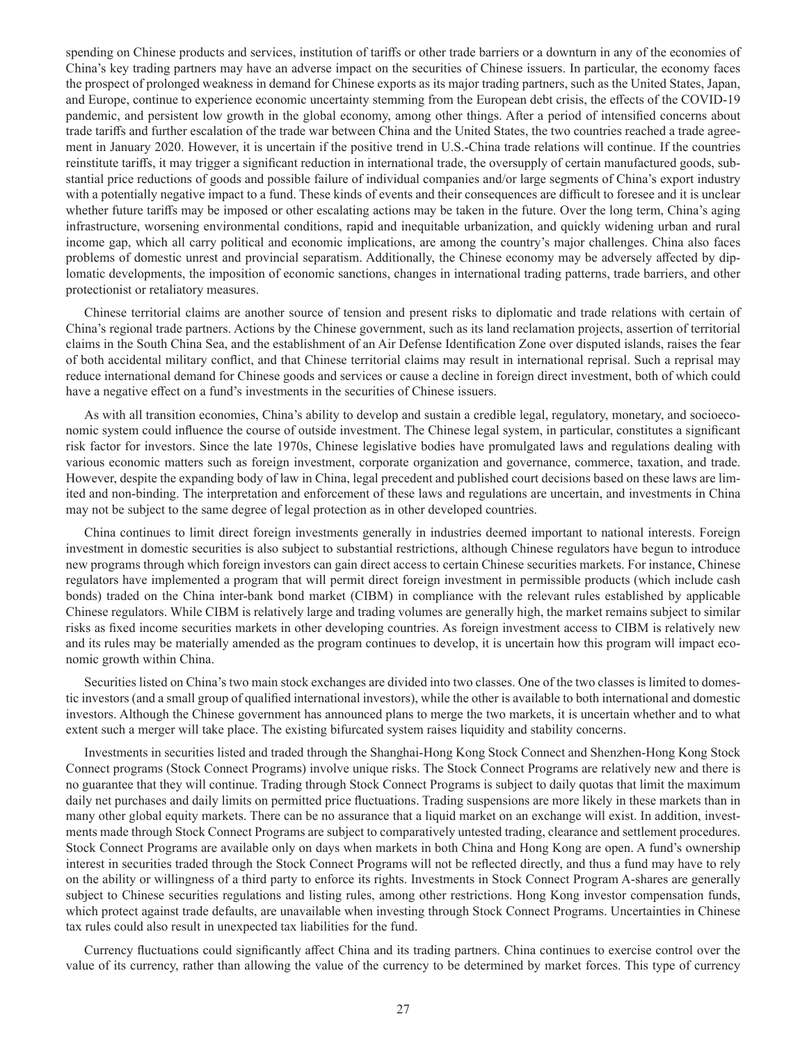spending on Chinese products and services, institution of tariffs or other trade barriers or a downturn in any of the economies of China's key trading partners may have an adverse impact on the securities of Chinese issuers. In particular, the economy faces the prospect of prolonged weakness in demand for Chinese exports as its major trading partners, such as the United States, Japan, and Europe, continue to experience economic uncertainty stemming from the European debt crisis, the effects of the COVID-19 pandemic, and persistent low growth in the global economy, among other things. After a period of intensified concerns about trade tariffs and further escalation of the trade war between China and the United States, the two countries reached a trade agreement in January 2020. However, it is uncertain if the positive trend in U.S.-China trade relations will continue. If the countries reinstitute tariffs, it may trigger a significant reduction in international trade, the oversupply of certain manufactured goods, substantial price reductions of goods and possible failure of individual companies and/or large segments of China's export industry with a potentially negative impact to a fund. These kinds of events and their consequences are difficult to foresee and it is unclear whether future tariffs may be imposed or other escalating actions may be taken in the future. Over the long term, China's aging infrastructure, worsening environmental conditions, rapid and inequitable urbanization, and quickly widening urban and rural income gap, which all carry political and economic implications, are among the country's major challenges. China also faces problems of domestic unrest and provincial separatism. Additionally, the Chinese economy may be adversely affected by diplomatic developments, the imposition of economic sanctions, changes in international trading patterns, trade barriers, and other protectionist or retaliatory measures.

Chinese territorial claims are another source of tension and present risks to diplomatic and trade relations with certain of China's regional trade partners. Actions by the Chinese government, such as its land reclamation projects, assertion of territorial claims in the South China Sea, and the establishment of an Air Defense Identification Zone over disputed islands, raises the fear of both accidental military conflict, and that Chinese territorial claims may result in international reprisal. Such a reprisal may reduce international demand for Chinese goods and services or cause a decline in foreign direct investment, both of which could have a negative effect on a fund's investments in the securities of Chinese issuers.

As with all transition economies, China's ability to develop and sustain a credible legal, regulatory, monetary, and socioeconomic system could influence the course of outside investment. The Chinese legal system, in particular, constitutes a significant risk factor for investors. Since the late 1970s, Chinese legislative bodies have promulgated laws and regulations dealing with various economic matters such as foreign investment, corporate organization and governance, commerce, taxation, and trade. However, despite the expanding body of law in China, legal precedent and published court decisions based on these laws are limited and non-binding. The interpretation and enforcement of these laws and regulations are uncertain, and investments in China may not be subject to the same degree of legal protection as in other developed countries.

China continues to limit direct foreign investments generally in industries deemed important to national interests. Foreign investment in domestic securities is also subject to substantial restrictions, although Chinese regulators have begun to introduce new programs through which foreign investors can gain direct access to certain Chinese securities markets. For instance, Chinese regulators have implemented a program that will permit direct foreign investment in permissible products (which include cash bonds) traded on the China inter-bank bond market (CIBM) in compliance with the relevant rules established by applicable Chinese regulators. While CIBM is relatively large and trading volumes are generally high, the market remains subject to similar risks as fixed income securities markets in other developing countries. As foreign investment access to CIBM is relatively new and its rules may be materially amended as the program continues to develop, it is uncertain how this program will impact economic growth within China.

Securities listed on China's two main stock exchanges are divided into two classes. One of the two classes is limited to domestic investors (and a small group of qualified international investors), while the other is available to both international and domestic investors. Although the Chinese government has announced plans to merge the two markets, it is uncertain whether and to what extent such a merger will take place. The existing bifurcated system raises liquidity and stability concerns.

Investments in securities listed and traded through the Shanghai-Hong Kong Stock Connect and Shenzhen-Hong Kong Stock Connect programs (Stock Connect Programs) involve unique risks. The Stock Connect Programs are relatively new and there is no guarantee that they will continue. Trading through Stock Connect Programs is subject to daily quotas that limit the maximum daily net purchases and daily limits on permitted price fluctuations. Trading suspensions are more likely in these markets than in many other global equity markets. There can be no assurance that a liquid market on an exchange will exist. In addition, investments made through Stock Connect Programs are subject to comparatively untested trading, clearance and settlement procedures. Stock Connect Programs are available only on days when markets in both China and Hong Kong are open. A fund's ownership interest in securities traded through the Stock Connect Programs will not be reflected directly, and thus a fund may have to rely on the ability or willingness of a third party to enforce its rights. Investments in Stock Connect Program A-shares are generally subject to Chinese securities regulations and listing rules, among other restrictions. Hong Kong investor compensation funds, which protect against trade defaults, are unavailable when investing through Stock Connect Programs. Uncertainties in Chinese tax rules could also result in unexpected tax liabilities for the fund.

Currency fluctuations could significantly affect China and its trading partners. China continues to exercise control over the value of its currency, rather than allowing the value of the currency to be determined by market forces. This type of currency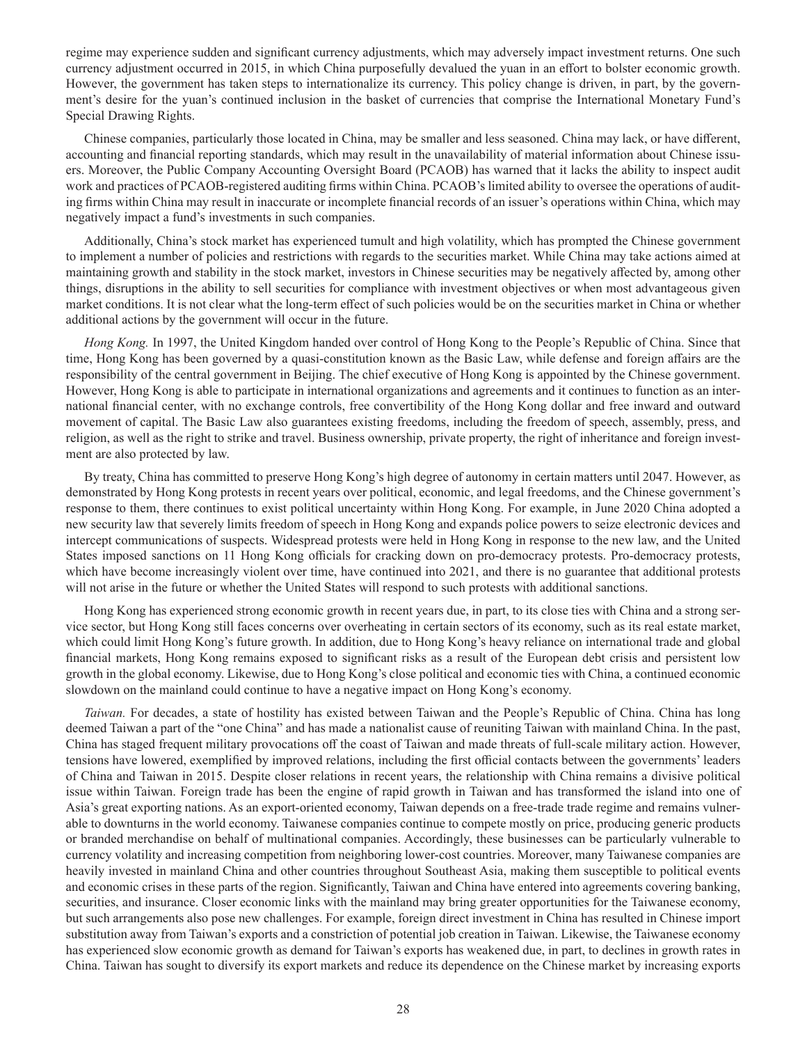regime may experience sudden and significant currency adjustments, which may adversely impact investment returns. One such currency adjustment occurred in 2015, in which China purposefully devalued the yuan in an effort to bolster economic growth. However, the government has taken steps to internationalize its currency. This policy change is driven, in part, by the government's desire for the yuan's continued inclusion in the basket of currencies that comprise the International Monetary Fund's Special Drawing Rights.

Chinese companies, particularly those located in China, may be smaller and less seasoned. China may lack, or have different, accounting and financial reporting standards, which may result in the unavailability of material information about Chinese issuers. Moreover, the Public Company Accounting Oversight Board (PCAOB) has warned that it lacks the ability to inspect audit work and practices of PCAOB-registered auditing firms within China. PCAOB's limited ability to oversee the operations of auditing firms within China may result in inaccurate or incomplete financial records of an issuer's operations within China, which may negatively impact a fund's investments in such companies.

Additionally, China's stock market has experienced tumult and high volatility, which has prompted the Chinese government to implement a number of policies and restrictions with regards to the securities market. While China may take actions aimed at maintaining growth and stability in the stock market, investors in Chinese securities may be negatively affected by, among other things, disruptions in the ability to sell securities for compliance with investment objectives or when most advantageous given market conditions. It is not clear what the long-term effect of such policies would be on the securities market in China or whether additional actions by the government will occur in the future.

*Hong Kong.* In 1997, the United Kingdom handed over control of Hong Kong to the People's Republic of China. Since that time, Hong Kong has been governed by a quasi-constitution known as the Basic Law, while defense and foreign affairs are the responsibility of the central government in Beijing. The chief executive of Hong Kong is appointed by the Chinese government. However, Hong Kong is able to participate in international organizations and agreements and it continues to function as an international financial center, with no exchange controls, free convertibility of the Hong Kong dollar and free inward and outward movement of capital. The Basic Law also guarantees existing freedoms, including the freedom of speech, assembly, press, and religion, as well as the right to strike and travel. Business ownership, private property, the right of inheritance and foreign investment are also protected by law.

By treaty, China has committed to preserve Hong Kong's high degree of autonomy in certain matters until 2047. However, as demonstrated by Hong Kong protests in recent years over political, economic, and legal freedoms, and the Chinese government's response to them, there continues to exist political uncertainty within Hong Kong. For example, in June 2020 China adopted a new security law that severely limits freedom of speech in Hong Kong and expands police powers to seize electronic devices and intercept communications of suspects. Widespread protests were held in Hong Kong in response to the new law, and the United States imposed sanctions on 11 Hong Kong officials for cracking down on pro-democracy protests. Pro-democracy protests, which have become increasingly violent over time, have continued into 2021, and there is no guarantee that additional protests will not arise in the future or whether the United States will respond to such protests with additional sanctions.

Hong Kong has experienced strong economic growth in recent years due, in part, to its close ties with China and a strong service sector, but Hong Kong still faces concerns over overheating in certain sectors of its economy, such as its real estate market, which could limit Hong Kong's future growth. In addition, due to Hong Kong's heavy reliance on international trade and global financial markets, Hong Kong remains exposed to significant risks as a result of the European debt crisis and persistent low growth in the global economy. Likewise, due to Hong Kong's close political and economic ties with China, a continued economic slowdown on the mainland could continue to have a negative impact on Hong Kong's economy.

*Taiwan.* For decades, a state of hostility has existed between Taiwan and the People's Republic of China. China has long deemed Taiwan a part of the "one China" and has made a nationalist cause of reuniting Taiwan with mainland China. In the past, China has staged frequent military provocations off the coast of Taiwan and made threats of full-scale military action. However, tensions have lowered, exemplified by improved relations, including the first official contacts between the governments' leaders of China and Taiwan in 2015. Despite closer relations in recent years, the relationship with China remains a divisive political issue within Taiwan. Foreign trade has been the engine of rapid growth in Taiwan and has transformed the island into one of Asia's great exporting nations. As an export-oriented economy, Taiwan depends on a free-trade trade regime and remains vulnerable to downturns in the world economy. Taiwanese companies continue to compete mostly on price, producing generic products or branded merchandise on behalf of multinational companies. Accordingly, these businesses can be particularly vulnerable to currency volatility and increasing competition from neighboring lower-cost countries. Moreover, many Taiwanese companies are heavily invested in mainland China and other countries throughout Southeast Asia, making them susceptible to political events and economic crises in these parts of the region. Significantly, Taiwan and China have entered into agreements covering banking, securities, and insurance. Closer economic links with the mainland may bring greater opportunities for the Taiwanese economy, but such arrangements also pose new challenges. For example, foreign direct investment in China has resulted in Chinese import substitution away from Taiwan's exports and a constriction of potential job creation in Taiwan. Likewise, the Taiwanese economy has experienced slow economic growth as demand for Taiwan's exports has weakened due, in part, to declines in growth rates in China. Taiwan has sought to diversify its export markets and reduce its dependence on the Chinese market by increasing exports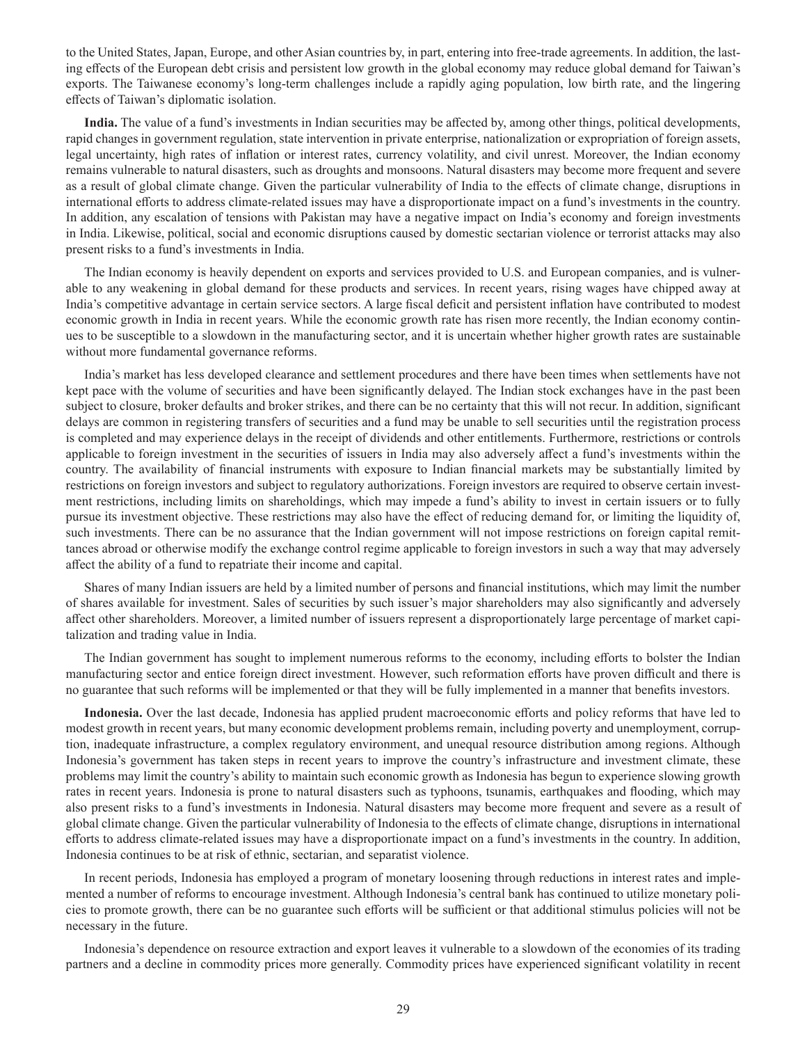to the United States, Japan, Europe, and other Asian countries by, in part, entering into free-trade agreements. In addition, the lasting effects of the European debt crisis and persistent low growth in the global economy may reduce global demand for Taiwan's exports. The Taiwanese economy's long-term challenges include a rapidly aging population, low birth rate, and the lingering effects of Taiwan's diplomatic isolation.

**India.** The value of a fund's investments in Indian securities may be affected by, among other things, political developments, rapid changes in government regulation, state intervention in private enterprise, nationalization or expropriation of foreign assets, legal uncertainty, high rates of inflation or interest rates, currency volatility, and civil unrest. Moreover, the Indian economy remains vulnerable to natural disasters, such as droughts and monsoons. Natural disasters may become more frequent and severe as a result of global climate change. Given the particular vulnerability of India to the effects of climate change, disruptions in international efforts to address climate-related issues may have a disproportionate impact on a fund's investments in the country. In addition, any escalation of tensions with Pakistan may have a negative impact on India's economy and foreign investments in India. Likewise, political, social and economic disruptions caused by domestic sectarian violence or terrorist attacks may also present risks to a fund's investments in India.

The Indian economy is heavily dependent on exports and services provided to U.S. and European companies, and is vulnerable to any weakening in global demand for these products and services. In recent years, rising wages have chipped away at India's competitive advantage in certain service sectors. A large fiscal deficit and persistent inflation have contributed to modest economic growth in India in recent years. While the economic growth rate has risen more recently, the Indian economy continues to be susceptible to a slowdown in the manufacturing sector, and it is uncertain whether higher growth rates are sustainable without more fundamental governance reforms.

India's market has less developed clearance and settlement procedures and there have been times when settlements have not kept pace with the volume of securities and have been significantly delayed. The Indian stock exchanges have in the past been subject to closure, broker defaults and broker strikes, and there can be no certainty that this will not recur. In addition, significant delays are common in registering transfers of securities and a fund may be unable to sell securities until the registration process is completed and may experience delays in the receipt of dividends and other entitlements. Furthermore, restrictions or controls applicable to foreign investment in the securities of issuers in India may also adversely affect a fund's investments within the country. The availability of financial instruments with exposure to Indian financial markets may be substantially limited by restrictions on foreign investors and subject to regulatory authorizations. Foreign investors are required to observe certain investment restrictions, including limits on shareholdings, which may impede a fund's ability to invest in certain issuers or to fully pursue its investment objective. These restrictions may also have the effect of reducing demand for, or limiting the liquidity of, such investments. There can be no assurance that the Indian government will not impose restrictions on foreign capital remittances abroad or otherwise modify the exchange control regime applicable to foreign investors in such a way that may adversely affect the ability of a fund to repatriate their income and capital.

Shares of many Indian issuers are held by a limited number of persons and financial institutions, which may limit the number of shares available for investment. Sales of securities by such issuer's major shareholders may also significantly and adversely affect other shareholders. Moreover, a limited number of issuers represent a disproportionately large percentage of market capitalization and trading value in India.

The Indian government has sought to implement numerous reforms to the economy, including efforts to bolster the Indian manufacturing sector and entice foreign direct investment. However, such reformation efforts have proven difficult and there is no guarantee that such reforms will be implemented or that they will be fully implemented in a manner that benefits investors.

**Indonesia.** Over the last decade, Indonesia has applied prudent macroeconomic efforts and policy reforms that have led to modest growth in recent years, but many economic development problems remain, including poverty and unemployment, corruption, inadequate infrastructure, a complex regulatory environment, and unequal resource distribution among regions. Although Indonesia's government has taken steps in recent years to improve the country's infrastructure and investment climate, these problems may limit the country's ability to maintain such economic growth as Indonesia has begun to experience slowing growth rates in recent years. Indonesia is prone to natural disasters such as typhoons, tsunamis, earthquakes and flooding, which may also present risks to a fund's investments in Indonesia. Natural disasters may become more frequent and severe as a result of global climate change. Given the particular vulnerability of Indonesia to the effects of climate change, disruptions in international efforts to address climate-related issues may have a disproportionate impact on a fund's investments in the country. In addition, Indonesia continues to be at risk of ethnic, sectarian, and separatist violence.

In recent periods, Indonesia has employed a program of monetary loosening through reductions in interest rates and implemented a number of reforms to encourage investment. Although Indonesia's central bank has continued to utilize monetary policies to promote growth, there can be no guarantee such efforts will be sufficient or that additional stimulus policies will not be necessary in the future.

Indonesia's dependence on resource extraction and export leaves it vulnerable to a slowdown of the economies of its trading partners and a decline in commodity prices more generally. Commodity prices have experienced significant volatility in recent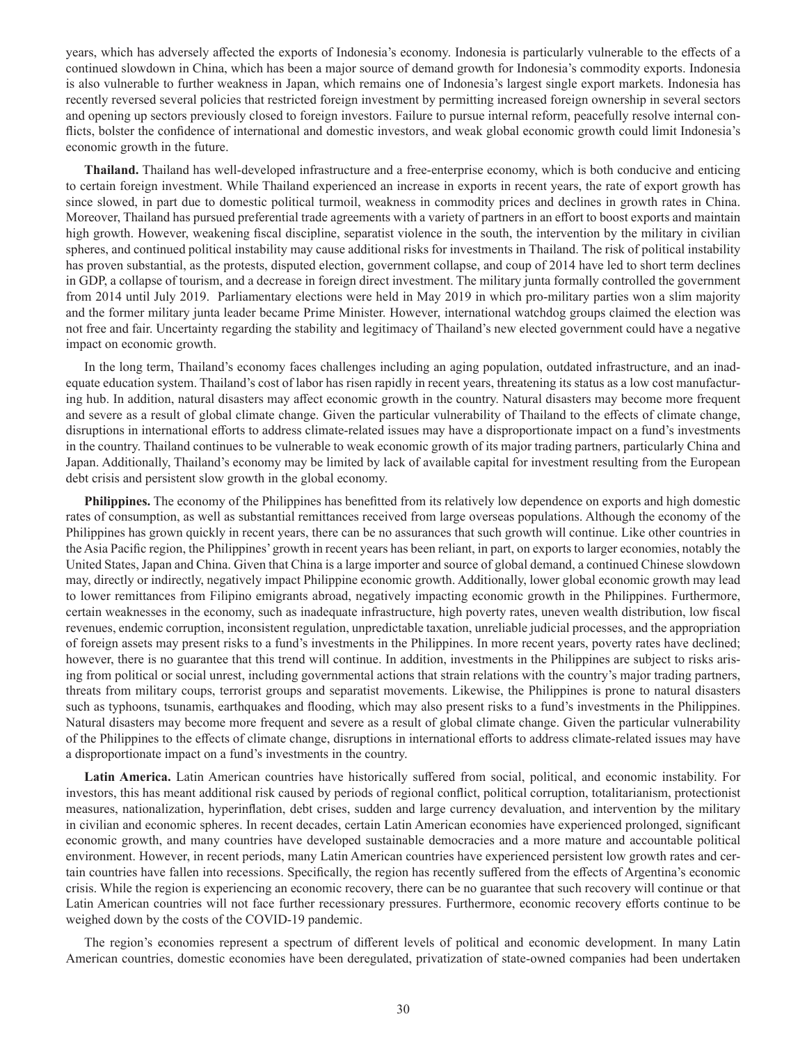years, which has adversely affected the exports of Indonesia's economy. Indonesia is particularly vulnerable to the effects of a continued slowdown in China, which has been a major source of demand growth for Indonesia's commodity exports. Indonesia is also vulnerable to further weakness in Japan, which remains one of Indonesia's largest single export markets. Indonesia has recently reversed several policies that restricted foreign investment by permitting increased foreign ownership in several sectors and opening up sectors previously closed to foreign investors. Failure to pursue internal reform, peacefully resolve internal conflicts, bolster the confidence of international and domestic investors, and weak global economic growth could limit Indonesia's economic growth in the future.

**Thailand.** Thailand has well-developed infrastructure and a free-enterprise economy, which is both conducive and enticing to certain foreign investment. While Thailand experienced an increase in exports in recent years, the rate of export growth has since slowed, in part due to domestic political turmoil, weakness in commodity prices and declines in growth rates in China. Moreover, Thailand has pursued preferential trade agreements with a variety of partners in an effort to boost exports and maintain high growth. However, weakening fiscal discipline, separatist violence in the south, the intervention by the military in civilian spheres, and continued political instability may cause additional risks for investments in Thailand. The risk of political instability has proven substantial, as the protests, disputed election, government collapse, and coup of 2014 have led to short term declines in GDP, a collapse of tourism, and a decrease in foreign direct investment. The military junta formally controlled the government from 2014 until July 2019. Parliamentary elections were held in May 2019 in which pro-military parties won a slim majority and the former military junta leader became Prime Minister. However, international watchdog groups claimed the election was not free and fair. Uncertainty regarding the stability and legitimacy of Thailand's new elected government could have a negative impact on economic growth.

In the long term, Thailand's economy faces challenges including an aging population, outdated infrastructure, and an inadequate education system. Thailand's cost of labor has risen rapidly in recent years, threatening its status as a low cost manufacturing hub. In addition, natural disasters may affect economic growth in the country. Natural disasters may become more frequent and severe as a result of global climate change. Given the particular vulnerability of Thailand to the effects of climate change, disruptions in international efforts to address climate-related issues may have a disproportionate impact on a fund's investments in the country. Thailand continues to be vulnerable to weak economic growth of its major trading partners, particularly China and Japan. Additionally, Thailand's economy may be limited by lack of available capital for investment resulting from the European debt crisis and persistent slow growth in the global economy.

**Philippines.** The economy of the Philippines has benefitted from its relatively low dependence on exports and high domestic rates of consumption, as well as substantial remittances received from large overseas populations. Although the economy of the Philippines has grown quickly in recent years, there can be no assurances that such growth will continue. Like other countries in the Asia Pacific region, the Philippines' growth in recent years has been reliant, in part, on exports to larger economies, notably the United States, Japan and China. Given that China is a large importer and source of global demand, a continued Chinese slowdown may, directly or indirectly, negatively impact Philippine economic growth. Additionally, lower global economic growth may lead to lower remittances from Filipino emigrants abroad, negatively impacting economic growth in the Philippines. Furthermore, certain weaknesses in the economy, such as inadequate infrastructure, high poverty rates, uneven wealth distribution, low fiscal revenues, endemic corruption, inconsistent regulation, unpredictable taxation, unreliable judicial processes, and the appropriation of foreign assets may present risks to a fund's investments in the Philippines. In more recent years, poverty rates have declined; however, there is no guarantee that this trend will continue. In addition, investments in the Philippines are subject to risks arising from political or social unrest, including governmental actions that strain relations with the country's major trading partners, threats from military coups, terrorist groups and separatist movements. Likewise, the Philippines is prone to natural disasters such as typhoons, tsunamis, earthquakes and flooding, which may also present risks to a fund's investments in the Philippines. Natural disasters may become more frequent and severe as a result of global climate change. Given the particular vulnerability of the Philippines to the effects of climate change, disruptions in international efforts to address climate-related issues may have a disproportionate impact on a fund's investments in the country.

**Latin America.** Latin American countries have historically suffered from social, political, and economic instability. For investors, this has meant additional risk caused by periods of regional conflict, political corruption, totalitarianism, protectionist measures, nationalization, hyperinflation, debt crises, sudden and large currency devaluation, and intervention by the military in civilian and economic spheres. In recent decades, certain Latin American economies have experienced prolonged, significant economic growth, and many countries have developed sustainable democracies and a more mature and accountable political environment. However, in recent periods, many Latin American countries have experienced persistent low growth rates and certain countries have fallen into recessions. Specifically, the region has recently suffered from the effects of Argentina's economic crisis. While the region is experiencing an economic recovery, there can be no guarantee that such recovery will continue or that Latin American countries will not face further recessionary pressures. Furthermore, economic recovery efforts continue to be weighed down by the costs of the COVID-19 pandemic.

The region's economies represent a spectrum of different levels of political and economic development. In many Latin American countries, domestic economies have been deregulated, privatization of state-owned companies had been undertaken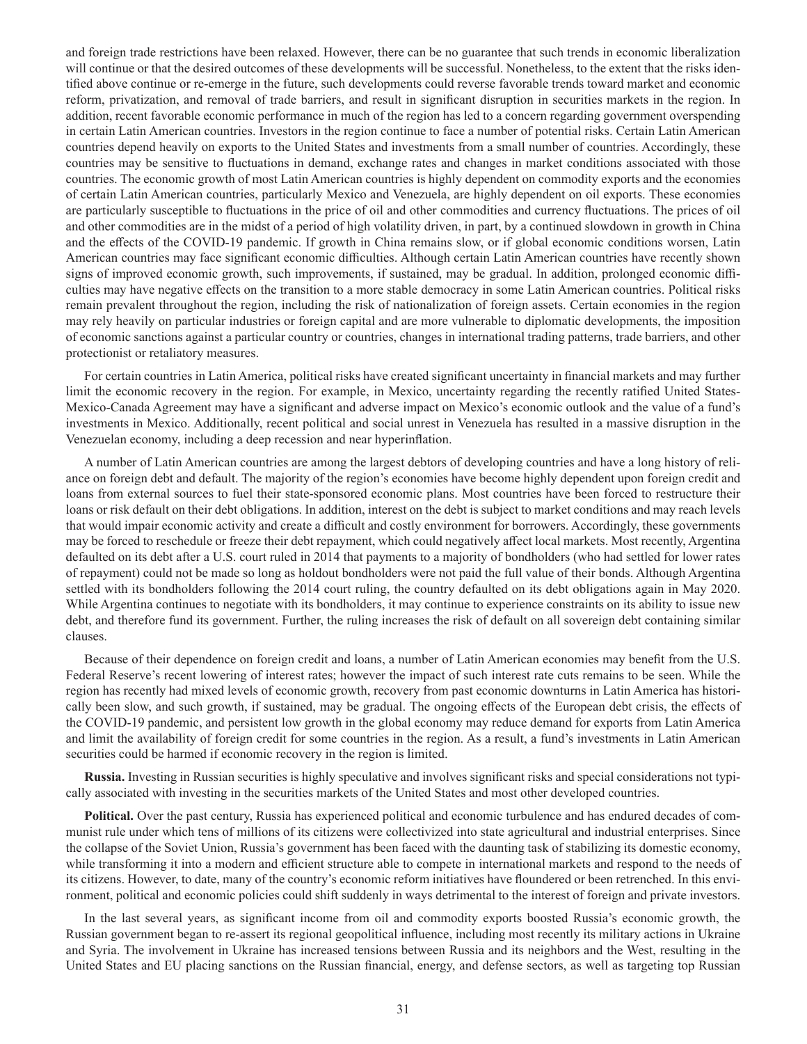and foreign trade restrictions have been relaxed. However, there can be no guarantee that such trends in economic liberalization will continue or that the desired outcomes of these developments will be successful. Nonetheless, to the extent that the risks identified above continue or re-emerge in the future, such developments could reverse favorable trends toward market and economic reform, privatization, and removal of trade barriers, and result in significant disruption in securities markets in the region. In addition, recent favorable economic performance in much of the region has led to a concern regarding government overspending in certain Latin American countries. Investors in the region continue to face a number of potential risks. Certain Latin American countries depend heavily on exports to the United States and investments from a small number of countries. Accordingly, these countries may be sensitive to fluctuations in demand, exchange rates and changes in market conditions associated with those countries. The economic growth of most Latin American countries is highly dependent on commodity exports and the economies of certain Latin American countries, particularly Mexico and Venezuela, are highly dependent on oil exports. These economies are particularly susceptible to fluctuations in the price of oil and other commodities and currency fluctuations. The prices of oil and other commodities are in the midst of a period of high volatility driven, in part, by a continued slowdown in growth in China and the effects of the COVID-19 pandemic. If growth in China remains slow, or if global economic conditions worsen, Latin American countries may face significant economic difficulties. Although certain Latin American countries have recently shown signs of improved economic growth, such improvements, if sustained, may be gradual. In addition, prolonged economic difficulties may have negative effects on the transition to a more stable democracy in some Latin American countries. Political risks remain prevalent throughout the region, including the risk of nationalization of foreign assets. Certain economies in the region may rely heavily on particular industries or foreign capital and are more vulnerable to diplomatic developments, the imposition of economic sanctions against a particular country or countries, changes in international trading patterns, trade barriers, and other protectionist or retaliatory measures.

For certain countries in Latin America, political risks have created significant uncertainty in financial markets and may further limit the economic recovery in the region. For example, in Mexico, uncertainty regarding the recently ratified United States-Mexico-Canada Agreement may have a significant and adverse impact on Mexico's economic outlook and the value of a fund's investments in Mexico. Additionally, recent political and social unrest in Venezuela has resulted in a massive disruption in the Venezuelan economy, including a deep recession and near hyperinflation.

A number of Latin American countries are among the largest debtors of developing countries and have a long history of reliance on foreign debt and default. The majority of the region's economies have become highly dependent upon foreign credit and loans from external sources to fuel their state-sponsored economic plans. Most countries have been forced to restructure their loans or risk default on their debt obligations. In addition, interest on the debt is subject to market conditions and may reach levels that would impair economic activity and create a difficult and costly environment for borrowers. Accordingly, these governments may be forced to reschedule or freeze their debt repayment, which could negatively affect local markets. Most recently, Argentina defaulted on its debt after a U.S. court ruled in 2014 that payments to a majority of bondholders (who had settled for lower rates of repayment) could not be made so long as holdout bondholders were not paid the full value of their bonds. Although Argentina settled with its bondholders following the 2014 court ruling, the country defaulted on its debt obligations again in May 2020. While Argentina continues to negotiate with its bondholders, it may continue to experience constraints on its ability to issue new debt, and therefore fund its government. Further, the ruling increases the risk of default on all sovereign debt containing similar clauses.

Because of their dependence on foreign credit and loans, a number of Latin American economies may benefit from the U.S. Federal Reserve's recent lowering of interest rates; however the impact of such interest rate cuts remains to be seen. While the region has recently had mixed levels of economic growth, recovery from past economic downturns in Latin America has historically been slow, and such growth, if sustained, may be gradual. The ongoing effects of the European debt crisis, the effects of the COVID-19 pandemic, and persistent low growth in the global economy may reduce demand for exports from Latin America and limit the availability of foreign credit for some countries in the region. As a result, a fund's investments in Latin American securities could be harmed if economic recovery in the region is limited.

**Russia.** Investing in Russian securities is highly speculative and involves significant risks and special considerations not typically associated with investing in the securities markets of the United States and most other developed countries.

**Political.** Over the past century, Russia has experienced political and economic turbulence and has endured decades of communist rule under which tens of millions of its citizens were collectivized into state agricultural and industrial enterprises. Since the collapse of the Soviet Union, Russia's government has been faced with the daunting task of stabilizing its domestic economy, while transforming it into a modern and efficient structure able to compete in international markets and respond to the needs of its citizens. However, to date, many of the country's economic reform initiatives have floundered or been retrenched. In this environment, political and economic policies could shift suddenly in ways detrimental to the interest of foreign and private investors.

In the last several years, as significant income from oil and commodity exports boosted Russia's economic growth, the Russian government began to re-assert its regional geopolitical influence, including most recently its military actions in Ukraine and Syria. The involvement in Ukraine has increased tensions between Russia and its neighbors and the West, resulting in the United States and EU placing sanctions on the Russian financial, energy, and defense sectors, as well as targeting top Russian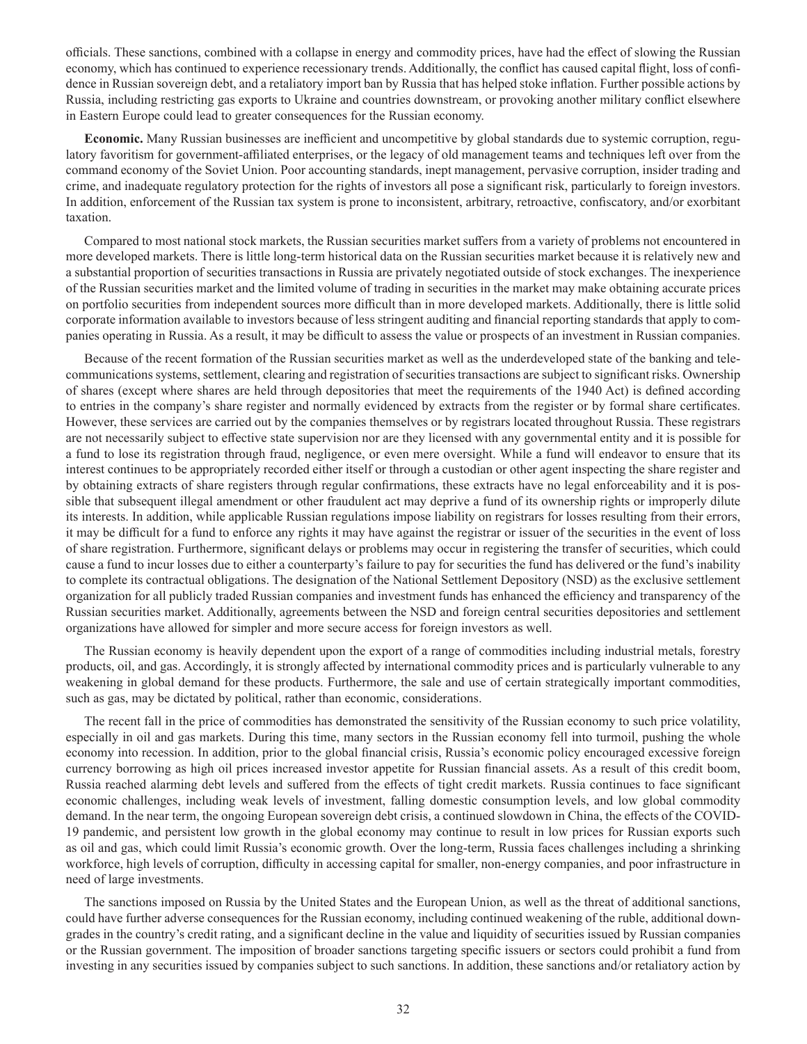officials. These sanctions, combined with a collapse in energy and commodity prices, have had the effect of slowing the Russian economy, which has continued to experience recessionary trends. Additionally, the conflict has caused capital flight, loss of confidence in Russian sovereign debt, and a retaliatory import ban by Russia that has helped stoke inflation. Further possible actions by Russia, including restricting gas exports to Ukraine and countries downstream, or provoking another military conflict elsewhere in Eastern Europe could lead to greater consequences for the Russian economy.

**Economic.** Many Russian businesses are inefficient and uncompetitive by global standards due to systemic corruption, regulatory favoritism for government-affiliated enterprises, or the legacy of old management teams and techniques left over from the command economy of the Soviet Union. Poor accounting standards, inept management, pervasive corruption, insider trading and crime, and inadequate regulatory protection for the rights of investors all pose a significant risk, particularly to foreign investors. In addition, enforcement of the Russian tax system is prone to inconsistent, arbitrary, retroactive, confiscatory, and/or exorbitant taxation.

Compared to most national stock markets, the Russian securities market suffers from a variety of problems not encountered in more developed markets. There is little long-term historical data on the Russian securities market because it is relatively new and a substantial proportion of securities transactions in Russia are privately negotiated outside of stock exchanges. The inexperience of the Russian securities market and the limited volume of trading in securities in the market may make obtaining accurate prices on portfolio securities from independent sources more difficult than in more developed markets. Additionally, there is little solid corporate information available to investors because of less stringent auditing and financial reporting standards that apply to companies operating in Russia. As a result, it may be difficult to assess the value or prospects of an investment in Russian companies.

Because of the recent formation of the Russian securities market as well as the underdeveloped state of the banking and telecommunications systems, settlement, clearing and registration of securities transactions are subject to significant risks. Ownership of shares (except where shares are held through depositories that meet the requirements of the 1940 Act) is defined according to entries in the company's share register and normally evidenced by extracts from the register or by formal share certificates. However, these services are carried out by the companies themselves or by registrars located throughout Russia. These registrars are not necessarily subject to effective state supervision nor are they licensed with any governmental entity and it is possible for a fund to lose its registration through fraud, negligence, or even mere oversight. While a fund will endeavor to ensure that its interest continues to be appropriately recorded either itself or through a custodian or other agent inspecting the share register and by obtaining extracts of share registers through regular confirmations, these extracts have no legal enforceability and it is possible that subsequent illegal amendment or other fraudulent act may deprive a fund of its ownership rights or improperly dilute its interests. In addition, while applicable Russian regulations impose liability on registrars for losses resulting from their errors, it may be difficult for a fund to enforce any rights it may have against the registrar or issuer of the securities in the event of loss of share registration. Furthermore, significant delays or problems may occur in registering the transfer of securities, which could cause a fund to incur losses due to either a counterparty's failure to pay for securities the fund has delivered or the fund's inability to complete its contractual obligations. The designation of the National Settlement Depository (NSD) as the exclusive settlement organization for all publicly traded Russian companies and investment funds has enhanced the efficiency and transparency of the Russian securities market. Additionally, agreements between the NSD and foreign central securities depositories and settlement organizations have allowed for simpler and more secure access for foreign investors as well.

The Russian economy is heavily dependent upon the export of a range of commodities including industrial metals, forestry products, oil, and gas. Accordingly, it is strongly affected by international commodity prices and is particularly vulnerable to any weakening in global demand for these products. Furthermore, the sale and use of certain strategically important commodities, such as gas, may be dictated by political, rather than economic, considerations.

The recent fall in the price of commodities has demonstrated the sensitivity of the Russian economy to such price volatility, especially in oil and gas markets. During this time, many sectors in the Russian economy fell into turmoil, pushing the whole economy into recession. In addition, prior to the global financial crisis, Russia's economic policy encouraged excessive foreign currency borrowing as high oil prices increased investor appetite for Russian financial assets. As a result of this credit boom, Russia reached alarming debt levels and suffered from the effects of tight credit markets. Russia continues to face significant economic challenges, including weak levels of investment, falling domestic consumption levels, and low global commodity demand. In the near term, the ongoing European sovereign debt crisis, a continued slowdown in China, the effects of the COVID-19 pandemic, and persistent low growth in the global economy may continue to result in low prices for Russian exports such as oil and gas, which could limit Russia's economic growth. Over the long-term, Russia faces challenges including a shrinking workforce, high levels of corruption, difficulty in accessing capital for smaller, non-energy companies, and poor infrastructure in need of large investments.

The sanctions imposed on Russia by the United States and the European Union, as well as the threat of additional sanctions, could have further adverse consequences for the Russian economy, including continued weakening of the ruble, additional downgrades in the country's credit rating, and a significant decline in the value and liquidity of securities issued by Russian companies or the Russian government. The imposition of broader sanctions targeting specific issuers or sectors could prohibit a fund from investing in any securities issued by companies subject to such sanctions. In addition, these sanctions and/or retaliatory action by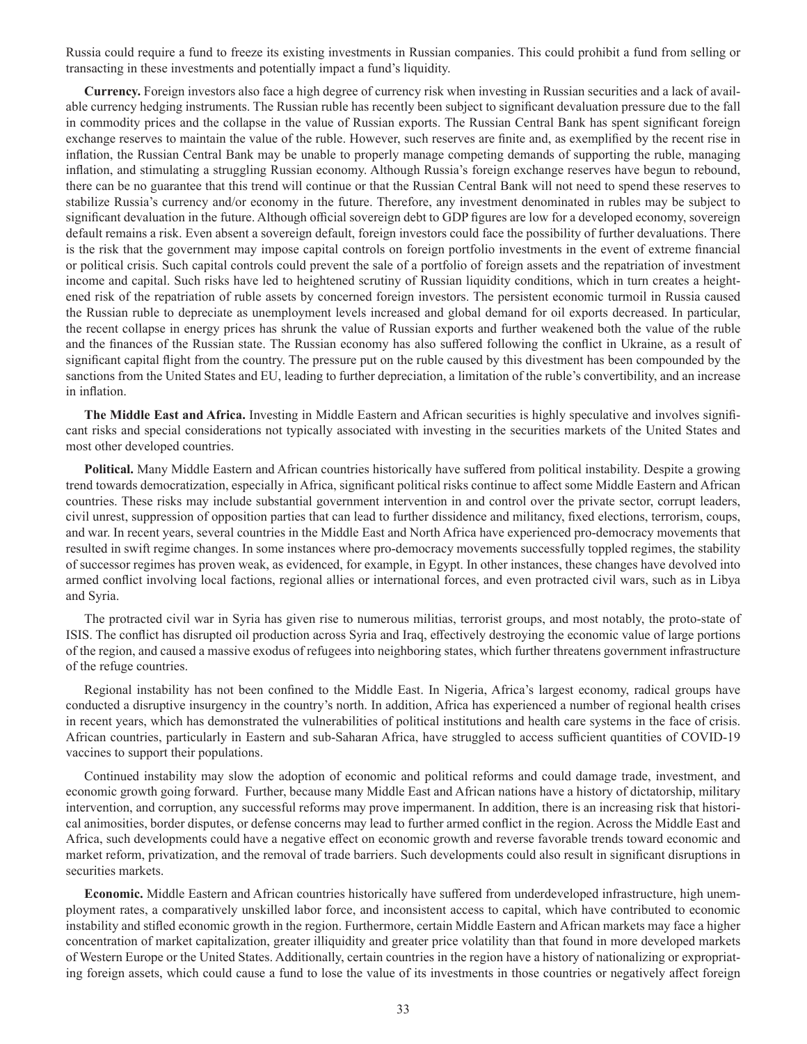Russia could require a fund to freeze its existing investments in Russian companies. This could prohibit a fund from selling or transacting in these investments and potentially impact a fund's liquidity.

**Currency.** Foreign investors also face a high degree of currency risk when investing in Russian securities and a lack of available currency hedging instruments. The Russian ruble has recently been subject to significant devaluation pressure due to the fall in commodity prices and the collapse in the value of Russian exports. The Russian Central Bank has spent significant foreign exchange reserves to maintain the value of the ruble. However, such reserves are finite and, as exemplified by the recent rise in inflation, the Russian Central Bank may be unable to properly manage competing demands of supporting the ruble, managing inflation, and stimulating a struggling Russian economy. Although Russia's foreign exchange reserves have begun to rebound, there can be no guarantee that this trend will continue or that the Russian Central Bank will not need to spend these reserves to stabilize Russia's currency and/or economy in the future. Therefore, any investment denominated in rubles may be subject to significant devaluation in the future. Although official sovereign debt to GDP figures are low for a developed economy, sovereign default remains a risk. Even absent a sovereign default, foreign investors could face the possibility of further devaluations. There is the risk that the government may impose capital controls on foreign portfolio investments in the event of extreme financial or political crisis. Such capital controls could prevent the sale of a portfolio of foreign assets and the repatriation of investment income and capital. Such risks have led to heightened scrutiny of Russian liquidity conditions, which in turn creates a heightened risk of the repatriation of ruble assets by concerned foreign investors. The persistent economic turmoil in Russia caused the Russian ruble to depreciate as unemployment levels increased and global demand for oil exports decreased. In particular, the recent collapse in energy prices has shrunk the value of Russian exports and further weakened both the value of the ruble and the finances of the Russian state. The Russian economy has also suffered following the conflict in Ukraine, as a result of significant capital flight from the country. The pressure put on the ruble caused by this divestment has been compounded by the sanctions from the United States and EU, leading to further depreciation, a limitation of the ruble's convertibility, and an increase in inflation.

**The Middle East and Africa.** Investing in Middle Eastern and African securities is highly speculative and involves significant risks and special considerations not typically associated with investing in the securities markets of the United States and most other developed countries.

**Political.** Many Middle Eastern and African countries historically have suffered from political instability. Despite a growing trend towards democratization, especially in Africa, significant political risks continue to affect some Middle Eastern and African countries. These risks may include substantial government intervention in and control over the private sector, corrupt leaders, civil unrest, suppression of opposition parties that can lead to further dissidence and militancy, fixed elections, terrorism, coups, and war. In recent years, several countries in the Middle East and North Africa have experienced pro-democracy movements that resulted in swift regime changes. In some instances where pro-democracy movements successfully toppled regimes, the stability of successor regimes has proven weak, as evidenced, for example, in Egypt. In other instances, these changes have devolved into armed conflict involving local factions, regional allies or international forces, and even protracted civil wars, such as in Libya and Syria.

The protracted civil war in Syria has given rise to numerous militias, terrorist groups, and most notably, the proto-state of ISIS. The conflict has disrupted oil production across Syria and Iraq, effectively destroying the economic value of large portions of the region, and caused a massive exodus of refugees into neighboring states, which further threatens government infrastructure of the refuge countries.

Regional instability has not been confined to the Middle East. In Nigeria, Africa's largest economy, radical groups have conducted a disruptive insurgency in the country's north. In addition, Africa has experienced a number of regional health crises in recent years, which has demonstrated the vulnerabilities of political institutions and health care systems in the face of crisis. African countries, particularly in Eastern and sub-Saharan Africa, have struggled to access sufficient quantities of COVID-19 vaccines to support their populations.

Continued instability may slow the adoption of economic and political reforms and could damage trade, investment, and economic growth going forward. Further, because many Middle East and African nations have a history of dictatorship, military intervention, and corruption, any successful reforms may prove impermanent. In addition, there is an increasing risk that historical animosities, border disputes, or defense concerns may lead to further armed conflict in the region. Across the Middle East and Africa, such developments could have a negative effect on economic growth and reverse favorable trends toward economic and market reform, privatization, and the removal of trade barriers. Such developments could also result in significant disruptions in securities markets.

**Economic.** Middle Eastern and African countries historically have suffered from underdeveloped infrastructure, high unemployment rates, a comparatively unskilled labor force, and inconsistent access to capital, which have contributed to economic instability and stifled economic growth in the region. Furthermore, certain Middle Eastern and African markets may face a higher concentration of market capitalization, greater illiquidity and greater price volatility than that found in more developed markets of Western Europe or the United States. Additionally, certain countries in the region have a history of nationalizing or expropriating foreign assets, which could cause a fund to lose the value of its investments in those countries or negatively affect foreign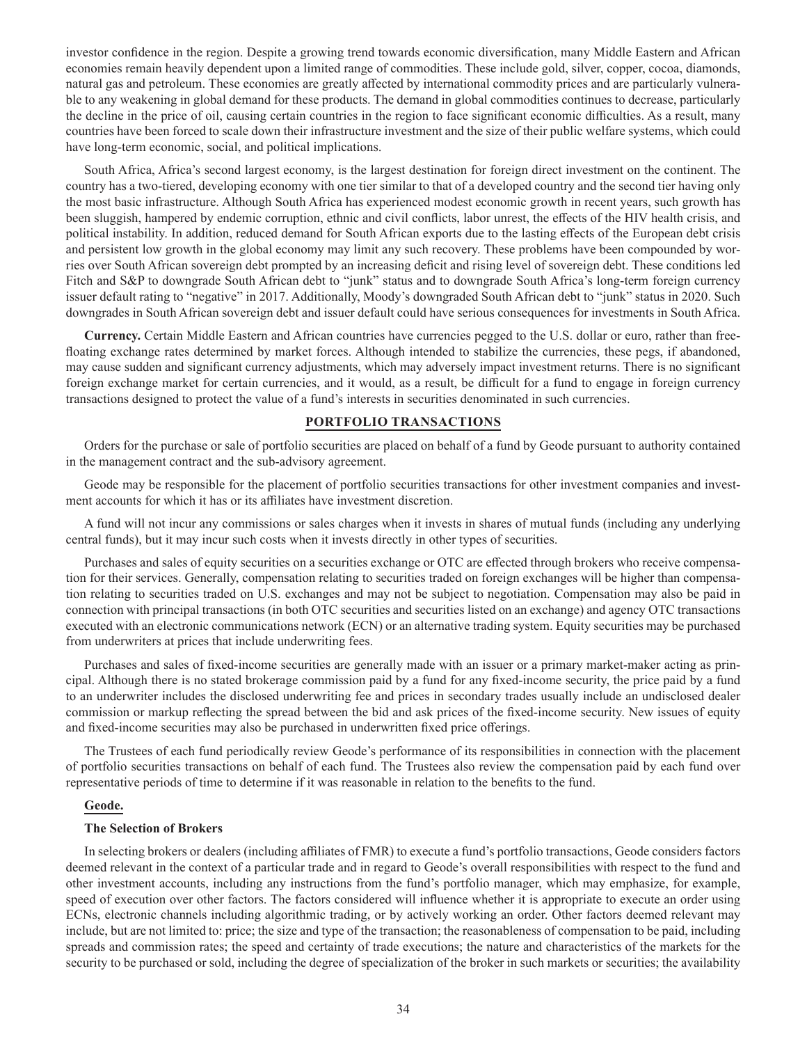investor confidence in the region. Despite a growing trend towards economic diversification, many Middle Eastern and African economies remain heavily dependent upon a limited range of commodities. These include gold, silver, copper, cocoa, diamonds, natural gas and petroleum. These economies are greatly affected by international commodity prices and are particularly vulnerable to any weakening in global demand for these products. The demand in global commodities continues to decrease, particularly the decline in the price of oil, causing certain countries in the region to face significant economic difficulties. As a result, many countries have been forced to scale down their infrastructure investment and the size of their public welfare systems, which could have long-term economic, social, and political implications.

South Africa, Africa's second largest economy, is the largest destination for foreign direct investment on the continent. The country has a two-tiered, developing economy with one tier similar to that of a developed country and the second tier having only the most basic infrastructure. Although South Africa has experienced modest economic growth in recent years, such growth has been sluggish, hampered by endemic corruption, ethnic and civil conflicts, labor unrest, the effects of the HIV health crisis, and political instability. In addition, reduced demand for South African exports due to the lasting effects of the European debt crisis and persistent low growth in the global economy may limit any such recovery. These problems have been compounded by worries over South African sovereign debt prompted by an increasing deficit and rising level of sovereign debt. These conditions led Fitch and S&P to downgrade South African debt to "junk" status and to downgrade South Africa's long-term foreign currency issuer default rating to "negative" in 2017. Additionally, Moody's downgraded South African debt to "junk" status in 2020. Such downgrades in South African sovereign debt and issuer default could have serious consequences for investments in South Africa.

**Currency.** Certain Middle Eastern and African countries have currencies pegged to the U.S. dollar or euro, rather than freefloating exchange rates determined by market forces. Although intended to stabilize the currencies, these pegs, if abandoned, may cause sudden and significant currency adjustments, which may adversely impact investment returns. There is no significant foreign exchange market for certain currencies, and it would, as a result, be difficult for a fund to engage in foreign currency transactions designed to protect the value of a fund's interests in securities denominated in such currencies.

### **PORTFOLIO TRANSACTIONS**

Orders for the purchase or sale of portfolio securities are placed on behalf of a fund by Geode pursuant to authority contained in the management contract and the sub-advisory agreement.

Geode may be responsible for the placement of portfolio securities transactions for other investment companies and investment accounts for which it has or its affiliates have investment discretion.

A fund will not incur any commissions or sales charges when it invests in shares of mutual funds (including any underlying central funds), but it may incur such costs when it invests directly in other types of securities.

Purchases and sales of equity securities on a securities exchange or OTC are effected through brokers who receive compensation for their services. Generally, compensation relating to securities traded on foreign exchanges will be higher than compensation relating to securities traded on U.S. exchanges and may not be subject to negotiation. Compensation may also be paid in connection with principal transactions (in both OTC securities and securities listed on an exchange) and agency OTC transactions executed with an electronic communications network (ECN) or an alternative trading system. Equity securities may be purchased from underwriters at prices that include underwriting fees.

Purchases and sales of fixed-income securities are generally made with an issuer or a primary market-maker acting as principal. Although there is no stated brokerage commission paid by a fund for any fixed-income security, the price paid by a fund to an underwriter includes the disclosed underwriting fee and prices in secondary trades usually include an undisclosed dealer commission or markup reflecting the spread between the bid and ask prices of the fixed-income security. New issues of equity and fixed-income securities may also be purchased in underwritten fixed price offerings.

The Trustees of each fund periodically review Geode's performance of its responsibilities in connection with the placement of portfolio securities transactions on behalf of each fund. The Trustees also review the compensation paid by each fund over representative periods of time to determine if it was reasonable in relation to the benefits to the fund.

### **Geode.**

#### **The Selection of Brokers**

In selecting brokers or dealers (including affiliates of FMR) to execute a fund's portfolio transactions, Geode considers factors deemed relevant in the context of a particular trade and in regard to Geode's overall responsibilities with respect to the fund and other investment accounts, including any instructions from the fund's portfolio manager, which may emphasize, for example, speed of execution over other factors. The factors considered will influence whether it is appropriate to execute an order using ECNs, electronic channels including algorithmic trading, or by actively working an order. Other factors deemed relevant may include, but are not limited to: price; the size and type of the transaction; the reasonableness of compensation to be paid, including spreads and commission rates; the speed and certainty of trade executions; the nature and characteristics of the markets for the security to be purchased or sold, including the degree of specialization of the broker in such markets or securities; the availability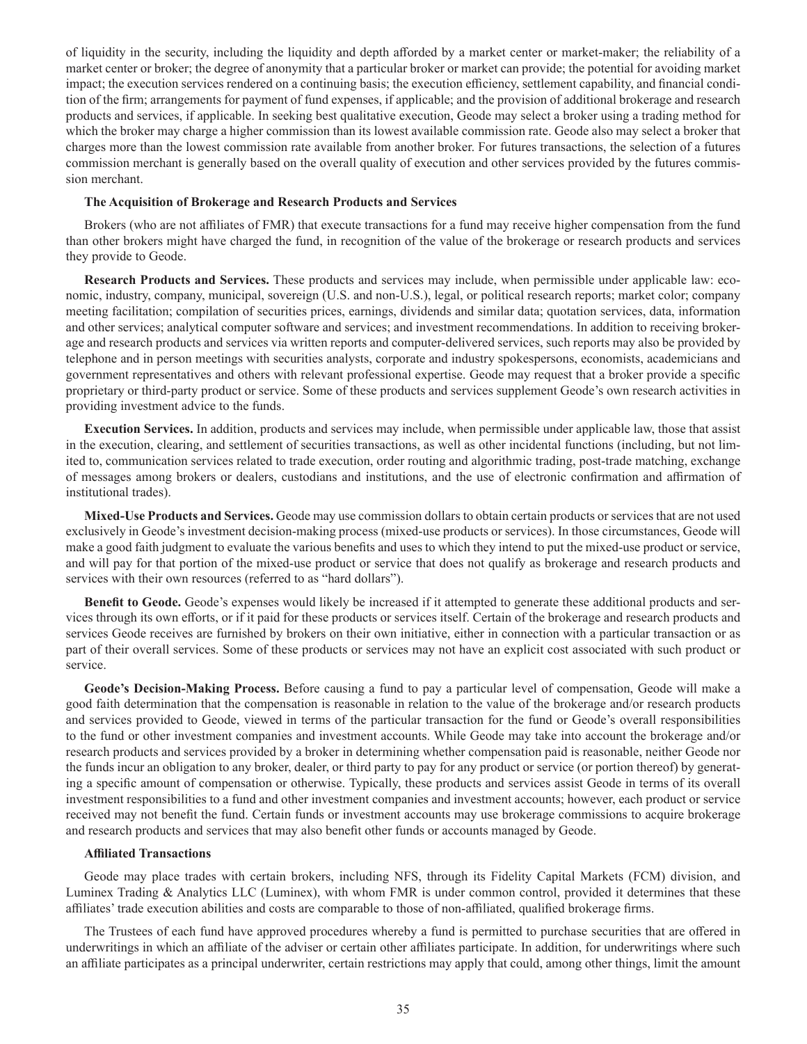of liquidity in the security, including the liquidity and depth afforded by a market center or market-maker; the reliability of a market center or broker; the degree of anonymity that a particular broker or market can provide; the potential for avoiding market impact; the execution services rendered on a continuing basis; the execution efficiency, settlement capability, and financial condition of the firm; arrangements for payment of fund expenses, if applicable; and the provision of additional brokerage and research products and services, if applicable. In seeking best qualitative execution, Geode may select a broker using a trading method for which the broker may charge a higher commission than its lowest available commission rate. Geode also may select a broker that charges more than the lowest commission rate available from another broker. For futures transactions, the selection of a futures commission merchant is generally based on the overall quality of execution and other services provided by the futures commission merchant.

#### **The Acquisition of Brokerage and Research Products and Services**

Brokers (who are not affiliates of FMR) that execute transactions for a fund may receive higher compensation from the fund than other brokers might have charged the fund, in recognition of the value of the brokerage or research products and services they provide to Geode.

**Research Products and Services.** These products and services may include, when permissible under applicable law: economic, industry, company, municipal, sovereign (U.S. and non-U.S.), legal, or political research reports; market color; company meeting facilitation; compilation of securities prices, earnings, dividends and similar data; quotation services, data, information and other services; analytical computer software and services; and investment recommendations. In addition to receiving brokerage and research products and services via written reports and computer-delivered services, such reports may also be provided by telephone and in person meetings with securities analysts, corporate and industry spokespersons, economists, academicians and government representatives and others with relevant professional expertise. Geode may request that a broker provide a specific proprietary or third-party product or service. Some of these products and services supplement Geode's own research activities in providing investment advice to the funds.

**Execution Services.** In addition, products and services may include, when permissible under applicable law, those that assist in the execution, clearing, and settlement of securities transactions, as well as other incidental functions (including, but not limited to, communication services related to trade execution, order routing and algorithmic trading, post-trade matching, exchange of messages among brokers or dealers, custodians and institutions, and the use of electronic confirmation and affirmation of institutional trades).

**Mixed-Use Products and Services.** Geode may use commission dollars to obtain certain products or services that are not used exclusively in Geode's investment decision-making process (mixed-use products or services). In those circumstances, Geode will make a good faith judgment to evaluate the various benefits and uses to which they intend to put the mixed-use product or service, and will pay for that portion of the mixed-use product or service that does not qualify as brokerage and research products and services with their own resources (referred to as "hard dollars").

**Benefit to Geode.** Geode's expenses would likely be increased if it attempted to generate these additional products and services through its own efforts, or if it paid for these products or services itself. Certain of the brokerage and research products and services Geode receives are furnished by brokers on their own initiative, either in connection with a particular transaction or as part of their overall services. Some of these products or services may not have an explicit cost associated with such product or service.

**Geode's Decision-Making Process.** Before causing a fund to pay a particular level of compensation, Geode will make a good faith determination that the compensation is reasonable in relation to the value of the brokerage and/or research products and services provided to Geode, viewed in terms of the particular transaction for the fund or Geode's overall responsibilities to the fund or other investment companies and investment accounts. While Geode may take into account the brokerage and/or research products and services provided by a broker in determining whether compensation paid is reasonable, neither Geode nor the funds incur an obligation to any broker, dealer, or third party to pay for any product or service (or portion thereof) by generating a specific amount of compensation or otherwise. Typically, these products and services assist Geode in terms of its overall investment responsibilities to a fund and other investment companies and investment accounts; however, each product or service received may not benefit the fund. Certain funds or investment accounts may use brokerage commissions to acquire brokerage and research products and services that may also benefit other funds or accounts managed by Geode.

#### **Affiliated Transactions**

Geode may place trades with certain brokers, including NFS, through its Fidelity Capital Markets (FCM) division, and Luminex Trading & Analytics LLC (Luminex), with whom FMR is under common control, provided it determines that these affiliates' trade execution abilities and costs are comparable to those of non-affiliated, qualified brokerage firms.

The Trustees of each fund have approved procedures whereby a fund is permitted to purchase securities that are offered in underwritings in which an affiliate of the adviser or certain other affiliates participate. In addition, for underwritings where such an affiliate participates as a principal underwriter, certain restrictions may apply that could, among other things, limit the amount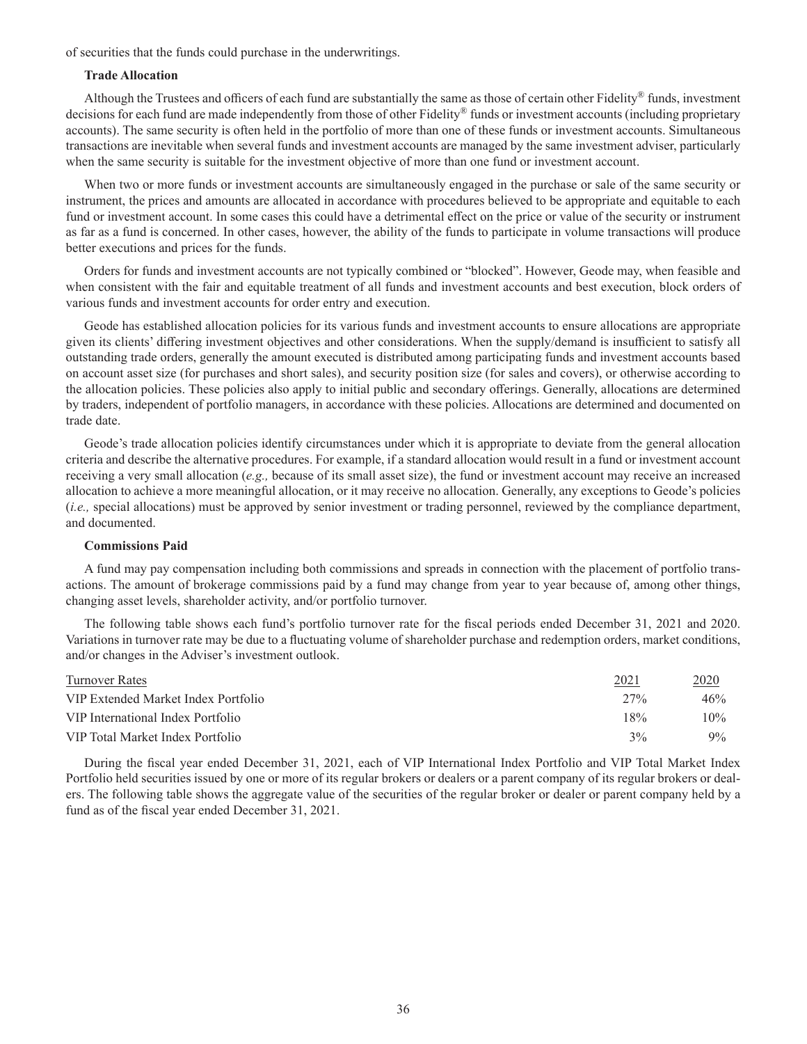of securities that the funds could purchase in the underwritings.

#### **Trade Allocation**

Although the Trustees and officers of each fund are substantially the same as those of certain other Fidelity® funds, investment decisions for each fund are made independently from those of other Fidelity® funds or investment accounts (including proprietary accounts). The same security is often held in the portfolio of more than one of these funds or investment accounts. Simultaneous transactions are inevitable when several funds and investment accounts are managed by the same investment adviser, particularly when the same security is suitable for the investment objective of more than one fund or investment account.

When two or more funds or investment accounts are simultaneously engaged in the purchase or sale of the same security or instrument, the prices and amounts are allocated in accordance with procedures believed to be appropriate and equitable to each fund or investment account. In some cases this could have a detrimental effect on the price or value of the security or instrument as far as a fund is concerned. In other cases, however, the ability of the funds to participate in volume transactions will produce better executions and prices for the funds.

Orders for funds and investment accounts are not typically combined or "blocked". However, Geode may, when feasible and when consistent with the fair and equitable treatment of all funds and investment accounts and best execution, block orders of various funds and investment accounts for order entry and execution.

Geode has established allocation policies for its various funds and investment accounts to ensure allocations are appropriate given its clients' differing investment objectives and other considerations. When the supply/demand is insufficient to satisfy all outstanding trade orders, generally the amount executed is distributed among participating funds and investment accounts based on account asset size (for purchases and short sales), and security position size (for sales and covers), or otherwise according to the allocation policies. These policies also apply to initial public and secondary offerings. Generally, allocations are determined by traders, independent of portfolio managers, in accordance with these policies. Allocations are determined and documented on trade date.

Geode's trade allocation policies identify circumstances under which it is appropriate to deviate from the general allocation criteria and describe the alternative procedures. For example, if a standard allocation would result in a fund or investment account receiving a very small allocation (*e.g.,* because of its small asset size), the fund or investment account may receive an increased allocation to achieve a more meaningful allocation, or it may receive no allocation. Generally, any exceptions to Geode's policies (*i.e.,* special allocations) must be approved by senior investment or trading personnel, reviewed by the compliance department, and documented.

#### **Commissions Paid**

A fund may pay compensation including both commissions and spreads in connection with the placement of portfolio transactions. The amount of brokerage commissions paid by a fund may change from year to year because of, among other things, changing asset levels, shareholder activity, and/or portfolio turnover.

The following table shows each fund's portfolio turnover rate for the fiscal periods ended December 31, 2021 and 2020. Variations in turnover rate may be due to a fluctuating volume of shareholder purchase and redemption orders, market conditions, and/or changes in the Adviser's investment outlook.

| Turnover Rates                      | 2021   | 2020   |
|-------------------------------------|--------|--------|
| VIP Extended Market Index Portfolio | $27\%$ | 46%    |
| VIP International Index Portfolio   | 18%    | $10\%$ |
| VIP Total Market Index Portfolio    | 3%     | $9\%$  |

During the fiscal year ended December 31, 2021, each of VIP International Index Portfolio and VIP Total Market Index Portfolio held securities issued by one or more of its regular brokers or dealers or a parent company of its regular brokers or dealers. The following table shows the aggregate value of the securities of the regular broker or dealer or parent company held by a fund as of the fiscal year ended December 31, 2021.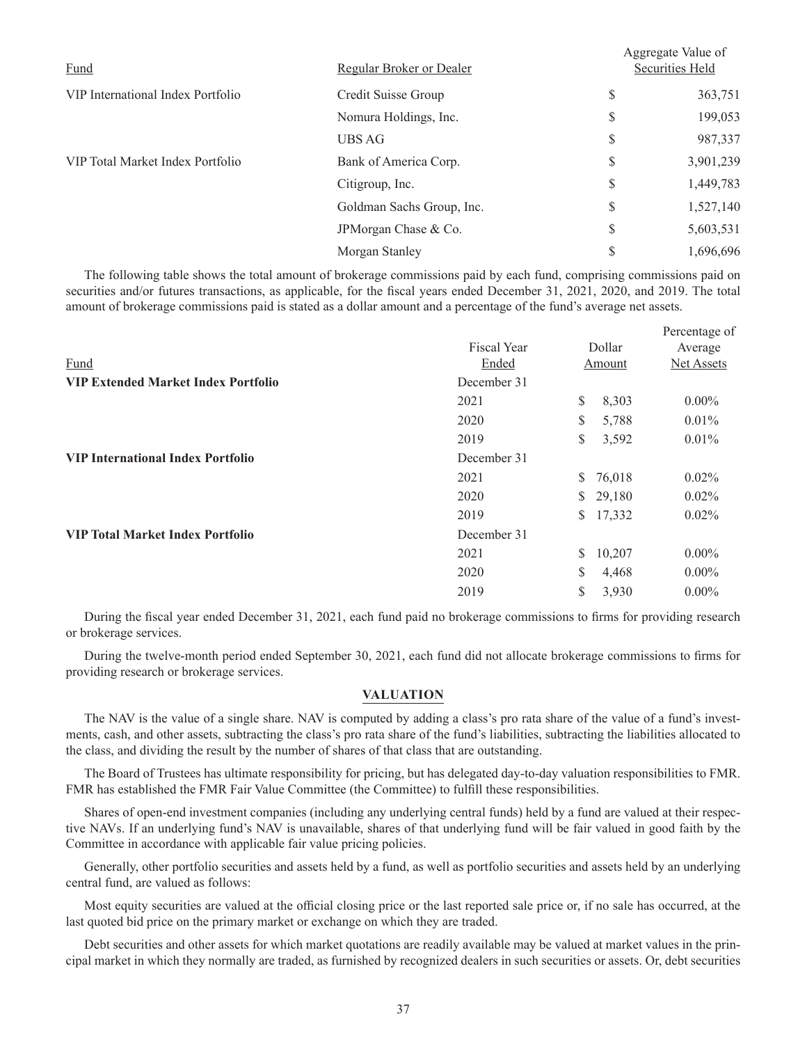| Fund                              | Regular Broker or Dealer  | Aggregate Value of<br>Securities Held |           |  |
|-----------------------------------|---------------------------|---------------------------------------|-----------|--|
| VIP International Index Portfolio | Credit Suisse Group       | \$                                    | 363,751   |  |
|                                   | Nomura Holdings, Inc.     | \$                                    | 199,053   |  |
|                                   | UBS AG                    | \$                                    | 987,337   |  |
| VIP Total Market Index Portfolio  | Bank of America Corp.     | \$                                    | 3,901,239 |  |
|                                   | Citigroup, Inc.           | \$                                    | 1,449,783 |  |
|                                   | Goldman Sachs Group, Inc. | \$                                    | 1,527,140 |  |
|                                   | JPMorgan Chase & Co.      | \$                                    | 5,603,531 |  |
|                                   | Morgan Stanley            | \$                                    | 1,696,696 |  |

The following table shows the total amount of brokerage commissions paid by each fund, comprising commissions paid on securities and/or futures transactions, as applicable, for the fiscal years ended December 31, 2021, 2020, and 2019. The total amount of brokerage commissions paid is stated as a dollar amount and a percentage of the fund's average net assets.

|                                            |             |              | Percentage of |
|--------------------------------------------|-------------|--------------|---------------|
|                                            | Fiscal Year | Dollar       | Average       |
| Fund                                       | Ended       | Amount       | Net Assets    |
| <b>VIP Extended Market Index Portfolio</b> | December 31 |              |               |
|                                            | 2021        | \$<br>8,303  | $0.00\%$      |
|                                            | 2020        | \$<br>5,788  | 0.01%         |
|                                            | 2019        | \$<br>3,592  | 0.01%         |
| <b>VIP International Index Portfolio</b>   | December 31 |              |               |
|                                            | 2021        | \$76,018     | 0.02%         |
|                                            | 2020        | \$29,180     | $0.02\%$      |
|                                            | 2019        | 17,332<br>S. | $0.02\%$      |
| <b>VIP Total Market Index Portfolio</b>    | December 31 |              |               |
|                                            | 2021        | \$<br>10,207 | $0.00\%$      |
|                                            | 2020        | \$<br>4,468  | $0.00\%$      |
|                                            | 2019        | \$<br>3,930  | $0.00\%$      |

During the fiscal year ended December 31, 2021, each fund paid no brokerage commissions to firms for providing research or brokerage services.

During the twelve-month period ended September 30, 2021, each fund did not allocate brokerage commissions to firms for providing research or brokerage services.

### **VALUATION**

The NAV is the value of a single share. NAV is computed by adding a class's pro rata share of the value of a fund's investments, cash, and other assets, subtracting the class's pro rata share of the fund's liabilities, subtracting the liabilities allocated to the class, and dividing the result by the number of shares of that class that are outstanding.

The Board of Trustees has ultimate responsibility for pricing, but has delegated day-to-day valuation responsibilities to FMR. FMR has established the FMR Fair Value Committee (the Committee) to fulfill these responsibilities.

Shares of open-end investment companies (including any underlying central funds) held by a fund are valued at their respective NAVs. If an underlying fund's NAV is unavailable, shares of that underlying fund will be fair valued in good faith by the Committee in accordance with applicable fair value pricing policies.

Generally, other portfolio securities and assets held by a fund, as well as portfolio securities and assets held by an underlying central fund, are valued as follows:

Most equity securities are valued at the official closing price or the last reported sale price or, if no sale has occurred, at the last quoted bid price on the primary market or exchange on which they are traded.

Debt securities and other assets for which market quotations are readily available may be valued at market values in the principal market in which they normally are traded, as furnished by recognized dealers in such securities or assets. Or, debt securities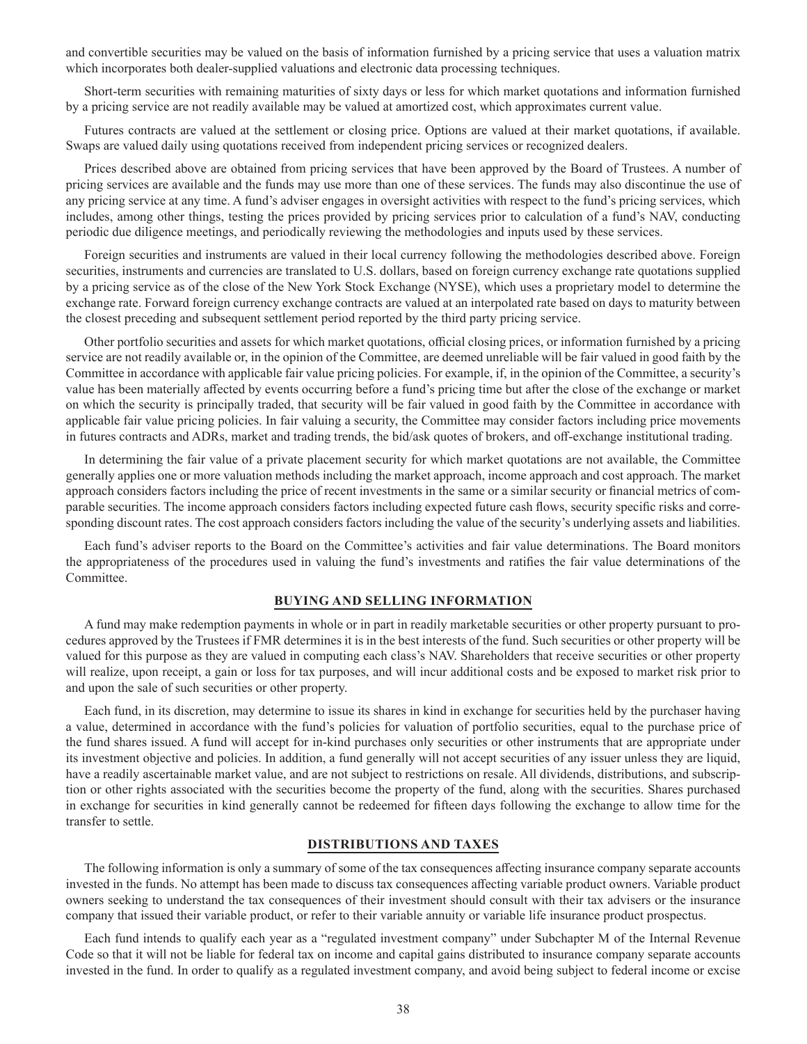and convertible securities may be valued on the basis of information furnished by a pricing service that uses a valuation matrix which incorporates both dealer-supplied valuations and electronic data processing techniques.

Short-term securities with remaining maturities of sixty days or less for which market quotations and information furnished by a pricing service are not readily available may be valued at amortized cost, which approximates current value.

Futures contracts are valued at the settlement or closing price. Options are valued at their market quotations, if available. Swaps are valued daily using quotations received from independent pricing services or recognized dealers.

Prices described above are obtained from pricing services that have been approved by the Board of Trustees. A number of pricing services are available and the funds may use more than one of these services. The funds may also discontinue the use of any pricing service at any time. A fund's adviser engages in oversight activities with respect to the fund's pricing services, which includes, among other things, testing the prices provided by pricing services prior to calculation of a fund's NAV, conducting periodic due diligence meetings, and periodically reviewing the methodologies and inputs used by these services.

Foreign securities and instruments are valued in their local currency following the methodologies described above. Foreign securities, instruments and currencies are translated to U.S. dollars, based on foreign currency exchange rate quotations supplied by a pricing service as of the close of the New York Stock Exchange (NYSE), which uses a proprietary model to determine the exchange rate. Forward foreign currency exchange contracts are valued at an interpolated rate based on days to maturity between the closest preceding and subsequent settlement period reported by the third party pricing service.

Other portfolio securities and assets for which market quotations, official closing prices, or information furnished by a pricing service are not readily available or, in the opinion of the Committee, are deemed unreliable will be fair valued in good faith by the Committee in accordance with applicable fair value pricing policies. For example, if, in the opinion of the Committee, a security's value has been materially affected by events occurring before a fund's pricing time but after the close of the exchange or market on which the security is principally traded, that security will be fair valued in good faith by the Committee in accordance with applicable fair value pricing policies. In fair valuing a security, the Committee may consider factors including price movements in futures contracts and ADRs, market and trading trends, the bid/ask quotes of brokers, and off-exchange institutional trading.

In determining the fair value of a private placement security for which market quotations are not available, the Committee generally applies one or more valuation methods including the market approach, income approach and cost approach. The market approach considers factors including the price of recent investments in the same or a similar security or financial metrics of comparable securities. The income approach considers factors including expected future cash flows, security specific risks and corresponding discount rates. The cost approach considers factors including the value of the security's underlying assets and liabilities.

Each fund's adviser reports to the Board on the Committee's activities and fair value determinations. The Board monitors the appropriateness of the procedures used in valuing the fund's investments and ratifies the fair value determinations of the Committee.

### **BUYING AND SELLING INFORMATION**

A fund may make redemption payments in whole or in part in readily marketable securities or other property pursuant to procedures approved by the Trustees if FMR determines it is in the best interests of the fund. Such securities or other property will be valued for this purpose as they are valued in computing each class's NAV. Shareholders that receive securities or other property will realize, upon receipt, a gain or loss for tax purposes, and will incur additional costs and be exposed to market risk prior to and upon the sale of such securities or other property.

Each fund, in its discretion, may determine to issue its shares in kind in exchange for securities held by the purchaser having a value, determined in accordance with the fund's policies for valuation of portfolio securities, equal to the purchase price of the fund shares issued. A fund will accept for in-kind purchases only securities or other instruments that are appropriate under its investment objective and policies. In addition, a fund generally will not accept securities of any issuer unless they are liquid, have a readily ascertainable market value, and are not subject to restrictions on resale. All dividends, distributions, and subscription or other rights associated with the securities become the property of the fund, along with the securities. Shares purchased in exchange for securities in kind generally cannot be redeemed for fifteen days following the exchange to allow time for the transfer to settle.

#### **DISTRIBUTIONS AND TAXES**

The following information is only a summary of some of the tax consequences affecting insurance company separate accounts invested in the funds. No attempt has been made to discuss tax consequences affecting variable product owners. Variable product owners seeking to understand the tax consequences of their investment should consult with their tax advisers or the insurance company that issued their variable product, or refer to their variable annuity or variable life insurance product prospectus.

Each fund intends to qualify each year as a "regulated investment company" under Subchapter M of the Internal Revenue Code so that it will not be liable for federal tax on income and capital gains distributed to insurance company separate accounts invested in the fund. In order to qualify as a regulated investment company, and avoid being subject to federal income or excise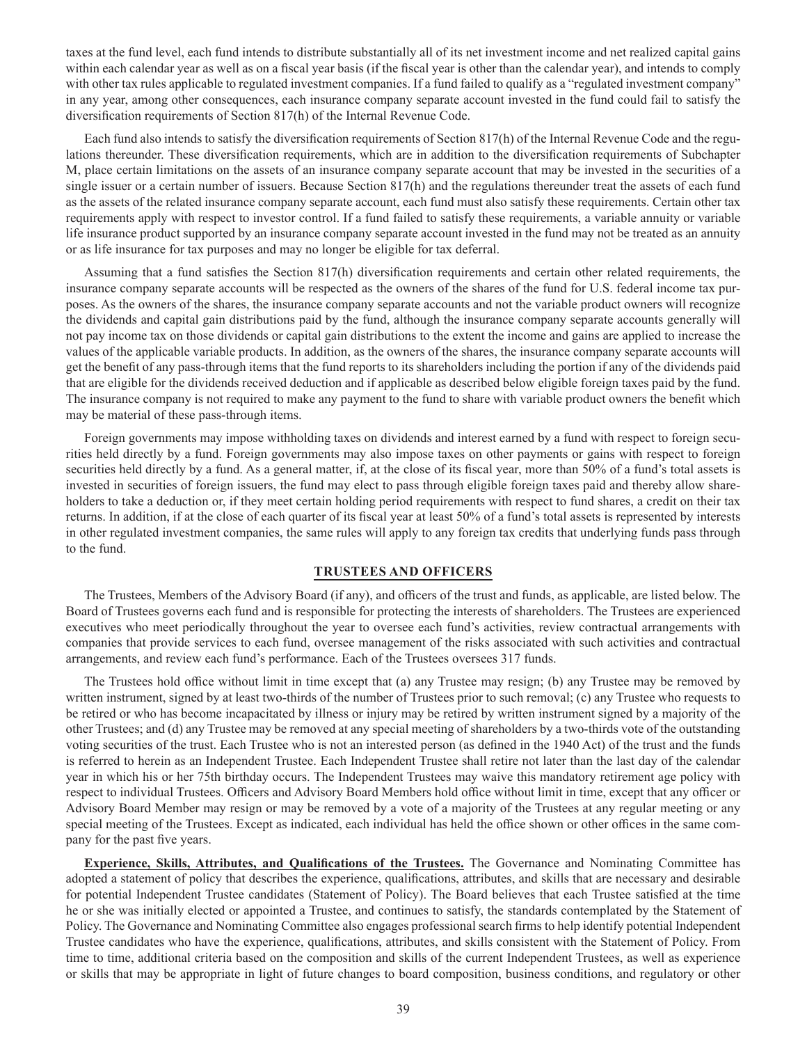taxes at the fund level, each fund intends to distribute substantially all of its net investment income and net realized capital gains within each calendar year as well as on a fiscal year basis (if the fiscal year is other than the calendar year), and intends to comply with other tax rules applicable to regulated investment companies. If a fund failed to qualify as a "regulated investment company" in any year, among other consequences, each insurance company separate account invested in the fund could fail to satisfy the diversification requirements of Section 817(h) of the Internal Revenue Code.

Each fund also intends to satisfy the diversification requirements of Section 817(h) of the Internal Revenue Code and the regulations thereunder. These diversification requirements, which are in addition to the diversification requirements of Subchapter M, place certain limitations on the assets of an insurance company separate account that may be invested in the securities of a single issuer or a certain number of issuers. Because Section 817(h) and the regulations thereunder treat the assets of each fund as the assets of the related insurance company separate account, each fund must also satisfy these requirements. Certain other tax requirements apply with respect to investor control. If a fund failed to satisfy these requirements, a variable annuity or variable life insurance product supported by an insurance company separate account invested in the fund may not be treated as an annuity or as life insurance for tax purposes and may no longer be eligible for tax deferral.

Assuming that a fund satisfies the Section 817(h) diversification requirements and certain other related requirements, the insurance company separate accounts will be respected as the owners of the shares of the fund for U.S. federal income tax purposes. As the owners of the shares, the insurance company separate accounts and not the variable product owners will recognize the dividends and capital gain distributions paid by the fund, although the insurance company separate accounts generally will not pay income tax on those dividends or capital gain distributions to the extent the income and gains are applied to increase the values of the applicable variable products. In addition, as the owners of the shares, the insurance company separate accounts will get the benefit of any pass-through items that the fund reports to its shareholders including the portion if any of the dividends paid that are eligible for the dividends received deduction and if applicable as described below eligible foreign taxes paid by the fund. The insurance company is not required to make any payment to the fund to share with variable product owners the benefit which may be material of these pass-through items.

Foreign governments may impose withholding taxes on dividends and interest earned by a fund with respect to foreign securities held directly by a fund. Foreign governments may also impose taxes on other payments or gains with respect to foreign securities held directly by a fund. As a general matter, if, at the close of its fiscal year, more than 50% of a fund's total assets is invested in securities of foreign issuers, the fund may elect to pass through eligible foreign taxes paid and thereby allow shareholders to take a deduction or, if they meet certain holding period requirements with respect to fund shares, a credit on their tax returns. In addition, if at the close of each quarter of its fiscal year at least 50% of a fund's total assets is represented by interests in other regulated investment companies, the same rules will apply to any foreign tax credits that underlying funds pass through to the fund.

### **TRUSTEES AND OFFICERS**

The Trustees, Members of the Advisory Board (if any), and officers of the trust and funds, as applicable, are listed below. The Board of Trustees governs each fund and is responsible for protecting the interests of shareholders. The Trustees are experienced executives who meet periodically throughout the year to oversee each fund's activities, review contractual arrangements with companies that provide services to each fund, oversee management of the risks associated with such activities and contractual arrangements, and review each fund's performance. Each of the Trustees oversees 317 funds.

The Trustees hold office without limit in time except that (a) any Trustee may resign; (b) any Trustee may be removed by written instrument, signed by at least two-thirds of the number of Trustees prior to such removal; (c) any Trustee who requests to be retired or who has become incapacitated by illness or injury may be retired by written instrument signed by a majority of the other Trustees; and (d) any Trustee may be removed at any special meeting of shareholders by a two-thirds vote of the outstanding voting securities of the trust. Each Trustee who is not an interested person (as defined in the 1940 Act) of the trust and the funds is referred to herein as an Independent Trustee. Each Independent Trustee shall retire not later than the last day of the calendar year in which his or her 75th birthday occurs. The Independent Trustees may waive this mandatory retirement age policy with respect to individual Trustees. Officers and Advisory Board Members hold office without limit in time, except that any officer or Advisory Board Member may resign or may be removed by a vote of a majority of the Trustees at any regular meeting or any special meeting of the Trustees. Except as indicated, each individual has held the office shown or other offices in the same company for the past five years.

**Experience, Skills, Attributes, and Qualifications of the Trustees.** The Governance and Nominating Committee has adopted a statement of policy that describes the experience, qualifications, attributes, and skills that are necessary and desirable for potential Independent Trustee candidates (Statement of Policy). The Board believes that each Trustee satisfied at the time he or she was initially elected or appointed a Trustee, and continues to satisfy, the standards contemplated by the Statement of Policy. The Governance and Nominating Committee also engages professional search firms to help identify potential Independent Trustee candidates who have the experience, qualifications, attributes, and skills consistent with the Statement of Policy. From time to time, additional criteria based on the composition and skills of the current Independent Trustees, as well as experience or skills that may be appropriate in light of future changes to board composition, business conditions, and regulatory or other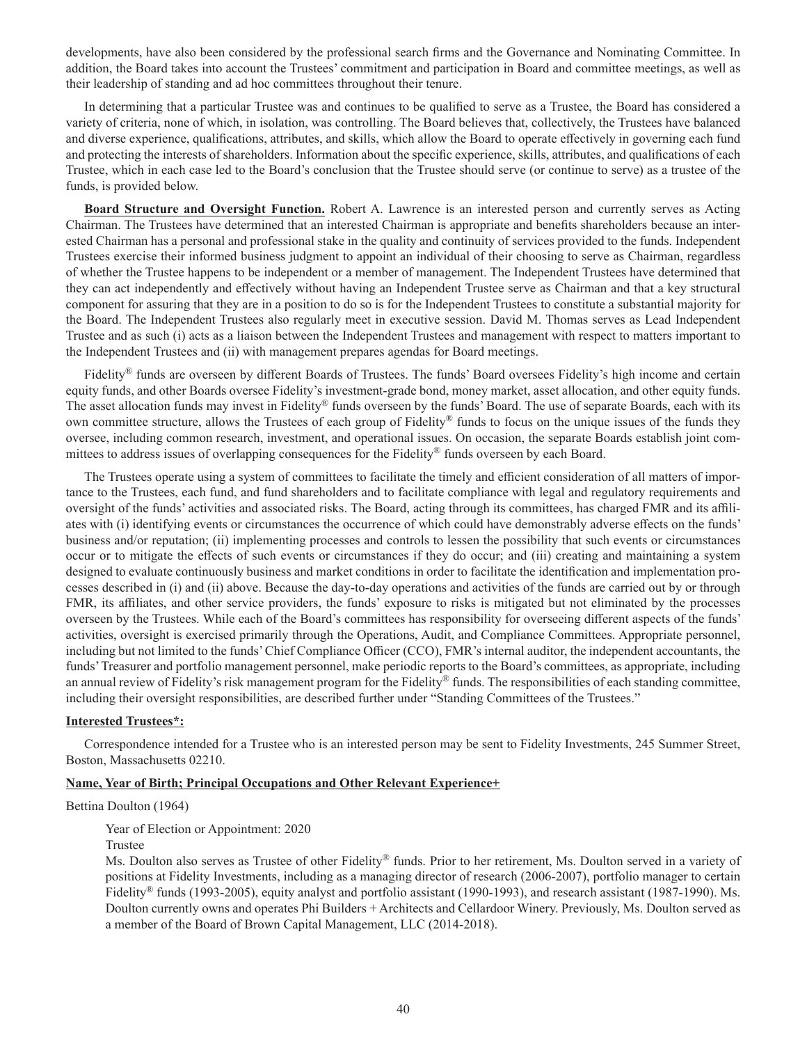developments, have also been considered by the professional search firms and the Governance and Nominating Committee. In addition, the Board takes into account the Trustees' commitment and participation in Board and committee meetings, as well as their leadership of standing and ad hoc committees throughout their tenure.

In determining that a particular Trustee was and continues to be qualified to serve as a Trustee, the Board has considered a variety of criteria, none of which, in isolation, was controlling. The Board believes that, collectively, the Trustees have balanced and diverse experience, qualifications, attributes, and skills, which allow the Board to operate effectively in governing each fund and protecting the interests of shareholders. Information about the specific experience, skills, attributes, and qualifications of each Trustee, which in each case led to the Board's conclusion that the Trustee should serve (or continue to serve) as a trustee of the funds, is provided below.

**Board Structure and Oversight Function.** Robert A. Lawrence is an interested person and currently serves as Acting Chairman. The Trustees have determined that an interested Chairman is appropriate and benefits shareholders because an interested Chairman has a personal and professional stake in the quality and continuity of services provided to the funds. Independent Trustees exercise their informed business judgment to appoint an individual of their choosing to serve as Chairman, regardless of whether the Trustee happens to be independent or a member of management. The Independent Trustees have determined that they can act independently and effectively without having an Independent Trustee serve as Chairman and that a key structural component for assuring that they are in a position to do so is for the Independent Trustees to constitute a substantial majority for the Board. The Independent Trustees also regularly meet in executive session. David M. Thomas serves as Lead Independent Trustee and as such (i) acts as a liaison between the Independent Trustees and management with respect to matters important to the Independent Trustees and (ii) with management prepares agendas for Board meetings.

Fidelity<sup>®</sup> funds are overseen by different Boards of Trustees. The funds' Board oversees Fidelity's high income and certain equity funds, and other Boards oversee Fidelity's investment-grade bond, money market, asset allocation, and other equity funds. The asset allocation funds may invest in Fidelity® funds overseen by the funds' Board. The use of separate Boards, each with its own committee structure, allows the Trustees of each group of Fidelity® funds to focus on the unique issues of the funds they oversee, including common research, investment, and operational issues. On occasion, the separate Boards establish joint committees to address issues of overlapping consequences for the Fidelity® funds overseen by each Board.

The Trustees operate using a system of committees to facilitate the timely and efficient consideration of all matters of importance to the Trustees, each fund, and fund shareholders and to facilitate compliance with legal and regulatory requirements and oversight of the funds' activities and associated risks. The Board, acting through its committees, has charged FMR and its affiliates with (i) identifying events or circumstances the occurrence of which could have demonstrably adverse effects on the funds' business and/or reputation; (ii) implementing processes and controls to lessen the possibility that such events or circumstances occur or to mitigate the effects of such events or circumstances if they do occur; and (iii) creating and maintaining a system designed to evaluate continuously business and market conditions in order to facilitate the identification and implementation processes described in (i) and (ii) above. Because the day-to-day operations and activities of the funds are carried out by or through FMR, its affiliates, and other service providers, the funds' exposure to risks is mitigated but not eliminated by the processes overseen by the Trustees. While each of the Board's committees has responsibility for overseeing different aspects of the funds' activities, oversight is exercised primarily through the Operations, Audit, and Compliance Committees. Appropriate personnel, including but not limited to the funds' Chief Compliance Officer (CCO), FMR's internal auditor, the independent accountants, the funds' Treasurer and portfolio management personnel, make periodic reports to the Board's committees, as appropriate, including an annual review of Fidelity's risk management program for the Fidelity® funds. The responsibilities of each standing committee, including their oversight responsibilities, are described further under "Standing Committees of the Trustees."

### **Interested Trustees\*:**

Correspondence intended for a Trustee who is an interested person may be sent to Fidelity Investments, 245 Summer Street, Boston, Massachusetts 02210.

### **Name, Year of Birth; Principal Occupations and Other Relevant Experience+**

Bettina Doulton (1964)

Year of Election or Appointment: 2020

Trustee

Ms. Doulton also serves as Trustee of other Fidelity® funds. Prior to her retirement, Ms. Doulton served in a variety of positions at Fidelity Investments, including as a managing director of research (2006-2007), portfolio manager to certain Fidelity® funds (1993-2005), equity analyst and portfolio assistant (1990-1993), and research assistant (1987-1990). Ms. Doulton currently owns and operates Phi Builders + Architects and Cellardoor Winery. Previously, Ms. Doulton served as a member of the Board of Brown Capital Management, LLC (2014-2018).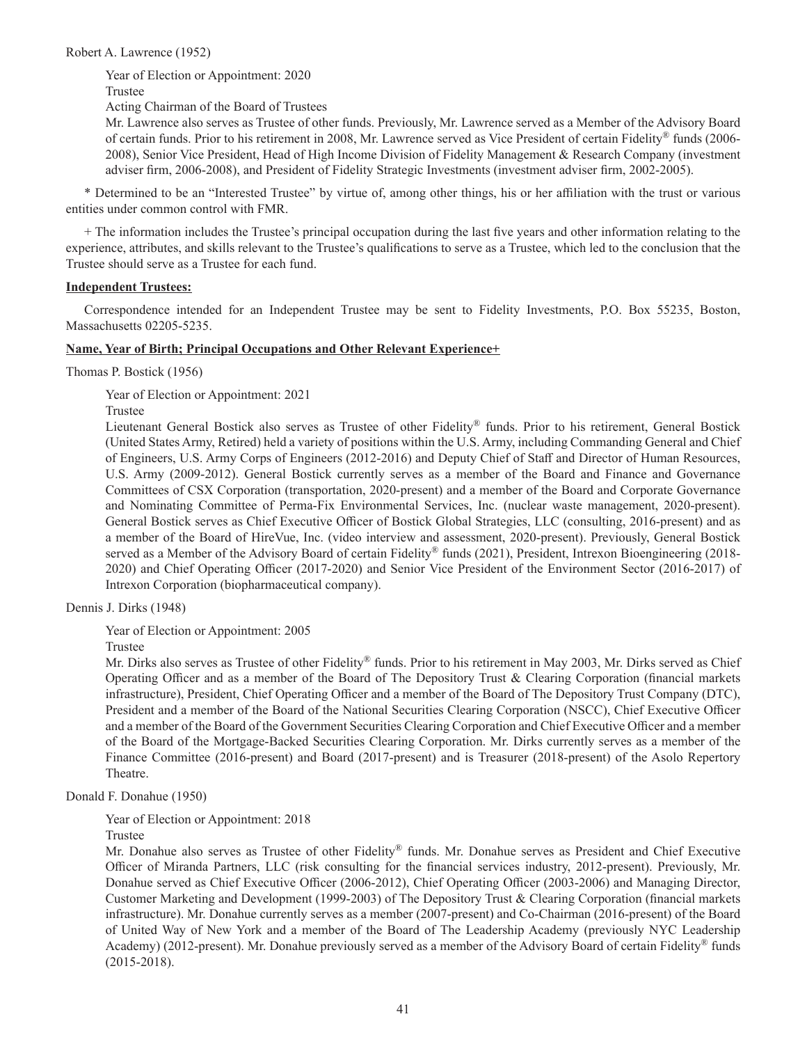Robert A. Lawrence (1952)

Year of Election or Appointment: 2020 Trustee

Acting Chairman of the Board of Trustees

Mr. Lawrence also serves as Trustee of other funds. Previously, Mr. Lawrence served as a Member of the Advisory Board of certain funds. Prior to his retirement in 2008, Mr. Lawrence served as Vice President of certain Fidelity® funds (2006- 2008), Senior Vice President, Head of High Income Division of Fidelity Management & Research Company (investment adviser firm, 2006-2008), and President of Fidelity Strategic Investments (investment adviser firm, 2002-2005).

\* Determined to be an "Interested Trustee" by virtue of, among other things, his or her affiliation with the trust or various entities under common control with FMR.

+ The information includes the Trustee's principal occupation during the last five years and other information relating to the experience, attributes, and skills relevant to the Trustee's qualifications to serve as a Trustee, which led to the conclusion that the Trustee should serve as a Trustee for each fund.

### **Independent Trustees:**

Correspondence intended for an Independent Trustee may be sent to Fidelity Investments, P.O. Box 55235, Boston, Massachusetts 02205-5235.

### **Name, Year of Birth; Principal Occupations and Other Relevant Experience+**

Thomas P. Bostick (1956)

Year of Election or Appointment: 2021

Trustee

Lieutenant General Bostick also serves as Trustee of other Fidelity® funds. Prior to his retirement, General Bostick (United States Army, Retired) held a variety of positions within the U.S. Army, including Commanding General and Chief of Engineers, U.S. Army Corps of Engineers (2012-2016) and Deputy Chief of Staff and Director of Human Resources, U.S. Army (2009-2012). General Bostick currently serves as a member of the Board and Finance and Governance Committees of CSX Corporation (transportation, 2020-present) and a member of the Board and Corporate Governance and Nominating Committee of Perma-Fix Environmental Services, Inc. (nuclear waste management, 2020-present). General Bostick serves as Chief Executive Officer of Bostick Global Strategies, LLC (consulting, 2016-present) and as a member of the Board of HireVue, Inc. (video interview and assessment, 2020-present). Previously, General Bostick served as a Member of the Advisory Board of certain Fidelity® funds (2021), President, Intrexon Bioengineering (2018- 2020) and Chief Operating Officer (2017-2020) and Senior Vice President of the Environment Sector (2016-2017) of Intrexon Corporation (biopharmaceutical company).

Dennis J. Dirks (1948)

Year of Election or Appointment: 2005

Trustee

Mr. Dirks also serves as Trustee of other Fidelity® funds. Prior to his retirement in May 2003, Mr. Dirks served as Chief Operating Officer and as a member of the Board of The Depository Trust & Clearing Corporation (financial markets infrastructure), President, Chief Operating Officer and a member of the Board of The Depository Trust Company (DTC), President and a member of the Board of the National Securities Clearing Corporation (NSCC), Chief Executive Officer and a member of the Board of the Government Securities Clearing Corporation and Chief Executive Officer and a member of the Board of the Mortgage-Backed Securities Clearing Corporation. Mr. Dirks currently serves as a member of the Finance Committee (2016-present) and Board (2017-present) and is Treasurer (2018-present) of the Asolo Repertory Theatre.

Donald F. Donahue (1950)

Year of Election or Appointment: 2018

Trustee

Mr. Donahue also serves as Trustee of other Fidelity® funds. Mr. Donahue serves as President and Chief Executive Officer of Miranda Partners, LLC (risk consulting for the financial services industry, 2012-present). Previously, Mr. Donahue served as Chief Executive Officer (2006-2012), Chief Operating Officer (2003-2006) and Managing Director, Customer Marketing and Development (1999-2003) of The Depository Trust & Clearing Corporation (financial markets infrastructure). Mr. Donahue currently serves as a member (2007-present) and Co-Chairman (2016-present) of the Board of United Way of New York and a member of the Board of The Leadership Academy (previously NYC Leadership Academy) (2012-present). Mr. Donahue previously served as a member of the Advisory Board of certain Fidelity® funds (2015-2018).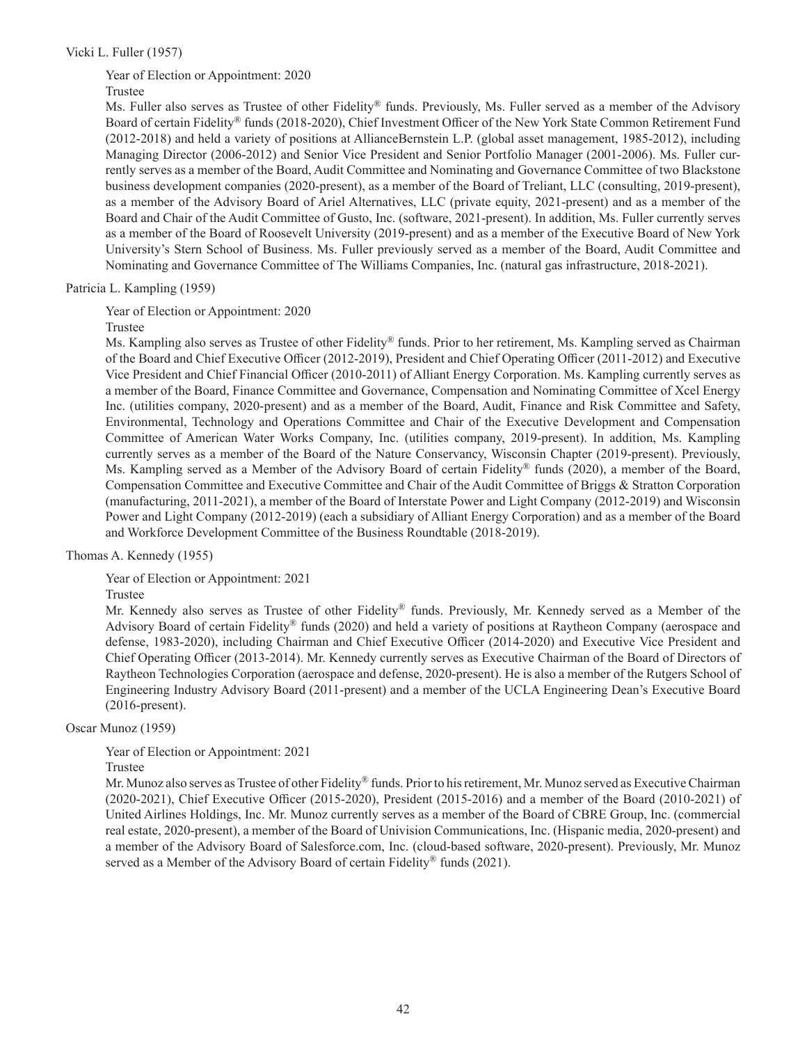### Vicki L. Fuller (1957)

# Year of Election or Appointment: 2020

### Trustee

Ms. Fuller also serves as Trustee of other Fidelity® funds. Previously, Ms. Fuller served as a member of the Advisory Board of certain Fidelity® funds (2018-2020), Chief Investment Officer of the New York State Common Retirement Fund (2012-2018) and held a variety of positions at AllianceBernstein L.P. (global asset management, 1985-2012), including Managing Director (2006-2012) and Senior Vice President and Senior Portfolio Manager (2001-2006). Ms. Fuller currently serves as a member of the Board, Audit Committee and Nominating and Governance Committee of two Blackstone business development companies (2020-present), as a member of the Board of Treliant, LLC (consulting, 2019-present), as a member of the Advisory Board of Ariel Alternatives, LLC (private equity, 2021-present) and as a member of the Board and Chair of the Audit Committee of Gusto, Inc. (software, 2021-present). In addition, Ms. Fuller currently serves as a member of the Board of Roosevelt University (2019-present) and as a member of the Executive Board of New York University's Stern School of Business. Ms. Fuller previously served as a member of the Board, Audit Committee and Nominating and Governance Committee of The Williams Companies, Inc. (natural gas infrastructure, 2018-2021).

### Patricia L. Kampling (1959)

Year of Election or Appointment: 2020

### Trustee

Ms. Kampling also serves as Trustee of other Fidelity® funds. Prior to her retirement, Ms. Kampling served as Chairman of the Board and Chief Executive Officer (2012-2019), President and Chief Operating Officer (2011-2012) and Executive Vice President and Chief Financial Officer (2010-2011) of Alliant Energy Corporation. Ms. Kampling currently serves as a member of the Board, Finance Committee and Governance, Compensation and Nominating Committee of Xcel Energy Inc. (utilities company, 2020-present) and as a member of the Board, Audit, Finance and Risk Committee and Safety, Environmental, Technology and Operations Committee and Chair of the Executive Development and Compensation Committee of American Water Works Company, Inc. (utilities company, 2019-present). In addition, Ms. Kampling currently serves as a member of the Board of the Nature Conservancy, Wisconsin Chapter (2019-present). Previously, Ms. Kampling served as a Member of the Advisory Board of certain Fidelity® funds (2020), a member of the Board, Compensation Committee and Executive Committee and Chair of the Audit Committee of Briggs & Stratton Corporation (manufacturing, 2011-2021), a member of the Board of Interstate Power and Light Company (2012-2019) and Wisconsin Power and Light Company (2012-2019) (each a subsidiary of Alliant Energy Corporation) and as a member of the Board and Workforce Development Committee of the Business Roundtable (2018-2019).

### Thomas A. Kennedy (1955)

Year of Election or Appointment: 2021

### Trustee

Mr. Kennedy also serves as Trustee of other Fidelity® funds. Previously, Mr. Kennedy served as a Member of the Advisory Board of certain Fidelity® funds (2020) and held a variety of positions at Raytheon Company (aerospace and defense, 1983-2020), including Chairman and Chief Executive Officer (2014-2020) and Executive Vice President and Chief Operating Officer (2013-2014). Mr. Kennedy currently serves as Executive Chairman of the Board of Directors of Raytheon Technologies Corporation (aerospace and defense, 2020-present). He is also a member of the Rutgers School of Engineering Industry Advisory Board (2011-present) and a member of the UCLA Engineering Dean's Executive Board (2016-present).

### Oscar Munoz (1959)

Year of Election or Appointment: 2021

### Trustee

Mr. Munoz also serves as Trustee of other Fidelity® funds. Prior to his retirement, Mr. Munoz served as Executive Chairman (2020-2021), Chief Executive Officer (2015-2020), President (2015-2016) and a member of the Board (2010-2021) of United Airlines Holdings, Inc. Mr. Munoz currently serves as a member of the Board of CBRE Group, Inc. (commercial real estate, 2020-present), a member of the Board of Univision Communications, Inc. (Hispanic media, 2020-present) and a member of the Advisory Board of Salesforce.com, Inc. (cloud-based software, 2020-present). Previously, Mr. Munoz served as a Member of the Advisory Board of certain Fidelity<sup>®</sup> funds (2021).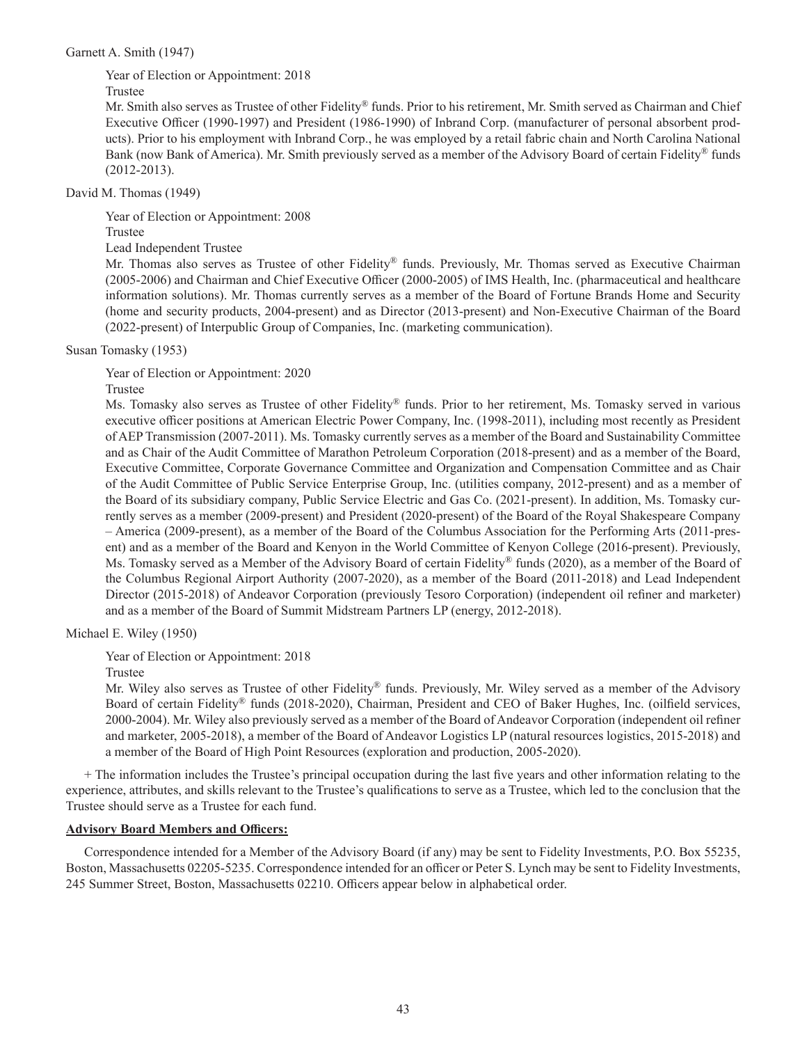### Garnett A. Smith (1947)

Year of Election or Appointment: 2018

### Trustee

Mr. Smith also serves as Trustee of other Fidelity® funds. Prior to his retirement, Mr. Smith served as Chairman and Chief Executive Officer (1990-1997) and President (1986-1990) of Inbrand Corp. (manufacturer of personal absorbent products). Prior to his employment with Inbrand Corp., he was employed by a retail fabric chain and North Carolina National Bank (now Bank of America). Mr. Smith previously served as a member of the Advisory Board of certain Fidelity® funds (2012-2013).

### David M. Thomas (1949)

Year of Election or Appointment: 2008

## Trustee

Lead Independent Trustee

Mr. Thomas also serves as Trustee of other Fidelity® funds. Previously, Mr. Thomas served as Executive Chairman (2005-2006) and Chairman and Chief Executive Officer (2000-2005) of IMS Health, Inc. (pharmaceutical and healthcare information solutions). Mr. Thomas currently serves as a member of the Board of Fortune Brands Home and Security (home and security products, 2004-present) and as Director (2013-present) and Non-Executive Chairman of the Board (2022-present) of Interpublic Group of Companies, Inc. (marketing communication).

Susan Tomasky (1953)

Year of Election or Appointment: 2020

Trustee

Ms. Tomasky also serves as Trustee of other Fidelity® funds. Prior to her retirement, Ms. Tomasky served in various executive officer positions at American Electric Power Company, Inc. (1998-2011), including most recently as President of AEP Transmission (2007-2011). Ms. Tomasky currently serves as a member of the Board and Sustainability Committee and as Chair of the Audit Committee of Marathon Petroleum Corporation (2018-present) and as a member of the Board, Executive Committee, Corporate Governance Committee and Organization and Compensation Committee and as Chair of the Audit Committee of Public Service Enterprise Group, Inc. (utilities company, 2012-present) and as a member of the Board of its subsidiary company, Public Service Electric and Gas Co. (2021-present). In addition, Ms. Tomasky currently serves as a member (2009-present) and President (2020-present) of the Board of the Royal Shakespeare Company – America (2009-present), as a member of the Board of the Columbus Association for the Performing Arts (2011-present) and as a member of the Board and Kenyon in the World Committee of Kenyon College (2016-present). Previously, Ms. Tomasky served as a Member of the Advisory Board of certain Fidelity® funds (2020), as a member of the Board of the Columbus Regional Airport Authority (2007-2020), as a member of the Board (2011-2018) and Lead Independent Director (2015-2018) of Andeavor Corporation (previously Tesoro Corporation) (independent oil refiner and marketer) and as a member of the Board of Summit Midstream Partners LP (energy, 2012-2018).

Michael E. Wiley (1950)

Year of Election or Appointment: 2018

Trustee

Mr. Wiley also serves as Trustee of other Fidelity® funds. Previously, Mr. Wiley served as a member of the Advisory Board of certain Fidelity® funds (2018-2020), Chairman, President and CEO of Baker Hughes, Inc. (oilfield services, 2000-2004). Mr. Wiley also previously served as a member of the Board of Andeavor Corporation (independent oil refiner and marketer, 2005-2018), a member of the Board of Andeavor Logistics LP (natural resources logistics, 2015-2018) and a member of the Board of High Point Resources (exploration and production, 2005-2020).

+ The information includes the Trustee's principal occupation during the last five years and other information relating to the experience, attributes, and skills relevant to the Trustee's qualifications to serve as a Trustee, which led to the conclusion that the Trustee should serve as a Trustee for each fund.

# **Advisory Board Members and Officers:**

Correspondence intended for a Member of the Advisory Board (if any) may be sent to Fidelity Investments, P.O. Box 55235, Boston, Massachusetts 02205-5235. Correspondence intended for an officer or Peter S. Lynch may be sent to Fidelity Investments, 245 Summer Street, Boston, Massachusetts 02210. Officers appear below in alphabetical order.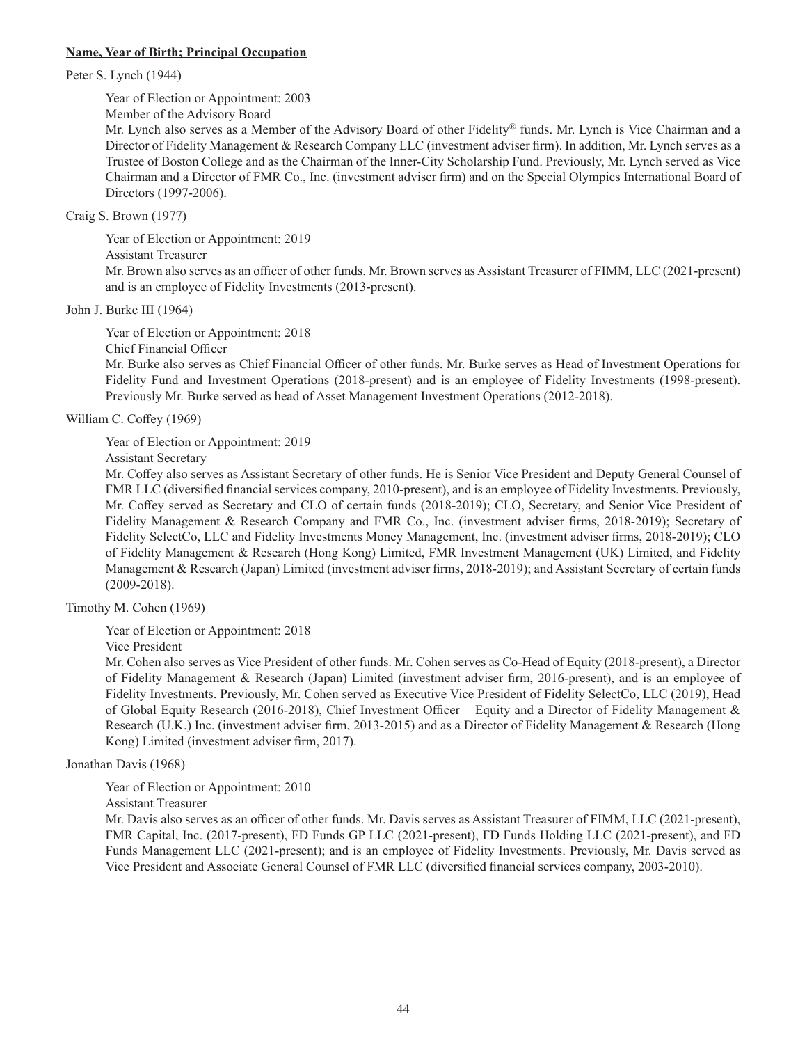### **Name, Year of Birth; Principal Occupation**

Peter S. Lynch (1944)

Year of Election or Appointment: 2003

Member of the Advisory Board

Mr. Lynch also serves as a Member of the Advisory Board of other Fidelity® funds. Mr. Lynch is Vice Chairman and a Director of Fidelity Management & Research Company LLC (investment adviser firm). In addition, Mr. Lynch serves as a Trustee of Boston College and as the Chairman of the Inner-City Scholarship Fund. Previously, Mr. Lynch served as Vice Chairman and a Director of FMR Co., Inc. (investment adviser firm) and on the Special Olympics International Board of Directors (1997-2006).

Craig S. Brown (1977)

Year of Election or Appointment: 2019 Assistant Treasurer

Mr. Brown also serves as an officer of other funds. Mr. Brown serves as Assistant Treasurer of FIMM, LLC (2021-present) and is an employee of Fidelity Investments (2013-present).

John J. Burke III (1964)

Year of Election or Appointment: 2018

Chief Financial Officer

Mr. Burke also serves as Chief Financial Officer of other funds. Mr. Burke serves as Head of Investment Operations for Fidelity Fund and Investment Operations (2018-present) and is an employee of Fidelity Investments (1998-present). Previously Mr. Burke served as head of Asset Management Investment Operations (2012-2018).

William C. Coffey (1969)

Year of Election or Appointment: 2019

Assistant Secretary

Mr. Coffey also serves as Assistant Secretary of other funds. He is Senior Vice President and Deputy General Counsel of FMR LLC (diversified financial services company, 2010-present), and is an employee of Fidelity Investments. Previously, Mr. Coffey served as Secretary and CLO of certain funds (2018-2019); CLO, Secretary, and Senior Vice President of Fidelity Management & Research Company and FMR Co., Inc. (investment adviser firms, 2018-2019); Secretary of Fidelity SelectCo, LLC and Fidelity Investments Money Management, Inc. (investment adviser firms, 2018-2019); CLO of Fidelity Management & Research (Hong Kong) Limited, FMR Investment Management (UK) Limited, and Fidelity Management & Research (Japan) Limited (investment adviser firms, 2018-2019); and Assistant Secretary of certain funds (2009-2018).

Timothy M. Cohen (1969)

Year of Election or Appointment: 2018

Vice President

Mr. Cohen also serves as Vice President of other funds. Mr. Cohen serves as Co-Head of Equity (2018-present), a Director of Fidelity Management & Research (Japan) Limited (investment adviser firm, 2016-present), and is an employee of Fidelity Investments. Previously, Mr. Cohen served as Executive Vice President of Fidelity SelectCo, LLC (2019), Head of Global Equity Research (2016-2018), Chief Investment Officer – Equity and a Director of Fidelity Management & Research (U.K.) Inc. (investment adviser firm, 2013-2015) and as a Director of Fidelity Management & Research (Hong Kong) Limited (investment adviser firm, 2017).

Jonathan Davis (1968)

Year of Election or Appointment: 2010

Assistant Treasurer

Mr. Davis also serves as an officer of other funds. Mr. Davis serves as Assistant Treasurer of FIMM, LLC (2021-present), FMR Capital, Inc. (2017-present), FD Funds GP LLC (2021-present), FD Funds Holding LLC (2021-present), and FD Funds Management LLC (2021-present); and is an employee of Fidelity Investments. Previously, Mr. Davis served as Vice President and Associate General Counsel of FMR LLC (diversified financial services company, 2003-2010).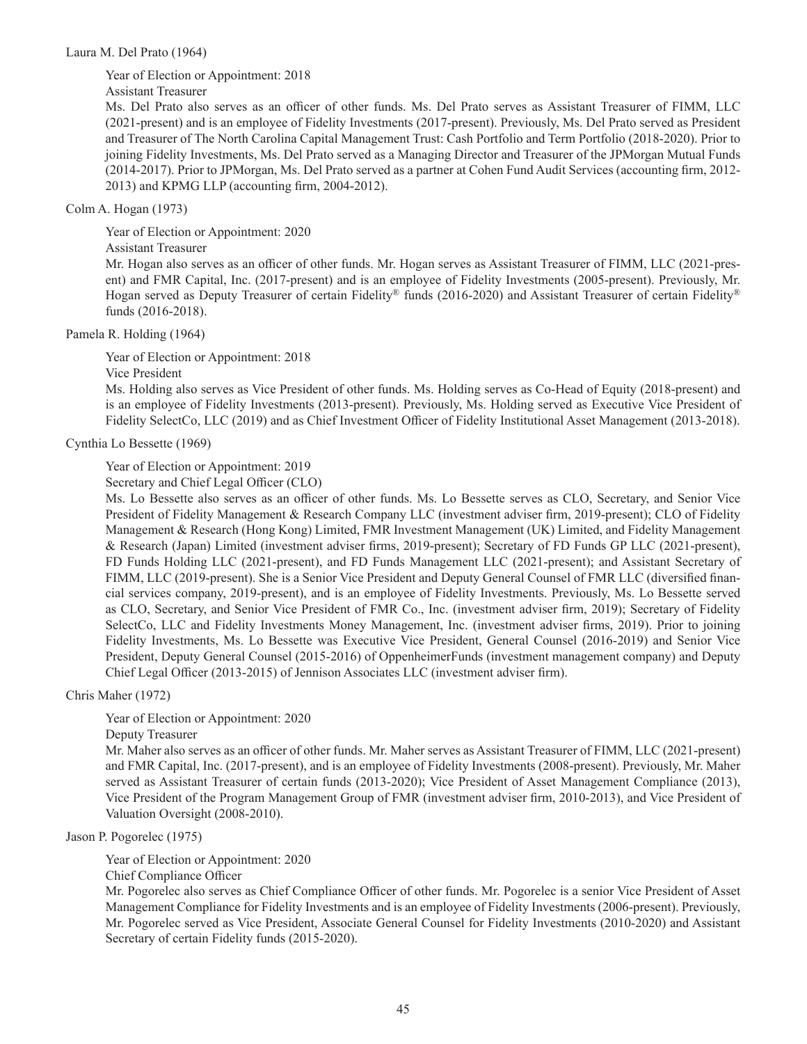### Laura M. Del Prato (1964)

Year of Election or Appointment: 2018

Assistant Treasurer

Ms. Del Prato also serves as an officer of other funds. Ms. Del Prato serves as Assistant Treasurer of FIMM, LLC (2021-present) and is an employee of Fidelity Investments (2017-present). Previously, Ms. Del Prato served as President and Treasurer of The North Carolina Capital Management Trust: Cash Portfolio and Term Portfolio (2018-2020). Prior to joining Fidelity Investments, Ms. Del Prato served as a Managing Director and Treasurer of the JPMorgan Mutual Funds (2014-2017). Prior to JPMorgan, Ms. Del Prato served as a partner at Cohen Fund Audit Services (accounting firm, 2012- 2013) and KPMG LLP (accounting firm, 2004-2012).

### Colm A. Hogan (1973)

Year of Election or Appointment: 2020 Assistant Treasurer Mr. Hogan also serves as an officer of other funds. Mr. Hogan serves as Assistant Treasurer of FIMM, LLC (2021-present) and FMR Capital, Inc. (2017-present) and is an employee of Fidelity Investments (2005-present). Previously, Mr. Hogan served as Deputy Treasurer of certain Fidelity® funds (2016-2020) and Assistant Treasurer of certain Fidelity® funds (2016-2018).

### Pamela R. Holding (1964)

Year of Election or Appointment: 2018

Vice President

Ms. Holding also serves as Vice President of other funds. Ms. Holding serves as Co-Head of Equity (2018-present) and is an employee of Fidelity Investments (2013-present). Previously, Ms. Holding served as Executive Vice President of Fidelity SelectCo, LLC (2019) and as Chief Investment Officer of Fidelity Institutional Asset Management (2013-2018).

Cynthia Lo Bessette (1969)

Year of Election or Appointment: 2019

Secretary and Chief Legal Officer (CLO)

Ms. Lo Bessette also serves as an officer of other funds. Ms. Lo Bessette serves as CLO, Secretary, and Senior Vice President of Fidelity Management & Research Company LLC (investment adviser firm, 2019-present); CLO of Fidelity Management & Research (Hong Kong) Limited, FMR Investment Management (UK) Limited, and Fidelity Management & Research (Japan) Limited (investment adviser firms, 2019-present); Secretary of FD Funds GP LLC (2021-present), FD Funds Holding LLC (2021-present), and FD Funds Management LLC (2021-present); and Assistant Secretary of FIMM, LLC (2019-present). She is a Senior Vice President and Deputy General Counsel of FMR LLC (diversified financial services company, 2019-present), and is an employee of Fidelity Investments. Previously, Ms. Lo Bessette served as CLO, Secretary, and Senior Vice President of FMR Co., Inc. (investment adviser firm, 2019); Secretary of Fidelity SelectCo, LLC and Fidelity Investments Money Management, Inc. (investment adviser firms, 2019). Prior to joining Fidelity Investments, Ms. Lo Bessette was Executive Vice President, General Counsel (2016-2019) and Senior Vice President, Deputy General Counsel (2015-2016) of OppenheimerFunds (investment management company) and Deputy Chief Legal Officer (2013-2015) of Jennison Associates LLC (investment adviser firm).

Chris Maher (1972)

Year of Election or Appointment: 2020

Deputy Treasurer

Mr. Maher also serves as an officer of other funds. Mr. Maher serves as Assistant Treasurer of FIMM, LLC (2021-present) and FMR Capital, Inc. (2017-present), and is an employee of Fidelity Investments (2008-present). Previously, Mr. Maher served as Assistant Treasurer of certain funds (2013-2020); Vice President of Asset Management Compliance (2013), Vice President of the Program Management Group of FMR (investment adviser firm, 2010-2013), and Vice President of Valuation Oversight (2008-2010).

Jason P. Pogorelec (1975)

Year of Election or Appointment: 2020

Chief Compliance Officer

Mr. Pogorelec also serves as Chief Compliance Officer of other funds. Mr. Pogorelec is a senior Vice President of Asset Management Compliance for Fidelity Investments and is an employee of Fidelity Investments (2006-present). Previously, Mr. Pogorelec served as Vice President, Associate General Counsel for Fidelity Investments (2010-2020) and Assistant Secretary of certain Fidelity funds (2015-2020).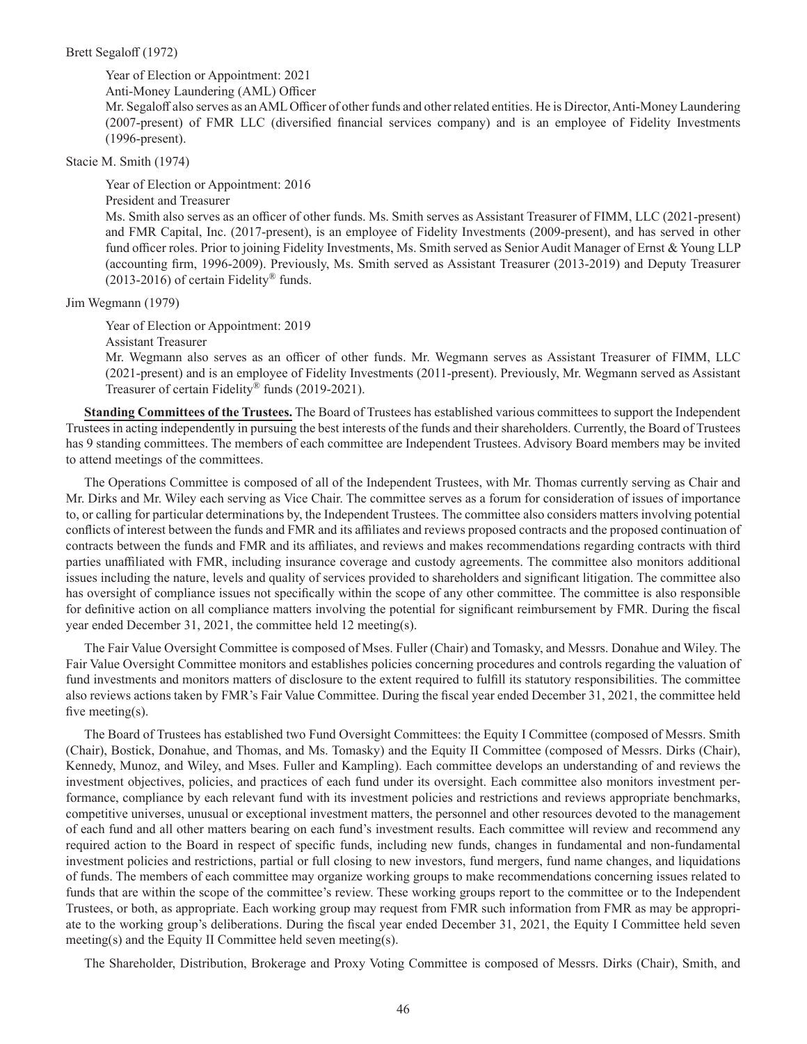#### Brett Segaloff (1972)

Year of Election or Appointment: 2021

Anti-Money Laundering (AML) Officer

Mr. Segaloff also serves as an AML Officer of other funds and other related entities. He is Director, Anti-Money Laundering (2007-present) of FMR LLC (diversified financial services company) and is an employee of Fidelity Investments (1996-present).

Stacie M. Smith (1974)

Year of Election or Appointment: 2016 President and Treasurer Ms. Smith also serves as an officer of other funds. Ms. Smith serves as Assistant Treasurer of FIMM, LLC (2021-present) and FMR Capital, Inc. (2017-present), is an employee of Fidelity Investments (2009-present), and has served in other fund officer roles. Prior to joining Fidelity Investments, Ms. Smith served as Senior Audit Manager of Ernst & Young LLP (accounting firm, 1996-2009). Previously, Ms. Smith served as Assistant Treasurer (2013-2019) and Deputy Treasurer  $(2013-2016)$  of certain Fidelity® funds.

Jim Wegmann (1979)

Year of Election or Appointment: 2019

Assistant Treasurer

Mr. Wegmann also serves as an officer of other funds. Mr. Wegmann serves as Assistant Treasurer of FIMM, LLC (2021-present) and is an employee of Fidelity Investments (2011-present). Previously, Mr. Wegmann served as Assistant Treasurer of certain Fidelity<sup>®</sup> funds (2019-2021).

**Standing Committees of the Trustees.** The Board of Trustees has established various committees to support the Independent Trustees in acting independently in pursuing the best interests of the funds and their shareholders. Currently, the Board of Trustees has 9 standing committees. The members of each committee are Independent Trustees. Advisory Board members may be invited to attend meetings of the committees.

The Operations Committee is composed of all of the Independent Trustees, with Mr. Thomas currently serving as Chair and Mr. Dirks and Mr. Wiley each serving as Vice Chair. The committee serves as a forum for consideration of issues of importance to, or calling for particular determinations by, the Independent Trustees. The committee also considers matters involving potential conflicts of interest between the funds and FMR and its affiliates and reviews proposed contracts and the proposed continuation of contracts between the funds and FMR and its affiliates, and reviews and makes recommendations regarding contracts with third parties unaffiliated with FMR, including insurance coverage and custody agreements. The committee also monitors additional issues including the nature, levels and quality of services provided to shareholders and significant litigation. The committee also has oversight of compliance issues not specifically within the scope of any other committee. The committee is also responsible for definitive action on all compliance matters involving the potential for significant reimbursement by FMR. During the fiscal year ended December 31, 2021, the committee held 12 meeting(s).

The Fair Value Oversight Committee is composed of Mses. Fuller (Chair) and Tomasky, and Messrs. Donahue and Wiley. The Fair Value Oversight Committee monitors and establishes policies concerning procedures and controls regarding the valuation of fund investments and monitors matters of disclosure to the extent required to fulfill its statutory responsibilities. The committee also reviews actions taken by FMR's Fair Value Committee. During the fiscal year ended December 31, 2021, the committee held five meeting(s).

The Board of Trustees has established two Fund Oversight Committees: the Equity I Committee (composed of Messrs. Smith (Chair), Bostick, Donahue, and Thomas, and Ms. Tomasky) and the Equity II Committee (composed of Messrs. Dirks (Chair), Kennedy, Munoz, and Wiley, and Mses. Fuller and Kampling). Each committee develops an understanding of and reviews the investment objectives, policies, and practices of each fund under its oversight. Each committee also monitors investment performance, compliance by each relevant fund with its investment policies and restrictions and reviews appropriate benchmarks, competitive universes, unusual or exceptional investment matters, the personnel and other resources devoted to the management of each fund and all other matters bearing on each fund's investment results. Each committee will review and recommend any required action to the Board in respect of specific funds, including new funds, changes in fundamental and non-fundamental investment policies and restrictions, partial or full closing to new investors, fund mergers, fund name changes, and liquidations of funds. The members of each committee may organize working groups to make recommendations concerning issues related to funds that are within the scope of the committee's review. These working groups report to the committee or to the Independent Trustees, or both, as appropriate. Each working group may request from FMR such information from FMR as may be appropriate to the working group's deliberations. During the fiscal year ended December 31, 2021, the Equity I Committee held seven meeting(s) and the Equity II Committee held seven meeting(s).

The Shareholder, Distribution, Brokerage and Proxy Voting Committee is composed of Messrs. Dirks (Chair), Smith, and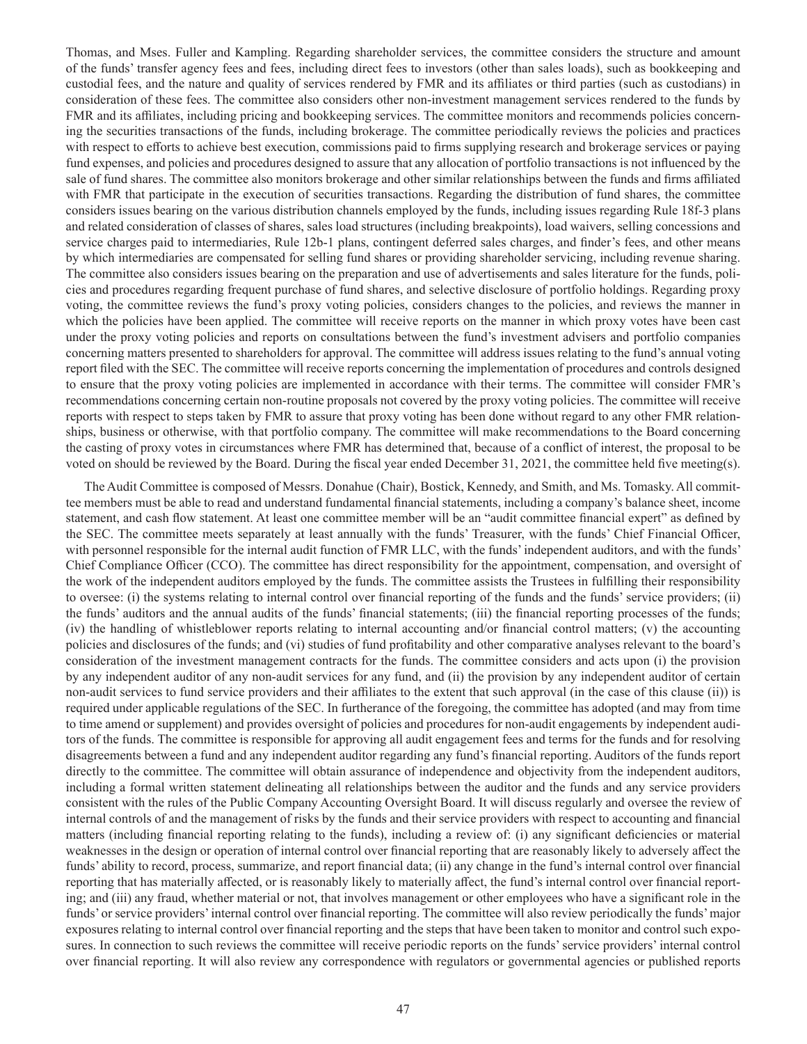Thomas, and Mses. Fuller and Kampling. Regarding shareholder services, the committee considers the structure and amount of the funds' transfer agency fees and fees, including direct fees to investors (other than sales loads), such as bookkeeping and custodial fees, and the nature and quality of services rendered by FMR and its affiliates or third parties (such as custodians) in consideration of these fees. The committee also considers other non-investment management services rendered to the funds by FMR and its affiliates, including pricing and bookkeeping services. The committee monitors and recommends policies concerning the securities transactions of the funds, including brokerage. The committee periodically reviews the policies and practices with respect to efforts to achieve best execution, commissions paid to firms supplying research and brokerage services or paying fund expenses, and policies and procedures designed to assure that any allocation of portfolio transactions is not influenced by the sale of fund shares. The committee also monitors brokerage and other similar relationships between the funds and firms affiliated with FMR that participate in the execution of securities transactions. Regarding the distribution of fund shares, the committee considers issues bearing on the various distribution channels employed by the funds, including issues regarding Rule 18f-3 plans and related consideration of classes of shares, sales load structures (including breakpoints), load waivers, selling concessions and service charges paid to intermediaries, Rule 12b-1 plans, contingent deferred sales charges, and finder's fees, and other means by which intermediaries are compensated for selling fund shares or providing shareholder servicing, including revenue sharing. The committee also considers issues bearing on the preparation and use of advertisements and sales literature for the funds, policies and procedures regarding frequent purchase of fund shares, and selective disclosure of portfolio holdings. Regarding proxy voting, the committee reviews the fund's proxy voting policies, considers changes to the policies, and reviews the manner in which the policies have been applied. The committee will receive reports on the manner in which proxy votes have been cast under the proxy voting policies and reports on consultations between the fund's investment advisers and portfolio companies concerning matters presented to shareholders for approval. The committee will address issues relating to the fund's annual voting report filed with the SEC. The committee will receive reports concerning the implementation of procedures and controls designed to ensure that the proxy voting policies are implemented in accordance with their terms. The committee will consider FMR's recommendations concerning certain non-routine proposals not covered by the proxy voting policies. The committee will receive reports with respect to steps taken by FMR to assure that proxy voting has been done without regard to any other FMR relationships, business or otherwise, with that portfolio company. The committee will make recommendations to the Board concerning the casting of proxy votes in circumstances where FMR has determined that, because of a conflict of interest, the proposal to be voted on should be reviewed by the Board. During the fiscal year ended December 31, 2021, the committee held five meeting(s).

The Audit Committee is composed of Messrs. Donahue (Chair), Bostick, Kennedy, and Smith, and Ms. Tomasky. All committee members must be able to read and understand fundamental financial statements, including a company's balance sheet, income statement, and cash flow statement. At least one committee member will be an "audit committee financial expert" as defined by the SEC. The committee meets separately at least annually with the funds' Treasurer, with the funds' Chief Financial Officer, with personnel responsible for the internal audit function of FMR LLC, with the funds' independent auditors, and with the funds' Chief Compliance Officer (CCO). The committee has direct responsibility for the appointment, compensation, and oversight of the work of the independent auditors employed by the funds. The committee assists the Trustees in fulfilling their responsibility to oversee: (i) the systems relating to internal control over financial reporting of the funds and the funds' service providers; (ii) the funds' auditors and the annual audits of the funds' financial statements; (iii) the financial reporting processes of the funds; (iv) the handling of whistleblower reports relating to internal accounting and/or financial control matters; (v) the accounting policies and disclosures of the funds; and (vi) studies of fund profitability and other comparative analyses relevant to the board's consideration of the investment management contracts for the funds. The committee considers and acts upon (i) the provision by any independent auditor of any non-audit services for any fund, and (ii) the provision by any independent auditor of certain non-audit services to fund service providers and their affiliates to the extent that such approval (in the case of this clause (ii)) is required under applicable regulations of the SEC. In furtherance of the foregoing, the committee has adopted (and may from time to time amend or supplement) and provides oversight of policies and procedures for non-audit engagements by independent auditors of the funds. The committee is responsible for approving all audit engagement fees and terms for the funds and for resolving disagreements between a fund and any independent auditor regarding any fund's financial reporting. Auditors of the funds report directly to the committee. The committee will obtain assurance of independence and objectivity from the independent auditors, including a formal written statement delineating all relationships between the auditor and the funds and any service providers consistent with the rules of the Public Company Accounting Oversight Board. It will discuss regularly and oversee the review of internal controls of and the management of risks by the funds and their service providers with respect to accounting and financial matters (including financial reporting relating to the funds), including a review of: (i) any significant deficiencies or material weaknesses in the design or operation of internal control over financial reporting that are reasonably likely to adversely affect the funds' ability to record, process, summarize, and report financial data; (ii) any change in the fund's internal control over financial reporting that has materially affected, or is reasonably likely to materially affect, the fund's internal control over financial reporting; and (iii) any fraud, whether material or not, that involves management or other employees who have a significant role in the funds' or service providers' internal control over financial reporting. The committee will also review periodically the funds' major exposures relating to internal control over financial reporting and the steps that have been taken to monitor and control such exposures. In connection to such reviews the committee will receive periodic reports on the funds' service providers' internal control over financial reporting. It will also review any correspondence with regulators or governmental agencies or published reports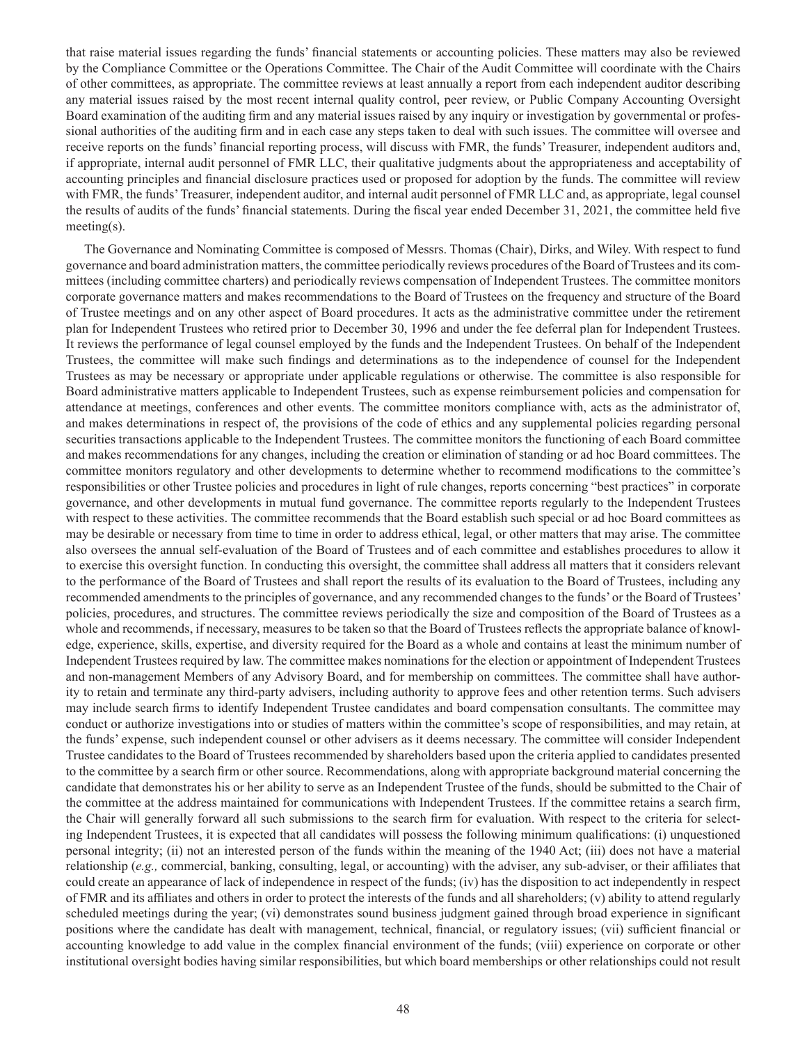that raise material issues regarding the funds' financial statements or accounting policies. These matters may also be reviewed by the Compliance Committee or the Operations Committee. The Chair of the Audit Committee will coordinate with the Chairs of other committees, as appropriate. The committee reviews at least annually a report from each independent auditor describing any material issues raised by the most recent internal quality control, peer review, or Public Company Accounting Oversight Board examination of the auditing firm and any material issues raised by any inquiry or investigation by governmental or professional authorities of the auditing firm and in each case any steps taken to deal with such issues. The committee will oversee and receive reports on the funds' financial reporting process, will discuss with FMR, the funds' Treasurer, independent auditors and, if appropriate, internal audit personnel of FMR LLC, their qualitative judgments about the appropriateness and acceptability of accounting principles and financial disclosure practices used or proposed for adoption by the funds. The committee will review with FMR, the funds' Treasurer, independent auditor, and internal audit personnel of FMR LLC and, as appropriate, legal counsel the results of audits of the funds' financial statements. During the fiscal year ended December 31, 2021, the committee held five meeting(s).

The Governance and Nominating Committee is composed of Messrs. Thomas (Chair), Dirks, and Wiley. With respect to fund governance and board administration matters, the committee periodically reviews procedures of the Board of Trustees and its committees (including committee charters) and periodically reviews compensation of Independent Trustees. The committee monitors corporate governance matters and makes recommendations to the Board of Trustees on the frequency and structure of the Board of Trustee meetings and on any other aspect of Board procedures. It acts as the administrative committee under the retirement plan for Independent Trustees who retired prior to December 30, 1996 and under the fee deferral plan for Independent Trustees. It reviews the performance of legal counsel employed by the funds and the Independent Trustees. On behalf of the Independent Trustees, the committee will make such findings and determinations as to the independence of counsel for the Independent Trustees as may be necessary or appropriate under applicable regulations or otherwise. The committee is also responsible for Board administrative matters applicable to Independent Trustees, such as expense reimbursement policies and compensation for attendance at meetings, conferences and other events. The committee monitors compliance with, acts as the administrator of, and makes determinations in respect of, the provisions of the code of ethics and any supplemental policies regarding personal securities transactions applicable to the Independent Trustees. The committee monitors the functioning of each Board committee and makes recommendations for any changes, including the creation or elimination of standing or ad hoc Board committees. The committee monitors regulatory and other developments to determine whether to recommend modifications to the committee's responsibilities or other Trustee policies and procedures in light of rule changes, reports concerning "best practices" in corporate governance, and other developments in mutual fund governance. The committee reports regularly to the Independent Trustees with respect to these activities. The committee recommends that the Board establish such special or ad hoc Board committees as may be desirable or necessary from time to time in order to address ethical, legal, or other matters that may arise. The committee also oversees the annual self-evaluation of the Board of Trustees and of each committee and establishes procedures to allow it to exercise this oversight function. In conducting this oversight, the committee shall address all matters that it considers relevant to the performance of the Board of Trustees and shall report the results of its evaluation to the Board of Trustees, including any recommended amendments to the principles of governance, and any recommended changes to the funds' or the Board of Trustees' policies, procedures, and structures. The committee reviews periodically the size and composition of the Board of Trustees as a whole and recommends, if necessary, measures to be taken so that the Board of Trustees reflects the appropriate balance of knowledge, experience, skills, expertise, and diversity required for the Board as a whole and contains at least the minimum number of Independent Trustees required by law. The committee makes nominations for the election or appointment of Independent Trustees and non-management Members of any Advisory Board, and for membership on committees. The committee shall have authority to retain and terminate any third-party advisers, including authority to approve fees and other retention terms. Such advisers may include search firms to identify Independent Trustee candidates and board compensation consultants. The committee may conduct or authorize investigations into or studies of matters within the committee's scope of responsibilities, and may retain, at the funds' expense, such independent counsel or other advisers as it deems necessary. The committee will consider Independent Trustee candidates to the Board of Trustees recommended by shareholders based upon the criteria applied to candidates presented to the committee by a search firm or other source. Recommendations, along with appropriate background material concerning the candidate that demonstrates his or her ability to serve as an Independent Trustee of the funds, should be submitted to the Chair of the committee at the address maintained for communications with Independent Trustees. If the committee retains a search firm, the Chair will generally forward all such submissions to the search firm for evaluation. With respect to the criteria for selecting Independent Trustees, it is expected that all candidates will possess the following minimum qualifications: (i) unquestioned personal integrity; (ii) not an interested person of the funds within the meaning of the 1940 Act; (iii) does not have a material relationship (*e.g.,* commercial, banking, consulting, legal, or accounting) with the adviser, any sub-adviser, or their affiliates that could create an appearance of lack of independence in respect of the funds; (iv) has the disposition to act independently in respect of FMR and its affiliates and others in order to protect the interests of the funds and all shareholders; (v) ability to attend regularly scheduled meetings during the year; (vi) demonstrates sound business judgment gained through broad experience in significant positions where the candidate has dealt with management, technical, financial, or regulatory issues; (vii) sufficient financial or accounting knowledge to add value in the complex financial environment of the funds; (viii) experience on corporate or other institutional oversight bodies having similar responsibilities, but which board memberships or other relationships could not result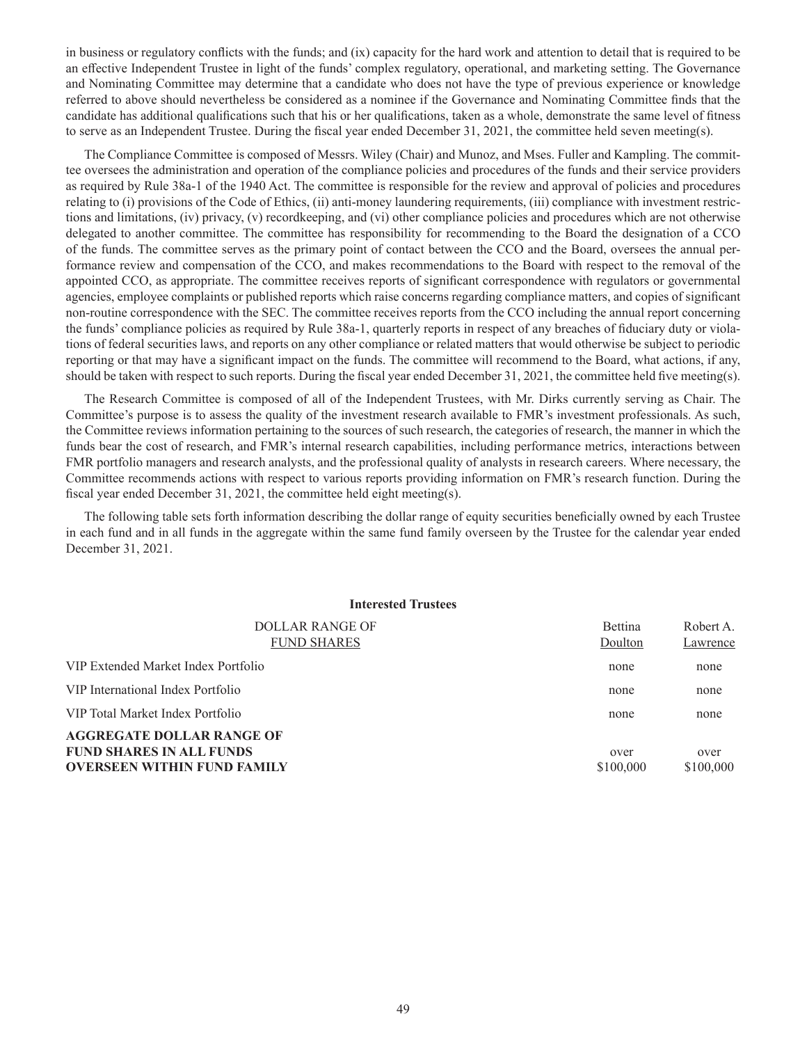in business or regulatory conflicts with the funds; and (ix) capacity for the hard work and attention to detail that is required to be an effective Independent Trustee in light of the funds' complex regulatory, operational, and marketing setting. The Governance and Nominating Committee may determine that a candidate who does not have the type of previous experience or knowledge referred to above should nevertheless be considered as a nominee if the Governance and Nominating Committee finds that the candidate has additional qualifications such that his or her qualifications, taken as a whole, demonstrate the same level of fitness to serve as an Independent Trustee. During the fiscal year ended December 31, 2021, the committee held seven meeting(s).

The Compliance Committee is composed of Messrs. Wiley (Chair) and Munoz, and Mses. Fuller and Kampling. The committee oversees the administration and operation of the compliance policies and procedures of the funds and their service providers as required by Rule 38a-1 of the 1940 Act. The committee is responsible for the review and approval of policies and procedures relating to (i) provisions of the Code of Ethics, (ii) anti-money laundering requirements, (iii) compliance with investment restrictions and limitations, (iv) privacy, (v) recordkeeping, and (vi) other compliance policies and procedures which are not otherwise delegated to another committee. The committee has responsibility for recommending to the Board the designation of a CCO of the funds. The committee serves as the primary point of contact between the CCO and the Board, oversees the annual performance review and compensation of the CCO, and makes recommendations to the Board with respect to the removal of the appointed CCO, as appropriate. The committee receives reports of significant correspondence with regulators or governmental agencies, employee complaints or published reports which raise concerns regarding compliance matters, and copies of significant non-routine correspondence with the SEC. The committee receives reports from the CCO including the annual report concerning the funds' compliance policies as required by Rule 38a-1, quarterly reports in respect of any breaches of fiduciary duty or violations of federal securities laws, and reports on any other compliance or related matters that would otherwise be subject to periodic reporting or that may have a significant impact on the funds. The committee will recommend to the Board, what actions, if any, should be taken with respect to such reports. During the fiscal year ended December 31, 2021, the committee held five meeting(s).

The Research Committee is composed of all of the Independent Trustees, with Mr. Dirks currently serving as Chair. The Committee's purpose is to assess the quality of the investment research available to FMR's investment professionals. As such, the Committee reviews information pertaining to the sources of such research, the categories of research, the manner in which the funds bear the cost of research, and FMR's internal research capabilities, including performance metrics, interactions between FMR portfolio managers and research analysts, and the professional quality of analysts in research careers. Where necessary, the Committee recommends actions with respect to various reports providing information on FMR's research function. During the fiscal year ended December 31, 2021, the committee held eight meeting(s).

The following table sets forth information describing the dollar range of equity securities beneficially owned by each Trustee in each fund and in all funds in the aggregate within the same fund family overseen by the Trustee for the calendar year ended December 31, 2021.

| <b>Interested Trustees</b>                                                                                |                           |                       |
|-----------------------------------------------------------------------------------------------------------|---------------------------|-----------------------|
| DOLLAR RANGE OF<br><b>FUND SHARES</b>                                                                     | <b>Bettina</b><br>Doulton | Robert A.<br>Lawrence |
| VIP Extended Market Index Portfolio                                                                       | none                      | none                  |
| VIP International Index Portfolio                                                                         | none                      | none                  |
| VIP Total Market Index Portfolio                                                                          | none                      | none                  |
| <b>AGGREGATE DOLLAR RANGE OF</b><br><b>FUND SHARES IN ALL FUNDS</b><br><b>OVERSEEN WITHIN FUND FAMILY</b> | over<br>\$100,000         | over<br>\$100,000     |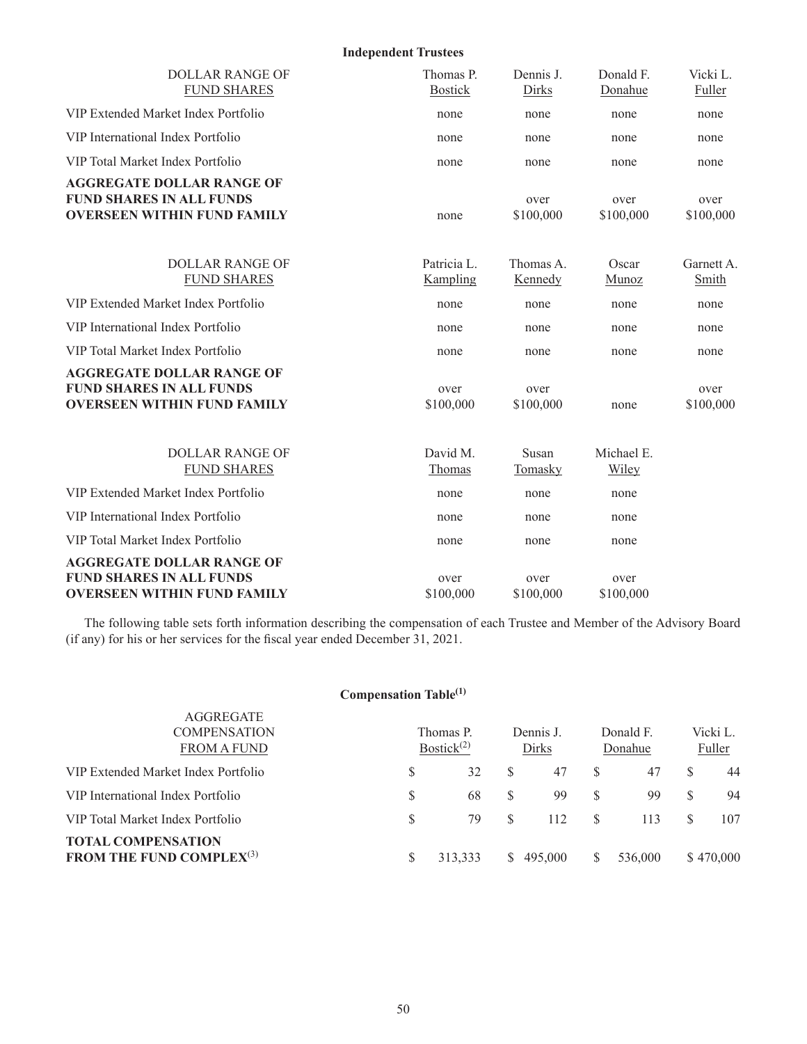**Independent Trustees** DOLLAR RANGE OF FUND SHARES Thomas P. Bostick Dennis J. Dirks Donald F. Donahue Vicki L. Fuller VIP Extended Market Index Portfolio none none none none VIP International Index Portfolio none none none none VIP Total Market Index Portfolio none none none none **AGGREGATE DOLLAR RANGE OF FUND SHARES IN ALL FUNDS OVERSEEN WITHIN FUND FAMILY** none over \$100,000 over \$100,000 over \$100,000 DOLLAR RANGE OF FUND SHARES Patricia L. Kampling Thomas A. Kennedy **Oscar Munoz** Garnett A. **Smith** VIP Extended Market Index Portfolio none none none none VIP International Index Portfolio none none none none VIP Total Market Index Portfolio none none none none **AGGREGATE DOLLAR RANGE OF FUND SHARES IN ALL FUNDS OVERSEEN WITHIN FUND FAMILY** over \$100,000 over \$100,000 none over \$100,000 DOLLAR RANGE OF FUND SHARES David M. Thomas Susan **Tomasky** Michael E. Wiley VIP Extended Market Index Portfolio none none none VIP International Index Portfolio and the none none none none none none none VIP Total Market Index Portfolio none none none **AGGREGATE DOLLAR RANGE OF FUND SHARES IN ALL FUNDS OVERSEEN WITHIN FUND FAMILY** over \$100,000 over \$100,000 over \$100,000

The following table sets forth information describing the compensation of each Trustee and Member of the Advisory Board (if any) for his or her services for the fiscal year ended December 31, 2021.

### **Compensation Table(1)**

AGGREGATE

| $\sqrt{2}$<br><b>COMPENSATION</b>                                  |    | Thomas P.     | Dennis J. |   | Donald F. | Vicki L.  |
|--------------------------------------------------------------------|----|---------------|-----------|---|-----------|-----------|
| <b>FROM A FUND</b>                                                 |    | Bostick $(2)$ | Dirks     |   | Donahue   | Fuller    |
| VIP Extended Market Index Portfolio                                | S  | 32            | 47        |   | 47        | 44        |
| VIP International Index Portfolio                                  | \$ | 68            | 99        |   | 99        | 94        |
| VIP Total Market Index Portfolio                                   | S  | 79            | 112       |   | 113       | 107       |
| <b>TOTAL COMPENSATION</b><br><b>FROM THE FUND COMPLEX</b> $^{(3)}$ | S  | 313.333       | \$495,000 | S | 536,000   | \$470,000 |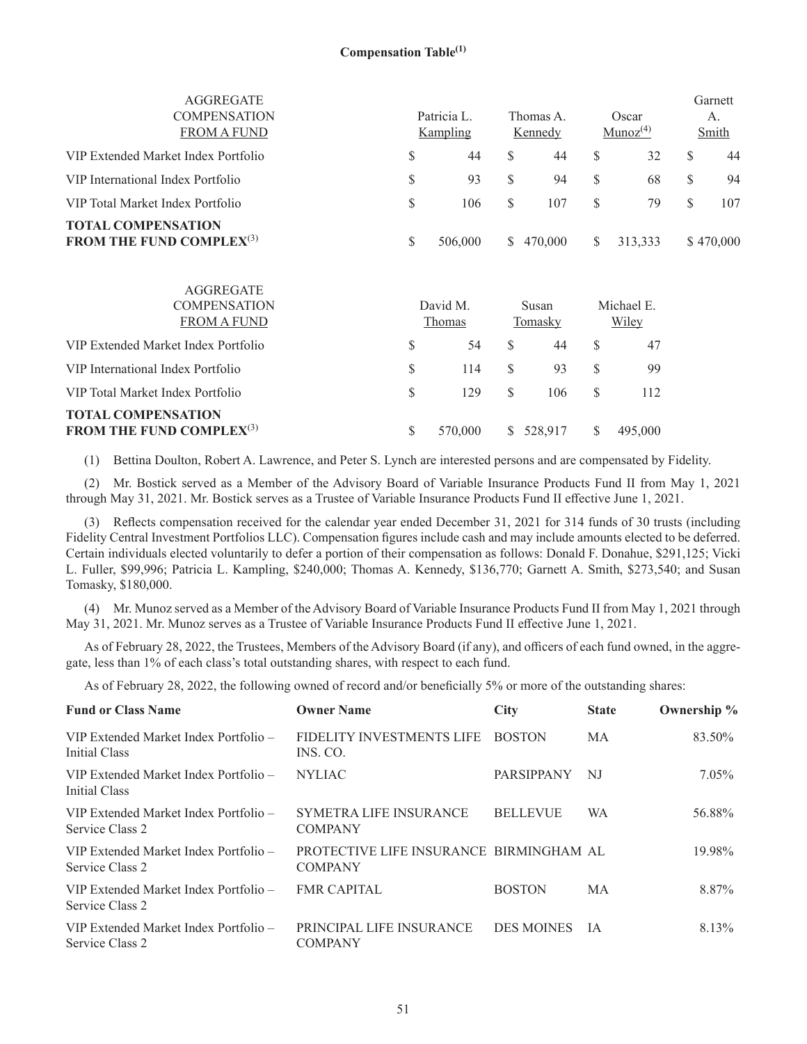| AGGREGATE<br><b>COMPENSATION</b><br><b>FROM A FUND</b>             |    | Patricia L.<br>Kampling |    | Thomas A.<br>Kennedy |     | Oscar<br>Munoz <sup>(4)</sup> | Garnett<br>А.<br>Smith |
|--------------------------------------------------------------------|----|-------------------------|----|----------------------|-----|-------------------------------|------------------------|
| VIP Extended Market Index Portfolio                                | S  | 44                      | S  | 44                   | \$. | 32                            | 44                     |
| VIP International Index Portfolio                                  | \$ | 93                      | S  | 94                   | S   | 68                            | 94                     |
| VIP Total Market Index Portfolio                                   | S  | 106                     | S  | 107                  | S   | 79                            | 107                    |
| <b>TOTAL COMPENSATION</b><br><b>FROM THE FUND COMPLEX</b> $^{(3)}$ | \$ | 506,000                 | S. | 470,000              | S.  | 313,333                       | \$470,000              |

| AGGREGATE<br><b>COMPENSATION</b><br><b>FROM A FUND</b>             |   | David M.<br>Thomas |          | Susan<br>Tomasky |   | Michael E.<br><b>Wiley</b> |
|--------------------------------------------------------------------|---|--------------------|----------|------------------|---|----------------------------|
| VIP Extended Market Index Portfolio                                | S | 54                 | <b>S</b> | 44               | S | 47                         |
| VIP International Index Portfolio                                  | S | 114                | -S       | 93               | S | 99                         |
| VIP Total Market Index Portfolio                                   | S | 129                | <b>S</b> | 106              | S | 112                        |
| <b>TOTAL COMPENSATION</b><br><b>FROM THE FUND COMPLEX</b> $^{(3)}$ |   | 570,000            |          | \$ 528,917       |   | 495,000                    |

(1) Bettina Doulton, Robert A. Lawrence, and Peter S. Lynch are interested persons and are compensated by Fidelity.

(2) Mr. Bostick served as a Member of the Advisory Board of Variable Insurance Products Fund II from May 1, 2021 through May 31, 2021. Mr. Bostick serves as a Trustee of Variable Insurance Products Fund II effective June 1, 2021.

(3) Reflects compensation received for the calendar year ended December 31, 2021 for 314 funds of 30 trusts (including Fidelity Central Investment Portfolios LLC). Compensation figures include cash and may include amounts elected to be deferred. Certain individuals elected voluntarily to defer a portion of their compensation as follows: Donald F. Donahue, \$291,125; Vicki L. Fuller, \$99,996; Patricia L. Kampling, \$240,000; Thomas A. Kennedy, \$136,770; Garnett A. Smith, \$273,540; and Susan Tomasky, \$180,000.

(4) Mr. Munoz served as a Member of the Advisory Board of Variable Insurance Products Fund II from May 1, 2021 through May 31, 2021. Mr. Munoz serves as a Trustee of Variable Insurance Products Fund II effective June 1, 2021.

As of February 28, 2022, the Trustees, Members of the Advisory Board (if any), and officers of each fund owned, in the aggregate, less than 1% of each class's total outstanding shares, with respect to each fund.

As of February 28, 2022, the following owned of record and/or beneficially 5% or more of the outstanding shares:

| <b>Fund or Class Name</b>                                | <b>Owner Name</b>                                         | <b>City</b>       | <b>State</b> | Ownership % |
|----------------------------------------------------------|-----------------------------------------------------------|-------------------|--------------|-------------|
| VIP Extended Market Index Portfolio –<br>Initial Class   | FIDELITY INVESTMENTS LIFE<br>INS. CO.                     | <b>BOSTON</b>     | MA           | 83.50%      |
| VIP Extended Market Index Portfolio –<br>Initial Class   | <b>NYLIAC</b>                                             | <b>PARSIPPANY</b> | NJ           | 7.05%       |
| VIP Extended Market Index Portfolio –<br>Service Class 2 | <b>SYMETRA LIFE INSURANCE</b><br><b>COMPANY</b>           | <b>BELLEVUE</b>   | <b>WA</b>    | 56.88%      |
| VIP Extended Market Index Portfolio –<br>Service Class 2 | PROTECTIVE LIFE INSURANCE BIRMINGHAM AL<br><b>COMPANY</b> |                   |              | 19.98%      |
| VIP Extended Market Index Portfolio –<br>Service Class 2 | <b>FMR CAPITAL</b>                                        | <b>BOSTON</b>     | <b>MA</b>    | 8.87%       |
| VIP Extended Market Index Portfolio –<br>Service Class 2 | PRINCIPAL LIFE INSURANCE<br><b>COMPANY</b>                | <b>DES MOINES</b> | <b>TA</b>    | 8.13%       |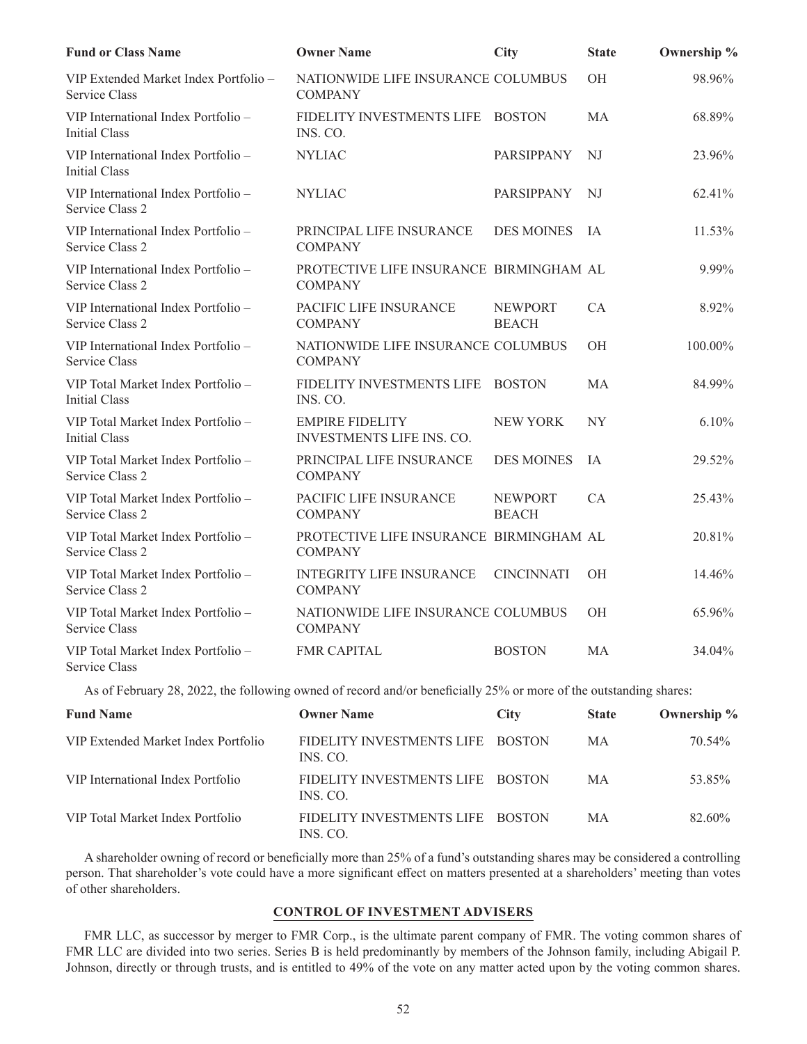| <b>Fund or Class Name</b>                                   | <b>Owner Name</b>                                         | City                           | <b>State</b>   | Ownership % |
|-------------------------------------------------------------|-----------------------------------------------------------|--------------------------------|----------------|-------------|
| VIP Extended Market Index Portfolio -<br>Service Class      | NATIONWIDE LIFE INSURANCE COLUMBUS<br><b>COMPANY</b>      |                                | OH             | 98.96%      |
| VIP International Index Portfolio -<br><b>Initial Class</b> | FIDELITY INVESTMENTS LIFE<br>INS. CO.                     | <b>BOSTON</b>                  | <b>MA</b>      | 68.89%      |
| VIP International Index Portfolio -<br>Initial Class        | <b>NYLIAC</b>                                             | PARSIPPANY                     | NJ             | 23.96%      |
| VIP International Index Portfolio -<br>Service Class 2      | <b>NYLIAC</b>                                             | PARSIPPANY                     | NJ             | 62.41%      |
| VIP International Index Portfolio -<br>Service Class 2      | PRINCIPAL LIFE INSURANCE<br><b>COMPANY</b>                | <b>DES MOINES</b>              | <b>IA</b>      | 11.53%      |
| VIP International Index Portfolio -<br>Service Class 2      | PROTECTIVE LIFE INSURANCE BIRMINGHAM AL<br><b>COMPANY</b> |                                |                | 9.99%       |
| VIP International Index Portfolio -<br>Service Class 2      | PACIFIC LIFE INSURANCE<br><b>COMPANY</b>                  | <b>NEWPORT</b><br><b>BEACH</b> | CA             | 8.92%       |
| VIP International Index Portfolio -<br>Service Class        | NATIONWIDE LIFE INSURANCE COLUMBUS<br><b>COMPANY</b>      |                                | <b>OH</b>      | 100.00%     |
| VIP Total Market Index Portfolio -<br><b>Initial Class</b>  | FIDELITY INVESTMENTS LIFE<br>INS. CO.                     | <b>BOSTON</b>                  | <b>MA</b>      | 84.99%      |
| VIP Total Market Index Portfolio -<br><b>Initial Class</b>  | <b>EMPIRE FIDELITY</b><br>INVESTMENTS LIFE INS. CO.       | <b>NEW YORK</b>                | NY <sub></sub> | 6.10%       |
| VIP Total Market Index Portfolio -<br>Service Class 2       | PRINCIPAL LIFE INSURANCE<br><b>COMPANY</b>                | <b>DES MOINES</b>              | IA             | 29.52%      |
| VIP Total Market Index Portfolio -<br>Service Class 2       | PACIFIC LIFE INSURANCE<br><b>COMPANY</b>                  | <b>NEWPORT</b><br><b>BEACH</b> | CA             | 25.43%      |
| VIP Total Market Index Portfolio -<br>Service Class 2       | PROTECTIVE LIFE INSURANCE BIRMINGHAM AL<br><b>COMPANY</b> |                                |                | 20.81%      |
| VIP Total Market Index Portfolio -<br>Service Class 2       | <b>INTEGRITY LIFE INSURANCE</b><br><b>COMPANY</b>         | <b>CINCINNATI</b>              | OH             | 14.46%      |
| VIP Total Market Index Portfolio -<br><b>Service Class</b>  | NATIONWIDE LIFE INSURANCE COLUMBUS<br><b>COMPANY</b>      |                                | OH             | 65.96%      |
| VIP Total Market Index Portfolio -<br>Service Class         | <b>FMR CAPITAL</b>                                        | <b>BOSTON</b>                  | <b>MA</b>      | 34.04%      |

As of February 28, 2022, the following owned of record and/or beneficially 25% or more of the outstanding shares:

| <b>Fund Name</b>                    | <b>Owner Name</b>                     | <b>City</b>   | <b>State</b> | Ownership % |
|-------------------------------------|---------------------------------------|---------------|--------------|-------------|
| VIP Extended Market Index Portfolio | FIDELITY INVESTMENTS LIFE<br>INS. CO. | <b>BOSTON</b> | MA           | 70.54%      |
| VIP International Index Portfolio   | FIDELITY INVESTMENTS LIFE<br>INS. CO. | <b>BOSTON</b> | MA           | 53.85%      |
| VIP Total Market Index Portfolio    | FIDELITY INVESTMENTS LIFE<br>INS. CO. | <b>BOSTON</b> | MA           | 82.60%      |

A shareholder owning of record or beneficially more than 25% of a fund's outstanding shares may be considered a controlling person. That shareholder's vote could have a more significant effect on matters presented at a shareholders' meeting than votes of other shareholders.

### **CONTROL OF INVESTMENT ADVISERS**

FMR LLC, as successor by merger to FMR Corp., is the ultimate parent company of FMR. The voting common shares of FMR LLC are divided into two series. Series B is held predominantly by members of the Johnson family, including Abigail P. Johnson, directly or through trusts, and is entitled to 49% of the vote on any matter acted upon by the voting common shares.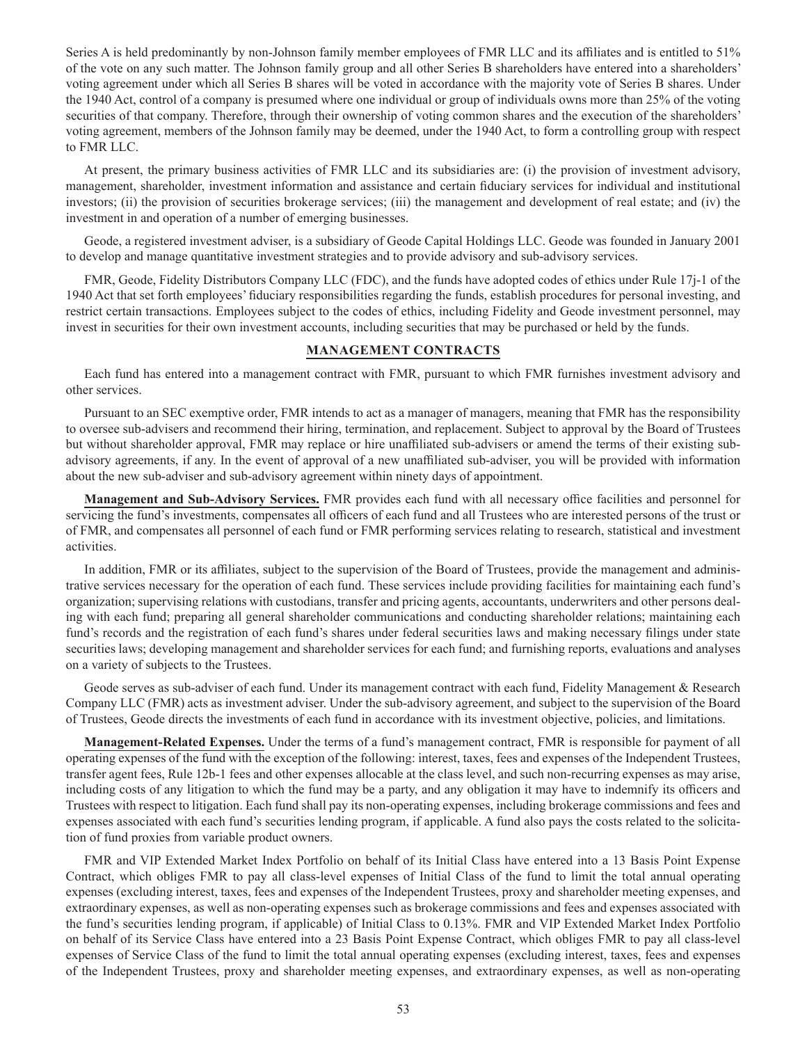Series A is held predominantly by non-Johnson family member employees of FMR LLC and its affiliates and is entitled to 51% of the vote on any such matter. The Johnson family group and all other Series B shareholders have entered into a shareholders' voting agreement under which all Series B shares will be voted in accordance with the majority vote of Series B shares. Under the 1940 Act, control of a company is presumed where one individual or group of individuals owns more than 25% of the voting securities of that company. Therefore, through their ownership of voting common shares and the execution of the shareholders' voting agreement, members of the Johnson family may be deemed, under the 1940 Act, to form a controlling group with respect to FMR LLC.

At present, the primary business activities of FMR LLC and its subsidiaries are: (i) the provision of investment advisory, management, shareholder, investment information and assistance and certain fiduciary services for individual and institutional investors; (ii) the provision of securities brokerage services; (iii) the management and development of real estate; and (iv) the investment in and operation of a number of emerging businesses.

Geode, a registered investment adviser, is a subsidiary of Geode Capital Holdings LLC. Geode was founded in January 2001 to develop and manage quantitative investment strategies and to provide advisory and sub-advisory services.

FMR, Geode, Fidelity Distributors Company LLC (FDC), and the funds have adopted codes of ethics under Rule 17j-1 of the 1940 Act that set forth employees' fiduciary responsibilities regarding the funds, establish procedures for personal investing, and restrict certain transactions. Employees subject to the codes of ethics, including Fidelity and Geode investment personnel, may invest in securities for their own investment accounts, including securities that may be purchased or held by the funds.

### **MANAGEMENT CONTRACTS**

Each fund has entered into a management contract with FMR, pursuant to which FMR furnishes investment advisory and other services.

Pursuant to an SEC exemptive order, FMR intends to act as a manager of managers, meaning that FMR has the responsibility to oversee sub-advisers and recommend their hiring, termination, and replacement. Subject to approval by the Board of Trustees but without shareholder approval, FMR may replace or hire unaffiliated sub-advisers or amend the terms of their existing subadvisory agreements, if any. In the event of approval of a new unaffiliated sub-adviser, you will be provided with information about the new sub-adviser and sub-advisory agreement within ninety days of appointment.

**Management and Sub-Advisory Services.** FMR provides each fund with all necessary office facilities and personnel for servicing the fund's investments, compensates all officers of each fund and all Trustees who are interested persons of the trust or of FMR, and compensates all personnel of each fund or FMR performing services relating to research, statistical and investment activities.

In addition, FMR or its affiliates, subject to the supervision of the Board of Trustees, provide the management and administrative services necessary for the operation of each fund. These services include providing facilities for maintaining each fund's organization; supervising relations with custodians, transfer and pricing agents, accountants, underwriters and other persons dealing with each fund; preparing all general shareholder communications and conducting shareholder relations; maintaining each fund's records and the registration of each fund's shares under federal securities laws and making necessary filings under state securities laws; developing management and shareholder services for each fund; and furnishing reports, evaluations and analyses on a variety of subjects to the Trustees.

Geode serves as sub-adviser of each fund. Under its management contract with each fund, Fidelity Management & Research Company LLC (FMR) acts as investment adviser. Under the sub-advisory agreement, and subject to the supervision of the Board of Trustees, Geode directs the investments of each fund in accordance with its investment objective, policies, and limitations.

**Management-Related Expenses.** Under the terms of a fund's management contract, FMR is responsible for payment of all operating expenses of the fund with the exception of the following: interest, taxes, fees and expenses of the Independent Trustees, transfer agent fees, Rule 12b-1 fees and other expenses allocable at the class level, and such non-recurring expenses as may arise, including costs of any litigation to which the fund may be a party, and any obligation it may have to indemnify its officers and Trustees with respect to litigation. Each fund shall pay its non-operating expenses, including brokerage commissions and fees and expenses associated with each fund's securities lending program, if applicable. A fund also pays the costs related to the solicitation of fund proxies from variable product owners.

FMR and VIP Extended Market Index Portfolio on behalf of its Initial Class have entered into a 13 Basis Point Expense Contract, which obliges FMR to pay all class-level expenses of Initial Class of the fund to limit the total annual operating expenses (excluding interest, taxes, fees and expenses of the Independent Trustees, proxy and shareholder meeting expenses, and extraordinary expenses, as well as non-operating expenses such as brokerage commissions and fees and expenses associated with the fund's securities lending program, if applicable) of Initial Class to 0.13%. FMR and VIP Extended Market Index Portfolio on behalf of its Service Class have entered into a 23 Basis Point Expense Contract, which obliges FMR to pay all class-level expenses of Service Class of the fund to limit the total annual operating expenses (excluding interest, taxes, fees and expenses of the Independent Trustees, proxy and shareholder meeting expenses, and extraordinary expenses, as well as non-operating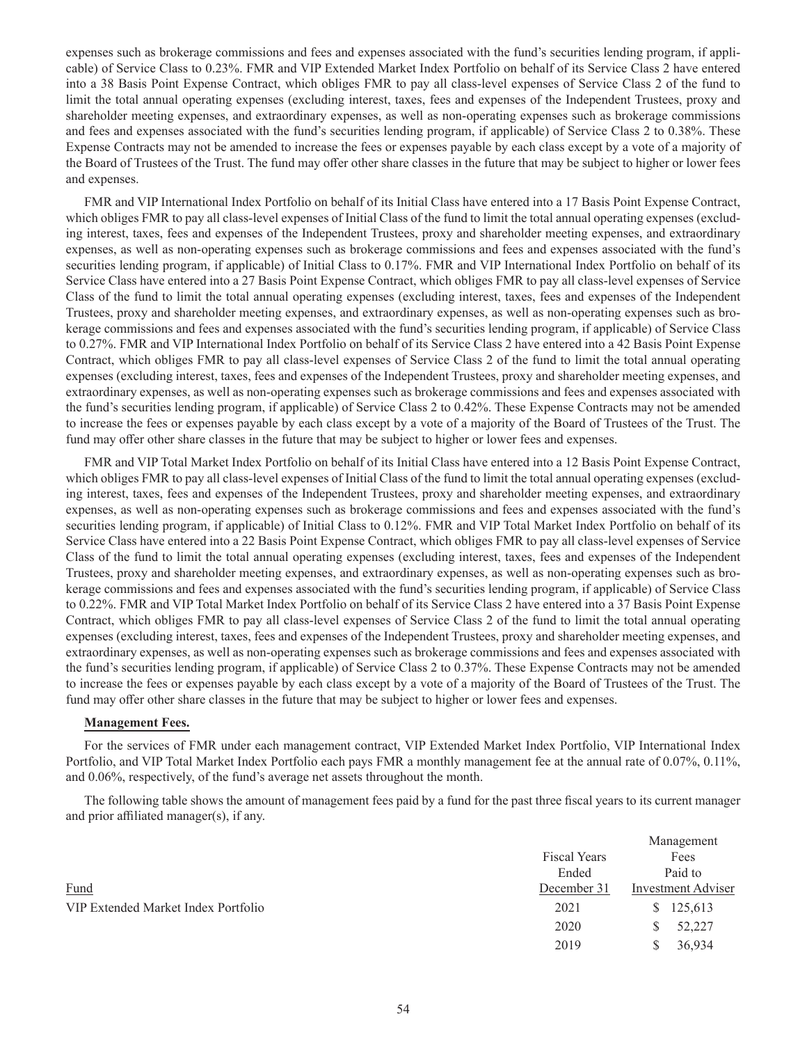expenses such as brokerage commissions and fees and expenses associated with the fund's securities lending program, if applicable) of Service Class to 0.23%. FMR and VIP Extended Market Index Portfolio on behalf of its Service Class 2 have entered into a 38 Basis Point Expense Contract, which obliges FMR to pay all class-level expenses of Service Class 2 of the fund to limit the total annual operating expenses (excluding interest, taxes, fees and expenses of the Independent Trustees, proxy and shareholder meeting expenses, and extraordinary expenses, as well as non-operating expenses such as brokerage commissions and fees and expenses associated with the fund's securities lending program, if applicable) of Service Class 2 to 0.38%. These Expense Contracts may not be amended to increase the fees or expenses payable by each class except by a vote of a majority of the Board of Trustees of the Trust. The fund may offer other share classes in the future that may be subject to higher or lower fees and expenses.

FMR and VIP International Index Portfolio on behalf of its Initial Class have entered into a 17 Basis Point Expense Contract, which obliges FMR to pay all class-level expenses of Initial Class of the fund to limit the total annual operating expenses (excluding interest, taxes, fees and expenses of the Independent Trustees, proxy and shareholder meeting expenses, and extraordinary expenses, as well as non-operating expenses such as brokerage commissions and fees and expenses associated with the fund's securities lending program, if applicable) of Initial Class to 0.17%. FMR and VIP International Index Portfolio on behalf of its Service Class have entered into a 27 Basis Point Expense Contract, which obliges FMR to pay all class-level expenses of Service Class of the fund to limit the total annual operating expenses (excluding interest, taxes, fees and expenses of the Independent Trustees, proxy and shareholder meeting expenses, and extraordinary expenses, as well as non-operating expenses such as brokerage commissions and fees and expenses associated with the fund's securities lending program, if applicable) of Service Class to 0.27%. FMR and VIP International Index Portfolio on behalf of its Service Class 2 have entered into a 42 Basis Point Expense Contract, which obliges FMR to pay all class-level expenses of Service Class 2 of the fund to limit the total annual operating expenses (excluding interest, taxes, fees and expenses of the Independent Trustees, proxy and shareholder meeting expenses, and extraordinary expenses, as well as non-operating expenses such as brokerage commissions and fees and expenses associated with the fund's securities lending program, if applicable) of Service Class 2 to 0.42%. These Expense Contracts may not be amended to increase the fees or expenses payable by each class except by a vote of a majority of the Board of Trustees of the Trust. The fund may offer other share classes in the future that may be subject to higher or lower fees and expenses.

FMR and VIP Total Market Index Portfolio on behalf of its Initial Class have entered into a 12 Basis Point Expense Contract, which obliges FMR to pay all class-level expenses of Initial Class of the fund to limit the total annual operating expenses (excluding interest, taxes, fees and expenses of the Independent Trustees, proxy and shareholder meeting expenses, and extraordinary expenses, as well as non-operating expenses such as brokerage commissions and fees and expenses associated with the fund's securities lending program, if applicable) of Initial Class to 0.12%. FMR and VIP Total Market Index Portfolio on behalf of its Service Class have entered into a 22 Basis Point Expense Contract, which obliges FMR to pay all class-level expenses of Service Class of the fund to limit the total annual operating expenses (excluding interest, taxes, fees and expenses of the Independent Trustees, proxy and shareholder meeting expenses, and extraordinary expenses, as well as non-operating expenses such as brokerage commissions and fees and expenses associated with the fund's securities lending program, if applicable) of Service Class to 0.22%. FMR and VIP Total Market Index Portfolio on behalf of its Service Class 2 have entered into a 37 Basis Point Expense Contract, which obliges FMR to pay all class-level expenses of Service Class 2 of the fund to limit the total annual operating expenses (excluding interest, taxes, fees and expenses of the Independent Trustees, proxy and shareholder meeting expenses, and extraordinary expenses, as well as non-operating expenses such as brokerage commissions and fees and expenses associated with the fund's securities lending program, if applicable) of Service Class 2 to 0.37%. These Expense Contracts may not be amended to increase the fees or expenses payable by each class except by a vote of a majority of the Board of Trustees of the Trust. The fund may offer other share classes in the future that may be subject to higher or lower fees and expenses.

### **Management Fees.**

For the services of FMR under each management contract, VIP Extended Market Index Portfolio, VIP International Index Portfolio, and VIP Total Market Index Portfolio each pays FMR a monthly management fee at the annual rate of 0.07%, 0.11%, and 0.06%, respectively, of the fund's average net assets throughout the month.

The following table shows the amount of management fees paid by a fund for the past three fiscal years to its current manager and prior affiliated manager(s), if any.

|                                     |                     | Management                |
|-------------------------------------|---------------------|---------------------------|
|                                     | <b>Fiscal Years</b> | Fees                      |
|                                     | Ended               | Paid to                   |
| Fund                                | December 31         | <b>Investment Adviser</b> |
| VIP Extended Market Index Portfolio | 2021                | 125,613<br>S.             |
|                                     | 2020                | 52,227                    |
|                                     | 2019                | 36,934                    |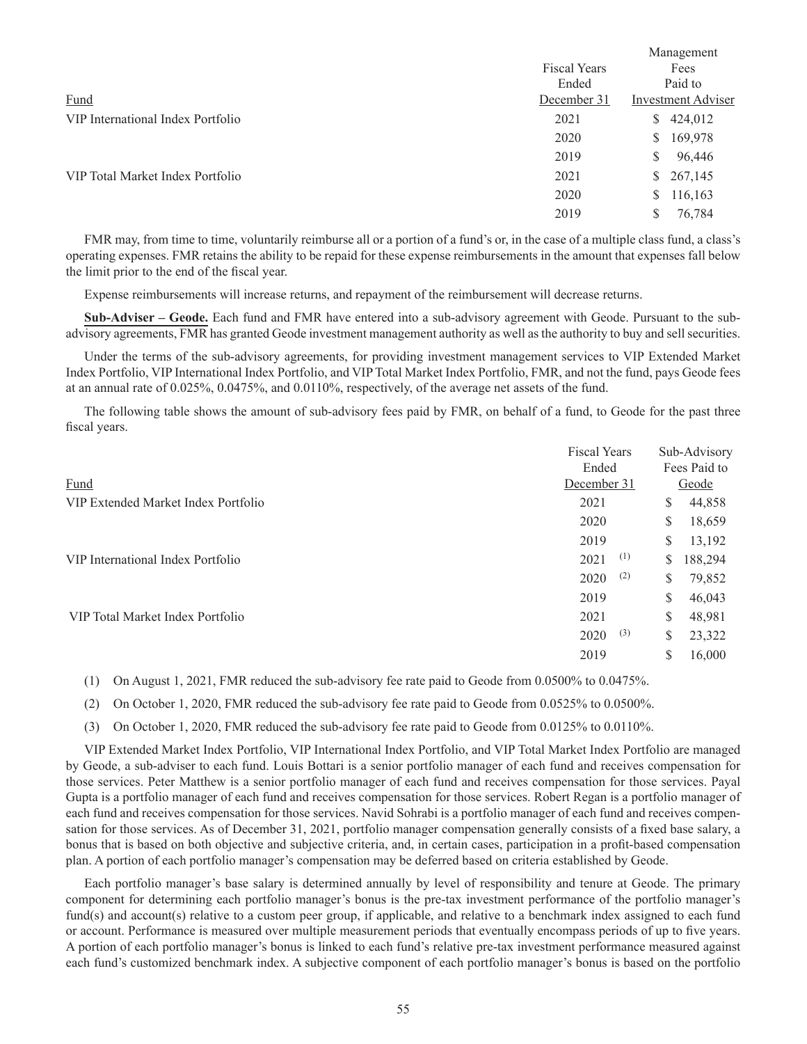|                     | Management                |
|---------------------|---------------------------|
| <b>Fiscal Years</b> |                           |
| Ended               | Paid to                   |
| December 31         | <b>Investment Adviser</b> |
| 2021                | 424,012<br>S.             |
| 2020                | 169,978<br>S.             |
| 2019                | 96,446<br>S               |
| 2021                | \$267,145                 |
| 2020                | 116,163<br>S.             |
| 2019                | 76,784<br>S               |
|                     |                           |

FMR may, from time to time, voluntarily reimburse all or a portion of a fund's or, in the case of a multiple class fund, a class's operating expenses. FMR retains the ability to be repaid for these expense reimbursements in the amount that expenses fall below the limit prior to the end of the fiscal year.

Expense reimbursements will increase returns, and repayment of the reimbursement will decrease returns.

**Sub-Adviser – Geode.** Each fund and FMR have entered into a sub-advisory agreement with Geode. Pursuant to the subadvisory agreements, FMR has granted Geode investment management authority as well as the authority to buy and sell securities.

Under the terms of the sub-advisory agreements, for providing investment management services to VIP Extended Market Index Portfolio, VIP International Index Portfolio, and VIP Total Market Index Portfolio, FMR, and not the fund, pays Geode fees at an annual rate of 0.025%, 0.0475%, and 0.0110%, respectively, of the average net assets of the fund.

The following table shows the amount of sub-advisory fees paid by FMR, on behalf of a fund, to Geode for the past three fiscal years.

|                                     | <b>Fiscal Years</b> | Sub-Advisory  |  |
|-------------------------------------|---------------------|---------------|--|
|                                     | Ended               | Fees Paid to  |  |
| Fund                                | December 31         | Geode         |  |
| VIP Extended Market Index Portfolio | 2021                | 44,858<br>\$  |  |
|                                     | 2020                | 18,659<br>\$  |  |
|                                     | 2019                | \$<br>13,192  |  |
| VIP International Index Portfolio   | (1)<br>2021         | \$<br>188,294 |  |
|                                     | (2)<br>2020         | \$<br>79,852  |  |
|                                     | 2019                | \$<br>46,043  |  |
| VIP Total Market Index Portfolio    | 2021                | \$<br>48,981  |  |
|                                     | (3)<br>2020         | \$<br>23,322  |  |
|                                     | 2019                | S<br>16,000   |  |

(1) On August 1, 2021, FMR reduced the sub-advisory fee rate paid to Geode from 0.0500% to 0.0475%.

(2) On October 1, 2020, FMR reduced the sub-advisory fee rate paid to Geode from 0.0525% to 0.0500%.

(3) On October 1, 2020, FMR reduced the sub-advisory fee rate paid to Geode from 0.0125% to 0.0110%.

VIP Extended Market Index Portfolio, VIP International Index Portfolio, and VIP Total Market Index Portfolio are managed by Geode, a sub-adviser to each fund. Louis Bottari is a senior portfolio manager of each fund and receives compensation for those services. Peter Matthew is a senior portfolio manager of each fund and receives compensation for those services. Payal Gupta is a portfolio manager of each fund and receives compensation for those services. Robert Regan is a portfolio manager of each fund and receives compensation for those services. Navid Sohrabi is a portfolio manager of each fund and receives compensation for those services. As of December 31, 2021, portfolio manager compensation generally consists of a fixed base salary, a bonus that is based on both objective and subjective criteria, and, in certain cases, participation in a profit-based compensation plan. A portion of each portfolio manager's compensation may be deferred based on criteria established by Geode.

Each portfolio manager's base salary is determined annually by level of responsibility and tenure at Geode. The primary component for determining each portfolio manager's bonus is the pre-tax investment performance of the portfolio manager's fund(s) and account(s) relative to a custom peer group, if applicable, and relative to a benchmark index assigned to each fund or account. Performance is measured over multiple measurement periods that eventually encompass periods of up to five years. A portion of each portfolio manager's bonus is linked to each fund's relative pre-tax investment performance measured against each fund's customized benchmark index. A subjective component of each portfolio manager's bonus is based on the portfolio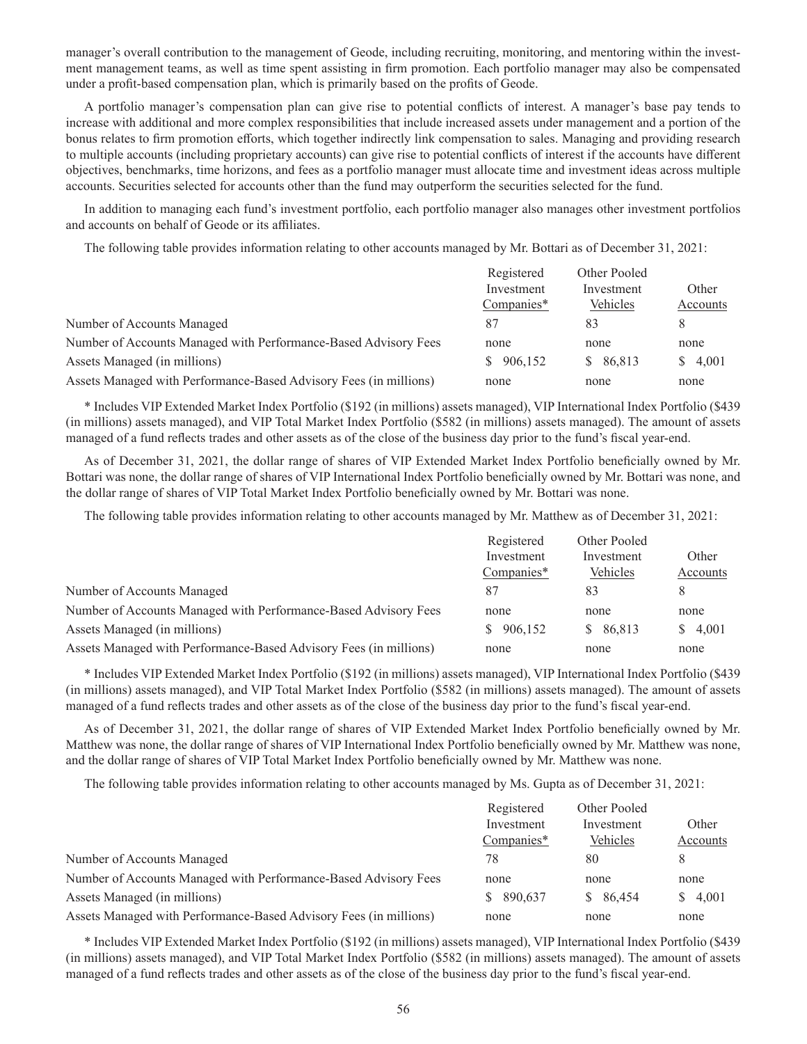manager's overall contribution to the management of Geode, including recruiting, monitoring, and mentoring within the investment management teams, as well as time spent assisting in firm promotion. Each portfolio manager may also be compensated under a profit-based compensation plan, which is primarily based on the profits of Geode.

A portfolio manager's compensation plan can give rise to potential conflicts of interest. A manager's base pay tends to increase with additional and more complex responsibilities that include increased assets under management and a portion of the bonus relates to firm promotion efforts, which together indirectly link compensation to sales. Managing and providing research to multiple accounts (including proprietary accounts) can give rise to potential conflicts of interest if the accounts have different objectives, benchmarks, time horizons, and fees as a portfolio manager must allocate time and investment ideas across multiple accounts. Securities selected for accounts other than the fund may outperform the securities selected for the fund.

In addition to managing each fund's investment portfolio, each portfolio manager also manages other investment portfolios and accounts on behalf of Geode or its affiliates.

The following table provides information relating to other accounts managed by Mr. Bottari as of December 31, 2021:

|                                                                   | Registered    | Other Pooled |          |
|-------------------------------------------------------------------|---------------|--------------|----------|
|                                                                   | Investment    | Investment   | Other    |
|                                                                   | $Companies*$  | Vehicles     | Accounts |
| Number of Accounts Managed                                        | 87            | 83           | 8        |
| Number of Accounts Managed with Performance-Based Advisory Fees   | none          | none         | none     |
| Assets Managed (in millions)                                      | 906,152<br>S. | \$86,813     | \$4,001  |
| Assets Managed with Performance-Based Advisory Fees (in millions) | none          | none         | none     |

\* Includes VIP Extended Market Index Portfolio (\$192 (in millions) assets managed), VIP International Index Portfolio (\$439 (in millions) assets managed), and VIP Total Market Index Portfolio (\$582 (in millions) assets managed). The amount of assets managed of a fund reflects trades and other assets as of the close of the business day prior to the fund's fiscal year-end.

As of December 31, 2021, the dollar range of shares of VIP Extended Market Index Portfolio beneficially owned by Mr. Bottari was none, the dollar range of shares of VIP International Index Portfolio beneficially owned by Mr. Bottari was none, and the dollar range of shares of VIP Total Market Index Portfolio beneficially owned by Mr. Bottari was none.

The following table provides information relating to other accounts managed by Mr. Matthew as of December 31, 2021:

|                                                                   | Registered    | Other Pooled |          |
|-------------------------------------------------------------------|---------------|--------------|----------|
|                                                                   | Investment    | Investment   | Other    |
|                                                                   | Companies*    | Vehicles     | Accounts |
| Number of Accounts Managed                                        | 87            | 83           | 8        |
| Number of Accounts Managed with Performance-Based Advisory Fees   | none          | none         | none     |
| Assets Managed (in millions)                                      | 906,152<br>S. | \$86,813     | \$ 4,001 |
| Assets Managed with Performance-Based Advisory Fees (in millions) | none          | none         | none     |

\* Includes VIP Extended Market Index Portfolio (\$192 (in millions) assets managed), VIP International Index Portfolio (\$439 (in millions) assets managed), and VIP Total Market Index Portfolio (\$582 (in millions) assets managed). The amount of assets managed of a fund reflects trades and other assets as of the close of the business day prior to the fund's fiscal year-end.

As of December 31, 2021, the dollar range of shares of VIP Extended Market Index Portfolio beneficially owned by Mr. Matthew was none, the dollar range of shares of VIP International Index Portfolio beneficially owned by Mr. Matthew was none, and the dollar range of shares of VIP Total Market Index Portfolio beneficially owned by Mr. Matthew was none.

The following table provides information relating to other accounts managed by Ms. Gupta as of December 31, 2021:

|                                                                   | Registered | Other Pooled |          |
|-------------------------------------------------------------------|------------|--------------|----------|
|                                                                   | Investment | Investment   | Other    |
|                                                                   | Companies* | Vehicles     | Accounts |
| Number of Accounts Managed                                        | 78         | 80           | 8        |
| Number of Accounts Managed with Performance-Based Advisory Fees   | none       | none         | none     |
| Assets Managed (in millions)                                      | \$ 890,637 | \$86,454     | \$4,001  |
| Assets Managed with Performance-Based Advisory Fees (in millions) | none       | none         | none     |

\* Includes VIP Extended Market Index Portfolio (\$192 (in millions) assets managed), VIP International Index Portfolio (\$439 (in millions) assets managed), and VIP Total Market Index Portfolio (\$582 (in millions) assets managed). The amount of assets managed of a fund reflects trades and other assets as of the close of the business day prior to the fund's fiscal year-end.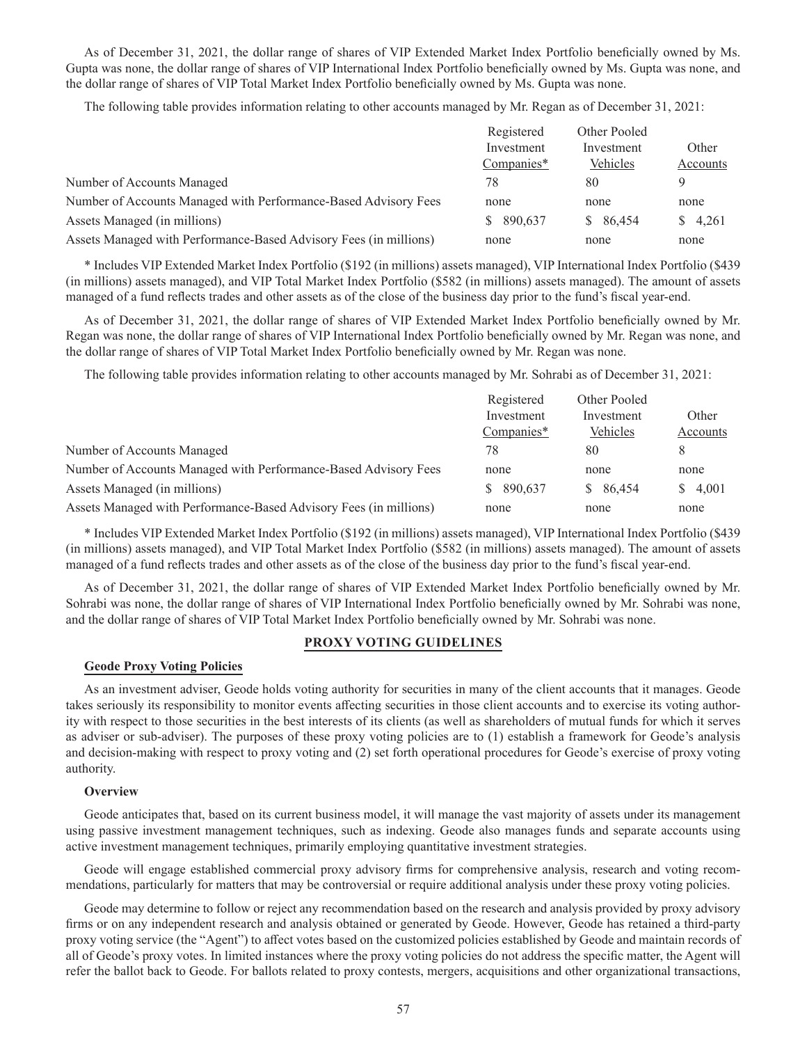As of December 31, 2021, the dollar range of shares of VIP Extended Market Index Portfolio beneficially owned by Ms. Gupta was none, the dollar range of shares of VIP International Index Portfolio beneficially owned by Ms. Gupta was none, and the dollar range of shares of VIP Total Market Index Portfolio beneficially owned by Ms. Gupta was none.

The following table provides information relating to other accounts managed by Mr. Regan as of December 31, 2021:

|                                                                   | Registered    | Other Pooled |          |
|-------------------------------------------------------------------|---------------|--------------|----------|
|                                                                   | Investment    | Investment   | Other    |
|                                                                   | $Companies*$  | Vehicles     | Accounts |
| Number of Accounts Managed                                        | 78            | 80           |          |
| Number of Accounts Managed with Performance-Based Advisory Fees   | none          | none         | none     |
| Assets Managed (in millions)                                      | 890,637<br>S. | \$ 86,454    | \$ 4,261 |
| Assets Managed with Performance-Based Advisory Fees (in millions) | none          | none         | none     |

\* Includes VIP Extended Market Index Portfolio (\$192 (in millions) assets managed), VIP International Index Portfolio (\$439 (in millions) assets managed), and VIP Total Market Index Portfolio (\$582 (in millions) assets managed). The amount of assets managed of a fund reflects trades and other assets as of the close of the business day prior to the fund's fiscal year-end.

As of December 31, 2021, the dollar range of shares of VIP Extended Market Index Portfolio beneficially owned by Mr. Regan was none, the dollar range of shares of VIP International Index Portfolio beneficially owned by Mr. Regan was none, and the dollar range of shares of VIP Total Market Index Portfolio beneficially owned by Mr. Regan was none.

The following table provides information relating to other accounts managed by Mr. Sohrabi as of December 31, 2021:

| Registered | Other Pooled |          |
|------------|--------------|----------|
| Investment | Investment   | Other    |
| Companies* | Vehicles     | Accounts |
| 78         | 80           | 8        |
| none       | none         | none     |
| \$ 890,637 | \$86,454     | \$ 4,001 |
| none       | none         | none     |
|            |              |          |

\* Includes VIP Extended Market Index Portfolio (\$192 (in millions) assets managed), VIP International Index Portfolio (\$439 (in millions) assets managed), and VIP Total Market Index Portfolio (\$582 (in millions) assets managed). The amount of assets managed of a fund reflects trades and other assets as of the close of the business day prior to the fund's fiscal year-end.

As of December 31, 2021, the dollar range of shares of VIP Extended Market Index Portfolio beneficially owned by Mr. Sohrabi was none, the dollar range of shares of VIP International Index Portfolio beneficially owned by Mr. Sohrabi was none, and the dollar range of shares of VIP Total Market Index Portfolio beneficially owned by Mr. Sohrabi was none.

### **PROXY VOTING GUIDELINES**

### **Geode Proxy Voting Policies**

As an investment adviser, Geode holds voting authority for securities in many of the client accounts that it manages. Geode takes seriously its responsibility to monitor events affecting securities in those client accounts and to exercise its voting authority with respect to those securities in the best interests of its clients (as well as shareholders of mutual funds for which it serves as adviser or sub-adviser). The purposes of these proxy voting policies are to (1) establish a framework for Geode's analysis and decision-making with respect to proxy voting and (2) set forth operational procedures for Geode's exercise of proxy voting authority.

#### **Overview**

Geode anticipates that, based on its current business model, it will manage the vast majority of assets under its management using passive investment management techniques, such as indexing. Geode also manages funds and separate accounts using active investment management techniques, primarily employing quantitative investment strategies.

Geode will engage established commercial proxy advisory firms for comprehensive analysis, research and voting recommendations, particularly for matters that may be controversial or require additional analysis under these proxy voting policies.

Geode may determine to follow or reject any recommendation based on the research and analysis provided by proxy advisory firms or on any independent research and analysis obtained or generated by Geode. However, Geode has retained a third-party proxy voting service (the "Agent") to affect votes based on the customized policies established by Geode and maintain records of all of Geode's proxy votes. In limited instances where the proxy voting policies do not address the specific matter, the Agent will refer the ballot back to Geode. For ballots related to proxy contests, mergers, acquisitions and other organizational transactions,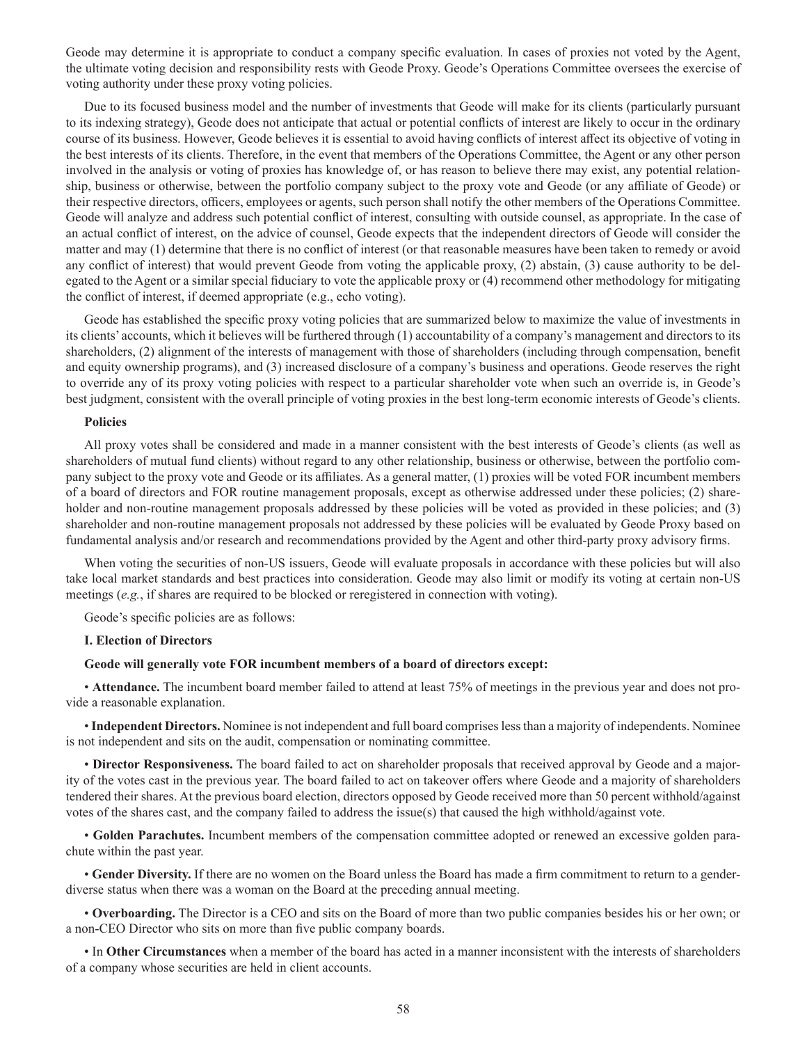Geode may determine it is appropriate to conduct a company specific evaluation. In cases of proxies not voted by the Agent, the ultimate voting decision and responsibility rests with Geode Proxy. Geode's Operations Committee oversees the exercise of voting authority under these proxy voting policies.

Due to its focused business model and the number of investments that Geode will make for its clients (particularly pursuant to its indexing strategy), Geode does not anticipate that actual or potential conflicts of interest are likely to occur in the ordinary course of its business. However, Geode believes it is essential to avoid having conflicts of interest affect its objective of voting in the best interests of its clients. Therefore, in the event that members of the Operations Committee, the Agent or any other person involved in the analysis or voting of proxies has knowledge of, or has reason to believe there may exist, any potential relationship, business or otherwise, between the portfolio company subject to the proxy vote and Geode (or any affiliate of Geode) or their respective directors, officers, employees or agents, such person shall notify the other members of the Operations Committee. Geode will analyze and address such potential conflict of interest, consulting with outside counsel, as appropriate. In the case of an actual conflict of interest, on the advice of counsel, Geode expects that the independent directors of Geode will consider the matter and may (1) determine that there is no conflict of interest (or that reasonable measures have been taken to remedy or avoid any conflict of interest) that would prevent Geode from voting the applicable proxy, (2) abstain, (3) cause authority to be delegated to the Agent or a similar special fiduciary to vote the applicable proxy or (4) recommend other methodology for mitigating the conflict of interest, if deemed appropriate (e.g., echo voting).

Geode has established the specific proxy voting policies that are summarized below to maximize the value of investments in its clients' accounts, which it believes will be furthered through (1) accountability of a company's management and directors to its shareholders, (2) alignment of the interests of management with those of shareholders (including through compensation, benefit and equity ownership programs), and (3) increased disclosure of a company's business and operations. Geode reserves the right to override any of its proxy voting policies with respect to a particular shareholder vote when such an override is, in Geode's best judgment, consistent with the overall principle of voting proxies in the best long-term economic interests of Geode's clients.

#### **Policies**

All proxy votes shall be considered and made in a manner consistent with the best interests of Geode's clients (as well as shareholders of mutual fund clients) without regard to any other relationship, business or otherwise, between the portfolio company subject to the proxy vote and Geode or its affiliates. As a general matter, (1) proxies will be voted FOR incumbent members of a board of directors and FOR routine management proposals, except as otherwise addressed under these policies; (2) shareholder and non-routine management proposals addressed by these policies will be voted as provided in these policies; and (3) shareholder and non-routine management proposals not addressed by these policies will be evaluated by Geode Proxy based on fundamental analysis and/or research and recommendations provided by the Agent and other third-party proxy advisory firms.

When voting the securities of non-US issuers, Geode will evaluate proposals in accordance with these policies but will also take local market standards and best practices into consideration. Geode may also limit or modify its voting at certain non-US meetings (*e.g.*, if shares are required to be blocked or reregistered in connection with voting).

Geode's specific policies are as follows:

#### **I. Election of Directors**

#### **Geode will generally vote FOR incumbent members of a board of directors except:**

• **Attendance.** The incumbent board member failed to attend at least 75% of meetings in the previous year and does not provide a reasonable explanation.

• **Independent Directors.** Nominee is not independent and full board comprises less than a majority of independents. Nominee is not independent and sits on the audit, compensation or nominating committee.

• **Director Responsiveness.** The board failed to act on shareholder proposals that received approval by Geode and a majority of the votes cast in the previous year. The board failed to act on takeover offers where Geode and a majority of shareholders tendered their shares. At the previous board election, directors opposed by Geode received more than 50 percent withhold/against votes of the shares cast, and the company failed to address the issue(s) that caused the high withhold/against vote.

• **Golden Parachutes.** Incumbent members of the compensation committee adopted or renewed an excessive golden parachute within the past year.

• **Gender Diversity.** If there are no women on the Board unless the Board has made a firm commitment to return to a genderdiverse status when there was a woman on the Board at the preceding annual meeting.

• **Overboarding.** The Director is a CEO and sits on the Board of more than two public companies besides his or her own; or a non-CEO Director who sits on more than five public company boards.

• In **Other Circumstances** when a member of the board has acted in a manner inconsistent with the interests of shareholders of a company whose securities are held in client accounts.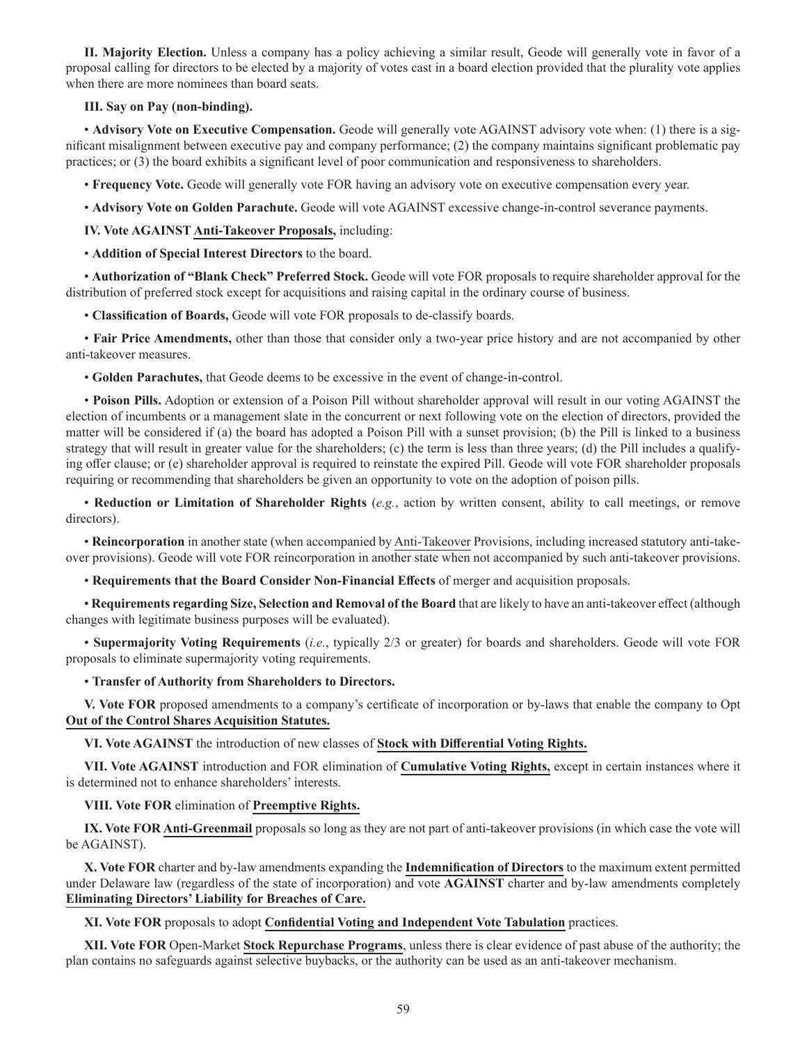**II. Majority Election.** Unless a company has a policy achieving a similar result, Geode will generally vote in favor of a proposal calling for directors to be elected by a majority of votes cast in a board election provided that the plurality vote applies when there are more nominees than board seats.

### **III. Say on Pay (non-binding).**

• **Advisory Vote on Executive Compensation.** Geode will generally vote AGAINST advisory vote when: (1) there is a significant misalignment between executive pay and company performance; (2) the company maintains significant problematic pay practices; or (3) the board exhibits a significant level of poor communication and responsiveness to shareholders.

• **Frequency Vote.** Geode will generally vote FOR having an advisory vote on executive compensation every year.

• **Advisory Vote on Golden Parachute.** Geode will vote AGAINST excessive change-in-control severance payments.

**IV. Vote AGAINST Anti-Takeover Proposals,** including:

• **Addition of Special Interest Directors** to the board.

• **Authorization of "Blank Check" Preferred Stock.** Geode will vote FOR proposals to require shareholder approval for the distribution of preferred stock except for acquisitions and raising capital in the ordinary course of business.

• **Classification of Boards,** Geode will vote FOR proposals to de-classify boards.

• **Fair Price Amendments,** other than those that consider only a two-year price history and are not accompanied by other anti-takeover measures.

• **Golden Parachutes,** that Geode deems to be excessive in the event of change-in-control.

• **Poison Pills.** Adoption or extension of a Poison Pill without shareholder approval will result in our voting AGAINST the election of incumbents or a management slate in the concurrent or next following vote on the election of directors, provided the matter will be considered if (a) the board has adopted a Poison Pill with a sunset provision; (b) the Pill is linked to a business strategy that will result in greater value for the shareholders; (c) the term is less than three years; (d) the Pill includes a qualifying offer clause; or (e) shareholder approval is required to reinstate the expired Pill. Geode will vote FOR shareholder proposals requiring or recommending that shareholders be given an opportunity to vote on the adoption of poison pills.

• **Reduction or Limitation of Shareholder Rights** (*e.g.*, action by written consent, ability to call meetings, or remove directors).

• **Reincorporation** in another state (when accompanied by Anti-Takeover Provisions, including increased statutory anti-takeover provisions). Geode will vote FOR reincorporation in another state when not accompanied by such anti-takeover provisions.

• **Requirements that the Board Consider Non-Financial Effects** of merger and acquisition proposals.

• **Requirements regarding Size, Selection and Removal of the Board** that are likely to have an anti-takeover effect (although changes with legitimate business purposes will be evaluated).

• **Supermajority Voting Requirements** (*i.e.*, typically 2/3 or greater) for boards and shareholders. Geode will vote FOR proposals to eliminate supermajority voting requirements.

### • **Transfer of Authority from Shareholders to Directors.**

**V. Vote FOR** proposed amendments to a company's certificate of incorporation or by-laws that enable the company to Opt **Out of the Control Shares Acquisition Statutes.**

**VI. Vote AGAINST** the introduction of new classes of **Stock with Differential Voting Rights.**

**VII. Vote AGAINST** introduction and FOR elimination of **Cumulative Voting Rights,** except in certain instances where it is determined not to enhance shareholders' interests.

**VIII. Vote FOR** elimination of **Preemptive Rights.**

**IX. Vote FOR Anti-Greenmail** proposals so long as they are not part of anti-takeover provisions (in which case the vote will be AGAINST).

**X. Vote FOR** charter and by-law amendments expanding the **Indemnification of Directors** to the maximum extent permitted under Delaware law (regardless of the state of incorporation) and vote **AGAINST** charter and by-law amendments completely **Eliminating Directors' Liability for Breaches of Care.**

**XI. Vote FOR** proposals to adopt **Confidential Voting and Independent Vote Tabulation** practices.

**XII. Vote FOR** Open-Market **Stock Repurchase Programs**, unless there is clear evidence of past abuse of the authority; the plan contains no safeguards against selective buybacks, or the authority can be used as an anti-takeover mechanism.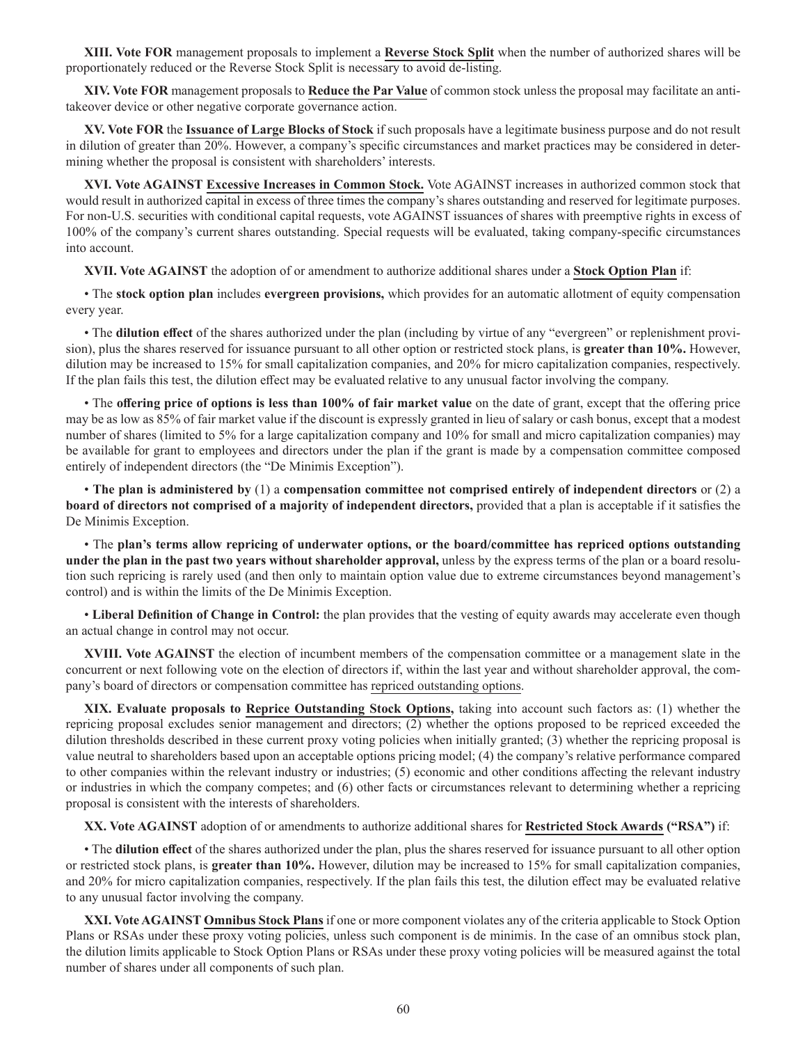**XIII. Vote FOR** management proposals to implement a **Reverse Stock Split** when the number of authorized shares will be proportionately reduced or the Reverse Stock Split is necessary to avoid de-listing.

**XIV. Vote FOR** management proposals to **Reduce the Par Value** of common stock unless the proposal may facilitate an antitakeover device or other negative corporate governance action.

**XV. Vote FOR** the **Issuance of Large Blocks of Stock** if such proposals have a legitimate business purpose and do not result in dilution of greater than 20%. However, a company's specific circumstances and market practices may be considered in determining whether the proposal is consistent with shareholders' interests.

**XVI. Vote AGAINST Excessive Increases in Common Stock.** Vote AGAINST increases in authorized common stock that would result in authorized capital in excess of three times the company's shares outstanding and reserved for legitimate purposes. For non-U.S. securities with conditional capital requests, vote AGAINST issuances of shares with preemptive rights in excess of 100% of the company's current shares outstanding. Special requests will be evaluated, taking company-specific circumstances into account.

**XVII. Vote AGAINST** the adoption of or amendment to authorize additional shares under a **Stock Option Plan** if:

• The **stock option plan** includes **evergreen provisions,** which provides for an automatic allotment of equity compensation every year.

• The **dilution effect** of the shares authorized under the plan (including by virtue of any "evergreen" or replenishment provision), plus the shares reserved for issuance pursuant to all other option or restricted stock plans, is **greater than 10%.** However, dilution may be increased to 15% for small capitalization companies, and 20% for micro capitalization companies, respectively. If the plan fails this test, the dilution effect may be evaluated relative to any unusual factor involving the company.

• The **offering price of options is less than 100% of fair market value** on the date of grant, except that the offering price may be as low as 85% of fair market value if the discount is expressly granted in lieu of salary or cash bonus, except that a modest number of shares (limited to 5% for a large capitalization company and 10% for small and micro capitalization companies) may be available for grant to employees and directors under the plan if the grant is made by a compensation committee composed entirely of independent directors (the "De Minimis Exception").

• **The plan is administered by** (1) a **compensation committee not comprised entirely of independent directors** or (2) a **board of directors not comprised of a majority of independent directors,** provided that a plan is acceptable if it satisfies the De Minimis Exception.

• The **plan's terms allow repricing of underwater options, or the board/committee has repriced options outstanding under the plan in the past two years without shareholder approval,** unless by the express terms of the plan or a board resolution such repricing is rarely used (and then only to maintain option value due to extreme circumstances beyond management's control) and is within the limits of the De Minimis Exception.

• **Liberal Definition of Change in Control:** the plan provides that the vesting of equity awards may accelerate even though an actual change in control may not occur.

**XVIII. Vote AGAINST** the election of incumbent members of the compensation committee or a management slate in the concurrent or next following vote on the election of directors if, within the last year and without shareholder approval, the company's board of directors or compensation committee has repriced outstanding options.

**XIX. Evaluate proposals to Reprice Outstanding Stock Options,** taking into account such factors as: (1) whether the repricing proposal excludes senior management and directors; (2) whether the options proposed to be repriced exceeded the dilution thresholds described in these current proxy voting policies when initially granted; (3) whether the repricing proposal is value neutral to shareholders based upon an acceptable options pricing model; (4) the company's relative performance compared to other companies within the relevant industry or industries; (5) economic and other conditions affecting the relevant industry or industries in which the company competes; and (6) other facts or circumstances relevant to determining whether a repricing proposal is consistent with the interests of shareholders.

**XX. Vote AGAINST** adoption of or amendments to authorize additional shares for **Restricted Stock Awards ("RSA")** if:

• The **dilution effect** of the shares authorized under the plan, plus the shares reserved for issuance pursuant to all other option or restricted stock plans, is **greater than 10%.** However, dilution may be increased to 15% for small capitalization companies, and 20% for micro capitalization companies, respectively. If the plan fails this test, the dilution effect may be evaluated relative to any unusual factor involving the company.

**XXI. Vote AGAINST Omnibus Stock Plans** if one or more component violates any of the criteria applicable to Stock Option Plans or RSAs under these proxy voting policies, unless such component is de minimis. In the case of an omnibus stock plan, the dilution limits applicable to Stock Option Plans or RSAs under these proxy voting policies will be measured against the total number of shares under all components of such plan.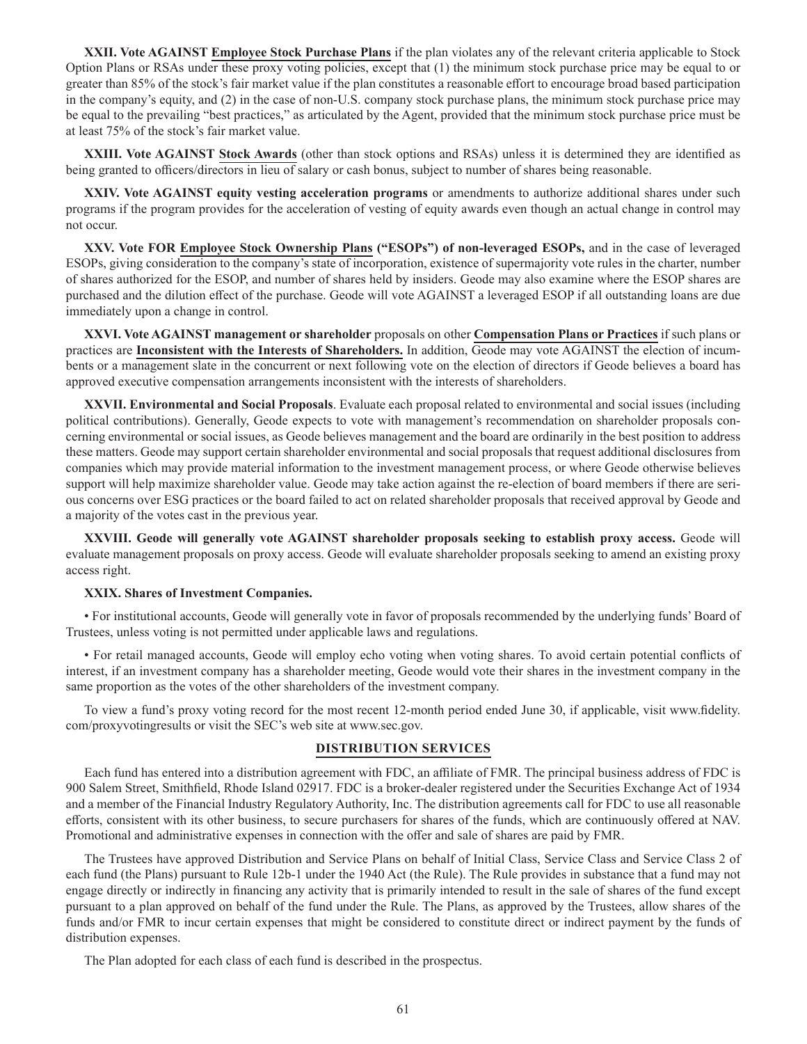**XXII. Vote AGAINST Employee Stock Purchase Plans** if the plan violates any of the relevant criteria applicable to Stock Option Plans or RSAs under these proxy voting policies, except that (1) the minimum stock purchase price may be equal to or greater than 85% of the stock's fair market value if the plan constitutes a reasonable effort to encourage broad based participation in the company's equity, and (2) in the case of non-U.S. company stock purchase plans, the minimum stock purchase price may be equal to the prevailing "best practices," as articulated by the Agent, provided that the minimum stock purchase price must be at least 75% of the stock's fair market value.

**XXIII. Vote AGAINST Stock Awards** (other than stock options and RSAs) unless it is determined they are identified as being granted to officers/directors in lieu of salary or cash bonus, subject to number of shares being reasonable.

**XXIV. Vote AGAINST equity vesting acceleration programs** or amendments to authorize additional shares under such programs if the program provides for the acceleration of vesting of equity awards even though an actual change in control may not occur.

**XXV. Vote FOR Employee Stock Ownership Plans ("ESOPs") of non-leveraged ESOPs,** and in the case of leveraged ESOPs, giving consideration to the company's state of incorporation, existence of supermajority vote rules in the charter, number of shares authorized for the ESOP, and number of shares held by insiders. Geode may also examine where the ESOP shares are purchased and the dilution effect of the purchase. Geode will vote AGAINST a leveraged ESOP if all outstanding loans are due immediately upon a change in control.

**XXVI. Vote AGAINST management or shareholder** proposals on other **Compensation Plans or Practices** if such plans or practices are **Inconsistent with the Interests of Shareholders.** In addition, Geode may vote AGAINST the election of incumbents or a management slate in the concurrent or next following vote on the election of directors if Geode believes a board has approved executive compensation arrangements inconsistent with the interests of shareholders.

**XXVII. Environmental and Social Proposals**. Evaluate each proposal related to environmental and social issues (including political contributions). Generally, Geode expects to vote with management's recommendation on shareholder proposals concerning environmental or social issues, as Geode believes management and the board are ordinarily in the best position to address these matters. Geode may support certain shareholder environmental and social proposals that request additional disclosures from companies which may provide material information to the investment management process, or where Geode otherwise believes support will help maximize shareholder value. Geode may take action against the re-election of board members if there are serious concerns over ESG practices or the board failed to act on related shareholder proposals that received approval by Geode and a majority of the votes cast in the previous year.

**XXVIII. Geode will generally vote AGAINST shareholder proposals seeking to establish proxy access.** Geode will evaluate management proposals on proxy access. Geode will evaluate shareholder proposals seeking to amend an existing proxy access right.

### **XXIX. Shares of Investment Companies.**

• For institutional accounts, Geode will generally vote in favor of proposals recommended by the underlying funds' Board of Trustees, unless voting is not permitted under applicable laws and regulations.

• For retail managed accounts, Geode will employ echo voting when voting shares. To avoid certain potential conflicts of interest, if an investment company has a shareholder meeting, Geode would vote their shares in the investment company in the same proportion as the votes of the other shareholders of the investment company.

To view a fund's proxy voting record for the most recent 12-month period ended June 30, if applicable, visit www.fidelity. com/proxyvotingresults or visit the SEC's web site at www.sec.gov.

### **DISTRIBUTION SERVICES**

Each fund has entered into a distribution agreement with FDC, an affiliate of FMR. The principal business address of FDC is 900 Salem Street, Smithfield, Rhode Island 02917. FDC is a broker-dealer registered under the Securities Exchange Act of 1934 and a member of the Financial Industry Regulatory Authority, Inc. The distribution agreements call for FDC to use all reasonable efforts, consistent with its other business, to secure purchasers for shares of the funds, which are continuously offered at NAV. Promotional and administrative expenses in connection with the offer and sale of shares are paid by FMR.

The Trustees have approved Distribution and Service Plans on behalf of Initial Class, Service Class and Service Class 2 of each fund (the Plans) pursuant to Rule 12b-1 under the 1940 Act (the Rule). The Rule provides in substance that a fund may not engage directly or indirectly in financing any activity that is primarily intended to result in the sale of shares of the fund except pursuant to a plan approved on behalf of the fund under the Rule. The Plans, as approved by the Trustees, allow shares of the funds and/or FMR to incur certain expenses that might be considered to constitute direct or indirect payment by the funds of distribution expenses.

The Plan adopted for each class of each fund is described in the prospectus.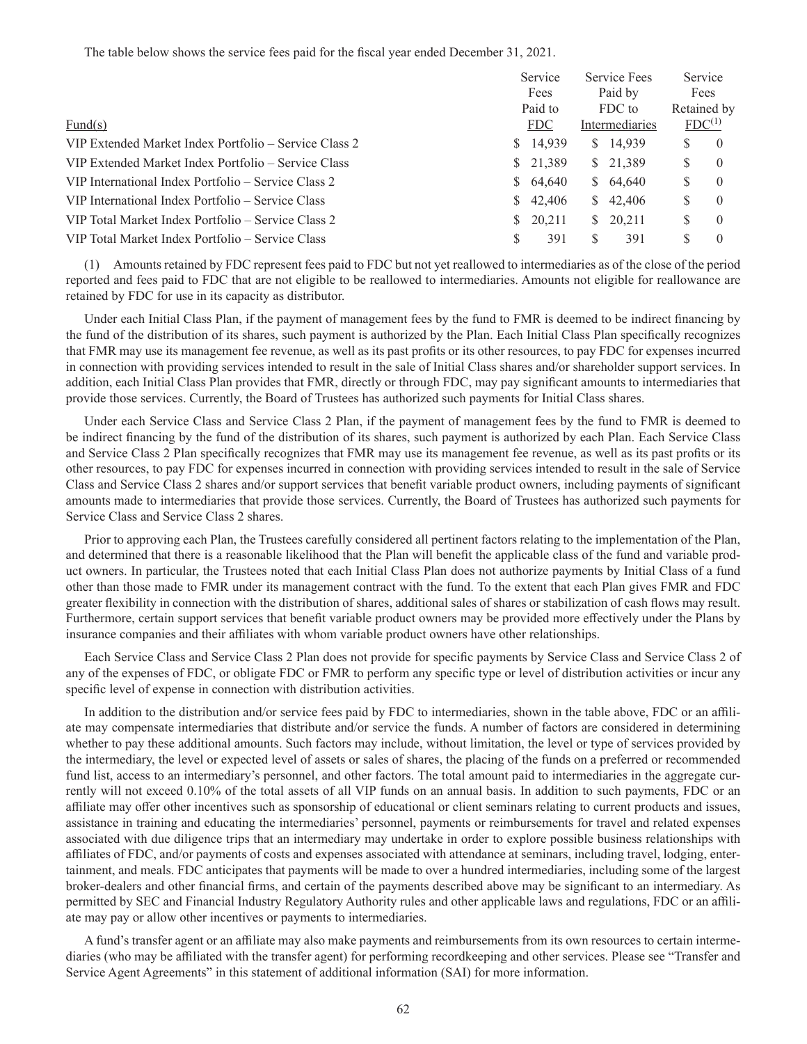The table below shows the service fees paid for the fiscal year ended December 31, 2021.

|                                                       | Service      | Service Fees   | Service               |
|-------------------------------------------------------|--------------|----------------|-----------------------|
|                                                       | Fees         | Paid by        | Fees                  |
|                                                       | Paid to      | FDC to         | Retained by           |
| Fund $(s)$                                            | <b>FDC</b>   | Intermediaries | FDC <sup>(1)</sup>    |
| VIP Extended Market Index Portfolio – Service Class 2 | 14,939<br>S. | \$ 14,939      | S<br>$\left( \right)$ |
| VIP Extended Market Index Portfolio – Service Class   | \$ 21,389    | \$21,389       | S<br>$\theta$         |
| VIP International Index Portfolio – Service Class 2   | \$ 64,640    | \$ 64,640      | S<br>$\theta$         |
| VIP International Index Portfolio – Service Class     | 42,406<br>S. | \$42,406       | S<br>$\theta$         |
| VIP Total Market Index Portfolio – Service Class 2    | 20,211<br>S. | 20,211<br>S.   | S<br>$\left( \right)$ |
| VIP Total Market Index Portfolio – Service Class      | 391<br>S     | 391            |                       |

(1) Amounts retained by FDC represent fees paid to FDC but not yet reallowed to intermediaries as of the close of the period reported and fees paid to FDC that are not eligible to be reallowed to intermediaries. Amounts not eligible for reallowance are retained by FDC for use in its capacity as distributor.

Under each Initial Class Plan, if the payment of management fees by the fund to FMR is deemed to be indirect financing by the fund of the distribution of its shares, such payment is authorized by the Plan. Each Initial Class Plan specifically recognizes that FMR may use its management fee revenue, as well as its past profits or its other resources, to pay FDC for expenses incurred in connection with providing services intended to result in the sale of Initial Class shares and/or shareholder support services. In addition, each Initial Class Plan provides that FMR, directly or through FDC, may pay significant amounts to intermediaries that provide those services. Currently, the Board of Trustees has authorized such payments for Initial Class shares.

Under each Service Class and Service Class 2 Plan, if the payment of management fees by the fund to FMR is deemed to be indirect financing by the fund of the distribution of its shares, such payment is authorized by each Plan. Each Service Class and Service Class 2 Plan specifically recognizes that FMR may use its management fee revenue, as well as its past profits or its other resources, to pay FDC for expenses incurred in connection with providing services intended to result in the sale of Service Class and Service Class 2 shares and/or support services that benefit variable product owners, including payments of significant amounts made to intermediaries that provide those services. Currently, the Board of Trustees has authorized such payments for Service Class and Service Class 2 shares.

Prior to approving each Plan, the Trustees carefully considered all pertinent factors relating to the implementation of the Plan, and determined that there is a reasonable likelihood that the Plan will benefit the applicable class of the fund and variable product owners. In particular, the Trustees noted that each Initial Class Plan does not authorize payments by Initial Class of a fund other than those made to FMR under its management contract with the fund. To the extent that each Plan gives FMR and FDC greater flexibility in connection with the distribution of shares, additional sales of shares or stabilization of cash flows may result. Furthermore, certain support services that benefit variable product owners may be provided more effectively under the Plans by insurance companies and their affiliates with whom variable product owners have other relationships.

Each Service Class and Service Class 2 Plan does not provide for specific payments by Service Class and Service Class 2 of any of the expenses of FDC, or obligate FDC or FMR to perform any specific type or level of distribution activities or incur any specific level of expense in connection with distribution activities.

In addition to the distribution and/or service fees paid by FDC to intermediaries, shown in the table above, FDC or an affiliate may compensate intermediaries that distribute and/or service the funds. A number of factors are considered in determining whether to pay these additional amounts. Such factors may include, without limitation, the level or type of services provided by the intermediary, the level or expected level of assets or sales of shares, the placing of the funds on a preferred or recommended fund list, access to an intermediary's personnel, and other factors. The total amount paid to intermediaries in the aggregate currently will not exceed 0.10% of the total assets of all VIP funds on an annual basis. In addition to such payments, FDC or an affiliate may offer other incentives such as sponsorship of educational or client seminars relating to current products and issues, assistance in training and educating the intermediaries' personnel, payments or reimbursements for travel and related expenses associated with due diligence trips that an intermediary may undertake in order to explore possible business relationships with affiliates of FDC, and/or payments of costs and expenses associated with attendance at seminars, including travel, lodging, entertainment, and meals. FDC anticipates that payments will be made to over a hundred intermediaries, including some of the largest broker-dealers and other financial firms, and certain of the payments described above may be significant to an intermediary. As permitted by SEC and Financial Industry Regulatory Authority rules and other applicable laws and regulations, FDC or an affiliate may pay or allow other incentives or payments to intermediaries.

A fund's transfer agent or an affiliate may also make payments and reimbursements from its own resources to certain intermediaries (who may be affiliated with the transfer agent) for performing recordkeeping and other services. Please see "Transfer and Service Agent Agreements" in this statement of additional information (SAI) for more information.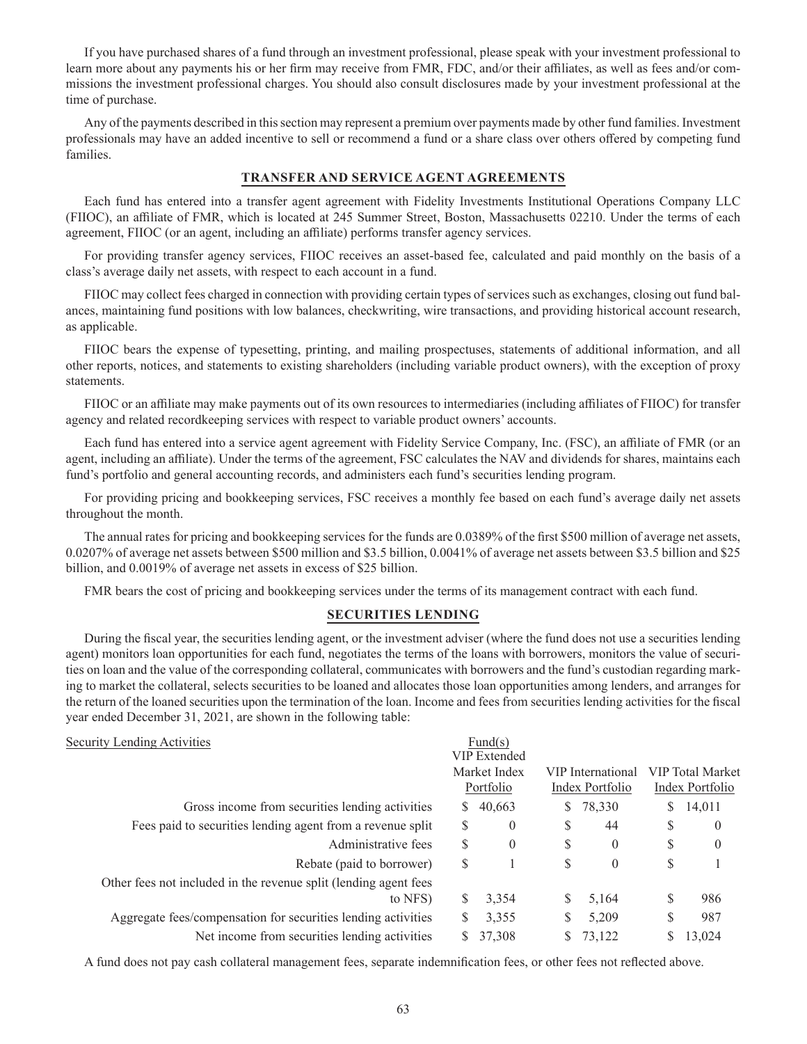If you have purchased shares of a fund through an investment professional, please speak with your investment professional to learn more about any payments his or her firm may receive from FMR, FDC, and/or their affiliates, as well as fees and/or commissions the investment professional charges. You should also consult disclosures made by your investment professional at the time of purchase.

Any of the payments described in this section may represent a premium over payments made by other fund families. Investment professionals may have an added incentive to sell or recommend a fund or a share class over others offered by competing fund families.

### **TRANSFER AND SERVICE AGENT AGREEMENTS**

Each fund has entered into a transfer agent agreement with Fidelity Investments Institutional Operations Company LLC (FIIOC), an affiliate of FMR, which is located at 245 Summer Street, Boston, Massachusetts 02210. Under the terms of each agreement, FIIOC (or an agent, including an affiliate) performs transfer agency services.

For providing transfer agency services, FIIOC receives an asset-based fee, calculated and paid monthly on the basis of a class's average daily net assets, with respect to each account in a fund.

FIIOC may collect fees charged in connection with providing certain types of services such as exchanges, closing out fund balances, maintaining fund positions with low balances, checkwriting, wire transactions, and providing historical account research, as applicable.

FIIOC bears the expense of typesetting, printing, and mailing prospectuses, statements of additional information, and all other reports, notices, and statements to existing shareholders (including variable product owners), with the exception of proxy statements.

FIIOC or an affiliate may make payments out of its own resources to intermediaries (including affiliates of FIIOC) for transfer agency and related recordkeeping services with respect to variable product owners' accounts.

Each fund has entered into a service agent agreement with Fidelity Service Company, Inc. (FSC), an affiliate of FMR (or an agent, including an affiliate). Under the terms of the agreement, FSC calculates the NAV and dividends for shares, maintains each fund's portfolio and general accounting records, and administers each fund's securities lending program.

For providing pricing and bookkeeping services, FSC receives a monthly fee based on each fund's average daily net assets throughout the month.

The annual rates for pricing and bookkeeping services for the funds are 0.0389% of the first \$500 million of average net assets, 0.0207% of average net assets between \$500 million and \$3.5 billion, 0.0041% of average net assets between \$3.5 billion and \$25 billion, and 0.0019% of average net assets in excess of \$25 billion.

FMR bears the cost of pricing and bookkeeping services under the terms of its management contract with each fund.

### **SECURITIES LENDING**

During the fiscal year, the securities lending agent, or the investment adviser (where the fund does not use a securities lending agent) monitors loan opportunities for each fund, negotiates the terms of the loans with borrowers, monitors the value of securities on loan and the value of the corresponding collateral, communicates with borrowers and the fund's custodian regarding marking to market the collateral, selects securities to be loaned and allocates those loan opportunities among lenders, and arranges for the return of the loaned securities upon the termination of the loan. Income and fees from securities lending activities for the fiscal year ended December 31, 2021, are shown in the following table:

### Security Lending Activities Fund(s)

|                                                                  |    | <b>VIP</b> Extended |    |                   |   |                         |
|------------------------------------------------------------------|----|---------------------|----|-------------------|---|-------------------------|
|                                                                  |    | Market Index        |    | VIP International |   | <b>VIP</b> Total Market |
|                                                                  |    | Portfolio           |    | Index Portfolio   |   | Index Portfolio         |
| Gross income from securities lending activities                  | S. | 40,663              | S. | 78,330            | S | 14,011                  |
| Fees paid to securities lending agent from a revenue split       | S  | $\theta$            | S  | 44                | S | $\theta$                |
| Administrative fees                                              | S  | $\theta$            | S  | $\theta$          | S | $\theta$                |
| Rebate (paid to borrower)                                        | S  |                     | S  | $\theta$          | S |                         |
| Other fees not included in the revenue split (lending agent fees |    |                     |    |                   |   |                         |
| to NFS)                                                          | S  | 3,354               | S  | 5,164             | S | 986                     |
| Aggregate fees/compensation for securities lending activities    |    | 3,355               |    | 5,209             | S | 987                     |
| Net income from securities lending activities                    |    | 37,308              |    | 73,122            |   | 13,024                  |

A fund does not pay cash collateral management fees, separate indemnification fees, or other fees not reflected above.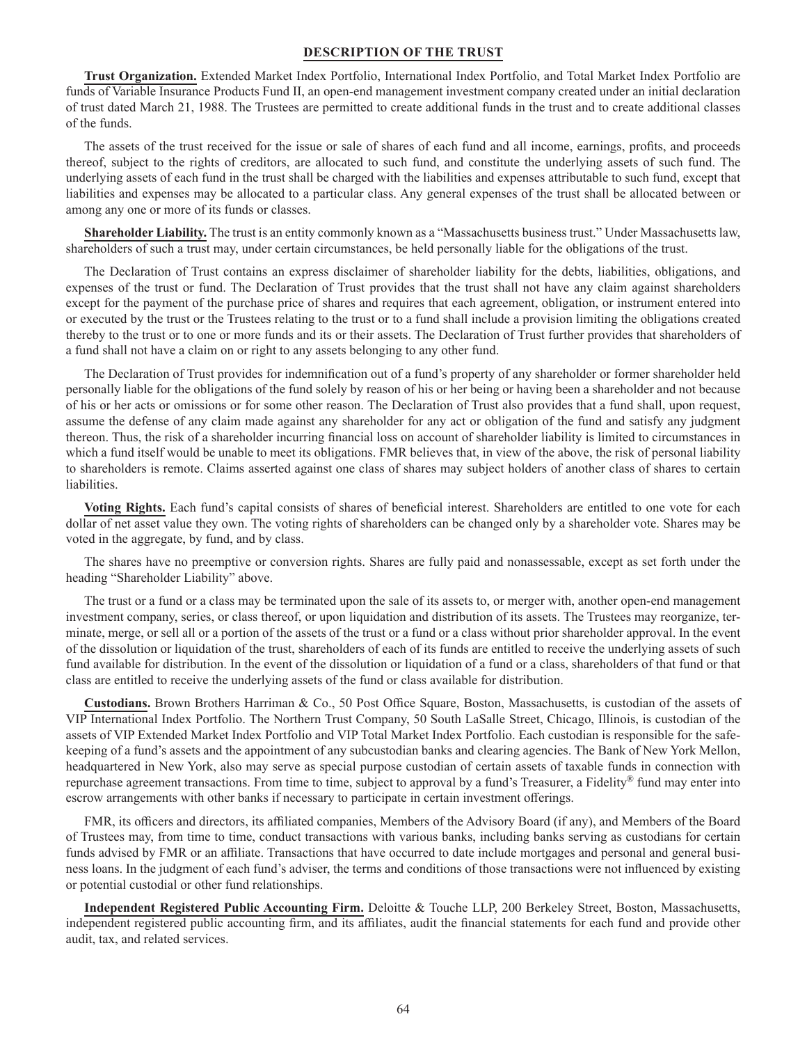#### **DESCRIPTION OF THE TRUST**

**Trust Organization.** Extended Market Index Portfolio, International Index Portfolio, and Total Market Index Portfolio are funds of Variable Insurance Products Fund II, an open-end management investment company created under an initial declaration of trust dated March 21, 1988. The Trustees are permitted to create additional funds in the trust and to create additional classes of the funds.

The assets of the trust received for the issue or sale of shares of each fund and all income, earnings, profits, and proceeds thereof, subject to the rights of creditors, are allocated to such fund, and constitute the underlying assets of such fund. The underlying assets of each fund in the trust shall be charged with the liabilities and expenses attributable to such fund, except that liabilities and expenses may be allocated to a particular class. Any general expenses of the trust shall be allocated between or among any one or more of its funds or classes.

**Shareholder Liability.** The trust is an entity commonly known as a "Massachusetts business trust." Under Massachusetts law, shareholders of such a trust may, under certain circumstances, be held personally liable for the obligations of the trust.

The Declaration of Trust contains an express disclaimer of shareholder liability for the debts, liabilities, obligations, and expenses of the trust or fund. The Declaration of Trust provides that the trust shall not have any claim against shareholders except for the payment of the purchase price of shares and requires that each agreement, obligation, or instrument entered into or executed by the trust or the Trustees relating to the trust or to a fund shall include a provision limiting the obligations created thereby to the trust or to one or more funds and its or their assets. The Declaration of Trust further provides that shareholders of a fund shall not have a claim on or right to any assets belonging to any other fund.

The Declaration of Trust provides for indemnification out of a fund's property of any shareholder or former shareholder held personally liable for the obligations of the fund solely by reason of his or her being or having been a shareholder and not because of his or her acts or omissions or for some other reason. The Declaration of Trust also provides that a fund shall, upon request, assume the defense of any claim made against any shareholder for any act or obligation of the fund and satisfy any judgment thereon. Thus, the risk of a shareholder incurring financial loss on account of shareholder liability is limited to circumstances in which a fund itself would be unable to meet its obligations. FMR believes that, in view of the above, the risk of personal liability to shareholders is remote. Claims asserted against one class of shares may subject holders of another class of shares to certain liabilities.

**Voting Rights.** Each fund's capital consists of shares of beneficial interest. Shareholders are entitled to one vote for each dollar of net asset value they own. The voting rights of shareholders can be changed only by a shareholder vote. Shares may be voted in the aggregate, by fund, and by class.

The shares have no preemptive or conversion rights. Shares are fully paid and nonassessable, except as set forth under the heading "Shareholder Liability" above.

The trust or a fund or a class may be terminated upon the sale of its assets to, or merger with, another open-end management investment company, series, or class thereof, or upon liquidation and distribution of its assets. The Trustees may reorganize, terminate, merge, or sell all or a portion of the assets of the trust or a fund or a class without prior shareholder approval. In the event of the dissolution or liquidation of the trust, shareholders of each of its funds are entitled to receive the underlying assets of such fund available for distribution. In the event of the dissolution or liquidation of a fund or a class, shareholders of that fund or that class are entitled to receive the underlying assets of the fund or class available for distribution.

**Custodians.** Brown Brothers Harriman & Co., 50 Post Office Square, Boston, Massachusetts, is custodian of the assets of VIP International Index Portfolio. The Northern Trust Company, 50 South LaSalle Street, Chicago, Illinois, is custodian of the assets of VIP Extended Market Index Portfolio and VIP Total Market Index Portfolio. Each custodian is responsible for the safekeeping of a fund's assets and the appointment of any subcustodian banks and clearing agencies. The Bank of New York Mellon, headquartered in New York, also may serve as special purpose custodian of certain assets of taxable funds in connection with repurchase agreement transactions. From time to time, subject to approval by a fund's Treasurer, a Fidelity® fund may enter into escrow arrangements with other banks if necessary to participate in certain investment offerings.

FMR, its officers and directors, its affiliated companies, Members of the Advisory Board (if any), and Members of the Board of Trustees may, from time to time, conduct transactions with various banks, including banks serving as custodians for certain funds advised by FMR or an affiliate. Transactions that have occurred to date include mortgages and personal and general business loans. In the judgment of each fund's adviser, the terms and conditions of those transactions were not influenced by existing or potential custodial or other fund relationships.

**Independent Registered Public Accounting Firm.** Deloitte & Touche LLP, 200 Berkeley Street, Boston, Massachusetts, independent registered public accounting firm, and its affiliates, audit the financial statements for each fund and provide other audit, tax, and related services.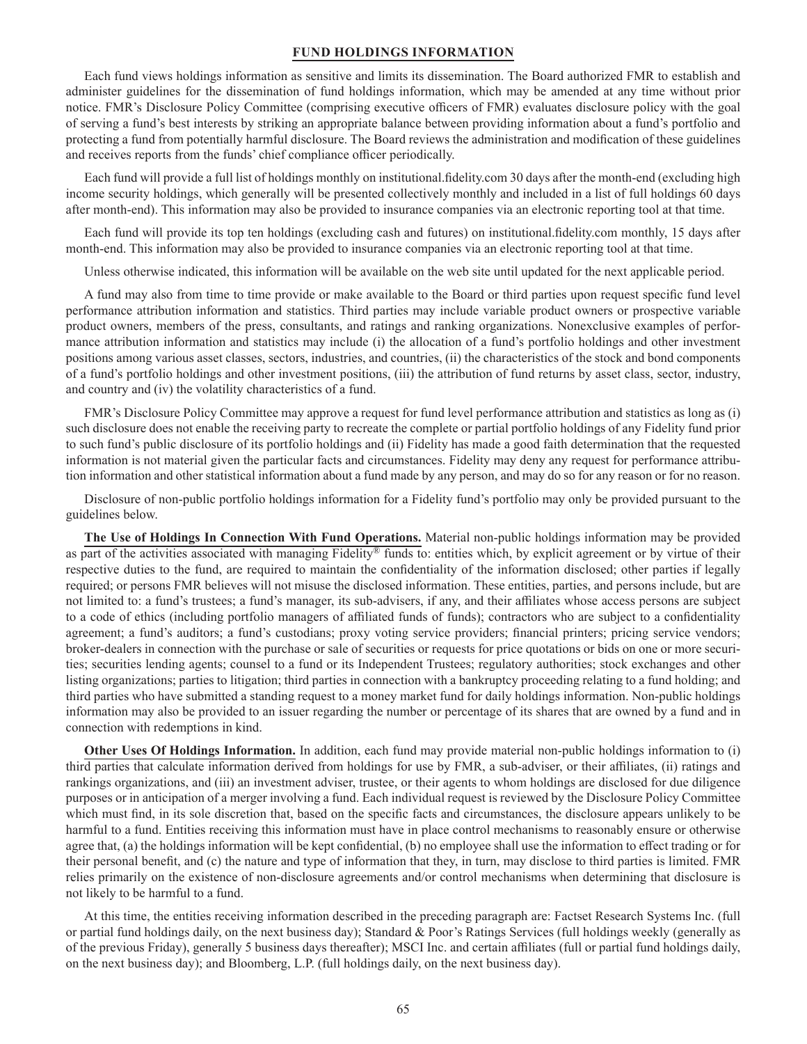#### **FUND HOLDINGS INFORMATION**

Each fund views holdings information as sensitive and limits its dissemination. The Board authorized FMR to establish and administer guidelines for the dissemination of fund holdings information, which may be amended at any time without prior notice. FMR's Disclosure Policy Committee (comprising executive officers of FMR) evaluates disclosure policy with the goal of serving a fund's best interests by striking an appropriate balance between providing information about a fund's portfolio and protecting a fund from potentially harmful disclosure. The Board reviews the administration and modification of these guidelines and receives reports from the funds' chief compliance officer periodically.

Each fund will provide a full list of holdings monthly on institutional.fidelity.com 30 days after the month-end (excluding high income security holdings, which generally will be presented collectively monthly and included in a list of full holdings 60 days after month-end). This information may also be provided to insurance companies via an electronic reporting tool at that time.

Each fund will provide its top ten holdings (excluding cash and futures) on institutional.fidelity.com monthly, 15 days after month-end. This information may also be provided to insurance companies via an electronic reporting tool at that time.

Unless otherwise indicated, this information will be available on the web site until updated for the next applicable period.

A fund may also from time to time provide or make available to the Board or third parties upon request specific fund level performance attribution information and statistics. Third parties may include variable product owners or prospective variable product owners, members of the press, consultants, and ratings and ranking organizations. Nonexclusive examples of performance attribution information and statistics may include (i) the allocation of a fund's portfolio holdings and other investment positions among various asset classes, sectors, industries, and countries, (ii) the characteristics of the stock and bond components of a fund's portfolio holdings and other investment positions, (iii) the attribution of fund returns by asset class, sector, industry, and country and (iv) the volatility characteristics of a fund.

FMR's Disclosure Policy Committee may approve a request for fund level performance attribution and statistics as long as (i) such disclosure does not enable the receiving party to recreate the complete or partial portfolio holdings of any Fidelity fund prior to such fund's public disclosure of its portfolio holdings and (ii) Fidelity has made a good faith determination that the requested information is not material given the particular facts and circumstances. Fidelity may deny any request for performance attribution information and other statistical information about a fund made by any person, and may do so for any reason or for no reason.

Disclosure of non-public portfolio holdings information for a Fidelity fund's portfolio may only be provided pursuant to the guidelines below.

**The Use of Holdings In Connection With Fund Operations.** Material non-public holdings information may be provided as part of the activities associated with managing Fidelity® funds to: entities which, by explicit agreement or by virtue of their respective duties to the fund, are required to maintain the confidentiality of the information disclosed; other parties if legally required; or persons FMR believes will not misuse the disclosed information. These entities, parties, and persons include, but are not limited to: a fund's trustees; a fund's manager, its sub-advisers, if any, and their affiliates whose access persons are subject to a code of ethics (including portfolio managers of affiliated funds of funds); contractors who are subject to a confidentiality agreement; a fund's auditors; a fund's custodians; proxy voting service providers; financial printers; pricing service vendors; broker-dealers in connection with the purchase or sale of securities or requests for price quotations or bids on one or more securities; securities lending agents; counsel to a fund or its Independent Trustees; regulatory authorities; stock exchanges and other listing organizations; parties to litigation; third parties in connection with a bankruptcy proceeding relating to a fund holding; and third parties who have submitted a standing request to a money market fund for daily holdings information. Non-public holdings information may also be provided to an issuer regarding the number or percentage of its shares that are owned by a fund and in connection with redemptions in kind.

**Other Uses Of Holdings Information.** In addition, each fund may provide material non-public holdings information to (i) third parties that calculate information derived from holdings for use by FMR, a sub-adviser, or their affiliates, (ii) ratings and rankings organizations, and (iii) an investment adviser, trustee, or their agents to whom holdings are disclosed for due diligence purposes or in anticipation of a merger involving a fund. Each individual request is reviewed by the Disclosure Policy Committee which must find, in its sole discretion that, based on the specific facts and circumstances, the disclosure appears unlikely to be harmful to a fund. Entities receiving this information must have in place control mechanisms to reasonably ensure or otherwise agree that, (a) the holdings information will be kept confidential, (b) no employee shall use the information to effect trading or for their personal benefit, and (c) the nature and type of information that they, in turn, may disclose to third parties is limited. FMR relies primarily on the existence of non-disclosure agreements and/or control mechanisms when determining that disclosure is not likely to be harmful to a fund.

At this time, the entities receiving information described in the preceding paragraph are: Factset Research Systems Inc. (full or partial fund holdings daily, on the next business day); Standard & Poor's Ratings Services (full holdings weekly (generally as of the previous Friday), generally 5 business days thereafter); MSCI Inc. and certain affiliates (full or partial fund holdings daily, on the next business day); and Bloomberg, L.P. (full holdings daily, on the next business day).